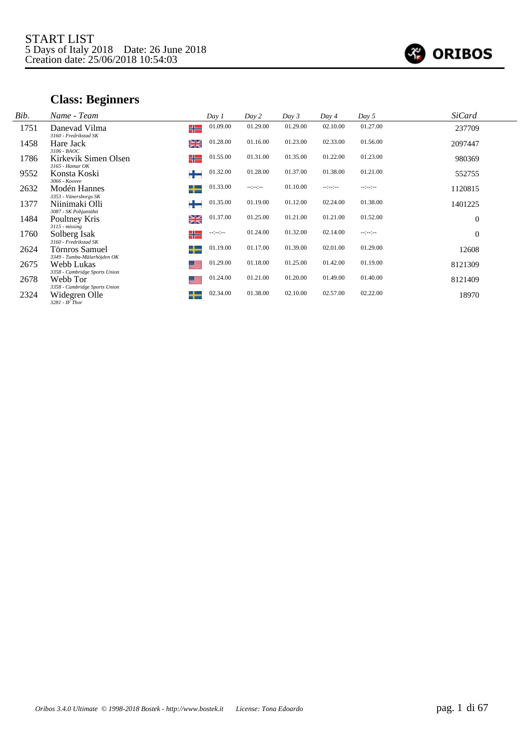

# **Class: Beginners**

| Bib. | Name - Team                                                      |    | Day 1            | Day 2            | Day 3    | Day 4            | Day 5        | <b>SiCard</b> |  |
|------|------------------------------------------------------------------|----|------------------|------------------|----------|------------------|--------------|---------------|--|
| 1751 | Danevad Vilma<br>3160 - Fredrikstad SK                           | ╬  | 01.09.00         | 01.29.00         | 01.29.00 | 02.10.00         | 01.27.00     | 237709        |  |
| 1458 | Hare Jack<br>$3106 - B A O C$                                    | ≱≼ | 01.28.00         | 01.16.00         | 01.23.00 | 02.33.00         | 01.56.00     | 2097447       |  |
| 1786 | Kirkevik Simen Olsen<br>$3165$ - Hamar OK                        | ╬  | 01.55.00         | 01.31.00         | 01.35.00 | 01.22.00         | 01.23.00     | 980369        |  |
| 9552 | Konsta Koski<br>3066 - Koovee                                    | ┶  | 01.32.00         | 01.28.00         | 01.37.00 | 01.38.00         | 01.21.00     | 552755        |  |
| 2632 | Modén Hannes<br>3353 - Vänersborgs SK                            | ┶  | 01.33.00         | $-1 - 1 - 1 - 1$ | 01.10.00 | $-2 - 2 - 2 - 1$ | $-12 - 12 -$ | 1120815       |  |
| 1377 | Niinimaki Olli<br>3087 - SK Pohjantähti                          | ┿  | 01.35.00         | 01.19.00         | 01.12.00 | 02.24.00         | 01.38.00     | 1401225       |  |
| 1484 | Poultney Kris<br>$3115 - missing$                                | ≱≼ | 01.37.00         | 01.25.00         | 01.21.00 | 01.21.00         | 01.52.00     | $\theta$      |  |
| 1760 | Solberg Isak<br>3160 - Fredrikstad SK                            | ╬  | $-1 - 1 - 1 - 1$ | 01.24.00         | 01.32.00 | 02.14.00         | $-12 - 12 -$ | $\theta$      |  |
| 2624 | Törnros Samuel<br>3349 - Tumba-Mälarhöjden OK                    | ┶  | 01.19.00         | 01.17.00         | 01.39.00 | 02.01.00         | 01.29.00     | 12608         |  |
| 2675 | Webb Lukas<br>3358 - Cambridge Sports Union                      | 트  | 01.29.00         | 01.18.00         | 01.25.00 | 01.42.00         | 01.19.00     | 8121309       |  |
| 2678 | Webb Tor                                                         |    | 01.24.00         | 01.21.00         | 01.20.00 | 01.49.00         | 01.40.00     | 8121409       |  |
| 2324 | 3358 - Cambridge Sports Union<br>Widegren Olle<br>3281 - IF Thor | ┶  | 02.34.00         | 01.38.00         | 02.10.00 | 02.57.00         | 02.22.00     | 18970         |  |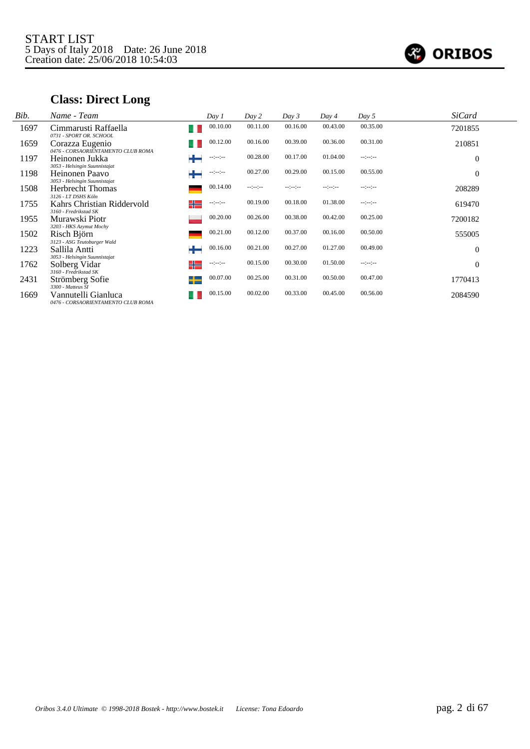

# **Class: Direct Long**

| Bib. | Name - Team                                                                      |   | Day 1            | Day 2            | Day 3        | Day 4            | Day $5$      | <b>SiCard</b> |  |
|------|----------------------------------------------------------------------------------|---|------------------|------------------|--------------|------------------|--------------|---------------|--|
| 1697 | Cimmarusti Raffaella<br>0731 - SPORT OR. SCHOOL                                  |   | 00.10.00         | 00.11.00         | 00.16.00     | 00.43.00         | 00.35.00     | 7201855       |  |
| 1659 | Corazza Eugenio                                                                  |   | 00.12.00         | 00.16.00         | 00.39.00     | 00.36.00         | 00.31.00     | 210851        |  |
| 1197 | 0476 - CORSAORIENTAMENTO CLUB ROMA<br>Heinonen Jukka                             |   | $-12 - 12 -$     | 00.28.00         | 00.17.00     | 01.04.00         | $-12 - 12 -$ | $\theta$      |  |
| 1198 | 3053 - Helsingin Suunnistajat<br>Heinonen Paavo<br>3053 - Helsingin Suunnistajat | ┶ | $-1 - 1 - 1 - 1$ | 00.27.00         | 00.29.00     | 00.15.00         | 00.55.00     | $\theta$      |  |
| 1508 | <b>Herbrecht Thomas</b><br>3126 - LT DSHS Köln                                   |   | 00.14.00         | $-1 - 1 - 1 - 1$ | $-12 - 12 -$ | $-1 - 1 - 1 - 1$ | $-12 - 12 -$ | 208289        |  |
| 1755 | Kahrs Christian Riddervold<br>3160 - Fredrikstad SK                              | ╬ | $-1 - 1 - 1 - 1$ | 00.19.00         | 00.18.00     | 01.38.00         | $-12 - 12 -$ | 619470        |  |
| 1955 | Murawski Piotr<br>3203 - HKS Azymut Mochy                                        |   | 00.20.00         | 00.26.00         | 00.38.00     | 00.42.00         | 00.25.00     | 7200182       |  |
| 1502 | Risch Björn                                                                      |   | 00.21.00         | 00.12.00         | 00.37.00     | 00.16.00         | 00.50.00     | 555005        |  |
| 1223 | 3123 - ASG Teutoburger Wald<br>Sallila Antti                                     | ╈ | 00.16.00         | 00.21.00         | 00.27.00     | 01.27.00         | 00.49.00     | $\theta$      |  |
| 1762 | 3053 - Helsingin Suunnistajat<br>Solberg Vidar                                   | ╬ | $-1 - 1 - 1 - 1$ | 00.15.00         | 00.30.00     | 01.50.00         | $-12 - 12 -$ | $\theta$      |  |
| 2431 | 3160 - Fredrikstad SK<br>Strömberg Sofie                                         | ┶ | 00.07.00         | 00.25.00         | 00.31.00     | 00.50.00         | 00.47.00     | 1770413       |  |
| 1669 | 3300 - Matteus SI<br>Vannutelli Gianluca<br>0476 - CORSAORIENTAMENTO CLUB ROMA   |   | 00.15.00         | 00.02.00         | 00.33.00     | 00.45.00         | 00.56.00     | 2084590       |  |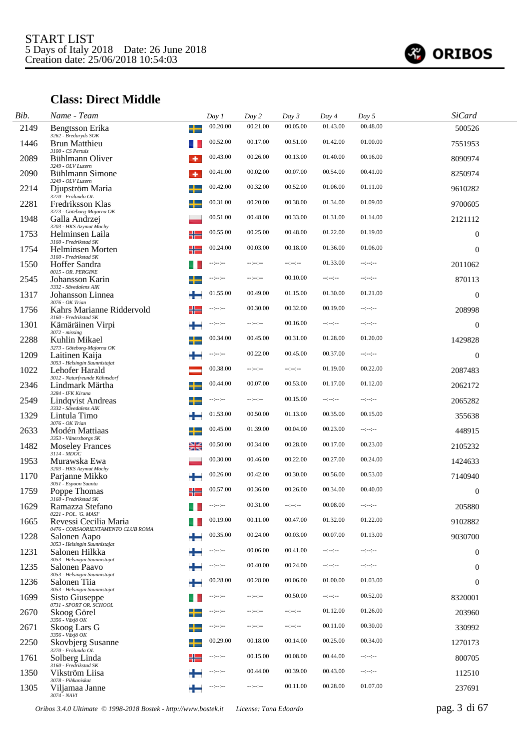

# **Class: Direct Middle**

| Bib. | Name - Team                                                 |    | Day 1            | Day 2            | Day 3            | Day 4            | Day 5        | <b>SiCard</b>    |  |
|------|-------------------------------------------------------------|----|------------------|------------------|------------------|------------------|--------------|------------------|--|
| 2149 | Bengtsson Erika<br>3262 - Bredaryds SOK                     |    | 00.20.00         | 00.21.00         | 00.05.00         | 01.43.00         | 00.48.00     | 500526           |  |
| 1446 | <b>Brun Matthieu</b><br>3100 - CS Pertuis                   |    | 00.52.00         | 00.17.00         | 00.51.00         | 01.42.00         | 01.00.00     | 7551953          |  |
| 2089 | Bühlmann Oliver<br>3249 - OLV Luzern                        |    | 00.43.00         | 00.26.00         | 00.13.00         | 01.40.00         | 00.16.00     | 8090974          |  |
| 2090 | Bühlmann Simone<br>3249 - OLV Luzern                        | ۰  | 00.41.00         | 00.02.00         | 00.07.00         | 00.54.00         | 00.41.00     | 8250974          |  |
| 2214 | Djupström Maria<br>3270 - Frölunda OL                       | டட | 00.42.00         | 00.32.00         | 00.52.00         | 01.06.00         | 01.11.00     | 9610282          |  |
| 2281 | Fredriksson Klas<br>3273 - Göteborg-Majorna OK              |    | 00.31.00         | 00.20.00         | 00.38.00         | 01.34.00         | 01.09.00     | 9700605          |  |
| 1948 | Galla Andrzej<br>3203 - HKS Azymut Mochy                    |    | 00.51.00         | 00.48.00         | 00.33.00         | 01.31.00         | 01.14.00     | 2121112          |  |
| 1753 | Helminsen Laila<br>3160 - Fredrikstad SK                    |    | 00.55.00         | 00.25.00         | 00.48.00         | 01.22.00         | 01.19.00     | $\boldsymbol{0}$ |  |
| 1754 | Helminsen Morten<br>3160 - Fredrikstad SK                   |    | 00.24.00         | 00.03.00         | 00.18.00         | 01.36.00         | 01.06.00     | $\overline{0}$   |  |
| 1550 | Hoffer Sandra<br>0015 - OR. PERGINE                         |    | --:--:--         | --:--:--         | $-1 - 1 - 1 - 1$ | 01.33.00         | --:--:-      | 2011062          |  |
| 2545 | Johansson Karin<br>3332 - Sävedalens AIK                    |    | --:--:--         | --:--:--         | 00.10.00         | $-1 - 1 - 1 - 1$ | --:--:-      | 870113           |  |
| 1317 | Johansson Linnea<br>3076 - OK Trian                         |    | 01.55.00         | 00.49.00         | 01.15.00         | 01.30.00         | 01.21.00     | $\mathbf{0}$     |  |
| 1756 | Kahrs Marianne Riddervold<br>3160 - Fredrikstad SK          |    | --:--:--         | 00.30.00         | 00.32.00         | 00.19.00         | --:--:-      | 208998           |  |
| 1301 | Kämäräinen Virpi<br>3072 - missing                          |    | $-1 - 1 - 1 - 1$ |                  | 00.16.00         | --:-:-           | --:--:-      | $\boldsymbol{0}$ |  |
| 2288 | Kuhlin Mikael<br>3273 - Göteborg-Majorna OK                 |    | 00.34.00         | 00.45.00         | 00.31.00         | 01.28.00         | 01.20.00     | 1429828          |  |
| 1209 | Laitinen Kaija<br>3053 - Helsingin Suunnistajat             |    | $-1 - 1 - 1 - 1$ | 00.22.00         | 00.45.00         | 00.37.00         | $-1(-1)$     | $\overline{0}$   |  |
| 1022 | Lehofer Harald<br>3012 - Naturfreunde Kühnsdorf             |    | 00.38.00         | --:--:--         | --:--:--         | 01.19.00         | 00.22.00     | 2087483          |  |
| 2346 | Lindmark Märtha<br>3284 - IFK Kiruna                        |    | 00.44.00         | 00.07.00         | 00.53.00         | 01.17.00         | 01.12.00     | 2062172          |  |
| 2549 | Lindqvist Andreas<br>3332 - Sävedalens AIK                  |    | --:--:--         | --:--:--         | 00.15.00         | $-1 - 1 - 1 - 1$ | --:--:--     | 2065282          |  |
| 1329 | Lintula Timo<br>3076 - OK Trian                             |    | 01.53.00         | 00.50.00         | 01.13.00         | 00.35.00         | 00.15.00     | 355638           |  |
| 2633 | Modén Mattiaas<br>3353 - Vänersborgs SK                     |    | 00.45.00         | 01.39.00         | 00.04.00         | 00.23.00         | $-12 - 12 -$ | 448915           |  |
| 1482 | <b>Moseley Frances</b><br>$3114$ - $MDOC$                   | ≱≼ | 00.50.00         | 00.34.00         | 00.28.00         | 00.17.00         | 00.23.00     | 2105232          |  |
| 1953 | Murawska Ewa<br>3203 - HKS Azymut Mochy                     |    | 00.30.00         | 00.46.00         | 00.22.00         | 00.27.00         | 00.24.00     | 1424633          |  |
| 1170 | Parjanne Mikko<br>3051 - Espoon Suunta                      |    | 00.26.00         | 00.42.00         | 00.30.00         | 00.56.00         | 00.53.00     | 7140940          |  |
| 1759 | Poppe Thomas<br>3160 - Fredrikstad SK                       |    | 00.57.00         | 00.36.00         | 00.26.00         | 00.34.00         | 00.40.00     | $\overline{0}$   |  |
| 1629 | Ramazza Stefano<br>0221 - POL. 'G. MASI'                    |    | $-12 - 12 -$     | 00.31.00         | $-12 - 12 -$     | 00.08.00         | --:--:--     | 205880           |  |
| 1665 | Revessi Cecilia Maria<br>0476 - CORSAORIENTAMENTO CLUB ROMA |    | 00.19.00         | 00.11.00         | 00.47.00         | 01.32.00         | 01.22.00     | 9102882          |  |
| 1228 | Salonen Aapo<br>3053 - Helsingin Suunnistajat               |    | 00.35.00         | 00.24.00         | 00.03.00         | 00.07.00         | 01.13.00     | 9030700          |  |
| 1231 | Salonen Hilkka<br>3053 - Helsingin Suunnistajat             |    | --:--:--         | 00.06.00         | 00.41.00         | --:-:-           | --:--:--     | $\mathbf{0}$     |  |
| 1235 | Salonen Paavo<br>3053 - Helsingin Suunnistajat              |    | --:--:--         | 00.40.00         | 00.24.00         | $-1 - 1 - 1 - 1$ | --:--:-      | $\mathbf{0}$     |  |
| 1236 | Salonen Tiia<br>3053 - Helsingin Suunnistajat               |    | 00.28.00         | 00.28.00         | 00.06.00         | 01.00.00         | 01.03.00     | $\mathbf{0}$     |  |
| 1699 | Sisto Giuseppe<br>0731 - SPORT OR. SCHOOL                   |    | --:-:-           | --:--:--         | 00.50.00         | --:--:-          | 00.52.00     | 8320001          |  |
| 2670 | Skoog Görel<br>3356 - Växjö OK                              |    | --:--:-          | --:--:--         | $-15 - 10$       | 01.12.00         | 01.26.00     | 203960           |  |
| 2671 | Skoog Lars G<br>3356 - Växjö OK                             |    | --:--:--         | --:--:--         | --:--:-          | 00.11.00         | 00.30.00     | 330992           |  |
| 2250 | Skovbjerg Susanne<br>3270 - Frölunda OL                     |    | 00.29.00         | 00.18.00         | 00.14.00         | 00.25.00         | 00.34.00     | 1270173          |  |
| 1761 | Solberg Linda<br>3160 - Fredrikstad SK                      |    | --:-:-           | 00.15.00         | 00.08.00         | 00.44.00         | --:--:-      | 800705           |  |
| 1350 | Vikström Liisa<br>3078 - Pihkaniskat                        |    | --:--:--         | 00.44.00         | 00.39.00         | 00.43.00         | --:--:-      | 112510           |  |
| 1305 | Viljamaa Janne<br>3074 - NAVI                               |    | --:--:--         | $-1 - 1 - 1 - 1$ | 00.11.00         | 00.28.00         | 01.07.00     | 237691           |  |

*Oribos 3.4.0 Ultimate © 1998-2018 Bostek - http://www.bostek.it License: Tona Edoardo* pag. 3 di 67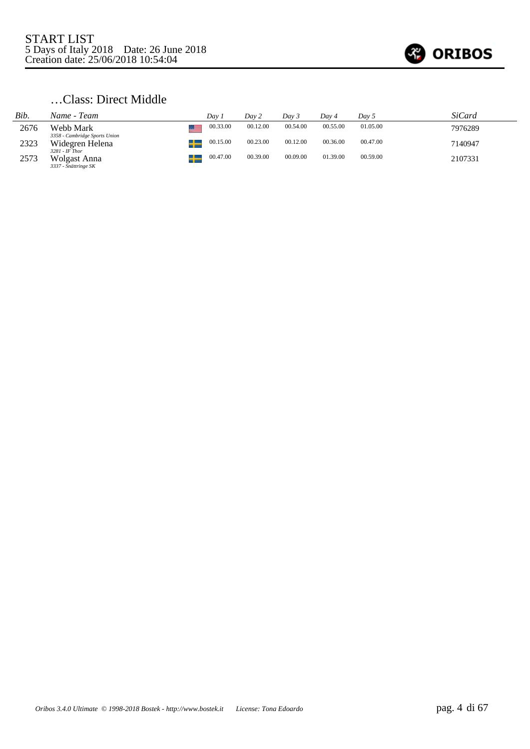

# …Class: Direct Middle

| Bib. | Name - Team                                              | Dav.     | Day 2    | Dav 3    | Day 4    | Day 5    | SiCard  |
|------|----------------------------------------------------------|----------|----------|----------|----------|----------|---------|
| 2676 | Webb Mark                                                | 00.33.00 | 00.12.00 | 00.54.00 | 00.55.00 | 01.05.00 | 7976289 |
| 2323 | 3358 - Cambridge Sports Union<br>Widegren Helena         | 00.15.00 | 00.23.00 | 00.12.00 | 00.36.00 | 00.47.00 | 7140947 |
| 2573 | $3281$ - IF Thor<br>Wolgast Anna<br>3337 - Snättringe SK | 00.47.00 | 00.39.00 | 00.09.00 | 01.39.00 | 00.59.00 | 2107331 |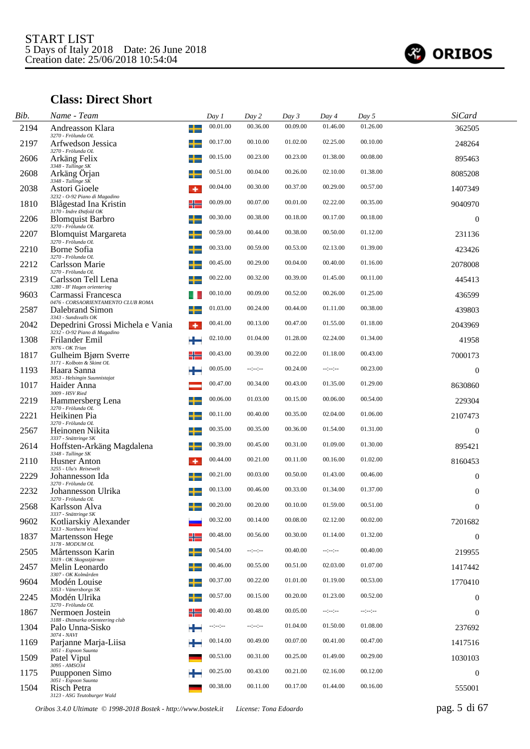

# **Class: Direct Short**

| Bib. | Name - Team                                                            |   | Day 1    | Day 2            | Day 3    | Day 4            | Day 5    | <b>SiCard</b>    |  |
|------|------------------------------------------------------------------------|---|----------|------------------|----------|------------------|----------|------------------|--|
| 2194 | Andreasson Klara<br>3270 - Frölunda OL                                 | ╅ | 00.01.00 | 00.36.00         | 00.09.00 | 01.46.00         | 01.26.00 | 362505           |  |
| 2197 | Arfwedson Jessica                                                      |   | 00.17.00 | 00.10.00         | 01.02.00 | 02.25.00         | 00.10.00 | 248264           |  |
| 2606 | 3270 - Frölunda OL<br>Arkäng Felix                                     |   | 00.15.00 | 00.23.00         | 00.23.00 | 01.38.00         | 00.08.00 | 895463           |  |
| 2608 | 3348 - Tullinge SK<br>Arkäng Orjan<br>$3348$ - Tullinge SK             |   | 00.51.00 | 00.04.00         | 00.26.00 | 02.10.00         | 01.38.00 | 8085208          |  |
| 2038 | Astori Gioele                                                          | ۰ | 00.04.00 | 00.30.00         | 00.37.00 | 00.29.00         | 00.57.00 | 1407349          |  |
| 1810 | 3232 - O-92 Piano di Magadino<br>Blågestad Ina Kristin                 | ╬ | 00.09.00 | 00.07.00         | 00.01.00 | 02.22.00         | 00.35.00 | 9040970          |  |
| 2206 | 3170 - Indre Østfold OK<br><b>Blomquist Barbro</b>                     |   | 00.30.00 | 00.38.00         | 00.18.00 | 00.17.00         | 00.18.00 | $\overline{0}$   |  |
| 2207 | 3270 - Frölunda OL<br><b>Blomquist Margareta</b><br>3270 - Frölunda OL |   | 00.59.00 | 00.44.00         | 00.38.00 | 00.50.00         | 01.12.00 | 231136           |  |
| 2210 | Borne Sofia<br>3270 - Frölunda OL                                      |   | 00.33.00 | 00.59.00         | 00.53.00 | 02.13.00         | 01.39.00 | 423426           |  |
| 2212 | Carlsson Marie<br>3270 - Frölunda OL                                   |   | 00.45.00 | 00.29.00         | 00.04.00 | 00.40.00         | 01.16.00 | 2078008          |  |
| 2319 | Carlsson Tell Lena<br>3280 - IF Hagen orientering                      |   | 00.22.00 | 00.32.00         | 00.39.00 | 01.45.00         | 00.11.00 | 445413           |  |
| 9603 | Carmassi Francesca<br>0476 - CORSAORIENTAMENTO CLUB ROMA               |   | 00.10.00 | 00.09.00         | 00.52.00 | 00.26.00         | 01.25.00 | 436599           |  |
| 2587 | Dalebrand Simon<br>3343 - Sundsvalls OK                                |   | 01.03.00 | 00.24.00         | 00.44.00 | 01.11.00         | 00.38.00 | 439803           |  |
| 2042 | Depedrini Grossi Michela e Vania<br>3232 - O-92 Piano di Magadino      |   | 00.41.00 | 00.13.00         | 00.47.00 | 01.55.00         | 01.18.00 | 2043969          |  |
| 1308 | Frilander Emil<br>3076 - OK Trian                                      | ÷ | 02.10.00 | 01.04.00         | 01.28.00 | 02.24.00         | 01.34.00 | 41958            |  |
| 1817 | Gulheim Bjørn Sverre<br>3171 - Kolbotn & Skimt OL                      | ╬ | 00.43.00 | 00.39.00         | 00.22.00 | 01.18.00         | 00.43.00 | 7000173          |  |
| 1193 | Haara Sanna<br>3053 - Helsingin Suunnistajat                           |   | 00.05.00 | $-1 - 1 - 1 - 1$ | 00.24.00 | $-1 - 1 - 1 - 1$ | 00.23.00 | $\overline{0}$   |  |
| 1017 | Haider Anna<br>3009 - HSV Ried                                         |   | 00.47.00 | 00.34.00         | 00.43.00 | 01.35.00         | 01.29.00 | 8630860          |  |
| 2219 | Hammersberg Lena<br>3270 - Frölunda OL                                 |   | 00.06.00 | 01.03.00         | 00.15.00 | 00.06.00         | 00.54.00 | 229304           |  |
| 2221 | Heikinen Pia<br>3270 - Frölunda OL                                     |   | 00.11.00 | 00.40.00         | 00.35.00 | 02.04.00         | 01.06.00 | 2107473          |  |
| 2567 | Heinonen Nikita<br>3337 - Snättringe SK                                |   | 00.35.00 | 00.35.00         | 00.36.00 | 01.54.00         | 01.31.00 | $\overline{0}$   |  |
| 2614 | Hoffsten-Arkäng Magdalena<br>3348 - Tullinge SK                        |   | 00.39.00 | 00.45.00         | 00.31.00 | 01.09.00         | 01.30.00 | 895421           |  |
| 2110 | Husner Anton<br>3255 - Ulu's Reisewelt                                 | ۰ | 00.44.00 | 00.21.00         | 00.11.00 | 00.16.00         | 01.02.00 | 8160453          |  |
| 2229 | Johannesson Ida<br>3270 - Frölunda OL                                  | ┵ | 00.21.00 | 00.03.00         | 00.50.00 | 01.43.00         | 00.46.00 | $\overline{0}$   |  |
| 2232 | Johannesson Ulrika<br>3270 - Frölunda OL                               |   | 00.13.00 | 00.46.00         | 00.33.00 | 01.34.00         | 01.37.00 | $\overline{0}$   |  |
| 2568 | Karlsson Alva<br>3337 - Snättringe SK                                  |   | 00.20.00 | 00.20.00         | 00.10.00 | 01.59.00         | 00.51.00 | $\theta$         |  |
| 9602 | Kotliarskiy Alexander<br>3213 - Northern Wind                          |   | 00.32.00 | 00.14.00         | 00.08.00 | 02.12.00         | 00.02.00 | 7201682          |  |
| 1837 | Martensson Hege<br>3178 - MODUM OL                                     |   | 00.48.00 | 00.56.00         | 00.30.00 | 01.14.00         | 01.32.00 | $\overline{0}$   |  |
| 2505 | Mårtensson Karin<br>3319 - OK Skogsstjärnan                            |   | 00.54.00 | $-1 - 1 - 1 - 1$ | 00.40.00 | $-1 - 1 - 1 - 1$ | 00.40.00 | 219955           |  |
| 2457 | Melin Leonardo<br>3307 - OK Kolmården                                  | ╈ | 00.46.00 | 00.55.00         | 00.51.00 | 02.03.00         | 01.07.00 | 1417442          |  |
| 9604 | Modén Louise<br>3353 - Vänersborgs SK                                  |   | 00.37.00 | 00.22.00         | 01.01.00 | 01.19.00         | 00.53.00 | 1770410          |  |
| 2245 | Modén Ulrika<br>3270 - Frölunda OL                                     |   | 00.57.00 | 00.15.00         | 00.20.00 | 01.23.00         | 00.52.00 | $\overline{0}$   |  |
| 1867 | Nermoen Jostein<br>3188 - Østmarka orienteering club                   |   | 00.40.00 | 00.48.00         | 00.05.00 | $-1 - 1 - 1 - 1$ | --:--:-  | $\overline{0}$   |  |
| 1304 | Palo Unna-Sisko<br>3074 - NAVI                                         |   | --:--:-  | $-1 - 1 - 1 - 1$ | 01.04.00 | 01.50.00         | 01.08.00 | 237692           |  |
| 1169 | Parjanne Marja-Liisa<br>3051 - Espoon Suunta                           |   | 00.14.00 | 00.49.00         | 00.07.00 | 00.41.00         | 00.47.00 | 1417516          |  |
| 1509 | Patel Vipul<br>3095 - AMSO34                                           |   | 00.53.00 | 00.31.00         | 00.25.00 | 01.49.00         | 00.29.00 | 1030103          |  |
| 1175 | Puupponen Simo<br>3051 - Espoon Suunta                                 |   | 00.25.00 | 00.43.00         | 00.21.00 | 02.16.00         | 00.12.00 | $\boldsymbol{0}$ |  |
| 1504 | Risch Petra<br>3123 - ASG Teutoburger Wald                             |   | 00.38.00 | 00.11.00         | 00.17.00 | 01.44.00         | 00.16.00 | 555001           |  |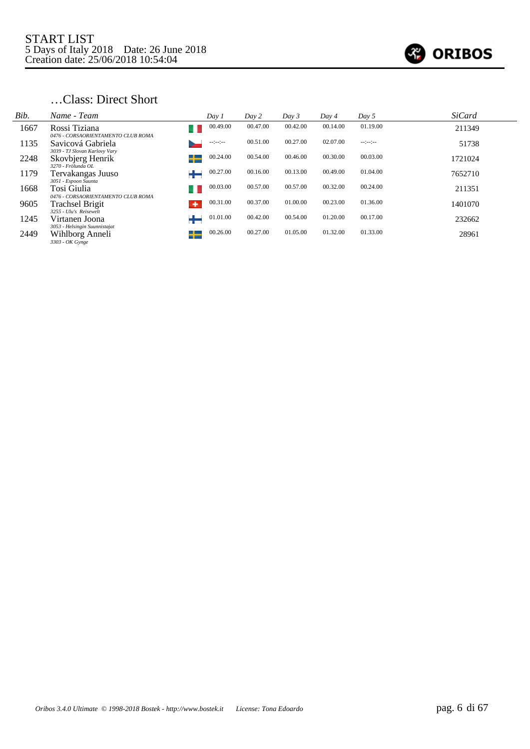

# …Class: Direct Short

| Bib. | Name - Team                                                         | Day 1         | Day 2    | Day 3    | Day 4    | Day 5        | <b>SiCard</b> |
|------|---------------------------------------------------------------------|---------------|----------|----------|----------|--------------|---------------|
| 1667 | Rossi Tiziana                                                       | 00.49.00      | 00.47.00 | 00.42.00 | 00.14.00 | 01.19.00     | 211349        |
| 1135 | 0476 - CORSAORIENTAMENTO CLUB ROMA<br>Savicová Gabriela             | --:--:-       | 00.51.00 | 00.27.00 | 02.07.00 | $-12 - 12 -$ | 51738         |
| 2248 | 3039 - TJ Slovan Karlovy Vary<br>Skovbjerg Henrik                   | 00.24.00      | 00.54.00 | 00.46.00 | 00.30.00 | 00.03.00     | 1721024       |
| 1179 | 3270 - Frölunda OL<br>Tervakangas Juuso                             | 00.27.00      | 00.16.00 | 00.13.00 | 00.49.00 | 01.04.00     | 7652710       |
| 1668 | 3051 - Espoon Suunta<br>Tosi Giulia                                 | 00.03.00      | 00.57.00 | 00.57.00 | 00.32.00 | 00.24.00     | 211351        |
| 9605 | 0476 - CORSAORIENTAMENTO CLUB ROMA<br><b>Trachsel Brigit</b>        | 00.31.00<br>۰ | 00.37.00 | 01.00.00 | 00.23.00 | 01.36.00     | 1401070       |
| 1245 | 3255 - Ulu's Reisewelt<br>Virtanen Joona                            | 01.01.00      | 00.42.00 | 00.54.00 | 01.20.00 | 00.17.00     | 232662        |
| 2449 | 3053 - Helsingin Suunnistajat<br>Wihlborg Anneli<br>3303 - OK Gynge | 00.26.00<br>┶ | 00.27.00 | 01.05.00 | 01.32.00 | 01.33.00     | 28961         |
|      |                                                                     |               |          |          |          |              |               |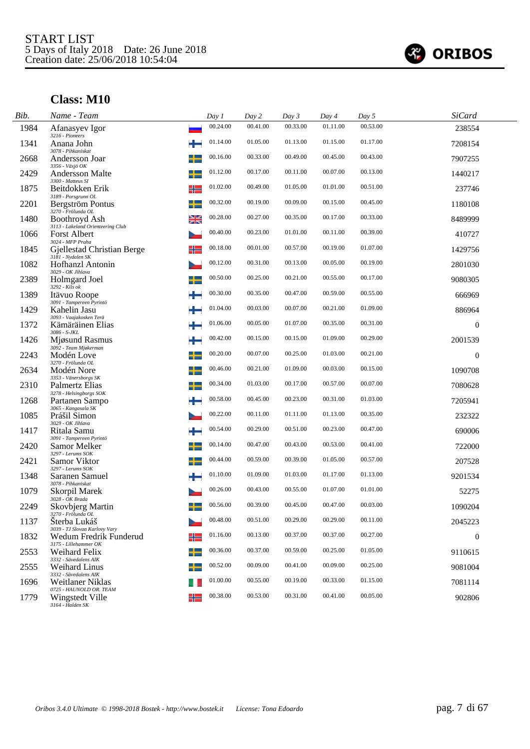

| Bib. | Name - Team                                                      |   | Day 1    | Day 2    | Day 3    | Day 4    | Day 5    | SiCard           |  |
|------|------------------------------------------------------------------|---|----------|----------|----------|----------|----------|------------------|--|
| 1984 | Afanasyev Igor<br>3216 - Pioneers                                |   | 00.24.00 | 00.41.00 | 00.33.00 | 01.11.00 | 00.53.00 | 238554           |  |
| 1341 | Anana John<br>3078 - Pihkaniskat                                 |   | 01.14.00 | 01.05.00 | 01.13.00 | 01.15.00 | 01.17.00 | 7208154          |  |
| 2668 | Andersson Joar                                                   | + | 00.16.00 | 00.33.00 | 00.49.00 | 00.45.00 | 00.43.00 | 7907255          |  |
| 2429 | 3356 - Växjö OK<br>Andersson Malte<br>3300 - Matteus SI          |   | 01.12.00 | 00.17.00 | 00.11.00 | 00.07.00 | 00.13.00 | 1440217          |  |
| 1875 | Beitdokken Erik<br>3189 - Porsgrunn OL                           | ╬ | 01.02.00 | 00.49.00 | 01.05.00 | 01.01.00 | 00.51.00 | 237746           |  |
| 2201 | Bergström Pontus<br>3270 - Frölunda OL                           |   | 00.32.00 | 00.19.00 | 00.09.00 | 00.15.00 | 00.45.00 | 1180108          |  |
| 1480 | Boothroyd Ash<br>3113 - Lakeland Orienteering Club               |   | 00.28.00 | 00.27.00 | 00.35.00 | 00.17.00 | 00.33.00 | 8489999          |  |
| 1066 | <b>Forst Albert</b><br>3024 - MFP Praha                          |   | 00.40.00 | 00.23.00 | 01.01.00 | 00.11.00 | 00.39.00 | 410727           |  |
| 1845 | Gjellestad Christian Berge<br>3181 - Nydalen SK                  | ╬ | 00.18.00 | 00.01.00 | 00.57.00 | 00.19.00 | 01.07.00 | 1429756          |  |
| 1082 | Hofhanzl Antonin<br>3029 - OK Jihlava                            |   | 00.12.00 | 00.31.00 | 00.13.00 | 00.05.00 | 00.19.00 | 2801030          |  |
| 2389 | Holmgard Joel<br>3292 - Kils ok                                  |   | 00.50.00 | 00.25.00 | 00.21.00 | 00.55.00 | 00.17.00 | 9080305          |  |
| 1389 | Itävuo Roope                                                     |   | 00.30.00 | 00.35.00 | 00.47.00 | 00.59.00 | 00.55.00 | 666969           |  |
| 1429 | 3091 - Tampereen Pyrintö<br>Kahelin Jasu                         |   | 01.04.00 | 00.03.00 | 00.07.00 | 00.21.00 | 01.09.00 | 886964           |  |
| 1372 | 3093 - Vaajakosken Terä<br>Kämäräinen Elias                      | ÷ | 01.06.00 | 00.05.00 | 01.07.00 | 00.35.00 | 00.31.00 | $\boldsymbol{0}$ |  |
| 1426 | 3086 - S-JKL<br>Mjøsund Rasmus                                   |   | 00.42.00 | 00.15.00 | 00.15.00 | 01.09.00 | 00.29.00 | 2001539          |  |
| 2243 | 3092 - Team Mjøkerman<br>Modén Love                              |   | 00.20.00 | 00.07.00 | 00.25.00 | 01.03.00 | 00.21.00 | $\theta$         |  |
| 2634 | 3270 - Frölunda OL<br>Modén Nore                                 |   | 00.46.00 | 00.21.00 | 01.09.00 | 00.03.00 | 00.15.00 | 1090708          |  |
| 2310 | 3353 - Vänersborgs SK<br>Palmertz Elias                          |   | 00.34.00 | 01.03.00 | 00.17.00 | 00.57.00 | 00.07.00 | 7080628          |  |
| 1268 | 3278 - Helsingborgs SOK<br>Partanen Sampo                        |   | 00.58.00 | 00.45.00 | 00.23.00 | 00.31.00 | 01.03.00 | 7205941          |  |
| 1085 | 3065 - Kangasala SK<br>Prášil Simon                              |   | 00.22.00 | 00.11.00 | 01.11.00 | 01.13.00 | 00.35.00 | 232322           |  |
| 1417 | 3029 - OK Jihlava<br>Ritala Samu                                 |   | 00.54.00 | 00.29.00 | 00.51.00 | 00.23.00 | 00.47.00 | 690006           |  |
| 2420 | 3091 - Tampereen Pyrintö<br>Samor Melker                         |   | 00.14.00 | 00.47.00 | 00.43.00 | 00.53.00 | 00.41.00 | 722000           |  |
| 2421 | 3297 - Lerums SOK<br>Samor Viktor                                |   | 00.44.00 | 00.59.00 | 00.39.00 | 01.05.00 | 00.57.00 | 207528           |  |
| 1348 | 3297 - Lerums SOK<br>Saranen Samuel                              |   | 01.10.00 | 01.09.00 | 01.03.00 | 01.17.00 | 01.13.00 | 9201534          |  |
| 1079 | 3078 - Pihkaniskat<br>Skorpil Marek                              |   | 00.26.00 | 00.43.00 | 00.55.00 | 01.07.00 | 01.01.00 | 52275            |  |
| 2249 | 3028 - OK Brada<br><b>Skovbjerg Martin</b><br>3270 - Frölunda OL |   | 00.56.00 | 00.39.00 | 00.45.00 | 00.47.00 | 00.03.00 | 1090204          |  |
| 1137 | Sterba Lukáš<br>3039 - TJ Slovan Karlovy Vary                    |   | 00.48.00 | 00.51.00 | 00.29.00 | 00.29.00 | 00.11.00 | 2045223          |  |
| 1832 | Wedum Fredrik Funderud                                           | ╬ | 01.16.00 | 00.13.00 | 00.37.00 | 00.37.00 | 00.27.00 | $\mathbf{0}$     |  |
| 2553 | 3175 - Lillehammer OK<br><b>Weihard Felix</b>                    | ┶ | 00.36.00 | 00.37.00 | 00.59.00 | 00.25.00 | 01.05.00 | 9110615          |  |
| 2555 | 3332 - Sävedalens AIK<br><b>Weihard Linus</b>                    |   | 00.52.00 | 00.09.00 | 00.41.00 | 00.09.00 | 00.25.00 | 9081004          |  |
| 1696 | 3332 - Sävedalens AIK<br>Weitlaner Niklas                        |   | 01.00.00 | 00.55.00 | 00.19.00 | 00.33.00 | 01.15.00 | 7081114          |  |
| 1779 | 0725 - HAUNOLD OR. TEAM<br>Wingstedt Ville<br>3164 - Halden SK   |   | 00.38.00 | 00.53.00 | 00.31.00 | 00.41.00 | 00.05.00 | 902806           |  |
|      |                                                                  |   |          |          |          |          |          |                  |  |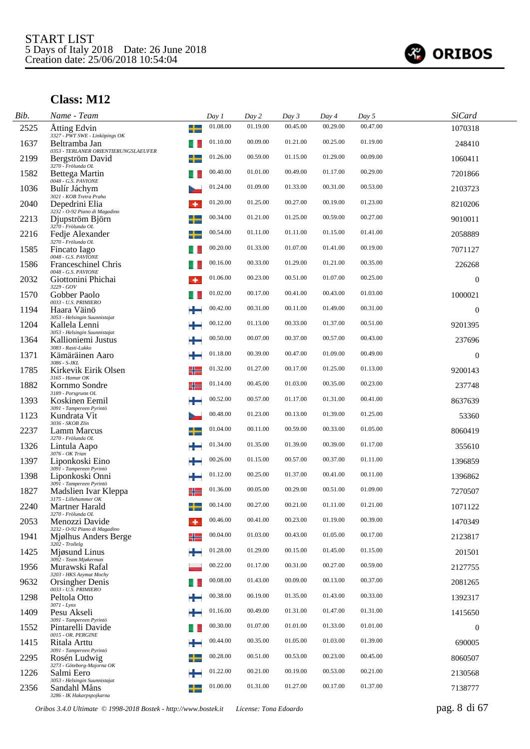

| Bib. | Name - Team                                                                   | Day 1    | Day 2    | Day 3    | Day 4    | Day 5    | <b>SiCard</b>    |
|------|-------------------------------------------------------------------------------|----------|----------|----------|----------|----------|------------------|
| 2525 | ╈<br>Atting Edvin<br>3327 - PWT SWE - Linköpings OK                           | 01.08.00 | 01.19.00 | 00.45.00 | 00.29.00 | 00.47.00 | 1070318          |
| 1637 | Beltramba Jan                                                                 | 01.10.00 | 00.09.00 | 01.21.00 | 00.25.00 | 01.19.00 | 248410           |
| 2199 | 0353 - TERLANER ORIENTIERUNGSLAEUFER<br>Bergström David<br>3270 - Frölunda OL | 01.26.00 | 00.59.00 | 01.15.00 | 01.29.00 | 00.09.00 | 1060411          |
| 1582 | Bettega Martin<br>0048 - G.S. PAVIONE                                         | 00.40.00 | 01.01.00 | 00.49.00 | 01.17.00 | 00.29.00 | 7201866          |
| 1036 | Bulír Jáchym<br>3021 - KOB Tretra Praha                                       | 01.24.00 | 01.09.00 | 01.33.00 | 00.31.00 | 00.53.00 | 2103723          |
| 2040 | Depedrini Elia<br>3232 - O-92 Piano di Magadino                               | 01.20.00 | 01.25.00 | 00.27.00 | 00.19.00 | 01.23.00 | 8210206          |
| 2213 | Djupström Björn<br>3270 - Frölunda OL                                         | 00.34.00 | 01.21.00 | 01.25.00 | 00.59.00 | 00.27.00 | 9010011          |
| 2216 | Fedje Alexander<br>┶<br>3270 - Frölunda OL                                    | 00.54.00 | 01.11.00 | 01.11.00 | 01.15.00 | 01.41.00 | 2058889          |
| 1585 | Fincato Iago<br>0048 - G.S. PAVIONE                                           | 00.20.00 | 01.33.00 | 01.07.00 | 01.41.00 | 00.19.00 | 7071127          |
| 1586 | <b>Franceschinel Chris</b><br>0048 - G.S. PAVIONE                             | 00.16.00 | 00.33.00 | 01.29.00 | 01.21.00 | 00.35.00 | 226268           |
| 2032 | Giottonini Phichai<br>$3229 - GOV$                                            | 01.06.00 | 00.23.00 | 00.51.00 | 01.07.00 | 00.25.00 | $\mathbf{0}$     |
| 1570 | Gobber Paolo<br>0033 - U.S. PRIMIERO                                          | 01.02.00 | 00.17.00 | 00.41.00 | 00.43.00 | 01.03.00 | 1000021          |
| 1194 | Haara Väinö<br>3053 - Helsingin Suunnistajat                                  | 00.42.00 | 00.31.00 | 00.11.00 | 01.49.00 | 00.31.00 | $\mathbf{0}$     |
| 1204 | ÷<br>Kallela Lenni<br>3053 - Helsingin Suunnistajat                           | 00.12.00 | 01.13.00 | 00.33.00 | 01.37.00 | 00.51.00 | 9201395          |
| 1364 | Kallioniemi Justus<br>m.<br>3083 - Rasti-Lukko                                | 00.50.00 | 00.07.00 | 00.37.00 | 00.57.00 | 00.43.00 | 237696           |
| 1371 | ÷<br>Kämäräinen Aaro<br>3086 - S-JKL                                          | 01.18.00 | 00.39.00 | 00.47.00 | 01.09.00 | 00.49.00 | $\mathbf{0}$     |
| 1785 | Kirkevik Eirik Olsen<br>╬<br>$3165$ - Hamar OK                                | 01.32.00 | 01.27.00 | 00.17.00 | 01.25.00 | 01.13.00 | 9200143          |
| 1882 | Kornmo Sondre<br>╬<br>3189 - Porsgrunn OL                                     | 01.14.00 | 00.45.00 | 01.03.00 | 00.35.00 | 00.23.00 | 237748           |
| 1393 | Koskinen Eemil<br>3091 - Tampereen Pyrintö                                    | 00.52.00 | 00.57.00 | 01.17.00 | 01.31.00 | 00.41.00 | 8637639          |
| 1123 | Kundrata Vit<br>3036 - SKOB Zlín                                              | 00.48.00 | 01.23.00 | 00.13.00 | 01.39.00 | 01.25.00 | 53360            |
| 2237 | Lamm Marcus<br>3270 - Frölunda OL                                             | 01.04.00 | 00.11.00 | 00.59.00 | 00.33.00 | 01.05.00 | 8060419          |
| 1326 | Lintula Aapo<br>3076 - OK Trian                                               | 01.34.00 | 01.35.00 | 01.39.00 | 00.39.00 | 01.17.00 | 355610           |
| 1397 | ÷<br>Liponkoski Eino<br>3091 - Tampereen Pyrintö                              | 00.26.00 | 01.15.00 | 00.57.00 | 00.37.00 | 01.11.00 | 1396859          |
| 1398 | Liponkoski Onni<br>÷<br>3091 - Tampereen Pyrintö                              | 01.12.00 | 00.25.00 | 01.37.00 | 00.41.00 | 00.11.00 | 1396862          |
| 1827 | ╬<br>Madslien Ivar Kleppa<br>3175 - Lillehammer OK                            | 01.36.00 | 00.05.00 | 00.29.00 | 00.51.00 | 01.09.00 | 7270507          |
| 2240 | $\mathbf{I}$<br><b>Martner Harald</b><br>3270 - Frölunda OL                   | 00.14.00 | 00.27.00 | 00.21.00 | 01.11.00 | 01.21.00 | 1071122          |
| 2053 | Menozzi Davide<br>3232 - O-92 Piano di Magadino                               | 00.46.00 | 00.41.00 | 00.23.00 | 01.19.00 | 00.39.00 | 1470349          |
| 1941 | Miølhus Anders Berge<br>╬<br>$3202$ - Trollelg                                | 00.04.00 | 01.03.00 | 00.43.00 | 01.05.00 | 00.17.00 | 2123817          |
| 1425 | Mjøsund Linus<br>÷<br>3092 - Team Mjøkerman                                   | 01.28.00 | 01.29.00 | 00.15.00 | 01.45.00 | 01.15.00 | 201501           |
| 1956 | Murawski Rafal<br>3203 - HKS Azymut Mochy                                     | 00.22.00 | 01.17.00 | 00.31.00 | 00.27.00 | 00.59.00 | 2127755          |
| 9632 | Orsingher Denis<br>0033 - U.S. PRIMIERO                                       | 00.08.00 | 01.43.00 | 00.09.00 | 00.13.00 | 00.37.00 | 2081265          |
| 1298 | Peltola Otto<br>÷<br>$3071 - Lynx$                                            | 00.38.00 | 00.19.00 | 01.35.00 | 01.43.00 | 00.33.00 | 1392317          |
| 1409 | Pesu Akseli<br>÷<br>3091 - Tampereen Pyrintö                                  | 01.16.00 | 00.49.00 | 01.31.00 | 01.47.00 | 01.31.00 | 1415650          |
| 1552 | Pintarelli Davide<br>0015 - OR. PERGINE                                       | 00.30.00 | 01.07.00 | 01.01.00 | 01.33.00 | 01.01.00 | $\boldsymbol{0}$ |
| 1415 | Ritala Arttu<br>*<br>3091 - Tampereen Pyrintö                                 | 00.44.00 | 00.35.00 | 01.05.00 | 01.03.00 | 01.39.00 | 690005           |
| 2295 | Rosén Ludwig<br>3273 - Göteborg-Majorna OK                                    | 00.28.00 | 00.51.00 | 00.53.00 | 00.23.00 | 00.45.00 | 8060507          |
| 1226 | Salmi Eero<br>3053 - Helsingin Suunnistajat                                   | 01.22.00 | 00.21.00 | 00.19.00 | 00.53.00 | 00.21.00 | 2130568          |
| 2356 | Sandahl Måns<br>╈<br>3286 - IK Hakarpspojkarna                                | 01.00.00 | 01.31.00 | 01.27.00 | 00.17.00 | 01.37.00 | 7138777          |

*Oribos 3.4.0 Ultimate © 1998-2018 Bostek - http://www.bostek.it License: Tona Edoardo* pag. 8 di 67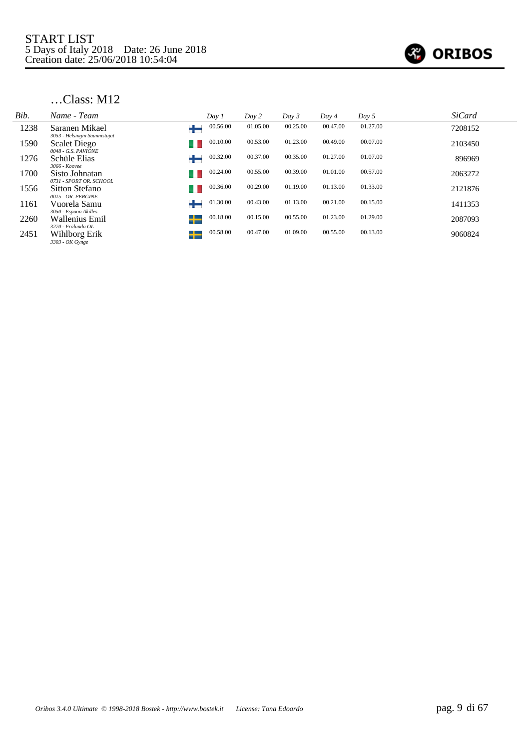

| Bib. | Name - Team                                            | Day 1         | Day 2    | Day 3    | Day 4    | Day 5    | <b>SiCard</b> |
|------|--------------------------------------------------------|---------------|----------|----------|----------|----------|---------------|
| 1238 | Saranen Mikael<br>3053 - Helsingin Suunnistajat        | 00.56.00      | 01.05.00 | 00.25.00 | 00.47.00 | 01.27.00 | 7208152       |
| 1590 | <b>Scalet Diego</b><br>0048 - G.S. PAVIONE             | 00.10.00      | 00.53.00 | 01.23.00 | 00.49.00 | 00.07.00 | 2103450       |
| 1276 | Schüle Elias<br>3066 - Koovee                          | 00.32.00      | 00.37.00 | 00.35.00 | 01.27.00 | 01.07.00 | 896969        |
| 1700 | Sisto Johnatan<br>0731 - SPORT OR. SCHOOL              | 00.24.00      | 00.55.00 | 00.39.00 | 01.01.00 | 00.57.00 | 2063272       |
| 1556 | Sitton Stefano                                         | 00.36.00      | 00.29.00 | 01.19.00 | 01.13.00 | 01.33.00 | 2121876       |
| 1161 | 0015 - OR. PERGINE<br>Vuorela Samu                     | 01.30.00      | 00.43.00 | 01.13.00 | 00.21.00 | 00.15.00 | 1411353       |
| 2260 | 3050 - Espoon Akilles<br>Wallenius Emil                | 00.18.00<br>╅ | 00.15.00 | 00.55.00 | 01.23.00 | 01.29.00 | 2087093       |
| 2451 | 3270 - Frölunda OL<br>Wihlborg Erik<br>3303 - OK Gynge | 00.58.00<br>┶ | 00.47.00 | 01.09.00 | 00.55.00 | 00.13.00 | 9060824       |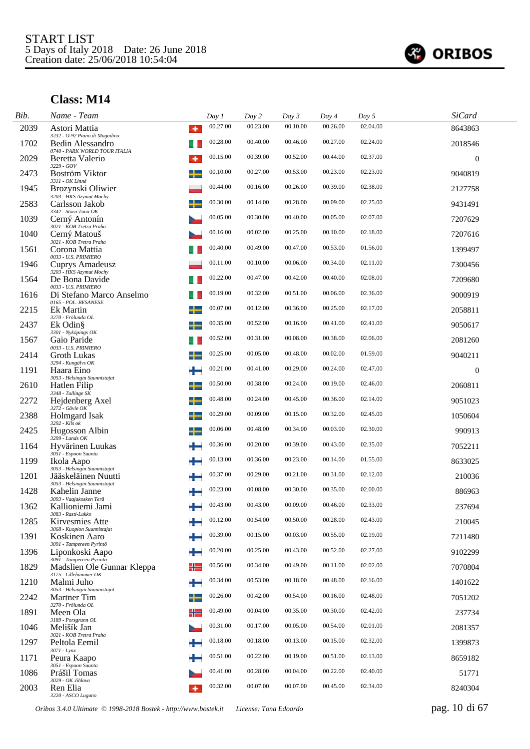

| Bib. | Name - Team                                                       |   | Day 1    | Day 2    | Day 3    | Day 4    | Day 5    | <b>SiCard</b>    |
|------|-------------------------------------------------------------------|---|----------|----------|----------|----------|----------|------------------|
| 2039 | Astori Mattia<br>3232 - O-92 Piano di Magadino                    | ۰ | 00.27.00 | 00.23.00 | 00.10.00 | 00.26.00 | 02.04.00 | 8643863          |
| 1702 | Bedin Alessandro                                                  |   | 00.28.00 | 00.40.00 | 00.46.00 | 00.27.00 | 02.24.00 | 2018546          |
| 2029 | 0740 - PARK WORLD TOUR ITALIA<br>Beretta Valerio<br>3229 - GOV    | ۰ | 00.15.00 | 00.39.00 | 00.52.00 | 00.44.00 | 02.37.00 | $\boldsymbol{0}$ |
| 2473 | Boström Viktor<br>3311 - OK Linné                                 |   | 00.10.00 | 00.27.00 | 00.53.00 | 00.23.00 | 02.23.00 | 9040819          |
| 1945 | Brozynski Oliwier<br>3203 - HKS Azymut Mochy                      |   | 00.44.00 | 00.16.00 | 00.26.00 | 00.39.00 | 02.38.00 | 2127758          |
| 2583 | Carlsson Jakob<br>3342 - Stora Tuna OK                            |   | 00.30.00 | 00.14.00 | 00.28.00 | 00.09.00 | 02.25.00 | 9431491          |
| 1039 | Cerný Antonín<br>3021 - KOB Tretra Praha                          |   | 00.05.00 | 00.30.00 | 00.40.00 | 00.05.00 | 02.07.00 | 7207629          |
| 1040 | Cerný Matouš<br>3021 - KOB Tretra Praha                           |   | 00.16.00 | 00.02.00 | 00.25.00 | 00.10.00 | 02.18.00 | 7207616          |
| 1561 | Corona Mattia<br>0033 - U.S. PRIMIERO                             |   | 00.40.00 | 00.49.00 | 00.47.00 | 00.53.00 | 01.56.00 | 1399497          |
| 1946 | Cuprys Amadeusz<br>3203 - HKS Azymut Mochy                        |   | 00.11.00 | 00.10.00 | 00.06.00 | 00.34.00 | 02.11.00 | 7300456          |
| 1564 | De Bona Davide<br>0033 - U.S. PRIMIERO                            |   | 00.22.00 | 00.47.00 | 00.42.00 | 00.40.00 | 02.08.00 | 7209680          |
| 1616 | Di Stefano Marco Anselmo<br>0165 - POL. BESANESE                  |   | 00.19.00 | 00.32.00 | 00.51.00 | 00.06.00 | 02.36.00 | 9000919          |
| 2215 | Ek Martin<br>3270 - Frölunda OL                                   |   | 00.07.00 | 00.12.00 | 00.36.00 | 00.25.00 | 02.17.00 | 2058811          |
| 2437 | Ek Odin§                                                          |   | 00.35.00 | 00.52.00 | 00.16.00 | 00.41.00 | 02.41.00 | 9050617          |
| 1567 | 3301 - Nyköpings OK<br>Gaio Paride<br>0033 - U.S. PRIMIERO        |   | 00.52.00 | 00.31.00 | 00.08.00 | 00.38.00 | 02.06.00 | 2081260          |
| 2414 | Groth Lukas                                                       |   | 00.25.00 | 00.05.00 | 00.48.00 | 00.02.00 | 01.59.00 | 9040211          |
| 1191 | 3294 - Kungälvs OK<br>Haara Eino<br>3053 - Helsingin Suunnistajat | ÷ | 00.21.00 | 00.41.00 | 00.29.00 | 00.24.00 | 02.47.00 | $\boldsymbol{0}$ |
| 2610 | Hatlen Filip<br>$3348$ - Tullinge SK                              |   | 00.50.00 | 00.38.00 | 00.24.00 | 00.19.00 | 02.46.00 | 2060811          |
| 2272 | Hejdenberg Axel<br>3272 - Gävle OK                                |   | 00.48.00 | 00.24.00 | 00.45.00 | 00.36.00 | 02.14.00 | 9051023          |
| 2388 | Holmgard Isak<br>3292 - Kils ok                                   |   | 00.29.00 | 00.09.00 | 00.15.00 | 00.32.00 | 02.45.00 | 1050604          |
| 2425 | Hugosson Albin<br>$3299$ - Lunds OK                               |   | 00.06.00 | 00.48.00 | 00.34.00 | 00.03.00 | 02.30.00 | 990913           |
| 1164 | Hyvärinen Luukas<br>3051 - Espoon Suunta                          |   | 00.36.00 | 00.20.00 | 00.39.00 | 00.43.00 | 02.35.00 | 7052211          |
| 1199 | Ikola Aapo<br>3053 - Helsingin Suunnistajat                       |   | 00.13.00 | 00.36.00 | 00.23.00 | 00.14.00 | 01.55.00 | 8633025          |
| 1201 | Jääskeläinen Nuutti<br>3053 - Helsingin Suunnistajat              |   | 00.37.00 | 00.29.00 | 00.21.00 | 00.31.00 | 02.12.00 | 210036           |
| 1428 | Kahelin Janne<br>3093 - Vaajakosken Terä                          |   | 00.23.00 | 00.08.00 | 00.30.00 | 00.35.00 | 02.00.00 | 886963           |
| 1362 | Kallioniemi Jami<br>3083 - Rasti-Lukko                            |   | 00.43.00 | 00.43.00 | 00.09.00 | 00.46.00 | 02.33.00 | 237694           |
| 1285 | Kirvesmies Atte<br>3068 - Kuopion Suunnistajat                    |   | 00.12.00 | 00.54.00 | 00.50.00 | 00.28.00 | 02.43.00 | 210045           |
| 1391 | Koskinen Aaro<br>3091 - Tampereen Pyrintö                         |   | 00.39.00 | 00.15.00 | 00.03.00 | 00.55.00 | 02.19.00 | 7211480          |
| 1396 | Liponkoski Aapo<br>3091 - Tampereen Pyrintö                       | ÷ | 00.20.00 | 00.25.00 | 00.43.00 | 00.52.00 | 02.27.00 | 9102299          |
| 1829 | Madslien Ole Gunnar Kleppa<br>3175 - Lillehammer OK               | ╬ | 00.56.00 | 00.34.00 | 00.49.00 | 00.11.00 | 02.02.00 | 7070804          |
| 1210 | Malmi Juho<br>3053 - Helsingin Suunnistajat                       | ÷ | 00.34.00 | 00.53.00 | 00.18.00 | 00.48.00 | 02.16.00 | 1401622          |
| 2242 | <b>Martner</b> Tim<br>3270 - Frölunda OL                          |   | 00.26.00 | 00.42.00 | 00.54.00 | 00.16.00 | 02.48.00 | 7051202          |
| 1891 | Meen Ola                                                          | ╬ | 00.49.00 | 00.04.00 | 00.35.00 | 00.30.00 | 02.42.00 | 237734           |
| 1046 | 3189 - Porsgrunn OL<br>Melišík Jan<br>3021 - KOB Tretra Praha     |   | 00.31.00 | 00.17.00 | 00.05.00 | 00.54.00 | 02.01.00 | 2081357          |
| 1297 | Peltola Eemil                                                     |   | 00.18.00 | 00.18.00 | 00.13.00 | 00.15.00 | 02.32.00 | 1399873          |
| 1171 | $3071 - Lynx$<br>Peura Kaapo                                      |   | 00.51.00 | 00.22.00 | 00.19.00 | 00.51.00 | 02.13.00 | 8659182          |
| 1086 | 3051 - Espoon Suunta<br>Prášil Tomas<br>3029 - OK Jihlava         |   | 00.41.00 | 00.28.00 | 00.04.00 | 00.22.00 | 02.40.00 | 51771            |
| 2003 | Ren Elia<br>3220 - ASCO Lugano                                    | ۰ | 00.32.00 | 00.07.00 | 00.07.00 | 00.45.00 | 02.34.00 | 8240304          |

*Oribos 3.4.0 Ultimate © 1998-2018 Bostek - http://www.bostek.it License: Tona Edoardo* pag. 10 di 67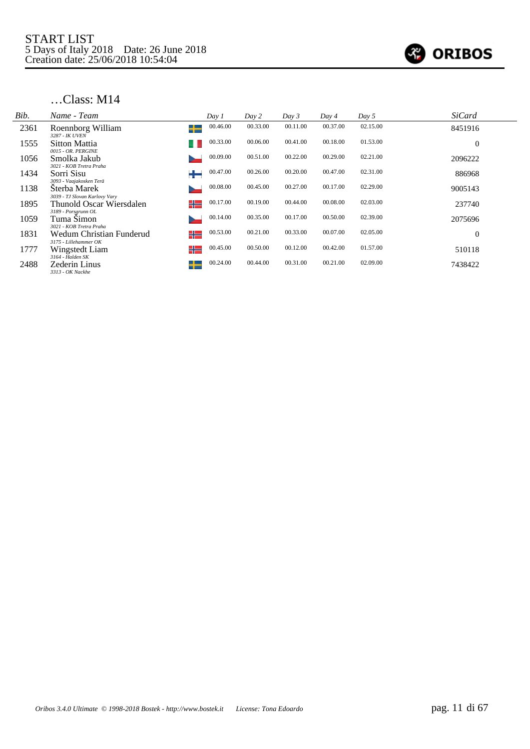

| Bib. | Name - Team                                       | Day 1          | Day 2    | Day 3    | Day 4    | Day 5    | <b>SiCard</b>  |
|------|---------------------------------------------------|----------------|----------|----------|----------|----------|----------------|
| 2361 | Roennborg William<br>3287 - IK UVEN               | 00.46.00<br>┶  | 00.33.00 | 00.11.00 | 00.37.00 | 02.15.00 | 8451916        |
| 1555 | <b>Sitton Mattia</b><br>0015 - OR. PERGINE        | 00.33.00       | 00.06.00 | 00.41.00 | 00.18.00 | 01.53.00 | $\overline{0}$ |
| 1056 | Smolka Jakub<br>3021 - KOB Tretra Praha           | 00.09.00       | 00.51.00 | 00.22.00 | 00.29.00 | 02.21.00 | 2096222        |
| 1434 | Sorri Sisu<br>3093 - Vaajakosken Terä             | 00.47.00       | 00.26.00 | 00.20.00 | 00.47.00 | 02.31.00 | 886968         |
| 1138 | Sterba Marek<br>3039 - TJ Slovan Karlovy Vary     | 00.08.00       | 00.45.00 | 00.27.00 | 00.17.00 | 02.29.00 | 9005143        |
| 1895 | Thunold Oscar Wiersdalen<br>3189 - Porsgrunn OL   | 00.17.00<br>╬═ | 00.19.00 | 00.44.00 | 00.08.00 | 02.03.00 | 237740         |
| 1059 | Tuma Simon<br>3021 - KOB Tretra Praha             | 00.14.00       | 00.35.00 | 00.17.00 | 00.50.00 | 02.39.00 | 2075696        |
| 1831 | Wedum Christian Funderud<br>3175 - Lillehammer OK | 00.53.00<br>╬  | 00.21.00 | 00.33.00 | 00.07.00 | 02.05.00 | $\theta$       |
| 1777 | Wingstedt Liam<br>3164 - Halden SK                | 00.45.00<br>╬  | 00.50.00 | 00.12.00 | 00.42.00 | 01.57.00 | 510118         |
| 2488 | Zederin Linus<br>3313 - OK Nackhe                 | 00.24.00<br>┶  | 00.44.00 | 00.31.00 | 00.21.00 | 02.09.00 | 7438422        |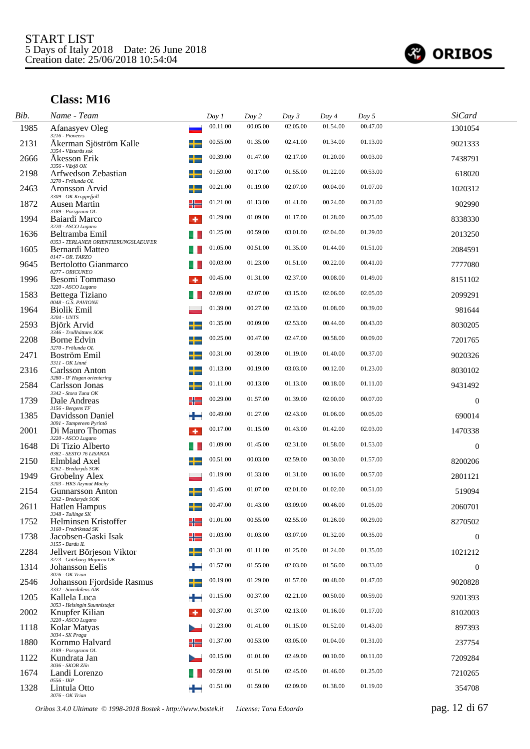

| Bib. | Name - Team                                            |   | Day 1    | Day 2    | Day 3    | Day 4    | Day 5    | <b>SiCard</b>    |  |
|------|--------------------------------------------------------|---|----------|----------|----------|----------|----------|------------------|--|
| 1985 | Afanasyev Oleg<br>3216 - Pioneers                      |   | 00.11.00 | 00.05.00 | 02.05.00 | 01.54.00 | 00.47.00 | 1301054          |  |
| 2131 | Åkerman Sjöström Kalle<br>3354 - Västerås sok          |   | 00.55.00 | 01.35.00 | 02.41.00 | 01.34.00 | 01.13.00 | 9021333          |  |
| 2666 | Akesson Erik<br>3356 - Växjö OK                        |   | 00.39.00 | 01.47.00 | 02.17.00 | 01.20.00 | 00.03.00 | 7438791          |  |
| 2198 | Arfwedson Zebastian<br>3270 - Frölunda OL              |   | 01.59.00 | 00.17.00 | 01.55.00 | 01.22.00 | 00.53.00 | 618020           |  |
| 2463 | Aronsson Arvid<br>3309 - OK Kroppefjäll                | ╈ | 00.21.00 | 01.19.00 | 02.07.00 | 00.04.00 | 01.07.00 | 1020312          |  |
| 1872 | Ausen Martin<br>3189 - Porsgrunn OL                    | ╬ | 01.21.00 | 01.13.00 | 01.41.00 | 00.24.00 | 00.21.00 | 902990           |  |
| 1994 | Baiardi Marco<br>3220 - ASCO Lugano                    | ۰ | 01.29.00 | 01.09.00 | 01.17.00 | 01.28.00 | 00.25.00 | 8338330          |  |
| 1636 | Beltramba Emil<br>0353 - TERLANER ORIENTIERUNGSLAEUFER |   | 01.25.00 | 00.59.00 | 03.01.00 | 02.04.00 | 01.29.00 | 2013250          |  |
| 1605 | Bernardi Matteo<br>0147 - OR. TARZO                    |   | 01.05.00 | 00.51.00 | 01.35.00 | 01.44.00 | 01.51.00 | 2084591          |  |
| 9645 | Bertolotto Gianmarco<br>0277 - ORICUNEO                |   | 00.03.00 | 01.23.00 | 01.51.00 | 00.22.00 | 00.41.00 | 7777080          |  |
| 1996 | Besomi Tommaso<br>3220 - ASCO Lugano                   |   | 00.45.00 | 01.31.00 | 02.37.00 | 00.08.00 | 01.49.00 | 8151102          |  |
| 1583 | Bettega Tiziano<br>0048 - G.S. PAVIONE                 |   | 02.09.00 | 02.07.00 | 03.15.00 | 02.06.00 | 02.05.00 | 2099291          |  |
| 1964 | <b>Biolik Emil</b><br>3204 - UNTS                      |   | 01.39.00 | 00.27.00 | 02.33.00 | 01.08.00 | 00.39.00 | 981644           |  |
| 2593 | Björk Arvid<br>3346 - Trollhättans SOK                 |   | 01.35.00 | 00.09.00 | 02.53.00 | 00.44.00 | 00.43.00 | 8030205          |  |
| 2208 | Borne Edvin<br>3270 - Frölunda OL                      |   | 00.25.00 | 00.47.00 | 02.47.00 | 00.58.00 | 00.09.00 | 7201765          |  |
| 2471 | Boström Emil<br>3311 - OK Linné                        | ╈ | 00.31.00 | 00.39.00 | 01.19.00 | 01.40.00 | 00.37.00 | 9020326          |  |
| 2316 | Carlsson Anton<br>3280 - IF Hagen orientering          | ╈ | 01.13.00 | 00.19.00 | 03.03.00 | 00.12.00 | 01.23.00 | 8030102          |  |
| 2584 | Carlsson Jonas<br>3342 - Stora Tuna OK                 |   | 01.11.00 | 00.13.00 | 01.13.00 | 00.18.00 | 01.11.00 | 9431492          |  |
| 1739 | Dale Andreas<br>3156 - Bergens TF                      | ╬ | 00.29.00 | 01.57.00 | 01.39.00 | 02.00.00 | 00.07.00 | $\boldsymbol{0}$ |  |
| 1385 | Davidsson Daniel<br>3091 - Tampereen Pyrintö           |   | 00.49.00 | 01.27.00 | 02.43.00 | 01.06.00 | 00.05.00 | 690014           |  |
| 2001 | Di Mauro Thomas<br>3220 - ASCO Lugano                  | ۰ | 00.17.00 | 01.15.00 | 01.43.00 | 01.42.00 | 02.03.00 | 1470338          |  |
| 1648 | Di Tizio Alberto<br>0382 - SESTO 76 LISANZA            |   | 01.09.00 | 01.45.00 | 02.31.00 | 01.58.00 | 01.53.00 | $\theta$         |  |
| 2150 | Elmblad Axel<br>3262 - Bredaryds SOK                   |   | 00.51.00 | 00.03.00 | 02.59.00 | 00.30.00 | 01.57.00 | 8200206          |  |
| 1949 | Grobelny Alex<br>3203 - HKS Azymut Mochy               |   | 01.19.00 | 01.33.00 | 01.31.00 | 00.16.00 | 00.57.00 | 2801121          |  |
| 2154 | Gunnarsson Anton<br>3262 - Bredaryds SOK               |   | 01.45.00 | 01.07.00 | 02.01.00 | 01.02.00 | 00.51.00 | 519094           |  |
| 2611 | <b>Hatlen Hampus</b><br>$3348$ - $Tullinge\ SK$        |   | 00.47.00 | 01.43.00 | 03.09.00 | 00.46.00 | 01.05.00 | 2060701          |  |
| 1752 | Helminsen Kristoffer<br>3160 - Fredrikstad SK          | ╬ | 01.01.00 | 00.55.00 | 02.55.00 | 01.26.00 | 00.29.00 | 8270502          |  |
| 1738 | Jacobsen-Gaski Isak<br>3155 - Bardu IL                 | ╬ | 01.03.00 | 01.03.00 | 03.07.00 | 01.32.00 | 00.35.00 | $\boldsymbol{0}$ |  |
| 2284 | Jellvert Börjeson Viktor<br>3273 - Göteborg-Majorna OK |   | 01.31.00 | 01.11.00 | 01.25.00 | 01.24.00 | 01.35.00 | 1021212          |  |
| 1314 | Johansson Eelis<br>3076 - OK Trian                     |   | 01.57.00 | 01.55.00 | 02.03.00 | 01.56.00 | 00.33.00 | $\boldsymbol{0}$ |  |
| 2546 | Johansson Fjordside Rasmus<br>3332 - Sävedalens AIK    |   | 00.19.00 | 01.29.00 | 01.57.00 | 00.48.00 | 01.47.00 | 9020828          |  |
| 1205 | Kallela Luca<br>3053 - Helsingin Suunnistajat          |   | 01.15.00 | 00.37.00 | 02.21.00 | 00.50.00 | 00.59.00 | 9201393          |  |
| 2002 | Knupfer Kilian<br>3220 - ASCO Lugano                   | ۰ | 00.37.00 | 01.37.00 | 02.13.00 | 01.16.00 | 01.17.00 | 8102003          |  |
| 1118 | Kolar Matyas<br>3034 - SK Praga                        |   | 01.23.00 | 01.41.00 | 01.15.00 | 01.52.00 | 01.43.00 | 897393           |  |
| 1880 | Kornmo Halvard<br>3189 - Porsgrunn OL                  | ╬ | 01.37.00 | 00.53.00 | 03.05.00 | 01.04.00 | 01.31.00 | 237754           |  |
| 1122 | Kundrata Jan<br>3036 - SKOB Zlín                       |   | 00.15.00 | 01.01.00 | 02.49.00 | 00.10.00 | 00.11.00 | 7209284          |  |
| 1674 | Landi Lorenzo<br>0556 - IKP                            |   | 00.59.00 | 01.51.00 | 02.45.00 | 01.46.00 | 01.25.00 | 7210265          |  |
| 1328 | Lintula Otto<br>3076 - OK Trian                        |   | 01.51.00 | 01.59.00 | 02.09.00 | 01.38.00 | 01.19.00 | 354708           |  |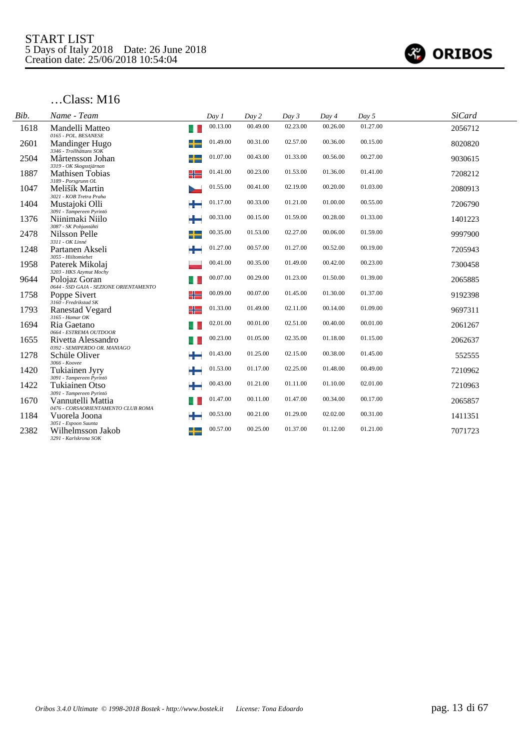

| Bib. | Name - Team                                                               | Day 1    | Day 2    | Day 3    | Day 4    | Day 5    | <b>SiCard</b> |
|------|---------------------------------------------------------------------------|----------|----------|----------|----------|----------|---------------|
| 1618 | Mandelli Matteo<br>u<br>0165 - POL. BESANESE                              | 00.13.00 | 00.49.00 | 02.23.00 | 00.26.00 | 01.27.00 | 2056712       |
| 2601 | Mandinger Hugo<br>3346 - Trollhättans SOK                                 | 01.49.00 | 00.31.00 | 02.57.00 | 00.36.00 | 00.15.00 | 8020820       |
| 2504 | ╈<br>Mårtensson Johan                                                     | 01.07.00 | 00.43.00 | 01.33.00 | 00.56.00 | 00.27.00 | 9030615       |
| 1887 | 3319 - OK Skogsstjärnan<br><b>Mathisen Tobias</b><br>╬                    | 01.41.00 | 00.23.00 | 01.53.00 | 01.36.00 | 01.41.00 | 7208212       |
| 1047 | $3189$ - $Porsgrunn \; OL$<br>Melišík Martin                              | 01.55.00 | 00.41.00 | 02.19.00 | 00.20.00 | 01.03.00 | 2080913       |
| 1404 | 3021 - KOB Tretra Praha<br>Mustajoki Olli<br>÷                            | 01.17.00 | 00.33.00 | 01.21.00 | 01.00.00 | 00.55.00 | 7206790       |
| 1376 | 3091 - Tampereen Pyrintö<br>÷<br>Niinimaki Niilo<br>3087 - SK Pohjantähti | 00.33.00 | 00.15.00 | 01.59.00 | 00.28.00 | 01.33.00 | 1401223       |
| 2478 | ╈<br>Nilsson Pelle<br>3311 - OK Linné                                     | 00.35.00 | 01.53.00 | 02.27.00 | 00.06.00 | 01.59.00 | 9997900       |
| 1248 | ÷<br>Partanen Akseli<br>3055 - Hiiltomiehet                               | 01.27.00 | 00.57.00 | 01.27.00 | 00.52.00 | 00.19.00 | 7205943       |
| 1958 | Paterek Mikolaj<br>3203 - HKS Azymut Mochy                                | 00.41.00 | 00.35.00 | 01.49.00 | 00.42.00 | 00.23.00 | 7300458       |
| 9644 | Polojaz Goran<br>0644 - SSD GAJA - SEZIONE ORIENTAMENTO                   | 00.07.00 | 00.29.00 | 01.23.00 | 01.50.00 | 01.39.00 | 2065885       |
| 1758 | ╬<br>Poppe Sivert<br>3160 - Fredrikstad SK                                | 00.09.00 | 00.07.00 | 01.45.00 | 01.30.00 | 01.37.00 | 9192398       |
| 1793 | ╬<br>Ranestad Vegard<br>$3165$ - Hamar OK                                 | 01.33.00 | 01.49.00 | 02.11.00 | 00.14.00 | 01.09.00 | 9697311       |
| 1694 | Ria Gaetano<br>0664 - ESTREMA OUTDOOR                                     | 02.01.00 | 00.01.00 | 02.51.00 | 00.40.00 | 00.01.00 | 2061267       |
| 1655 | Rivetta Alessandro<br>0392 - SEMIPERDO OR. MANIAGO                        | 00.23.00 | 01.05.00 | 02.35.00 | 01.18.00 | 01.15.00 | 2062637       |
| 1278 | ÷<br>Schüle Oliver<br>3066 - Koovee                                       | 01.43.00 | 01.25.00 | 02.15.00 | 00.38.00 | 01.45.00 | 552555        |
| 1420 | ÷<br>Tukiainen Jyry<br>3091 - Tampereen Pyrintö                           | 01.53.00 | 01.17.00 | 02.25.00 | 01.48.00 | 00.49.00 | 7210962       |
| 1422 | ₩<br><b>Tukiainen Otso</b><br>3091 - Tampereen Pyrintö                    | 00.43.00 | 01.21.00 | 01.11.00 | 01.10.00 | 02.01.00 | 7210963       |
| 1670 | Vannutelli Mattia<br>0476 - CORSAORIENTAMENTO CLUB ROMA                   | 01.47.00 | 00.11.00 | 01.47.00 | 00.34.00 | 00.17.00 | 2065857       |
| 1184 | Vuorela Joona                                                             | 00.53.00 | 00.21.00 | 01.29.00 | 02.02.00 | 00.31.00 | 1411351       |
| 2382 | 3051 - Espoon Suunta<br>Wilhelmsson Jakob<br>3291 - Karlskrona SOK        | 00.57.00 | 00.25.00 | 01.37.00 | 01.12.00 | 01.21.00 | 7071723       |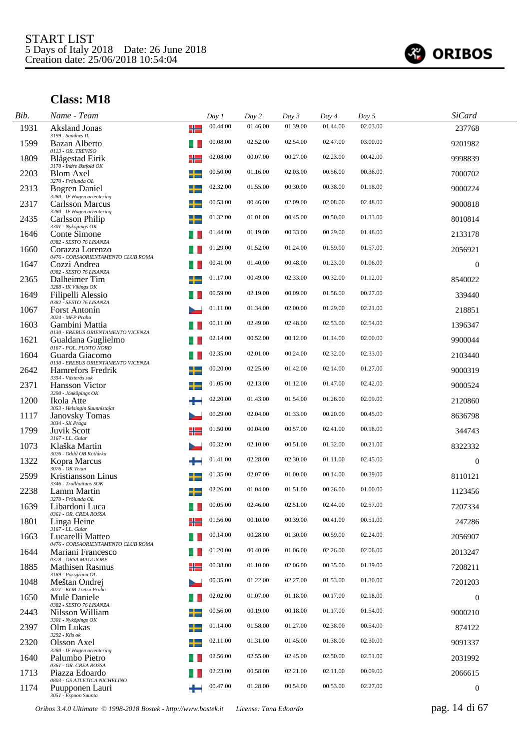

| Bib. | Name - Team                                                                        |   | Day 1    | Day 2    | Day 3    | Day 4    | Day 5    | <b>SiCard</b>    |  |
|------|------------------------------------------------------------------------------------|---|----------|----------|----------|----------|----------|------------------|--|
| 1931 | Aksland Jonas<br>3199 - Sandnes IL                                                 | ╬ | 00.44.00 | 01.46.00 | 01.39.00 | 01.44.00 | 02.03.00 | 237768           |  |
| 1599 | Bazan Alberto<br>0113 - OR. TREVISO                                                |   | 00.08.00 | 02.52.00 | 02.54.00 | 02.47.00 | 03.00.00 | 9201982          |  |
| 1809 | Blågestad Eirik                                                                    | ╬ | 02.08.00 | 00.07.00 | 00.27.00 | 02.23.00 | 00.42.00 | 9998839          |  |
| 2203 | 3170 - Indre Østfold OK<br>Blom Axel<br>3270 - Frölunda OL                         | + | 00.50.00 | 01.16.00 | 02.03.00 | 00.56.00 | 00.36.00 | 7000702          |  |
| 2313 | Bogren Daniel<br>3280 - IF Hagen orientering                                       | ┵ | 02.32.00 | 01.55.00 | 00.30.00 | 00.38.00 | 01.18.00 | 9000224          |  |
| 2317 | <b>Carlsson Marcus</b><br>3280 - IF Hagen orientering                              |   | 00.53.00 | 00.46.00 | 02.09.00 | 02.08.00 | 02.48.00 | 9000818          |  |
| 2435 | Carlsson Philip<br>3301 - Nyköpings OK                                             |   | 01.32.00 | 01.01.00 | 00.45.00 | 00.50.00 | 01.33.00 | 8010814          |  |
| 1646 | Conte Simone<br>0382 - SESTO 76 LISANZA                                            |   | 01.44.00 | 01.19.00 | 00.33.00 | 00.29.00 | 01.48.00 | 2133178          |  |
| 1660 | Corazza Lorenzo<br>0476 - CORSAORIENTAMENTO CLUB ROMA                              |   | 01.29.00 | 01.52.00 | 01.24.00 | 01.59.00 | 01.57.00 | 2056921          |  |
| 1647 | Cozzi Andrea<br>0382 - SESTO 76 LISANZA                                            |   | 00.41.00 | 01.40.00 | 00.48.00 | 01.23.00 | 01.06.00 | $\boldsymbol{0}$ |  |
| 2365 | Dalheimer Tim                                                                      |   | 01.17.00 | 00.49.00 | 02.33.00 | 00.32.00 | 01.12.00 | 8540022          |  |
| 1649 | 3288 - IK Vikings OK<br>Filipelli Alessio<br>0382 - SESTO 76 LISANZA               |   | 00.59.00 | 02.19.00 | 00.09.00 | 01.56.00 | 00.27.00 | 339440           |  |
| 1067 | Forst Antonín                                                                      |   | 01.11.00 | 01.34.00 | 02.00.00 | 01.29.00 | 02.21.00 | 218851           |  |
| 1603 | 3024 - MFP Praha<br>Gambini Mattia                                                 |   | 00.11.00 | 02.49.00 | 02.48.00 | 02.53.00 | 02.54.00 | 1396347          |  |
| 1621 | 0130 - EREBUS ORIENTAMENTO VICENZA<br>Gualdana Guglielmo<br>0167 - POL. PUNTO NORD |   | 02.14.00 | 00.52.00 | 00.12.00 | 01.14.00 | 02.00.00 | 9900044          |  |
| 1604 | Guarda Giacomo                                                                     |   | 02.35.00 | 02.01.00 | 00.24.00 | 02.32.00 | 02.33.00 | 2103440          |  |
| 2642 | 0130 - EREBUS ORIENTAMENTO VICENZA<br><b>Hamrefors Fredrik</b>                     | ÷ | 00.20.00 | 02.25.00 | 01.42.00 | 02.14.00 | 01.27.00 | 9000319          |  |
| 2371 | 3354 - Västerås sok<br><b>Hansson Victor</b>                                       |   | 01.05.00 | 02.13.00 | 01.12.00 | 01.47.00 | 02.42.00 | 9000524          |  |
| 1200 | 3290 - Jönköpings OK<br>Ikola Atte                                                 |   | 02.20.00 | 01.43.00 | 01.54.00 | 01.26.00 | 02.09.00 | 2120860          |  |
| 1117 | 3053 - Helsingin Suunnistajat<br><b>Janovsky Tomas</b>                             |   | 00.29.00 | 02.04.00 | 01.33.00 | 00.20.00 | 00.45.00 | 8636798          |  |
| 1799 | 3034 - SK Praga<br><b>Juvik Scott</b><br>3167 - I.L. Gular                         |   | 01.50.00 | 00.04.00 | 00.57.00 | 02.41.00 | 00.18.00 | 344743           |  |
| 1073 | Klaška Martin<br>3026 - Oddíl OB Kotlárka                                          |   | 00.32.00 | 02.10.00 | 00.51.00 | 01.32.00 | 00.21.00 | 8322332          |  |
| 1322 | Kopra Marcus<br>$3076 - OK$ Trian                                                  |   | 01.41.00 | 02.28.00 | 02.30.00 | 01.11.00 | 02.45.00 | $\boldsymbol{0}$ |  |
| 2599 | Kristiansson Linus<br>3346 - Trollhättans SOK                                      |   | 01.35.00 | 02.07.00 | 01.00.00 | 00.14.00 | 00.39.00 | 8110121          |  |
| 2238 | Lamm Martin<br>3270 - Frölunda OL                                                  |   | 02.26.00 | 01.04.00 | 01.51.00 | 00.26.00 | 01.00.00 | 1123456          |  |
| 1639 | Libardoni Luca<br>0361 - OR. CREA ROSSA                                            |   | 00.05.00 | 02.46.00 | 02.51.00 | 02.44.00 | 02.57.00 | 7207334          |  |
| 1801 | Linga Heine<br>3167 - I.L. Gular                                                   |   | 01.56.00 | 00.10.00 | 00.39.00 | 00.41.00 | 00.51.00 | 247286           |  |
| 1663 | Lucarelli Matteo<br>0476 - CORSAORIENTAMENTO CLUB ROMA                             |   | 00.14.00 | 00.28.00 | 01.30.00 | 00.59.00 | 02.24.00 | 2056907          |  |
| 1644 | Mariani Francesco<br>0378 - ORSA MAGGIORE                                          |   | 01.20.00 | 00.40.00 | 01.06.00 | 02.26.00 | 02.06.00 | 2013247          |  |
| 1885 | Mathisen Rasmus<br>3189 - Porsgrunn OL                                             |   | 00.38.00 | 01.10.00 | 02.06.00 | 00.35.00 | 01.39.00 | 7208211          |  |
| 1048 | Meštan Ondrej<br>3021 - KOB Tretra Praha                                           |   | 00.35.00 | 01.22.00 | 02.27.00 | 01.53.00 | 01.30.00 | 7201203          |  |
| 1650 | Mulè Daniele<br>0382 - SESTO 76 LISANZA                                            |   | 02.02.00 | 01.07.00 | 01.18.00 | 00.17.00 | 02.18.00 | $\boldsymbol{0}$ |  |
| 2443 | Nilsson William<br>3301 - Nyköpings OK                                             |   | 00.56.00 | 00.19.00 | 00.18.00 | 01.17.00 | 01.54.00 | 9000210          |  |
| 2397 | Olm Lukas<br>3292 - Kils ok                                                        |   | 01.14.00 | 01.58.00 | 01.27.00 | 02.38.00 | 00.54.00 | 874122           |  |
| 2320 | Olsson Axel<br>3280 - IF Hagen orientering                                         |   | 02.11.00 | 01.31.00 | 01.45.00 | 01.38.00 | 02.30.00 | 9091337          |  |
| 1640 | Palumbo Pietro<br>0361 - OR. CREA ROSSA                                            |   | 02.56.00 | 02.55.00 | 02.45.00 | 02.50.00 | 02.51.00 | 2031992          |  |
| 1713 | Piazza Edoardo<br>0803 - GS ATLETICA NICHELINO                                     |   | 02.23.00 | 00.58.00 | 02.21.00 | 02.11.00 | 00.09.00 | 2066615          |  |
| 1174 | Puupponen Lauri<br>3051 - Espoon Suunta                                            |   | 00.47.00 | 01.28.00 | 00.54.00 | 00.53.00 | 02.27.00 | $\boldsymbol{0}$ |  |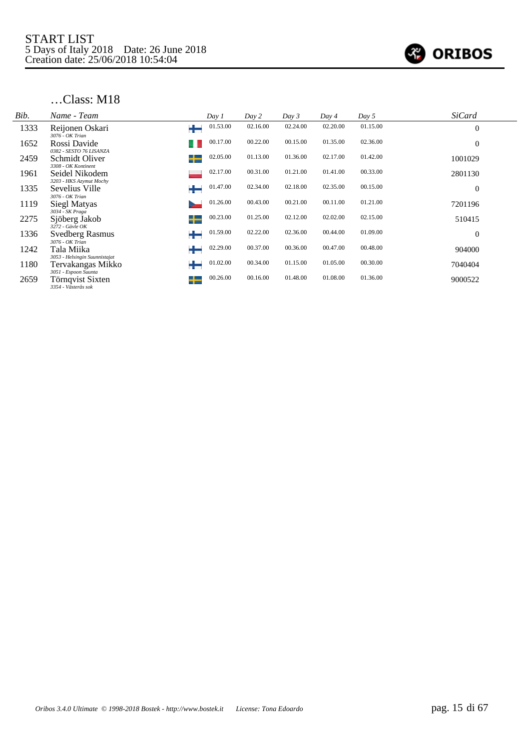

| Bib. | Name - Team                                                     |   | Day 1    | Day 2    | Day 3    | Day 4    | Day 5    | <b>SiCard</b>    |
|------|-----------------------------------------------------------------|---|----------|----------|----------|----------|----------|------------------|
| 1333 | Reijonen Oskari<br>3076 - OK Trian                              |   | 01.53.00 | 02.16.00 | 02.24.00 | 02.20.00 | 01.15.00 | $\overline{0}$   |
| 1652 | Rossi Davide<br>0382 - SESTO 76 LISANZA                         |   | 00.17.00 | 00.22.00 | 00.15.00 | 01.35.00 | 02.36.00 | $\boldsymbol{0}$ |
| 2459 | Schmidt Oliver<br>3308 - OK Kontinent                           | ┶ | 02.05.00 | 01.13.00 | 01.36.00 | 02.17.00 | 01.42.00 | 1001029          |
| 1961 | Seidel Nikodem<br>3203 - HKS Azymut Mochy                       |   | 02.17.00 | 00.31.00 | 01.21.00 | 01.41.00 | 00.33.00 | 2801130          |
| 1335 | Sevelius Ville                                                  |   | 01.47.00 | 02.34.00 | 02.18.00 | 02.35.00 | 00.15.00 | $\overline{0}$   |
| 1119 | 3076 - OK Trian<br>Siegl Matyas                                 |   | 01.26.00 | 00.43.00 | 00.21.00 | 00.11.00 | 01.21.00 | 7201196          |
| 2275 | 3034 - SK Praga<br>Sjöberg Jakob                                | ┶ | 00.23.00 | 01.25.00 | 02.12.00 | 02.02.00 | 02.15.00 | 510415           |
| 1336 | $3272$ - Gävle OK<br><b>Svedberg Rasmus</b>                     |   | 01.59.00 | 02.22.00 | 02.36.00 | 00.44.00 | 01.09.00 | $\overline{0}$   |
| 1242 | 3076 - OK Trian<br>Tala Miika                                   |   | 02.29.00 | 00.37.00 | 00.36.00 | 00.47.00 | 00.48.00 | 904000           |
| 1180 | 3053 - Helsingin Suunnistajat<br>Tervakangas Mikko              | ┶ | 01.02.00 | 00.34.00 | 01.15.00 | 01.05.00 | 00.30.00 | 7040404          |
| 2659 | 3051 - Espoon Suunta<br>Törnqvist Sixten<br>3354 - Västerås sok | ┶ | 00.26.00 | 00.16.00 | 01.48.00 | 01.08.00 | 01.36.00 | 9000522          |
|      |                                                                 |   |          |          |          |          |          |                  |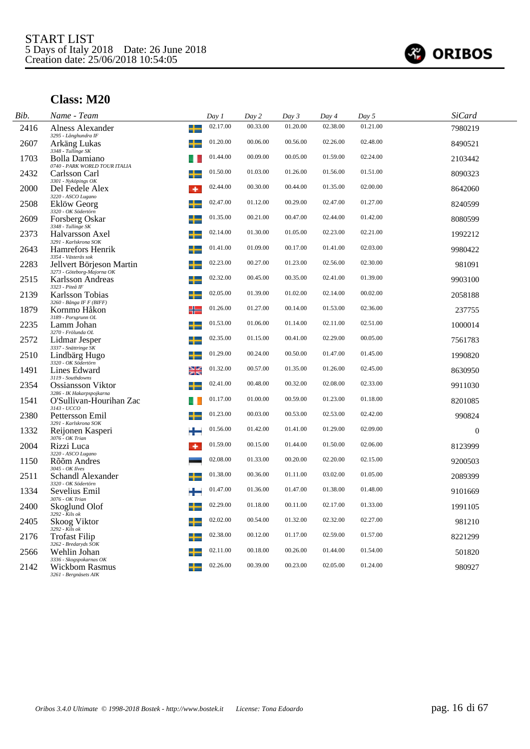

| Bib. | Name - Team                                                        | Day 1    | Day 2    | Day 3    | Day 4    | Day 5    | SiCard   |  |
|------|--------------------------------------------------------------------|----------|----------|----------|----------|----------|----------|--|
| 2416 | ╈<br>Alness Alexander<br>3295 - Långhundra IF                      | 02.17.00 | 00.33.00 | 01.20.00 | 02.38.00 | 01.21.00 | 7980219  |  |
| 2607 | Arkäng Lukas<br>3348 - Tullinge SK                                 | 01.20.00 | 00.06.00 | 00.56.00 | 02.26.00 | 02.48.00 | 8490521  |  |
| 1703 | Bolla Damiano<br>0740 - PARK WORLD TOUR ITALIA                     | 01.44.00 | 00.09.00 | 00.05.00 | 01.59.00 | 02.24.00 | 2103442  |  |
| 2432 | Carlsson Carl<br>3301 - Nyköpings OK                               | 01.50.00 | 01.03.00 | 01.26.00 | 01.56.00 | 01.51.00 | 8090323  |  |
| 2000 | Del Fedele Alex<br>۰<br>3220 - ASCO Lugano                         | 02.44.00 | 00.30.00 | 00.44.00 | 01.35.00 | 02.00.00 | 8642060  |  |
| 2508 | Eklöw Georg<br>3320 - OK Södertörn                                 | 02.47.00 | 01.12.00 | 00.29.00 | 02.47.00 | 01.27.00 | 8240599  |  |
| 2609 | Forsberg Oskar<br>3348 - Tullinge SK                               | 01.35.00 | 00.21.00 | 00.47.00 | 02.44.00 | 01.42.00 | 8080599  |  |
| 2373 | Halvarsson Axel<br>3291 - Karlskrona SOK                           | 02.14.00 | 01.30.00 | 01.05.00 | 02.23.00 | 02.21.00 | 1992212  |  |
| 2643 | <b>Hamrefors Henrik</b><br>3354 - Västerås sok                     | 01.41.00 | 01.09.00 | 00.17.00 | 01.41.00 | 02.03.00 | 9980422  |  |
| 2283 | Jellvert Börjeson Martin<br>3273 - Göteborg-Majorna OK             | 02.23.00 | 00.27.00 | 01.23.00 | 02.56.00 | 02.30.00 | 981091   |  |
| 2515 | Karlsson Andreas<br>3323 - Piteå IF                                | 02.32.00 | 00.45.00 | 00.35.00 | 02.41.00 | 01.39.00 | 9903100  |  |
| 2139 | Karlsson Tobias<br>3260 - Bånga IF F (BIFF)                        | 02.05.00 | 01.39.00 | 01.02.00 | 02.14.00 | 00.02.00 | 2058188  |  |
| 1879 | ╬<br>Kornmo Håkon<br>3189 - Porsgrunn OL                           | 01.26.00 | 01.27.00 | 00.14.00 | 01.53.00 | 02.36.00 | 237755   |  |
| 2235 | Lamm Johan<br>3270 - Frölunda OL                                   | 01.53.00 | 01.06.00 | 01.14.00 | 02.11.00 | 02.51.00 | 1000014  |  |
| 2572 | Lidmar Jesper<br>3337 - Snättringe SK                              | 02.35.00 | 01.15.00 | 00.41.00 | 02.29.00 | 00.05.00 | 7561783  |  |
| 2510 | Lindbärg Hugo<br>3320 - OK Södertörn                               | 01.29.00 | 00.24.00 | 00.50.00 | 01.47.00 | 01.45.00 | 1990820  |  |
| 1491 | ≱≼<br>Lines Edward<br>3119 - Southdowns                            | 01.32.00 | 00.57.00 | 01.35.00 | 01.26.00 | 02.45.00 | 8630950  |  |
| 2354 | <b>Ossiansson Viktor</b><br>3286 - IK Hakarpspojkarna              | 02.41.00 | 00.48.00 | 00.32.00 | 02.08.00 | 02.33.00 | 9911030  |  |
| 1541 | O'Sullivan-Hourihan Zac<br>3143 - UCCO                             | 01.17.00 | 01.00.00 | 00.59.00 | 01.23.00 | 01.18.00 | 8201085  |  |
| 2380 | Pettersson Emil<br>3291 - Karlskrona SOK                           | 01.23.00 | 00.03.00 | 00.53.00 | 02.53.00 | 02.42.00 | 990824   |  |
| 1332 | Reijonen Kasperi<br>3076 - OK Trian                                | 01.56.00 | 01.42.00 | 01.41.00 | 01.29.00 | 02.09.00 | $\theta$ |  |
| 2004 | Rizzi Luca<br>٠<br>3220 - ASCO Lugano                              | 01.59.00 | 00.15.00 | 01.44.00 | 01.50.00 | 02.06.00 | 8123999  |  |
| 1150 | Rõõm Andres<br>3045 - OK Ilves                                     | 02.08.00 | 01.33.00 | 00.20.00 | 02.20.00 | 02.15.00 | 9200503  |  |
| 2511 | Schandl Alexander<br>3320 - OK Södertörn                           | 01.38.00 | 00.36.00 | 01.11.00 | 03.02.00 | 01.05.00 | 2089399  |  |
| 1334 | Sevelius Emil<br>3076 - OK Trian                                   | 01.47.00 | 01.36.00 | 01.47.00 | 01.38.00 | 01.48.00 | 9101669  |  |
| 2400 | Skoglund Olof<br>3292 - Kils ok                                    | 02.29.00 | 01.18.00 | 00.11.00 | 02.17.00 | 01.33.00 | 1991105  |  |
| 2405 | Skoog Viktor                                                       | 02.02.00 | 00.54.00 | 01.32.00 | 02.32.00 | 02.27.00 | 981210   |  |
| 2176 | 3292 - Kils ok<br>Trofast Filip<br>3262 - Bredaryds SOK            | 02.38.00 | 00.12.00 | 01.17.00 | 02.59.00 | 01.57.00 | 8221299  |  |
| 2566 | Wehlin Johan                                                       | 02.11.00 | 00.18.00 | 00.26.00 | 01.44.00 | 01.54.00 | 501820   |  |
| 2142 | 3336 - Skogspokarnas OK<br>Wickbom Rasmus<br>3261 - Bergnäsets AIK | 02.26.00 | 00.39.00 | 00.23.00 | 02.05.00 | 01.24.00 | 980927   |  |
|      |                                                                    |          |          |          |          |          |          |  |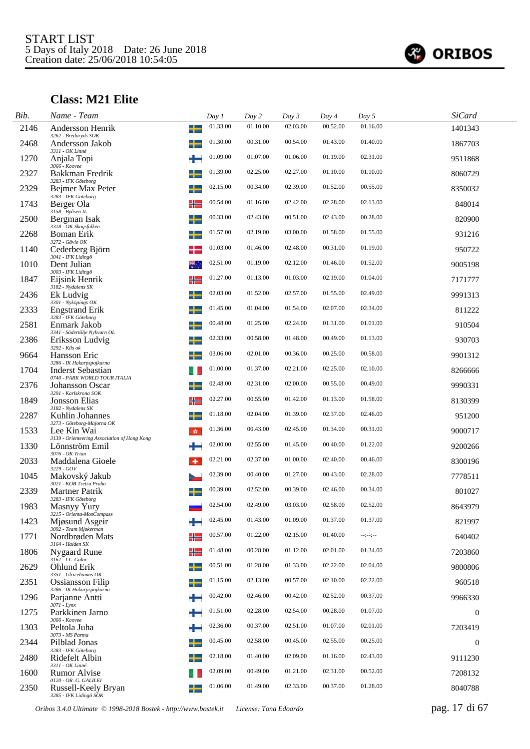

# **Class: M21 Elite**

| Bib. | Name - Team                                                                     |           | Day 1    | Day 2    | Day 3    | Day 4    | Day 5            | <b>SiCard</b> |
|------|---------------------------------------------------------------------------------|-----------|----------|----------|----------|----------|------------------|---------------|
| 2146 | Andersson Henrik<br>3262 - Bredaryds SOK                                        | ╈         | 01.33.00 | 01.10.00 | 02.03.00 | 00.52.00 | 01.16.00         | 1401343       |
| 2468 | Andersson Jakob                                                                 |           | 01.30.00 | 00.31.00 | 00.54.00 | 01.43.00 | 01.40.00         | 1867703       |
| 1270 | 3311 - OK Linné<br>Anjala Topi<br>3066 - Koovee                                 | ÷         | 01.09.00 | 01.07.00 | 01.06.00 | 01.19.00 | 02.31.00         | 9511868       |
| 2327 | Bakkman Fredrik<br>3283 - IFK Göteborg                                          |           | 01.39.00 | 02.25.00 | 02.27.00 | 01.10.00 | 01.10.00         | 8060729       |
| 2329 | Bejmer Max Peter<br>3283 - IFK Göteborg                                         |           | 02.15.00 | 00.34.00 | 02.39.00 | 01.52.00 | 00.55.00         | 8350032       |
| 1743 | Berger Ola<br>3158 - Byåsen IL                                                  | ╬         | 00.54.00 | 01.16.00 | 02.42.00 | 02.28.00 | 02.13.00         | 848014        |
| 2500 | Bergman Isak                                                                    |           | 00.33.00 | 02.43.00 | 00.51.00 | 02.43.00 | 00.28.00         | 820900        |
| 2268 | 3318 - OK Skogsfalken<br><b>Boman Erik</b><br>3272 - Gävle OK                   |           | 01.57.00 | 02.19.00 | 03.00.00 | 01.58.00 | 01.55.00         | 931216        |
| 1140 | Cederberg Björn<br>3041 - IFK Lidingö                                           |           | 01.03.00 | 01.46.00 | 02.48.00 | 00.31.00 | 01.19.00         | 950722        |
| 1010 | Dent Julian<br>3003 - IFK Lidingö                                               | ₩.,       | 02.51.00 | 01.19.00 | 02.12.00 | 01.46.00 | 01.52.00         | 9005198       |
| 1847 | Eijsink Henrik<br>3182 - Nydalens SK                                            | ╬         | 01.27.00 | 01.13.00 | 01.03.00 | 02.19.00 | 01.04.00         | 7171777       |
| 2436 | Ek Ludvig<br>3301 - Nyköpings OK                                                | +         | 02.03.00 | 01.52.00 | 02.57.00 | 01.55.00 | 02.49.00         | 9991313       |
| 2333 | <b>Engstrand Erik</b><br>3283 - IFK Göteborg                                    |           | 01.45.00 | 01.04.00 | 01.54.00 | 02.07.00 | 02.34.00         | 811222        |
| 2581 | Enmark Jakob<br>3341 - Södertälje Nykvarn OL                                    |           | 00.48.00 | 01.25.00 | 02.24.00 | 01.31.00 | 01.01.00         | 910504        |
| 2386 | Eriksson Ludvig<br>3292 - Kils ok                                               |           | 02.33.00 | 00.58.00 | 01.48.00 | 00.49.00 | 01.13.00         | 930703        |
| 9664 | Hansson Eric                                                                    |           | 03.06.00 | 02.01.00 | 00.36.00 | 00.25.00 | 00.58.00         | 9901312       |
| 1704 | 3286 - IK Hakarpspojkarna<br>Inderst Sebastian<br>0740 - PARK WORLD TOUR ITALIA |           | 01.00.00 | 01.37.00 | 02.21.00 | 02.25.00 | 02.10.00         | 8266666       |
| 2376 | Johansson Oscar<br>3291 - Karlskrona SOK                                        |           | 02.48.00 | 02.31.00 | 02.00.00 | 00.55.00 | 00.49.00         | 9990331       |
| 1849 | Jonsson Elias<br>3182 - Nydalens SK                                             | ╬         | 02.27.00 | 00.55.00 | 01.42.00 | 01.13.00 | 01.58.00         | 8130399       |
| 2287 | Kuhlin Johannes<br>3273 - Göteborg-Majorna OK                                   |           | 01.18.00 | 02.04.00 | 01.39.00 | 02.37.00 | 02.46.00         | 951200        |
| 1533 | Lee Kin Wai<br>3139 - Orienteering Association of Hong Kong                     | <b>SE</b> | 01.36.00 | 00.43.00 | 02.45.00 | 01.34.00 | 00.31.00         | 9000717       |
| 1330 | Lönnström Emil<br>3076 - OK Trian                                               |           | 02.00.00 | 02.55.00 | 01.45.00 | 00.40.00 | 01.22.00         | 9200266       |
| 2033 | Maddalena Gioele<br>3229 - GOV                                                  | ۰         | 02.21.00 | 02.37.00 | 01.00.00 | 02.40.00 | 00.46.00         | 8300196       |
| 1045 | Makovský Jakub<br>3021 - KOB Tretra Praha                                       |           | 02.39.00 | 00.40.00 | 01.27.00 | 00.43.00 | 02.28.00         | 7778511       |
| 2339 | <b>Martner Patrik</b><br>3283 - IFK Göteborg                                    |           | 00.39.00 | 02.52.00 | 00.39.00 | 02.46.00 | 00.34.00         | 801027        |
| 1983 | Masnyy Yury<br>3215 - Orienta-MosCompass                                        |           | 02.54.00 | 02.49.00 | 03.03.00 | 02.58.00 | 02.52.00         | 8643979       |
| 1423 | Mjøsund Asgeir<br>3092 - Team Mjøkerman                                         |           | 02.45.00 | 01.43.00 | 01.09.00 | 01.37.00 | 01.37.00         | 821997        |
| 1771 | Nordbrøden Mats<br>3164 - Halden SK                                             | ╬         | 00.57.00 | 01.22.00 | 02.15.00 | 01.40.00 | $-2 - 2 - 2 - 1$ | 640402        |
| 1806 | <b>Nygaard Rune</b><br>3167 - I.L. Gular                                        | ╬         | 01.48.00 | 00.28.00 | 01.12.00 | 02.01.00 | 01.34.00         | 7203860       |
| 2629 | Öhlund Erik<br>3351 - Ulricehamns OK                                            | ┶         | 00.51.00 | 01.28.00 | 01.33.00 | 02.22.00 | 02.04.00         | 9800806       |
| 2351 | Ossiansson Filip<br>3286 - IK Hakarpspojkarna                                   |           | 01.15.00 | 02.13.00 | 00.57.00 | 02.10.00 | 02.22.00         | 960518        |
| 1296 | Parjanne Antti<br>3071 - Lynx                                                   |           | 00.42.00 | 02.46.00 | 00.42.00 | 02.52.00 | 00.37.00         | 9966330       |
| 1275 | Parkkinen Jarno<br>3066 - Koovee                                                |           | 01.51.00 | 02.28.00 | 02.54.00 | 00.28.00 | 01.07.00         | $\mathbf{0}$  |
| 1303 | Peltola Juha<br>3073 - MS Parma                                                 | ÷         | 02.36.00 | 00.37.00 | 02.51.00 | 01.07.00 | 02.01.00         | 7203419       |
| 2344 | Pilblad Jonas<br>3283 - IFK Göteborg                                            |           | 00.45.00 | 02.58.00 | 00.45.00 | 02.55.00 | 00.25.00         | $\mathbf{0}$  |
| 2480 | Ridefelt Albin<br>3311 - OK Linné                                               |           | 02.18.00 | 01.40.00 | 02.09.00 | 01.16.00 | 02.43.00         | 9111230       |
| 1600 | <b>Rumor Alvise</b><br>0120 - OR. G. GALILEI                                    |           | 02.09.00 | 00.49.00 | 01.21.00 | 02.31.00 | 00.52.00         | 7208132       |
| 2350 | Russell-Keely Bryan<br>3285 - IFK Lidingö SOK                                   |           | 01.06.00 | 01.49.00 | 02.33.00 | 00.37.00 | 01.28.00         | 8040788       |

*Oribos 3.4.0 Ultimate © 1998-2018 Bostek - http://www.bostek.it License: Tona Edoardo* pag. 17 di 67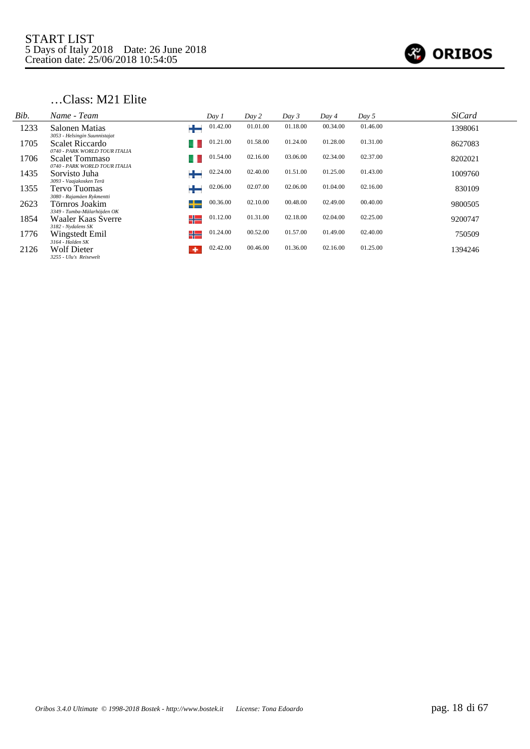

## …Class: M21 Elite

| Bib. | Name - Team                                       | Day 1          | Day 2    | Day 3    | Day 4    | Day 5    | <b>SiCard</b> |
|------|---------------------------------------------------|----------------|----------|----------|----------|----------|---------------|
| 1233 | Salonen Matias<br>3053 - Helsingin Suunnistajat   | 01.42.00<br>₩  | 01.01.00 | 01.18.00 | 00.34.00 | 01.46.00 | 1398061       |
| 1705 | Scalet Riccardo<br>0740 - PARK WORLD TOUR ITALIA  | 01.21.00       | 01.58.00 | 01.24.00 | 01.28.00 | 01.31.00 | 8627083       |
| 1706 | Scalet Tommaso                                    | 01.54.00       | 02.16.00 | 03.06.00 | 02.34.00 | 02.37.00 | 8202021       |
| 1435 | 0740 - PARK WORLD TOUR ITALIA<br>Sorvisto Juha    | 02.24.00       | 02.40.00 | 01.51.00 | 01.25.00 | 01.43.00 | 1009760       |
| 1355 | 3093 - Vaajakosken Terä<br>Tervo Tuomas           | 02.06.00       | 02.07.00 | 02.06.00 | 01.04.00 | 02.16.00 | 830109        |
| 2623 | 3080 - Rajamäen Rykmentti<br>Törnros Joakim       | 00.36.00<br>┶  | 02.10.00 | 00.48.00 | 02.49.00 | 00.40.00 | 9800505       |
| 1854 | 3349 - Tumba-Mälarhöjden OK<br>Waaler Kaas Sverre | 01.12.00<br>╬═ | 01.31.00 | 02.18.00 | 02.04.00 | 02.25.00 | 9200747       |
| 1776 | 3182 - Nydalens SK<br>Wingstedt Emil              | 01.24.00<br>╬  | 00.52.00 | 01.57.00 | 01.49.00 | 02.40.00 | 750509        |
| 2126 | 3164 - Halden SK<br><b>Wolf Dieter</b>            | 02.42.00<br>۰  | 00.46.00 | 01.36.00 | 02.16.00 | 01.25.00 | 1394246       |
|      | 3255 - Ulu's Reisewelt                            |                |          |          |          |          |               |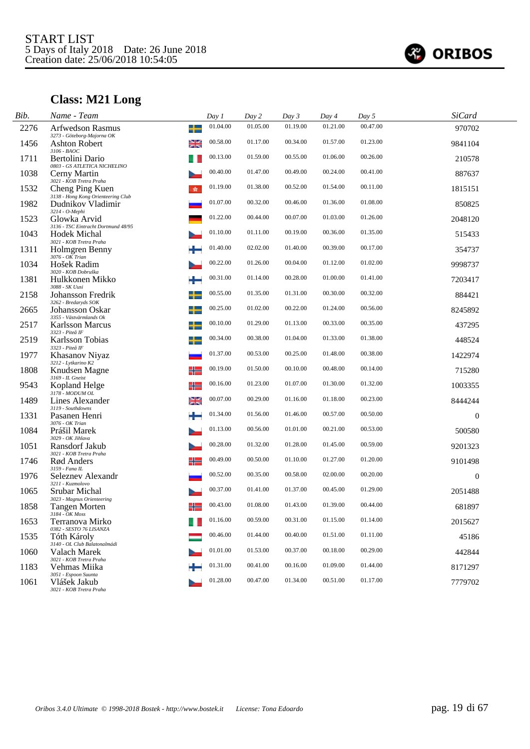

# **Class: M21 Long**

| Bib. | Name - Team                                             |     | Day 1    | Day 2    | Day 3    | Day 4    | Day 5    | <b>SiCard</b> |  |
|------|---------------------------------------------------------|-----|----------|----------|----------|----------|----------|---------------|--|
| 2276 | <b>Arfwedson Rasmus</b><br>3273 - Göteborg-Majorna OK   | ╈   | 01.04.00 | 01.05.00 | 01.19.00 | 01.21.00 | 00.47.00 | 970702        |  |
| 1456 | <b>Ashton Robert</b>                                    | ≱≼  | 00.58.00 | 01.17.00 | 00.34.00 | 01.57.00 | 01.23.00 | 9841104       |  |
| 1711 | 3106 - BAOC<br>Bertolini Dario                          |     | 00.13.00 | 01.59.00 | 00.55.00 | 01.06.00 | 00.26.00 | 210578        |  |
| 1038 | 0803 - GS ATLETICA NICHELINO<br>Cerny Martin            |     | 00.40.00 | 01.47.00 | 00.49.00 | 00.24.00 | 00.41.00 | 887637        |  |
| 1532 | 3021 - KOB Tretra Praha<br>Cheng Ping Kuen              | sk. | 01.19.00 | 01.38.00 | 00.52.00 | 01.54.00 | 00.11.00 | 1815151       |  |
| 1982 | 3138 - Hong Kong Orienteering Club<br>Dudnikov Vladimir |     | 01.07.00 | 00.32.00 | 00.46.00 | 01.36.00 | 01.08.00 | 850825        |  |
| 1523 | 3214 - O-Mephi<br>Glowka Arvid                          |     | 01.22.00 | 00.44.00 | 00.07.00 | 01.03.00 | 01.26.00 | 2048120       |  |
| 1043 | 3136 - TSC Eintracht Dortmund 48/95<br>Hodek Michal     |     | 01.10.00 | 01.11.00 | 00.19.00 | 00.36.00 | 01.35.00 | 515433        |  |
| 1311 | 3021 - KOB Tretra Praha<br>Holmgren Benny               |     | 01.40.00 | 02.02.00 | 01.40.00 | 00.39.00 | 00.17.00 | 354737        |  |
| 1034 | 3076 - OK Trian<br>Hošek Radim                          |     | 00.22.00 | 01.26.00 | 00.04.00 | 01.12.00 | 01.02.00 | 9998737       |  |
| 1381 | 3020 - KOB Dobruška<br>Hulkkonen Mikko                  |     | 00.31.00 | 01.14.00 | 00.28.00 | 01.00.00 | 01.41.00 | 7203417       |  |
| 2158 | 3088 - SK Uusi<br><b>Johansson Fredrik</b>              |     | 00.55.00 | 01.35.00 | 01.31.00 | 00.30.00 | 00.32.00 | 884421        |  |
| 2665 | 3262 - Bredaryds SOK<br>Johansson Oskar                 | +   | 00.25.00 | 01.02.00 | 00.22.00 | 01.24.00 | 00.56.00 | 8245892       |  |
| 2517 | 3355 - Västvärmlands Ok<br><b>Karlsson Marcus</b>       |     | 00.10.00 | 01.29.00 | 01.13.00 | 00.33.00 | 00.35.00 | 437295        |  |
| 2519 | 3323 - Piteå IF<br>Karlsson Tobias<br>3323 - Piteå IF   |     | 00.34.00 | 00.38.00 | 01.04.00 | 01.33.00 | 01.38.00 | 448524        |  |
| 1977 | Khasanov Niyaz                                          |     | 01.37.00 | 00.53.00 | 00.25.00 | 01.48.00 | 00.38.00 | 1422974       |  |
| 1808 | 3212 - Lytkarino K2<br>Knudsen Magne                    | ╬   | 00.19.00 | 01.50.00 | 00.10.00 | 00.48.00 | 00.14.00 | 715280        |  |
| 9543 | 3169 - IL Gneist<br>Kopland Helge<br>3178 - MODUM OL    | ╬   | 00.16.00 | 01.23.00 | 01.07.00 | 01.30.00 | 01.32.00 | 1003355       |  |
| 1489 | Lines Alexander                                         | ≱≼  | 00.07.00 | 00.29.00 | 01.16.00 | 01.18.00 | 00.23.00 | 8444244       |  |
| 1331 | 3119 - Southdowns<br>Pasanen Henri<br>3076 - OK Trian   |     | 01.34.00 | 01.56.00 | 01.46.00 | 00.57.00 | 00.50.00 | $\mathbf{0}$  |  |
| 1084 | Prášil Marek<br>3029 - OK Jihlava                       |     | 01.13.00 | 00.56.00 | 01.01.00 | 00.21.00 | 00.53.00 | 500580        |  |
| 1051 | Ransdorf Jakub<br>3021 - KOB Tretra Praha               |     | 00.28.00 | 01.32.00 | 01.28.00 | 01.45.00 | 00.59.00 | 9201323       |  |
| 1746 | Rød Anders<br>3159 - Fana IL                            |     | 00.49.00 | 00.50.00 | 01.10.00 | 01.27.00 | 01.20.00 | 9101498       |  |
| 1976 | Seleznev Alexandr<br>3211 - Kuzmolovo                   |     | 00.52.00 | 00.35.00 | 00.58.00 | 02.00.00 | 00.20.00 | $\theta$      |  |
| 1065 | Srubar Michal<br>3023 - Magnus Orienteering             |     | 00.37.00 | 01.41.00 | 01.37.00 | 00.45.00 | 01.29.00 | 2051488       |  |
| 1858 | <b>Tangen Morten</b><br>3184 - OK Moss                  | ╬═  | 00.43.00 | 01.08.00 | 01.43.00 | 01.39.00 | 00.44.00 | 681897        |  |
| 1653 | Terranova Mirko<br>0382 - SESTO 76 LISANZA              |     | 01.16.00 | 00.59.00 | 00.31.00 | 01.15.00 | 01.14.00 | 2015627       |  |
| 1535 | Tóth Károly<br>3140 - OL Club Balatonalmádi             |     | 00.46.00 | 01.44.00 | 00.40.00 | 01.51.00 | 01.11.00 | 45186         |  |
| 1060 | Valach Marek<br>3021 - KOB Tretra Praha                 |     | 01.01.00 | 01.53.00 | 00.37.00 | 00.18.00 | 00.29.00 | 442844        |  |
| 1183 | Vehmas Miika<br>3051 - Espoon Suunta                    |     | 01.31.00 | 00.41.00 | 00.16.00 | 01.09.00 | 01.44.00 | 8171297       |  |
| 1061 | Vlášek Jakub<br>3021 - KOB Tretra Praha                 |     | 01.28.00 | 00.47.00 | 01.34.00 | 00.51.00 | 01.17.00 | 7779702       |  |
|      |                                                         |     |          |          |          |          |          |               |  |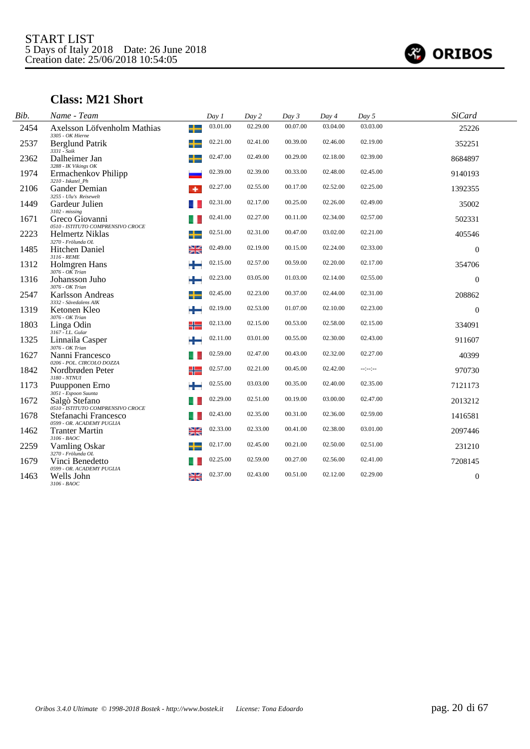

# **Class: M21 Short**

| Bib. | Name - Team                                         |    | Day 1    | Day 2    | Day 3    | Day 4    | Day 5            | <b>SiCard</b> |  |
|------|-----------------------------------------------------|----|----------|----------|----------|----------|------------------|---------------|--|
| 2454 | Axelsson Löfvenholm Mathias<br>3305 - OK Hierne     | ╅  | 03.01.00 | 02.29.00 | 00.07.00 | 03.04.00 | 03.03.00         | 25226         |  |
| 2537 | Berglund Patrik<br>$3331 - Saik$                    | ╈  | 02.21.00 | 02.41.00 | 00.39.00 | 02.46.00 | 02.19.00         | 352251        |  |
| 2362 | Dalheimer Jan<br>3288 - IK Vikings OK               |    | 02.47.00 | 02.49.00 | 00.29.00 | 02.18.00 | 02.39.00         | 8684897       |  |
| 1974 | Ermachenkov Philipp<br>3210 - Iskatel Ph            |    | 02.39.00 | 02.39.00 | 00.33.00 | 02.48.00 | 02.45.00         | 9140193       |  |
| 2106 | <b>Gander Demian</b><br>3255 - Ulu's Reisewelt      |    | 02.27.00 | 02.55.00 | 00.17.00 | 02.52.00 | 02.25.00         | 1392355       |  |
| 1449 | Gardeur Julien<br>$3102 - missing$                  |    | 02.31.00 | 02.17.00 | 00.25.00 | 02.26.00 | 02.49.00         | 35002         |  |
| 1671 | Greco Giovanni<br>0510 - ISTITUTO COMPRENSIVO CROCE |    | 02.41.00 | 02.27.00 | 00.11.00 | 02.34.00 | 02.57.00         | 502331        |  |
| 2223 | Helmertz Niklas<br>3270 - Frölunda OL               |    | 02.51.00 | 02.31.00 | 00.47.00 | 03.02.00 | 02.21.00         | 405546        |  |
| 1485 | <b>Hitchen Daniel</b><br>3116 - REME                | ≱≼ | 02.49.00 | 02.19.00 | 00.15.00 | 02.24.00 | 02.33.00         | $\Omega$      |  |
| 1312 | Holmgren Hans<br>$3076 - OK$ Trian                  | ÷  | 02.15.00 | 02.57.00 | 00.59.00 | 02.20.00 | 02.17.00         | 354706        |  |
| 1316 | Johansson Juho<br>3076 - OK Trian                   | ٠  | 02.23.00 | 03.05.00 | 01.03.00 | 02.14.00 | 02.55.00         | $\Omega$      |  |
| 2547 | Karlsson Andreas<br>3332 - Sävedalens AIK           | ╈  | 02.45.00 | 02.23.00 | 00.37.00 | 02.44.00 | 02.31.00         | 208862        |  |
| 1319 | Ketonen Kleo<br>3076 - OK Trian                     | ÷  | 02.19.00 | 02.53.00 | 01.07.00 | 02.10.00 | 02.23.00         | $\theta$      |  |
| 1803 | Linga Odin<br>3167 - I.L. Gular                     | ╬  | 02.13.00 | 02.15.00 | 00.53.00 | 02.58.00 | 02.15.00         | 334091        |  |
| 1325 | Linnaila Casper<br>3076 - OK Trian                  | ٠  | 02.11.00 | 03.01.00 | 00.55.00 | 02.30.00 | 02.43.00         | 911607        |  |
| 1627 | Nanni Francesco<br>0206 - POL. CIRCOLO DOZZA        |    | 02.59.00 | 02.47.00 | 00.43.00 | 02.32.00 | 02.27.00         | 40399         |  |
| 1842 | Nordbrøden Peter<br>$3180$ - $NTNUI$                | ╬  | 02.57.00 | 02.21.00 | 00.45.00 | 02.42.00 | $-2 - 2 - 2 - 1$ | 970730        |  |
| 1173 | Puupponen Erno<br>3051 - Espoon Suunta              |    | 02.55.00 | 03.03.00 | 00.35.00 | 02.40.00 | 02.35.00         | 7121173       |  |
| 1672 | Salgò Stefano<br>0510 - ISTITUTO COMPRENSIVO CROCE  |    | 02.29.00 | 02.51.00 | 00.19.00 | 03.00.00 | 02.47.00         | 2013212       |  |
| 1678 | Stefanachi Francesco<br>0599 - OR. ACADEMY PUGLIA   |    | 02.43.00 | 02.35.00 | 00.31.00 | 02.36.00 | 02.59.00         | 1416581       |  |
| 1462 | <b>Tranter Martin</b><br>$3106$ - $BAOC$            | 꽃  | 02.33.00 | 02.33.00 | 00.41.00 | 02.38.00 | 03.01.00         | 2097446       |  |
| 2259 | Vamling Oskar<br>3270 - Frölunda OL                 | ╉  | 02.17.00 | 02.45.00 | 00.21.00 | 02.50.00 | 02.51.00         | 231210        |  |
| 1679 | Vinci Benedetto<br>0599 - OR. ACADEMY PUGLIA        |    | 02.25.00 | 02.59.00 | 00.27.00 | 02.56.00 | 02.41.00         | 7208145       |  |
| 1463 | Wells John<br>$3106 - B A O C$                      | 꽃  | 02.37.00 | 02.43.00 | 00.51.00 | 02.12.00 | 02.29.00         | $\theta$      |  |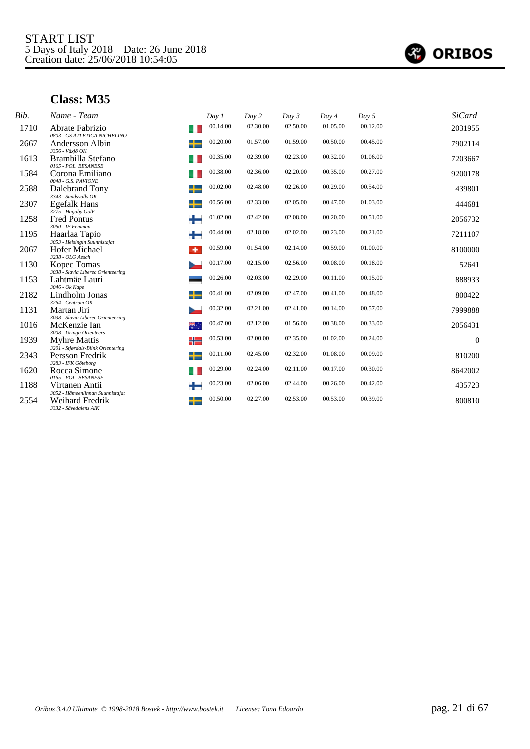

| Bib. | Name - Team                                                | Day 1    | Day 2    | Day 3    | Day 4    | Day 5    | <b>SiCard</b> |  |
|------|------------------------------------------------------------|----------|----------|----------|----------|----------|---------------|--|
| 1710 | Abrate Fabrizio<br>u<br>0803 - GS ATLETICA NICHELINO       | 00.14.00 | 02.30.00 | 02.50.00 | 01.05.00 | 00.12.00 | 2031955       |  |
| 2667 | +<br>Andersson Albin                                       | 00.20.00 | 01.57.00 | 01.59.00 | 00.50.00 | 00.45.00 | 7902114       |  |
| 1613 | 3356 - Växjö OK<br>Brambilla Stefano                       | 00.35.00 | 02.39.00 | 02.23.00 | 00.32.00 | 01.06.00 | 7203667       |  |
| 1584 | 0165 - POL. BESANESE<br>Corona Emiliano                    | 00.38.00 | 02.36.00 | 02.20.00 | 00.35.00 | 00.27.00 | 9200178       |  |
| 2588 | 0048 - G.S. PAVIONE<br>┿<br>Dalebrand Tony                 | 00.02.00 | 02.48.00 | 02.26.00 | 00.29.00 | 00.54.00 | 439801        |  |
| 2307 | 3343 - Sundsvalls OK<br>╈<br><b>Egefalk Hans</b>           | 00.56.00 | 02.33.00 | 02.05.00 | 00.47.00 | 01.03.00 | 444681        |  |
| 1258 | 3275 - Hagaby GolF<br>┶<br><b>Fred Pontus</b>              | 01.02.00 | 02.42.00 | 02.08.00 | 00.20.00 | 00.51.00 | 2056732       |  |
| 1195 | 3060 - IF Femman<br>÷<br>Haarlaa Tapio                     | 00.44.00 | 02.18.00 | 02.02.00 | 00.23.00 | 00.21.00 | 7211107       |  |
| 2067 | 3053 - Helsingin Suunnistajat<br>Hofer Michael<br>٠        | 00.59.00 | 01.54.00 | 02.14.00 | 00.59.00 | 01.00.00 | 8100000       |  |
| 1130 | 3238 - OLG Aesch<br>Kopec Tomas                            | 00.17.00 | 02.15.00 | 02.56.00 | 00.08.00 | 00.18.00 | 52641         |  |
| 1153 | 3038 - Slavia Liberec Orienteering<br>Lahtmäe Lauri        | 00.26.00 | 02.03.00 | 02.29.00 | 00.11.00 | 00.15.00 | 888933        |  |
| 2182 | 3046 - Ok Kape<br>╈<br>Lindholm Jonas                      | 00.41.00 | 02.09.00 | 02.47.00 | 00.41.00 | 00.48.00 | 800422        |  |
| 1131 | 3264 - Centrum OK<br>Martan Jiri                           | 00.32.00 | 02.21.00 | 02.41.00 | 00.14.00 | 00.57.00 | 7999888       |  |
| 1016 | 3038 - Slavia Liberec Orienteering<br>₩,<br>McKenzie Ian   | 00.47.00 | 02.12.00 | 01.56.00 | 00.38.00 | 00.33.00 | 2056431       |  |
| 1939 | 3008 - Uringa Orienteers<br>╬<br>Myhre Mattis              | 00.53.00 | 02.00.00 | 02.35.00 | 01.02.00 | 00.24.00 | $\mathbf{0}$  |  |
| 2343 | 3201 - Stjørdals-Blink Orientering<br>╈<br>Persson Fredrik | 00.11.00 | 02.45.00 | 02.32.00 | 01.08.00 | 00.09.00 | 810200        |  |
| 1620 | 3283 - IFK Göteborg<br>Rocca Simone                        | 00.29.00 | 02.24.00 | 02.11.00 | 00.17.00 | 00.30.00 | 8642002       |  |
| 1188 | 0165 - POL. BESANESE<br>┶<br>Virtanen Antii                | 00.23.00 | 02.06.00 | 02.44.00 | 00.26.00 | 00.42.00 | 435723        |  |
| 2554 | 3052 - Hämeenlinnan Suunnistajat<br>Weihard Fredrik<br>┵   | 00.50.00 | 02.27.00 | 02.53.00 | 00.53.00 | 00.39.00 | 800810        |  |
|      | 3332 - Sävedalens AIK                                      |          |          |          |          |          |               |  |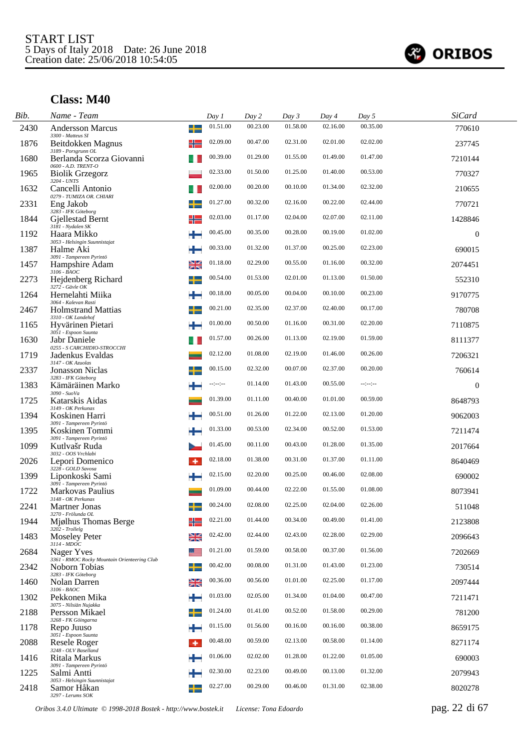

| Bib. | Name - Team                                                |    | Day 1    | Day 2    | Day 3    | Day 4    | Day 5        | <b>SiCard</b>  |  |
|------|------------------------------------------------------------|----|----------|----------|----------|----------|--------------|----------------|--|
| 2430 | <b>Andersson Marcus</b><br>3300 - Matteus SI               | ╈  | 01.51.00 | 00.23.00 | 01.58.00 | 02.16.00 | 00.35.00     | 770610         |  |
| 1876 | Beitdokken Magnus<br>3189 - Porsgrunn OL                   | ╬  | 02.09.00 | 00.47.00 | 02.31.00 | 02.01.00 | 02.02.00     | 237745         |  |
| 1680 | Berlanda Scorza Giovanni<br>0600 - A.D. TRENT-O            |    | 00.39.00 | 01.29.00 | 01.55.00 | 01.49.00 | 01.47.00     | 7210144        |  |
| 1965 | <b>Biolik Grzegorz</b><br>3204 - UNTS                      |    | 02.33.00 | 01.50.00 | 01.25.00 | 01.40.00 | 00.53.00     | 770327         |  |
| 1632 | Cancelli Antonio<br>0279 - TUMIZA OR. CHIARI               |    | 02.00.00 | 00.20.00 | 00.10.00 | 01.34.00 | 02.32.00     | 210655         |  |
| 2331 | Eng Jakob<br>3283 - IFK Göteborg                           |    | 01.27.00 | 00.32.00 | 02.16.00 | 00.22.00 | 02.44.00     | 770721         |  |
| 1844 | Giellestad Bernt<br>3181 - Nydalen SK                      | ╬  | 02.03.00 | 01.17.00 | 02.04.00 | 02.07.00 | 02.11.00     | 1428846        |  |
| 1192 | Haara Mikko<br>3053 - Helsingin Suunnistajat               | *  | 00.45.00 | 00.35.00 | 00.28.00 | 00.19.00 | 01.02.00     | $\overline{0}$ |  |
| 1387 | Halme Aki<br>3091 - Tampereen Pyrintö                      | ÷  | 00.33.00 | 01.32.00 | 01.37.00 | 00.25.00 | 02.23.00     | 690015         |  |
| 1457 | Hampshire Adam<br>$3106 - B AOC$                           | ≋  | 01.18.00 | 02.29.00 | 00.55.00 | 01.16.00 | 00.32.00     | 2074451        |  |
| 2273 | Hejdenberg Richard<br>$3272 - G$ ävle OK                   | ╈  | 00.54.00 | 01.53.00 | 02.01.00 | 01.13.00 | 01.50.00     | 552310         |  |
| 1264 | Hernelahti Miika<br>3064 - Kalevan Rasti                   | ÷  | 00.18.00 | 00.05.00 | 00.04.00 | 00.10.00 | 00.23.00     | 9170775        |  |
| 2467 | <b>Holmstrand Mattias</b><br>3310 - OK Landehof            |    | 00.21.00 | 02.35.00 | 02.37.00 | 02.40.00 | 00.17.00     | 780708         |  |
| 1165 | Hyvärinen Pietari<br>3051 - Espoon Suunta                  | ÷  | 01.00.00 | 00.50.00 | 01.16.00 | 00.31.00 | 02.20.00     | 7110875        |  |
| 1630 | Jabr Daniele<br>0255 - S CARCHIDIO-STROCCHI                |    | 01.57.00 | 00.26.00 | 01.13.00 | 02.19.00 | 01.59.00     | 8111377        |  |
| 1719 | Jadenkus Evaldas<br>3147 - OK Azuolas                      |    | 02.12.00 | 01.08.00 | 02.19.00 | 01.46.00 | 00.26.00     | 7206321        |  |
| 2337 | <b>Jonasson Niclas</b><br>3283 - IFK Göteborg              | ╅  | 00.15.00 | 02.32.00 | 00.07.00 | 02.37.00 | 00.20.00     | 760614         |  |
| 1383 | Kämäräinen Marko<br>3090 - SuoVa                           |    | --:--:-- | 01.14.00 | 01.43.00 | 00.55.00 | $-12 - 12 -$ | $\overline{0}$ |  |
| 1725 | Katarskis Aidas<br>3149 - OK Perkunas                      |    | 01.39.00 | 01.11.00 | 00.40.00 | 01.01.00 | 00.59.00     | 8648793        |  |
| 1394 | Koskinen Harri<br>3091 - Tampereen Pyrintö                 |    | 00.51.00 | 01.26.00 | 01.22.00 | 02.13.00 | 01.20.00     | 9062003        |  |
| 1395 | Koskinen Tommi<br>3091 - Tampereen Pyrintö                 | H. | 01.33.00 | 00.53.00 | 02.34.00 | 00.52.00 | 01.53.00     | 7211474        |  |
| 1099 | Kutlvašr Ruda<br>3032 - OOS Vrchlabi                       |    | 01.45.00 | 00.11.00 | 00.43.00 | 01.28.00 | 01.35.00     | 2017664        |  |
| 2026 | Lepori Domenico<br>3228 - GOLD Savosa                      | ۰  | 02.18.00 | 01.38.00 | 00.31.00 | 01.37.00 | 01.11.00     | 8640469        |  |
| 1399 | Liponkoski Sami<br>3091 - Tampereen Pyrintö                | ÷  | 02.15.00 | 02.20.00 | 00.25.00 | 00.46.00 | 02.08.00     | 690002         |  |
| 1722 | Markovas Paulius<br>3148 - OK Perkunas                     |    | 01.09.00 | 00.44.00 | 02.22.00 | 01.55.00 | 01.08.00     | 8073941        |  |
| 2241 | Martner Jonas<br>3270 - Frölunda OL                        |    | 00.24.00 | 02.08.00 | 02.25.00 | 02.04.00 | 02.26.00     | 511048         |  |
| 1944 | Mjølhus Thomas Berge<br>$3202$ - Trollelg                  | ╬  | 02.21.00 | 01.44.00 | 00.34.00 | 00.49.00 | 01.41.00     | 2123808        |  |
| 1483 | <b>Moseley Peter</b><br>$3114$ - $MDOC$                    | ≱≼ | 02.42.00 | 02.44.00 | 02.43.00 | 02.28.00 | 02.29.00     | 2096643        |  |
| 2684 | Nager Yves<br>3361 - RMOC Rocky Mountain Orienteering Club |    | 01.21.00 | 01.59.00 | 00.58.00 | 00.37.00 | 01.56.00     | 7202669        |  |
| 2342 | Noborn Tobias<br>3283 - IFK Göteborg                       |    | 00.42.00 | 00.08.00 | 01.31.00 | 01.43.00 | 01.23.00     | 730514         |  |
| 1460 | Nolan Darren<br>3106 - BAOC                                | ≱≼ | 00.36.00 | 00.56.00 | 01.01.00 | 02.25.00 | 01.17.00     | 2097444        |  |
| 1302 | Pekkonen Mika<br>3075 - Nilsiän Nujakka                    | ÷  | 01.03.00 | 02.05.00 | 01.34.00 | 01.04.00 | 00.47.00     | 7211471        |  |
| 2188 | Persson Mikael<br>3268 - FK Göingarna                      |    | 01.24.00 | 01.41.00 | 00.52.00 | 01.58.00 | 00.29.00     | 781200         |  |
| 1178 | Repo Juuso<br>3051 - Espoon Suunta                         | ╄  | 01.15.00 | 01.56.00 | 00.16.00 | 00.16.00 | 00.38.00     | 8659175        |  |
| 2088 | Resele Roger<br>3248 - OLV Baselland                       | ۰  | 00.48.00 | 00.59.00 | 02.13.00 | 00.58.00 | 01.14.00     | 8271174        |  |
| 1416 | Ritala Markus<br>3091 - Tampereen Pyrintö                  |    | 01.06.00 | 02.02.00 | 01.28.00 | 01.22.00 | 01.05.00     | 690003         |  |
| 1225 | Salmi Antti<br>3053 - Helsingin Suunnistajat               |    | 02.30.00 | 02.23.00 | 00.49.00 | 00.13.00 | 01.32.00     | 2079943        |  |
| 2418 | Samor Håkan<br>3297 - Lerums SOK                           | ╈  | 02.27.00 | 00.29.00 | 00.46.00 | 01.31.00 | 02.38.00     | 8020278        |  |

*Oribos 3.4.0 Ultimate © 1998-2018 Bostek - http://www.bostek.it License: Tona Edoardo* pag. 22 di 67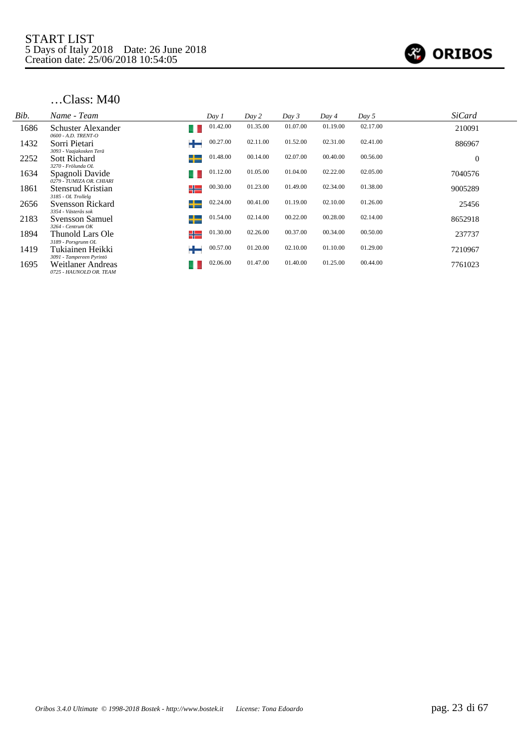

| Bib. | Name - Team                                                              | Day 1         | Day 2    | Day 3    | Day 4    | Day 5    | <b>SiCard</b>  |
|------|--------------------------------------------------------------------------|---------------|----------|----------|----------|----------|----------------|
| 1686 | Schuster Alexander<br>0600 - A.D. TRENT-O                                | 01.42.00      | 01.35.00 | 01.07.00 | 01.19.00 | 02.17.00 | 210091         |
| 1432 | Sorri Pietari                                                            | 00.27.00      | 02.11.00 | 01.52.00 | 02.31.00 | 02.41.00 | 886967         |
| 2252 | 3093 - Vaajakosken Terä<br><b>Sott Richard</b>                           | 01.48.00<br>┶ | 00.14.00 | 02.07.00 | 00.40.00 | 00.56.00 | $\overline{0}$ |
| 1634 | 3270 - Frölunda OL<br>Spagnoli Davide<br>0279 - TUMIZA OR, CHIARI        | 01.12.00      | 01.05.00 | 01.04.00 | 02.22.00 | 02.05.00 | 7040576        |
| 1861 | Stensrud Kristian<br>3185 - OL Trollelg                                  | 00.30.00<br>╬ | 01.23.00 | 01.49.00 | 02.34.00 | 01.38.00 | 9005289        |
| 2656 | Svensson Rickard<br>3354 - Västerås sok                                  | 02.24.00<br>┶ | 00.41.00 | 01.19.00 | 02.10.00 | 01.26.00 | 25456          |
| 2183 | Svensson Samuel<br>$3264$ - Centrum OK                                   | 01.54.00<br>┶ | 02.14.00 | 00.22.00 | 00.28.00 | 02.14.00 | 8652918        |
| 1894 | Thunold Lars Ole                                                         | 01.30.00<br>╬ | 02.26.00 | 00.37.00 | 00.34.00 | 00.50.00 | 237737         |
| 1419 | 3189 - Porsgrunn OL<br>Tukiainen Heikki                                  | 00.57.00<br>╈ | 01.20.00 | 02.10.00 | 01.10.00 | 01.29.00 | 7210967        |
| 1695 | 3091 - Tampereen Pyrintö<br>Weitlaner Andreas<br>0725 - HAUNOLD OR. TEAM | 02.06.00      | 01.47.00 | 01.40.00 | 01.25.00 | 00.44.00 | 7761023        |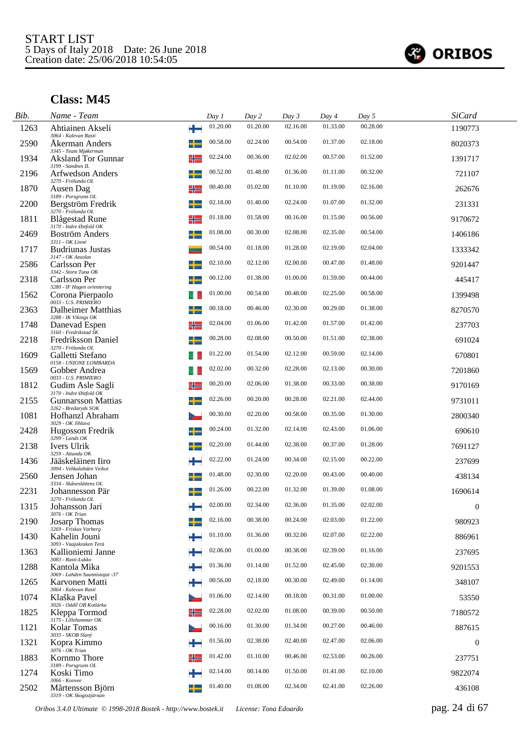

| Bib. | Name - Team                                    |   | Day 1    | Day 2    | Day 3    | Day 4    | Day 5    | <b>SiCard</b>    |  |
|------|------------------------------------------------|---|----------|----------|----------|----------|----------|------------------|--|
| 1263 | Ahtiainen Akseli<br>3064 - Kalevan Rasti       | ÷ | 01.20.00 | 01.20.00 | 02.16.00 | 01.33.00 | 00.28.00 | 1190773          |  |
| 2590 | Akerman Anders<br>3345 - Team Mjøkerman        |   | 00.58.00 | 02.24.00 | 00.54.00 | 01.37.00 | 02.18.00 | 8020373          |  |
| 1934 | <b>Aksland Tor Gunnar</b><br>3199 - Sandnes IL | ╬ | 02.24.00 | 00.36.00 | 02.02.00 | 00.57.00 | 01.52.00 | 1391717          |  |
| 2196 | Arfwedson Anders<br>3270 - Frölunda OL         |   | 00.52.00 | 01.48.00 | 01.36.00 | 01.11.00 | 00.32.00 | 721107           |  |
| 1870 | Ausen Dag<br>3189 - Porsgrunn OL               | ╬ | 00.40.00 | 01.02.00 | 01.10.00 | 01.19.00 | 02.16.00 | 262676           |  |
| 2200 | Bergström Fredrik<br>3270 - Frölunda OL        |   | 02.18.00 | 01.40.00 | 02.24.00 | 01.07.00 | 01.32.00 | 231331           |  |
| 1811 | Blågestad Rune<br>3170 - Indre Østfold OK      | ╬ | 01.18.00 | 01.58.00 | 00.16.00 | 01.15.00 | 00.56.00 | 9170672          |  |
| 2469 | <b>Boström Anders</b><br>3311 - OK Linné       | ┵ | 01.08.00 | 00.30.00 | 02.08.00 | 02.35.00 | 00.54.00 | 1406186          |  |
| 1717 | Budriunas Justas<br>3147 - OK Azuolas          |   | 00.54.00 | 01.18.00 | 01.28.00 | 02.19.00 | 02.04.00 | 1333342          |  |
| 2586 | Carlsson Per<br>3342 - Stora Tuna OK           |   | 02.10.00 | 02.12.00 | 02.00.00 | 00.47.00 | 01.48.00 | 9201447          |  |
| 2318 | Carlsson Per<br>3280 - IF Hagen orientering    |   | 00.12.00 | 01.38.00 | 01.00.00 | 01.59.00 | 00.44.00 | 445417           |  |
| 1562 | Corona Pierpaolo<br>0033 - U.S. PRIMIERO       |   | 01.00.00 | 00.54.00 | 00.48.00 | 02.25.00 | 00.58.00 | 1399498          |  |
| 2363 | Dalheimer Matthias<br>3288 - IK Vikings OK     |   | 00.18.00 | 00.46.00 | 02.30.00 | 00.29.00 | 01.38.00 | 8270570          |  |
| 1748 | Danevad Espen<br>3160 - Fredrikstad SK         | ╬ | 02.04.00 | 01.06.00 | 01.42.00 | 01.57.00 | 01.42.00 | 237703           |  |
| 2218 | Fredriksson Daniel<br>3270 - Frölunda OL       |   | 00.28.00 | 02.08.00 | 00.50.00 | 01.51.00 | 02.38.00 | 691024           |  |
| 1609 | Galletti Stefano<br>0158 - UNIONE LOMBARDA     |   | 01.22.00 | 01.54.00 | 02.12.00 | 00.59.00 | 02.14.00 | 670801           |  |
| 1569 | Gobber Andrea<br>0033 - U.S. PRIMIERO          |   | 02.02.00 | 00.32.00 | 02.28.00 | 02.13.00 | 00.30.00 | 7201860          |  |
| 1812 | Gudim Asle Sagli<br>3170 - Indre Østfold OK    |   | 00.20.00 | 02.06.00 | 01.38.00 | 00.33.00 | 00.38.00 | 9170169          |  |
| 2155 | Gunnarsson Mattias<br>3262 - Bredaryds SOK     |   | 02.26.00 | 00.20.00 | 00.28.00 | 02.21.00 | 02.44.00 | 9731011          |  |
| 1081 | Hofhanzl Abraham<br>3029 - OK Jihlava          |   | 00.30.00 | 02.20.00 | 00.58.00 | 00.35.00 | 01.30.00 | 2800340          |  |
| 2428 | Hugosson Fredrik<br>$3299$ - Lunds OK          |   | 00.24.00 | 01.32.00 | 02.14.00 | 02.43.00 | 01.06.00 | 690610           |  |
| 2138 | Ivers Ulrik<br>3259 - Attunda OK               |   | 02.20.00 | 01.44.00 | 02.38.00 | 00.37.00 | 01.28.00 | 7691127          |  |
| 1436 | Jääskeläinen Iiro<br>3094 - Vehkalahden Veikot |   | 02.22.00 | 01.24.00 | 00.34.00 | 02.15.00 | 00.22.00 | 237699           |  |
| 2560 | Jensen Johan<br>3334 - Skåneslättens OL        |   | 01.48.00 | 02.30.00 | 02.20.00 | 00.43.00 | 00.40.00 | 438134           |  |
| 2231 | Johannesson Pär<br>3270 - Frölunda OL          |   | 01.26.00 | 00.22.00 | 01.32.00 | 01.39.00 | 01.08.00 | 1690614          |  |
| 1315 | Johansson Jari<br>3076 - OK Trian              |   | 02.00.00 | 02.34.00 | 02.36.00 | 01.35.00 | 02.02.00 | $\mathbf{0}$     |  |
| 2190 | <b>Josarp Thomas</b><br>3269 - Friskus Varberg |   | 02.16.00 | 00.38.00 | 00.24.00 | 02.03.00 | 01.22.00 | 980923           |  |
| 1430 | Kahelin Jouni<br>3093 - Vaajakosken Terä       |   | 01.10.00 | 01.36.00 | 00.32.00 | 02.07.00 | 02.22.00 | 886961           |  |
| 1363 | Kallioniemi Janne<br>3083 - Rasti-Lukko        |   | 02.06.00 | 01.00.00 | 00.38.00 | 02.39.00 | 01.16.00 | 237695           |  |
| 1288 | Kantola Mika<br>3069 - Lahden Suunnistajat -37 |   | 01.36.00 | 01.14.00 | 01.52.00 | 02.45.00 | 02.30.00 | 9201553          |  |
| 1265 | Karvonen Matti<br>3064 - Kalevan Rasti         |   | 00.56.00 | 02.18.00 | 00.30.00 | 02.49.00 | 01.14.00 | 348107           |  |
| 1074 | Klaška Pavel<br>3026 - Oddíl OB Kotlárka       |   | 01.06.00 | 02.14.00 | 00.18.00 | 00.31.00 | 01.00.00 | 53550            |  |
| 1825 | Kleppa Tormod<br>3175 - Lillehammer OK         |   | 02.28.00 | 02.02.00 | 01.08.00 | 00.39.00 | 00.50.00 | 7180572          |  |
| 1121 | Kolar Tomas<br>3035 - SKOB Slaný               |   | 00.16.00 | 01.30.00 | 01.34.00 | 00.27.00 | 00.46.00 | 887615           |  |
| 1321 | Kopra Kimmo<br>3076 - OK Trian                 |   | 01.56.00 | 02.38.00 | 02.40.00 | 02.47.00 | 02.06.00 | $\boldsymbol{0}$ |  |
| 1883 | Kornmo Thore<br>3189 - Porsgrunn OL            |   | 01.42.00 | 01.10.00 | 00.46.00 | 02.53.00 | 00.26.00 | 237751           |  |
| 1274 | Koski Timo<br>3066 - Koovee                    |   | 02.14.00 | 00.14.00 | 01.50.00 | 01.41.00 | 02.10.00 | 9822074          |  |
| 2502 | Mårtensson Björn<br>3319 - OK Skogsstjärnan    |   | 01.40.00 | 01.08.00 | 02.34.00 | 02.41.00 | 02.26.00 | 436108           |  |

*Oribos 3.4.0 Ultimate © 1998-2018 Bostek - http://www.bostek.it License: Tona Edoardo* pag. 24 di 67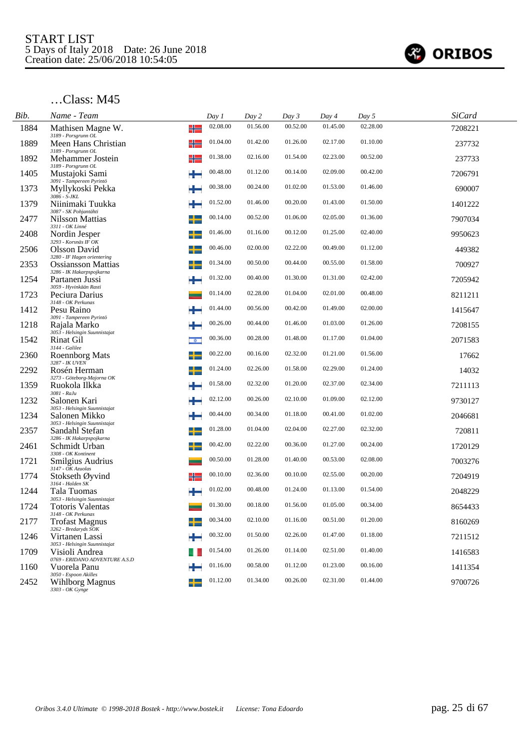

| Bib. | Name - Team                                                     |                           | Day 1    | Day 2    | Day 3    | Day 4    | Day 5    | <b>SiCard</b> |  |
|------|-----------------------------------------------------------------|---------------------------|----------|----------|----------|----------|----------|---------------|--|
| 1884 | Mathisen Magne W.                                               | ╬                         | 02.08.00 | 01.56.00 | 00.52.00 | 01.45.00 | 02.28.00 | 7208221       |  |
| 1889 | 3189 - Porsgrunn OL<br>Meen Hans Christian                      | ╬                         | 01.04.00 | 01.42.00 | 01.26.00 | 02.17.00 | 01.10.00 | 237732        |  |
| 1892 | 3189 - Porsgrunn OL<br>Mehammer Jostein                         | ╬                         | 01.38.00 | 02.16.00 | 01.54.00 | 02.23.00 | 00.52.00 | 237733        |  |
| 1405 | 3189 - Porsgrunn OL<br>Mustajoki Sami                           | ÷                         | 00.48.00 | 01.12.00 | 00.14.00 | 02.09.00 | 00.42.00 | 7206791       |  |
| 1373 | 3091 - Tampereen Pyrintö<br>Myllykoski Pekka<br>$3086 - S$ -JKL |                           | 00.38.00 | 00.24.00 | 01.02.00 | 01.53.00 | 01.46.00 | 690007        |  |
| 1379 | Niinimaki Tuukka<br>3087 - SK Pohjantähti                       |                           | 01.52.00 | 01.46.00 | 00.20.00 | 01.43.00 | 01.50.00 | 1401222       |  |
| 2477 | Nilsson Mattias<br>3311 - OK Linné                              | ┶                         | 00.14.00 | 00.52.00 | 01.06.00 | 02.05.00 | 01.36.00 | 7907034       |  |
| 2408 | Nordin Jesper<br>3293 - Korsnäs IF OK                           |                           | 01.46.00 | 01.16.00 | 00.12.00 | 01.25.00 | 02.40.00 | 9950623       |  |
| 2506 | Olsson David<br>3280 - IF Hagen orientering                     |                           | 00.46.00 | 02.00.00 | 02.22.00 | 00.49.00 | 01.12.00 | 449382        |  |
| 2353 | Ossiansson Mattias<br>3286 - IK Hakarpspojkarna                 | ┶                         | 01.34.00 | 00.50.00 | 00.44.00 | 00.55.00 | 01.58.00 | 700927        |  |
| 1254 | Partanen Jussi<br>3059 - Hyvinkään Rasti                        |                           | 01.32.00 | 00.40.00 | 01.30.00 | 01.31.00 | 02.42.00 | 7205942       |  |
| 1723 | Peciura Darius<br>3148 - OK Perkunas                            |                           | 01.14.00 | 02.28.00 | 01.04.00 | 02.01.00 | 00.48.00 | 8211211       |  |
| 1412 | Pesu Raino<br>3091 - Tampereen Pyrintö                          |                           | 01.44.00 | 00.56.00 | 00.42.00 | 01.49.00 | 02.00.00 | 1415647       |  |
| 1218 | Rajala Marko<br>3053 - Helsingin Suunnistajat                   | ÷                         | 00.26.00 | 00.44.00 | 01.46.00 | 01.03.00 | 01.26.00 | 7208155       |  |
| 1542 | Rinat Gil<br>3144 - Galilee                                     | $\overline{\mathfrak{g}}$ | 00.36.00 | 00.28.00 | 01.48.00 | 01.17.00 | 01.04.00 | 2071583       |  |
| 2360 | <b>Roennborg Mats</b><br>3287 - IK UVEN                         | ╈                         | 00.22.00 | 00.16.00 | 02.32.00 | 01.21.00 | 01.56.00 | 17662         |  |
| 2292 | Rosén Herman<br>3273 - Göteborg-Majorna OK                      |                           | 01.24.00 | 02.26.00 | 01.58.00 | 02.29.00 | 01.24.00 | 14032         |  |
| 1359 | Ruokola Ilkka<br>$3081 - RaJu$                                  |                           | 01.58.00 | 02.32.00 | 01.20.00 | 02.37.00 | 02.34.00 | 7211113       |  |
| 1232 | Salonen Kari<br>3053 - Helsingin Suunnistajat                   |                           | 02.12.00 | 00.26.00 | 02.10.00 | 01.09.00 | 02.12.00 | 9730127       |  |
| 1234 | Salonen Mikko<br>3053 - Helsingin Suunnistajat                  | ÷                         | 00.44.00 | 00.34.00 | 01.18.00 | 00.41.00 | 01.02.00 | 2046681       |  |
| 2357 | Sandahl Stefan<br>3286 - IK Hakarpspojkarna                     | $\mathbf{L}$              | 01.28.00 | 01.04.00 | 02.04.00 | 02.27.00 | 02.32.00 | 720811        |  |
| 2461 | Schmidt Urban<br>3308 - OK Kontinent                            | ┶                         | 00.42.00 | 02.22.00 | 00.36.00 | 01.27.00 | 00.24.00 | 1720129       |  |
| 1721 | Smilgius Audrius<br>$3147 - OK$ Azuolas                         |                           | 00.50.00 | 01.28.00 | 01.40.00 | 00.53.00 | 02.08.00 | 7003276       |  |
| 1774 | Stokseth Øyvind<br>3164 - Halden SK                             | ╬                         | 00.10.00 | 02.36.00 | 00.10.00 | 02.55.00 | 00.20.00 | 7204919       |  |
| 1244 | Tala Tuomas<br>3053 - Helsingin Suunnistajat                    |                           | 01.02.00 | 00.48.00 | 01.24.00 | 01.13.00 | 01.54.00 | 2048229       |  |
| 1724 | Totoris Valentas<br>3148 - OK Perkunas                          |                           | 01.30.00 | 00.18.00 | 01.56.00 | 01.05.00 | 00.34.00 | 8654433       |  |
| 2177 | <b>Trofast Magnus</b><br>3262 - Bredaryds SOK                   |                           | 00.34.00 | 02.10.00 | 01.16.00 | 00.51.00 | 01.20.00 | 8160269       |  |
| 1246 | Virtanen Lassi<br>3053 - Helsingin Suunnistajat                 |                           | 00.32.00 | 01.50.00 | 02.26.00 | 01.47.00 | 01.18.00 | 7211512       |  |
| 1709 | Visioli Andrea<br>0769 - ERIDANO ADVENTURE A.S.D                |                           | 01.54.00 | 01.26.00 | 01.14.00 | 02.51.00 | 01.40.00 | 1416583       |  |
| 1160 | Vuorela Panu<br>3050 - Espoon Akilles                           |                           | 01.16.00 | 00.58.00 | 01.12.00 | 01.23.00 | 00.16.00 | 1411354       |  |
| 2452 | <b>Wihlborg Magnus</b><br>3303 - OK Gynge                       |                           | 01.12.00 | 01.34.00 | 00.26.00 | 02.31.00 | 01.44.00 | 9700726       |  |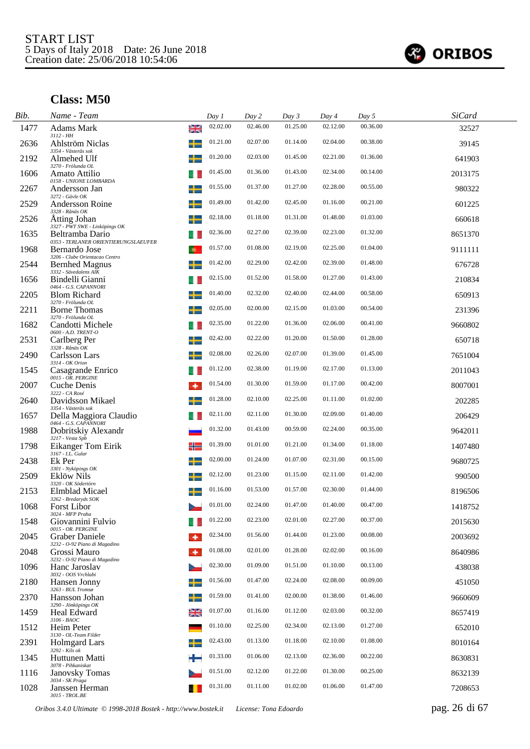

| Bib. | Name - Team                                                   | Day 1               | Day 2    | Day 3    | Day 4    | Day 5    | <b>SiCard</b> |
|------|---------------------------------------------------------------|---------------------|----------|----------|----------|----------|---------------|
| 1477 | <b>Adams Mark</b><br>3112 - HH                                | 02.02.00<br>질<br>기도 | 02.46.00 | 01.25.00 | 02.12.00 | 00.36.00 | 32527         |
| 2636 | Ahlström Niclas<br>3354 - Västerås sok                        | 01.21.00            | 02.07.00 | 01.14.00 | 02.04.00 | 00.38.00 | 39145         |
| 2192 | ╅<br>Almehed Ulf<br>3270 - Frölunda OL                        | 01.20.00            | 02.03.00 | 01.45.00 | 02.21.00 | 01.36.00 | 641903        |
| 1606 | Amato Attilio<br>0158 - UNIONE LOMBARDA                       | 01.45.00            | 01.36.00 | 01.43.00 | 02.34.00 | 00.14.00 | 2013175       |
| 2267 | Andersson Jan<br>3272 - Gävle OK                              | 01.55.00            | 01.37.00 | 01.27.00 | 02.28.00 | 00.55.00 | 980322        |
| 2529 | <b>Andersson Roine</b><br>3328 - Rånäs OK                     | 01.49.00            | 01.42.00 | 02.45.00 | 01.16.00 | 00.21.00 | 601225        |
| 2526 | Åtting Johan<br>3327 - PWT SWE - Linköpings OK                | 02.18.00            | 01.18.00 | 01.31.00 | 01.48.00 | 01.03.00 | 660618        |
| 1635 | Beltramba Dario<br>0353 - TERLANER ORIENTIERUNGSLAEUFER       | 02.36.00            | 02.27.00 | 02.39.00 | 02.23.00 | 01.32.00 | 8651370       |
| 1968 | Bernardo Jose<br>3206 - Clube Orientacao Centro               | 01.57.00            | 01.08.00 | 02.19.00 | 02.25.00 | 01.04.00 | 9111111       |
| 2544 | ╅<br><b>Bernhed Magnus</b><br>3332 - Sävedalens AIK           | 01.42.00            | 02.29.00 | 02.42.00 | 02.39.00 | 01.48.00 | 676728        |
| 1656 | Bindelli Gianni<br>0464 - G.S. CAPANNORI                      | 02.15.00            | 01.52.00 | 01.58.00 | 01.27.00 | 01.43.00 | 210834        |
| 2205 | <b>Blom Richard</b><br>3270 - Frölunda OL                     | 01.40.00            | 02.32.00 | 02.40.00 | 02.44.00 | 00.58.00 | 650913        |
| 2211 | <b>Borne Thomas</b>                                           | 02.05.00            | 02.00.00 | 02.15.00 | 01.03.00 | 00.54.00 | 231396        |
| 1682 | 3270 - Frölunda OL<br>Candotti Michele<br>0600 - A.D. TRENT-O | 02.35.00            | 01.22.00 | 01.36.00 | 02.06.00 | 00.41.00 | 9660802       |
| 2531 | Carlberg Per<br>3328 - Rånäs OK                               | 02.42.00            | 02.22.00 | 01.20.00 | 01.50.00 | 01.28.00 | 650718        |
| 2490 | Carlsson Lars                                                 | 02.08.00            | 02.26.00 | 02.07.00 | 01.39.00 | 01.45.00 | 7651004       |
| 1545 | 3314 - OK Orion<br>Casagrande Enrico<br>0015 - OR. PERGINE    | 01.12.00            | 02.38.00 | 01.19.00 | 02.17.00 | 01.13.00 | 2011043       |
| 2007 | Cuche Denis<br>3222 - CA Rosé                                 | 01.54.00            | 01.30.00 | 01.59.00 | 01.17.00 | 00.42.00 | 8007001       |
| 2640 | Davidsson Mikael<br>3354 - Västerås sok                       | 01.28.00            | 02.10.00 | 02.25.00 | 01.11.00 | 01.02.00 | 202285        |
| 1657 | Della Maggiora Claudio<br>0464 - G.S. CAPANNORI               | 02.11.00            | 02.11.00 | 01.30.00 | 02.09.00 | 01.40.00 | 206429        |
| 1988 | Dobritskiy Alexandr<br>3217 - Vesta Spb                       | 01.32.00            | 01.43.00 | 00.59.00 | 02.24.00 | 00.35.00 | 9642011       |
| 1798 | Eikanger Tom Eirik<br>3167 - I.L. Gular                       | 01.39.00<br>╬       | 01.01.00 | 01.21.00 | 01.34.00 | 01.18.00 | 1407480       |
| 2438 | Ek Per<br>┶<br>3301 - Nyköpings OK                            | 02.00.00            | 01.24.00 | 01.07.00 | 02.31.00 | 00.15.00 | 9680725       |
| 2509 | Eklöw Nils<br>3320 - OK Södertörn                             | 02.12.00            | 01.23.00 | 01.15.00 | 02.11.00 | 01.42.00 | 990500        |
| 2153 | Elmblad Micael<br>3262 - Bredaryds SOK                        | 01.16.00            | 01.53.00 | 01.57.00 | 02.30.00 | 01.44.00 | 8196506       |
| 1068 | <b>Forst Libor</b><br>3024 - MFP Praha                        | 01.01.00            | 02.24.00 | 01.47.00 | 01.40.00 | 00.47.00 | 1418752       |
| 1548 | Giovannini Fulvio<br>0015 - OR. PERGINE                       | 01.22.00            | 02.23.00 | 02.01.00 | 02.27.00 | 00.37.00 | 2015630       |
| 2045 | Graber Daniele<br>۰<br>3232 - O-92 Piano di Magadino          | 02.34.00            | 01.56.00 | 01.44.00 | 01.23.00 | 00.08.00 | 2003692       |
| 2048 | Grossi Mauro<br>3232 - O-92 Piano di Magadino                 | 01.08.00<br>۰       | 02.01.00 | 01.28.00 | 02.02.00 | 00.16.00 | 8640986       |
| 1096 | Hanc Jaroslav<br>3032 - OOS Vrchlabi                          | 02.30.00            | 01.09.00 | 01.51.00 | 01.10.00 | 00.13.00 | 438038        |
| 2180 | Hansen Jonny<br>3263 - BUL Tromsø                             | 01.56.00            | 01.47.00 | 02.24.00 | 02.08.00 | 00.09.00 | 451050        |
| 2370 | Hansson Johan<br>3290 - Jönköpings OK                         | 01.59.00<br>╈       | 01.41.00 | 02.00.00 | 01.38.00 | 01.46.00 | 9660609       |
| 1459 | Heal Edward<br>$3106$ - $BAOC$                                | 01.07.00<br>≱≼      | 01.16.00 | 01.12.00 | 02.03.00 | 00.32.00 | 8657419       |
| 1512 | Heim Peter<br>3130 - OL-Team Filder                           | 01.10.00            | 02.25.00 | 02.34.00 | 02.13.00 | 01.27.00 | 652010        |
| 2391 | <b>Holmgard Lars</b><br>┶<br>3292 - Kils ok                   | 02.43.00            | 01.13.00 | 01.18.00 | 02.10.00 | 01.08.00 | 8010164       |
| 1345 | Huttunen Matti<br>3078 - Pihkaniskat                          | 01.33.00            | 01.06.00 | 02.13.00 | 02.36.00 | 00.22.00 | 8630831       |
| 1116 | <b>Janovsky Tomas</b><br>3034 - SK Praga                      | 01.51.00            | 02.12.00 | 01.22.00 | 01.30.00 | 00.25.00 | 8632139       |
| 1028 | Janssen Herman<br>3015 - TROL.BE                              | 01.31.00            | 01.11.00 | 01.02.00 | 01.06.00 | 01.47.00 | 7208653       |

*Oribos 3.4.0 Ultimate © 1998-2018 Bostek - http://www.bostek.it License: Tona Edoardo* pag. 26 di 67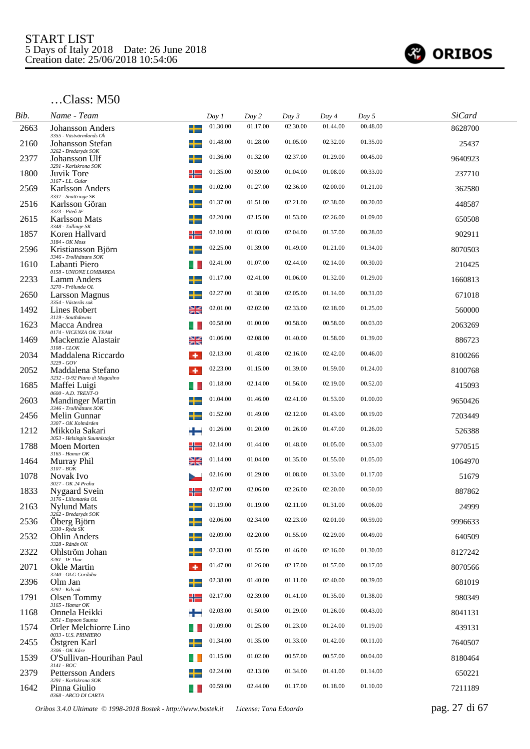

| Bib. | Name - Team                                                           | Day 1                    |          | Day 2    | Day 3    | Day 4    | Day 5    | <b>SiCard</b> |  |
|------|-----------------------------------------------------------------------|--------------------------|----------|----------|----------|----------|----------|---------------|--|
| 2663 | <b>Johansson Anders</b><br>3355 - Västvärmlands Ok                    | ╈                        | 01.30.00 | 01.17.00 | 02.30.00 | 01.44.00 | 00.48.00 | 8628700       |  |
| 2160 | Johansson Stefan<br>3262 - Bredaryds SOK                              |                          | 01.48.00 | 01.28.00 | 01.05.00 | 02.32.00 | 01.35.00 | 25437         |  |
| 2377 | Johansson Ulf<br>3291 - Karlskrona SOK                                | ÷                        | 01.36.00 | 01.32.00 | 02.37.00 | 01.29.00 | 00.45.00 | 9640923       |  |
| 1800 | Juvik Tore<br>3167 - I.L. Gular                                       | ╬                        | 01.35.00 | 00.59.00 | 01.04.00 | 01.08.00 | 00.33.00 | 237710        |  |
| 2569 | <b>Karlsson Anders</b><br>3337 - Snättringe SK                        |                          | 01.02.00 | 01.27.00 | 02.36.00 | 02.00.00 | 01.21.00 | 362580        |  |
| 2516 | Karlsson Göran<br>3323 - Piteå IF                                     |                          | 01.37.00 | 01.51.00 | 02.21.00 | 02.38.00 | 00.20.00 | 448587        |  |
| 2615 | <b>Karlsson Mats</b><br>3348 - Tullinge SK                            |                          | 02.20.00 | 02.15.00 | 01.53.00 | 02.26.00 | 01.09.00 | 650508        |  |
| 1857 | Koren Hallvard<br>3184 - OK Moss                                      | ╬                        | 02.10.00 | 01.03.00 | 02.04.00 | 01.37.00 | 00.28.00 | 902911        |  |
| 2596 | Kristiansson Björn<br>3346 - Trollhättans SOK                         |                          | 02.25.00 | 01.39.00 | 01.49.00 | 01.21.00 | 01.34.00 | 8070503       |  |
| 1610 | Labanti Piero<br>0158 - UNIONE LOMBARDA                               |                          | 02.41.00 | 01.07.00 | 02.44.00 | 02.14.00 | 00.30.00 | 210425        |  |
| 2233 | Lamm Anders<br>3270 - Frölunda OL                                     |                          | 01.17.00 | 02.41.00 | 01.06.00 | 01.32.00 | 01.29.00 | 1660813       |  |
| 2650 | <b>Larsson Magnus</b><br>3354 - Västerås sok                          |                          | 02.27.00 | 01.38.00 | 02.05.00 | 01.14.00 | 00.31.00 | 671018        |  |
| 1492 | Lines Robert<br>3119 - Southdowns                                     | ≱≼                       | 02.01.00 | 02.02.00 | 02.33.00 | 02.18.00 | 01.25.00 | 560000        |  |
| 1623 | Macca Andrea<br>0174 - VICENZA OR. TEAM                               |                          | 00.58.00 | 01.00.00 | 00.58.00 | 00.58.00 | 00.03.00 | 2063269       |  |
| 1469 | Mackenzie Alastair<br>3108 - CLOK                                     | ≱≼                       | 01.06.00 | 02.08.00 | 01.40.00 | 01.58.00 | 01.39.00 | 886723        |  |
| 2034 | Maddalena Riccardo<br>3229 - GOV                                      | ۰                        | 02.13.00 | 01.48.00 | 02.16.00 | 02.42.00 | 00.46.00 | 8100266       |  |
| 2052 | Maddalena Stefano<br>3232 - O-92 Piano di Magadino                    | ۰                        | 02.23.00 | 01.15.00 | 01.39.00 | 01.59.00 | 01.24.00 | 8100768       |  |
| 1685 | Maffei Luigi<br>0600 - A.D. TRENT-O                                   |                          | 01.18.00 | 02.14.00 | 01.56.00 | 02.19.00 | 00.52.00 | 415093        |  |
| 2603 | <b>Mandinger Martin</b><br>3346 - Trollhättans SOK                    |                          | 01.04.00 | 01.46.00 | 02.41.00 | 01.53.00 | 01.00.00 | 9650426       |  |
| 2456 | Melin Gunnar<br>3307 - OK Kolmården                                   |                          | 01.52.00 | 01.49.00 | 02.12.00 | 01.43.00 | 00.19.00 | 7203449       |  |
| 1212 | Mikkola Sakari<br>3053 - Helsingin Suunnistajat                       | ÷                        | 01.26.00 | 01.20.00 | 01.26.00 | 01.47.00 | 01.26.00 | 526388        |  |
| 1788 | Moen Morten<br>3165 - Hamar OK                                        | ╬                        | 02.14.00 | 01.44.00 | 01.48.00 | 01.05.00 | 00.53.00 | 9770515       |  |
| 1464 | Murray Phil<br>$3107 - BOK$                                           | ≱≼                       | 01.14.00 | 01.04.00 | 01.35.00 | 01.55.00 | 01.05.00 | 1064970       |  |
| 1078 | Novak Ivo<br>3027 - OK 24 Praha                                       |                          | 02.16.00 | 01.29.00 | 01.08.00 | 01.33.00 | 01.17.00 | 51679         |  |
| 1833 | <b>Nygaard Svein</b><br>3176 - Lillomarka OL                          |                          | 02.07.00 | 02.06.00 | 02.26.00 | 02.20.00 | 00.50.00 | 887862        |  |
| 2163 | Nylund Mats<br>3262 - Bredaryds SOK                                   |                          | 01.19.00 | 01.19.00 | 02.11.00 | 01.31.00 | 00.06.00 | 24999         |  |
| 2536 | Öberg Björn<br>3330 - Ryda SK                                         | $\overline{\phantom{a}}$ | 02.06.00 | 02.34.00 | 02.23.00 | 02.01.00 | 00.59.00 | 9996633       |  |
| 2532 | <b>Ohlin Anders</b><br>3328 - Rånäs OK                                | ᆠ                        | 02.09.00 | 02.20.00 | 01.55.00 | 02.29.00 | 00.49.00 | 640509        |  |
| 2322 | Ohlström Johan<br>3281 - IF Thor                                      |                          | 02.33.00 | 01.55.00 | 01.46.00 | 02.16.00 | 01.30.00 | 8127242       |  |
| 2071 | Okle Martin<br>3240 - OLG Cordoba                                     | ۰                        | 01.47.00 | 01.26.00 | 02.17.00 | 01.57.00 | 00.17.00 | 8070566       |  |
| 2396 | Olm Jan<br>3292 - Kils ok                                             |                          | 02.38.00 | 01.40.00 | 01.11.00 | 02.40.00 | 00.39.00 | 681019        |  |
| 1791 | Olsen Tommy<br>$3165$ - Hamar OK                                      | ╬                        | 02.17.00 | 02.39.00 | 01.41.00 | 01.35.00 | 01.38.00 | 980349        |  |
| 1168 | Onnela Heikki                                                         |                          | 02.03.00 | 01.50.00 | 01.29.00 | 01.26.00 | 00.43.00 | 8041131       |  |
| 1574 | 3051 - Espoon Suunta<br>Orler Melchiorre Lino<br>0033 - U.S. PRIMIERO |                          | 01.09.00 | 01.25.00 | 01.23.00 | 01.24.00 | 01.19.00 | 439131        |  |
| 2455 | Ostgren Karl<br>3306 - OK Kåre                                        |                          | 01.34.00 | 01.35.00 | 01.33.00 | 01.42.00 | 00.11.00 | 7640507       |  |
| 1539 | O'Sullivan-Hourihan Paul<br>$3141 - BOC$                              |                          | 01.15.00 | 01.02.00 | 00.57.00 | 00.57.00 | 00.04.00 | 8180464       |  |
| 2379 | <b>Pettersson Anders</b><br>3291 - Karlskrona SOK                     |                          | 02.24.00 | 02.13.00 | 01.34.00 | 01.41.00 | 01.14.00 | 650221        |  |
| 1642 | Pinna Giulio<br>0368 - ARCO DI CARTA                                  |                          | 00.59.00 | 02.44.00 | 01.17.00 | 01.18.00 | 01.10.00 | 7211189       |  |

*Oribos 3.4.0 Ultimate © 1998-2018 Bostek - http://www.bostek.it License: Tona Edoardo* pag. 27 di 67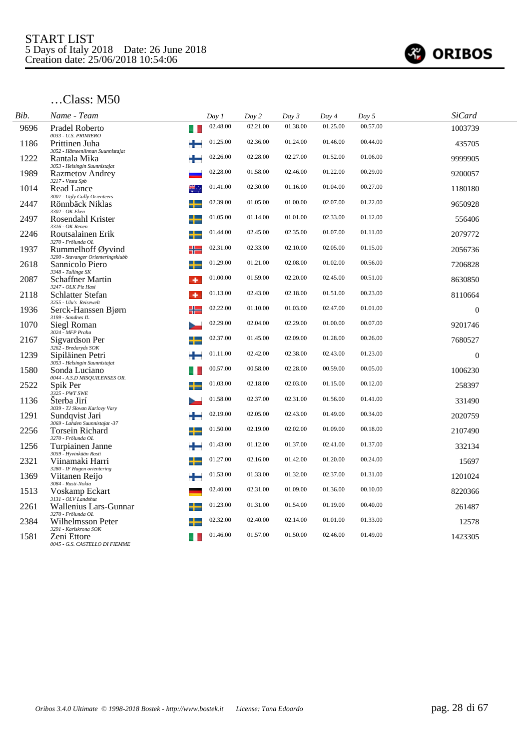

| Bib. | Name - Team                                                                 | Day 1    | Day 2    | Day 3    | Day 4    | Day 5    | <b>SiCard</b>  |  |
|------|-----------------------------------------------------------------------------|----------|----------|----------|----------|----------|----------------|--|
| 9696 | Pradel Roberto<br>0033 - U.S. PRIMIERO                                      | 02.48.00 | 02.21.00 | 01.38.00 | 01.25.00 | 00.57.00 | 1003739        |  |
| 1186 | Prittinen Juha<br>3052 - Hämeenlinnan Suunnistajat                          | 01.25.00 | 02.36.00 | 01.24.00 | 01.46.00 | 00.44.00 | 435705         |  |
| 1222 | Rantala Mika                                                                | 02.26.00 | 02.28.00 | 02.27.00 | 01.52.00 | 01.06.00 | 9999905        |  |
| 1989 | 3053 - Helsingin Suunnistajat<br><b>Razmetov Andrey</b>                     | 02.28.00 | 01.58.00 | 02.46.00 | 01.22.00 | 00.29.00 | 9200057        |  |
| 1014 | 3217 - Vesta Spb<br>Read Lance                                              | 01.41.00 | 02.30.00 | 01.16.00 | 01.04.00 | 00.27.00 | 1180180        |  |
| 2447 | 3007 - Ugly Gully Orienteers<br>Rönnbäck Niklas                             | 02.39.00 | 01.05.00 | 01.00.00 | 02.07.00 | 01.22.00 | 9650928        |  |
| 2497 | 3302 - OK Eken<br>Rosendahl Krister                                         | 01.05.00 | 01.14.00 | 01.01.00 | 02.33.00 | 01.12.00 | 556406         |  |
| 2246 | 3316 - OK Renen<br>Routsalainen Erik                                        | 01.44.00 | 02.45.00 | 02.35.00 | 01.07.00 | 01.11.00 | 2079772        |  |
| 1937 | 3270 - Frölunda OL<br>Rummelhoff Øyvind<br>╬                                | 02.31.00 | 02.33.00 | 02.10.00 | 02.05.00 | 01.15.00 | 2056736        |  |
| 2618 | 3200 - Stavanger Orienteringsklubb<br>Sannicolo Piero<br>3348 - Tullinge SK | 01.29.00 | 01.21.00 | 02.08.00 | 01.02.00 | 00.56.00 | 7206828        |  |
| 2087 | <b>Schaffner Martin</b><br>٠<br>3247 - OLK Piz Hasi                         | 01.00.00 | 01.59.00 | 02.20.00 | 02.45.00 | 00.51.00 | 8630850        |  |
| 2118 | <b>Schlatter Stefan</b><br>۰<br>3255 - Ulu's Reisewelt                      | 01.13.00 | 02.43.00 | 02.18.00 | 01.51.00 | 00.23.00 | 8110664        |  |
| 1936 | ╬<br>Serck-Hanssen Bjørn<br>3199 - Sandnes IL                               | 02.22.00 | 01.10.00 | 01.03.00 | 02.47.00 | 01.01.00 | $\overline{0}$ |  |
| 1070 | Siegl Roman<br>3024 - MFP Praha                                             | 02.29.00 | 02.04.00 | 02.29.00 | 01.00.00 | 00.07.00 | 9201746        |  |
| 2167 | Sigvardson Per<br>3262 - Bredaryds SOK                                      | 02.37.00 | 01.45.00 | 02.09.00 | 01.28.00 | 00.26.00 | 7680527        |  |
| 1239 | Sipiläinen Petri<br>3053 - Helsingin Suunnistajat                           | 01.11.00 | 02.42.00 | 02.38.00 | 02.43.00 | 01.23.00 | $\overline{0}$ |  |
| 1580 | Sonda Luciano<br>0044 - A.S.D MISQUILENSES OR.                              | 00.57.00 | 00.58.00 | 02.28.00 | 00.59.00 | 00.05.00 | 1006230        |  |
| 2522 | Spik Per<br>3325 - PWT SWE                                                  | 01.03.00 | 02.18.00 | 02.03.00 | 01.15.00 | 00.12.00 | 258397         |  |
| 1136 | Sterba Jirí<br>3039 - TJ Slovan Karlovy Vary                                | 01.58.00 | 02.37.00 | 02.31.00 | 01.56.00 | 01.41.00 | 331490         |  |
| 1291 | Sundqvist Jari<br>3069 - Lahden Suunnistajat -37                            | 02.19.00 | 02.05.00 | 02.43.00 | 01.49.00 | 00.34.00 | 2020759        |  |
| 2256 | Torsein Richard<br>3270 - Frölunda OL                                       | 01.50.00 | 02.19.00 | 02.02.00 | 01.09.00 | 00.18.00 | 2107490        |  |
| 1256 | Turpiainen Janne<br>3059 - Hyvinkään Rasti                                  | 01.43.00 | 01.12.00 | 01.37.00 | 02.41.00 | 01.37.00 | 332134         |  |
| 2321 | Viinamaki Harri<br>3280 - IF Hagen orientering                              | 01.27.00 | 02.16.00 | 01.42.00 | 01.20.00 | 00.24.00 | 15697          |  |
| 1369 | Viitanen Reijo<br>3084 - Rasti-Nokia                                        | 01.53.00 | 01.33.00 | 01.32.00 | 02.37.00 | 01.31.00 | 1201024        |  |
| 1513 | Voskamp Eckart<br>3131 - OLV Landshut                                       | 02.40.00 | 02.31.00 | 01.09.00 | 01.36.00 | 00.10.00 | 8220366        |  |
| 2261 | Wallenius Lars-Gunnar<br>3270 - Frölunda OL                                 | 01.23.00 | 01.31.00 | 01.54.00 | 01.19.00 | 00.40.00 | 261487         |  |
| 2384 | Wilhelmsson Peter<br>3291 - Karlskrona SOK                                  | 02.32.00 | 02.40.00 | 02.14.00 | 01.01.00 | 01.33.00 | 12578          |  |
| 1581 | Zeni Ettore<br>0045 - G.S. CASTELLO DI FIEMME                               | 01.46.00 | 01.57.00 | 01.50.00 | 02.46.00 | 01.49.00 | 1423305        |  |
|      |                                                                             |          |          |          |          |          |                |  |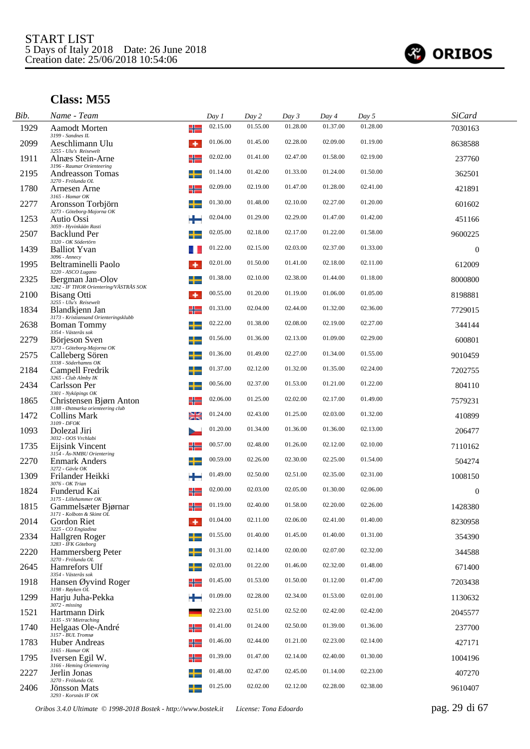

| Bib. | Name - Team                                                          | Day 1          | Day 2    | Day 3    | Day 4    | Day 5    | <b>SiCard</b>    |
|------|----------------------------------------------------------------------|----------------|----------|----------|----------|----------|------------------|
| 1929 | <b>Aamodt Morten</b><br>3199 - Sandnes IL                            | 02.15.00<br>╬  | 01.55.00 | 01.28.00 | 01.37.00 | 01.28.00 | 7030163          |
| 2099 | Aeschlimann Ulu                                                      | 01.06.00<br>۰  | 01.45.00 | 02.28.00 | 02.09.00 | 01.19.00 | 8638588          |
| 1911 | 3255 - Ulu's Reisewelt<br>Alnæs Stein-Arne                           | 02.02.00<br>╬  | 01.41.00 | 02.47.00 | 01.58.00 | 02.19.00 | 237760           |
| 2195 | 3196 - Raumar Orienteering<br>Andreasson Tomas<br>3270 - Frölunda OL | 01.14.00       | 01.42.00 | 01.33.00 | 01.24.00 | 01.50.00 | 362501           |
| 1780 | Arnesen Arne<br>$3165$ - Hamar OK                                    | 02.09.00<br>╬  | 02.19.00 | 01.47.00 | 01.28.00 | 02.41.00 | 421891           |
| 2277 | Aronsson Torbjörn<br>3273 - Göteborg-Majorna OK                      | 01.30.00       | 01.48.00 | 02.10.00 | 02.27.00 | 01.20.00 | 601602           |
| 1253 | Autio Ossi<br>3059 - Hyvinkään Rasti                                 | 02.04.00       | 01.29.00 | 02.29.00 | 01.47.00 | 01.42.00 | 451166           |
| 2507 | <b>Backlund Per</b><br>3320 - OK Södertörn                           | 02.05.00<br>╈  | 02.18.00 | 02.17.00 | 01.22.00 | 01.58.00 | 9600225          |
| 1439 | <b>Balliot Yvan</b><br>3096 - Аппесу                                 | 01.22.00       | 02.15.00 | 02.03.00 | 02.37.00 | 01.33.00 | $\boldsymbol{0}$ |
| 1995 | Beltraminelli Paolo<br>3220 - ASCO Lugano                            | 02.01.00<br>۰  | 01.50.00 | 01.41.00 | 02.18.00 | 02.11.00 | 612009           |
| 2325 | Bergman Jan-Olov<br>3282 - IF THOR Orientering/VÄSTRÅS SOK           | 01.38.00<br>┶  | 02.10.00 | 02.38.00 | 01.44.00 | 01.18.00 | 8000800          |
| 2100 | <b>Bisang Otti</b><br>3255 - Ulu's Reisewelt                         | 00.55.00<br>۰  | 01.20.00 | 01.19.00 | 01.06.00 | 01.05.00 | 8198881          |
| 1834 | Blandkjenn Jan<br>3173 - Kristiansand Orienteringsklubb              | 01.33.00<br>╬  | 02.04.00 | 02.44.00 | 01.32.00 | 02.36.00 | 7729015          |
| 2638 | <b>Boman Tommy</b><br>3354 - Västerås sok                            | 02.22.00<br>╅  | 01.38.00 | 02.08.00 | 02.19.00 | 02.27.00 | 344144           |
| 2279 | Börjeson Sven<br>3273 - Göteborg-Majorna OK                          | 01.56.00       | 01.36.00 | 02.13.00 | 01.09.00 | 02.29.00 | 600801           |
| 2575 | Calleberg Sören<br>3338 - Söderhamns OK                              | 01.36.00<br>┶  | 01.49.00 | 02.27.00 | 01.34.00 | 01.55.00 | 9010459          |
| 2184 | Campell Fredrik<br>3265 - Club Almby IK                              | 01.37.00<br>┶  | 02.12.00 | 01.32.00 | 01.35.00 | 02.24.00 | 7202755          |
| 2434 | Carlsson Per<br>3301 - Nyköpings OK                                  | 00.56.00       | 02.37.00 | 01.53.00 | 01.21.00 | 01.22.00 | 804110           |
| 1865 | Christensen Bjørn Anton<br>3188 - Østmarka orienteering club         | 02.06.00<br>╬  | 01.25.00 | 02.02.00 | 02.17.00 | 01.49.00 | 7579231          |
| 1472 | <b>Collins Mark</b><br>3109 - DFOK                                   | 01.24.00<br>≱≼ | 02.43.00 | 01.25.00 | 02.03.00 | 01.32.00 | 410899           |
| 1093 | Dolezal Jiri<br>3032 - OOS Vrchlabi                                  | 01.20.00       | 01.34.00 | 01.36.00 | 01.36.00 | 02.13.00 | 206477           |
| 1735 | Eijsink Vincent<br>3154 - Ås-NMBU Orientering                        | 00.57.00<br>╬  | 02.48.00 | 01.26.00 | 02.12.00 | 02.10.00 | 7110162          |
| 2270 | <b>Enmark Anders</b><br>3272 - Gävle OK                              | 00.59.00<br>┶  | 02.26.00 | 02.30.00 | 02.25.00 | 01.54.00 | 504274           |
| 1309 | Frilander Heikki<br>3076 - OK Trian                                  | 01.49.00<br>÷  | 02.50.00 | 02.51.00 | 02.35.00 | 02.31.00 | 1008150          |
| 1824 | Funderud Kai<br>3175 - Lillehammer OK                                | 02.00.00<br>╬  | 02.03.00 | 02.05.00 | 01.30.00 | 02.06.00 | $\mathbf{0}$     |
| 1815 | Gammelsæter Bjørnar<br>3171 - Kolbotn & Skimt OL                     | 01.19.00<br>╬  | 02.40.00 | 01.58.00 | 02.20.00 | 02.26.00 | 1428380          |
| 2014 | Gordon Riet<br>3225 - CO Engiadina                                   | 01.04.00<br>۰  | 02.11.00 | 02.06.00 | 02.41.00 | 01.40.00 | 8230958          |
| 2334 | Hallgren Roger<br>3283 - IFK Göteborg                                | 01.55.00<br>–∟ | 01.40.00 | 01.45.00 | 01.40.00 | 01.31.00 | 354390           |
| 2220 | Hammersberg Peter<br>3270 - Frölunda OL                              | 01.31.00<br>┶  | 02.14.00 | 02.00.00 | 02.07.00 | 02.32.00 | 344588           |
| 2645 | Hamrefors Ulf<br>3354 - Västerås sok                                 | 02.03.00       | 01.22.00 | 01.46.00 | 02.32.00 | 01.48.00 | 671400           |
| 1918 | Hansen Øyvind Roger<br>3198 - Røyken OL                              | 01.45.00<br>╬  | 01.53.00 | 01.50.00 | 01.12.00 | 01.47.00 | 7203438          |
| 1299 | Harju Juha-Pekka<br>$3072 - missing$                                 | 01.09.00<br>÷  | 02.28.00 | 02.34.00 | 01.53.00 | 02.01.00 | 1130632          |
| 1521 | Hartmann Dirk<br>3135 - SV Mietraching                               | 02.23.00       | 02.51.00 | 02.52.00 | 02.42.00 | 02.42.00 | 2045577          |
| 1740 | Helgaas Ole-André<br>3157 - BUL Tromsø                               | 01.41.00<br>╬  | 01.24.00 | 02.50.00 | 01.39.00 | 01.36.00 | 237700           |
| 1783 | Huber Andreas<br>$3165$ - Hamar OK                                   | 01.46.00<br>╬  | 02.44.00 | 01.21.00 | 02.23.00 | 02.14.00 | 427171           |
| 1795 | Iversen Egil W.<br>3166 - Heming Orientering                         | 01.39.00<br>╬  | 01.47.00 | 02.14.00 | 02.40.00 | 01.30.00 | 1004196          |
| 2227 | Jerlin Jonas<br>3270 - Frölunda OL                                   | 01.48.00       | 02.47.00 | 02.45.00 | 01.14.00 | 02.23.00 | 407270           |
| 2406 | Jönsson Mats<br>3293 - Korsnäs IF OK                                 | 01.25.00       | 02.02.00 | 02.12.00 | 02.28.00 | 02.38.00 | 9610407          |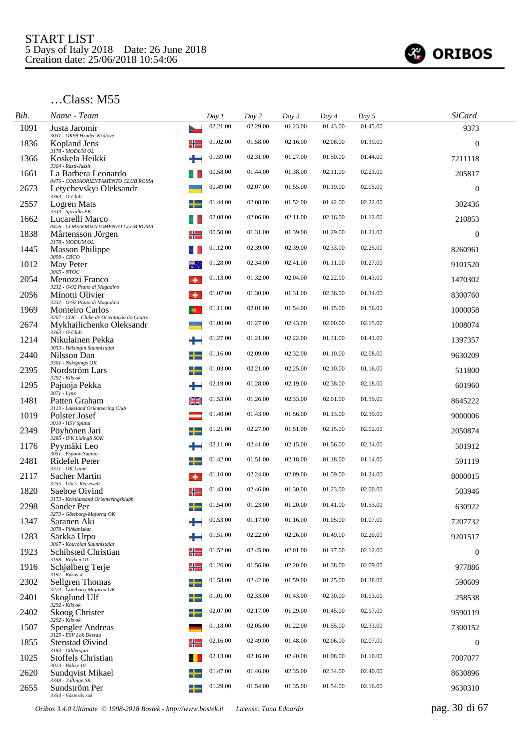

| Bib. | Name - Team                                                                             |                | Day 1    | Day 2    | Day 3    | Day 4    | Day 5    | <b>SiCard</b>    |  |
|------|-----------------------------------------------------------------------------------------|----------------|----------|----------|----------|----------|----------|------------------|--|
| 1091 | Justa Jaromír<br>3031 - OK99 Hradec Králové                                             |                | 02.21.00 | 02.29.00 | 01.23.00 | 01.43.00 | 01.45.00 | 9373             |  |
| 1836 | Kopland Jens                                                                            |                | 01.02.00 | 01.58.00 | 02.16.00 | 02.08.00 | 01.39.00 | $\mathbf{0}$     |  |
| 1366 | 3178 - MODUM OL<br>Koskela Heikki                                                       |                | 01.59.00 | 02.31.00 | 01.27.00 | 01.50.00 | 01.44.00 | 7211118          |  |
| 1661 | 3364 - Rasti-Jussit<br>La Barbera Leonardo<br>0476 - CORSAORIENTAMENTO CLUB ROMA        |                | 00.58.00 | 01.44.00 | 01.38.00 | 02.11.00 | 02.21.00 | 205817           |  |
| 2673 | Letychevskyi Oleksandr<br>$3363 - O$ -Club                                              |                | 00.49.00 | 02.07.00 | 01.55.00 | 01.19.00 | 02.05.00 | $\boldsymbol{0}$ |  |
| 2557 | <b>Logren Mats</b><br>3333 - Sjövalla FK                                                |                | 01.44.00 | 02.08.00 | 01.52.00 | 01.42.00 | 02.22.00 | 302436           |  |
| 1662 | Lucarelli Marco<br>0476 - CORSAORIENTAMENTO CLUB ROMA                                   |                | 02.08.00 | 02.06.00 | 02.11.00 | 02.16.00 | 01.12.00 | 210853           |  |
| 1838 | Mårtensson Jörgen<br>3178 - MODUM OL                                                    | ╬              | 00.50.00 | 01.31.00 | 01.39.00 | 01.29.00 | 01.21.00 | $\theta$         |  |
| 1445 | <b>Masson Philippe</b><br>3099 - CRCO                                                   |                | 01.12.00 | 02.39.00 | 02.39.00 | 02.33.00 | 02.25.00 | 8260961          |  |
| 1012 | May Peter<br>3005 - NTOC                                                                |                | 01.28.00 | 02.34.00 | 02.41.00 | 01.11.00 | 01.27.00 | 9101520          |  |
| 2054 | Menozzi Franco                                                                          | ۰              | 01.13.00 | 01.32.00 | 02.04.00 | 02.22.00 | 01.43.00 | 1470302          |  |
| 2056 | 3232 - O-92 Piano di Magadino<br>Minotti Olivier                                        | ۰              | 01.07.00 | 01.30.00 | 01.31.00 | 02.36.00 | 01.34.00 | 8300760          |  |
| 1969 | 3232 - O-92 Piano di Magadino<br><b>Monteiro Carlos</b>                                 |                | 01.11.00 | 02.01.00 | 01.54.00 | 01.15.00 | 01.56.00 | 1000058          |  |
| 2674 | 3207 - COC - Clube de Orientação do Centro<br>Mykhailichenko Oleksandr<br>3363 - O-Club |                | 01.00.00 | 01.27.00 | 02.43.00 | 02.00.00 | 02.15.00 | 1008074          |  |
| 1214 | Nikulainen Pekka                                                                        | ÷              | 01.27.00 | 01.21.00 | 02.22.00 | 01.31.00 | 01.41.00 | 1397357          |  |
| 2440 | 3053 - Helsingin Suunnistajat<br>Nilsson Dan                                            | ┵              | 01.16.00 | 02.09.00 | 02.32.00 | 01.10.00 | 02.08.00 | 9630209          |  |
| 2395 | 3301 - Nyköpings OK<br>Nordström Lars<br>3292 - Kils ok                                 | ۰              | 01.03.00 | 02.21.00 | 02.25.00 | 02.10.00 | 01.16.00 | 511800           |  |
| 1295 | Pajuoja Pekka                                                                           |                | 02.19.00 | 01.28.00 | 02.19.00 | 02.38.00 | 02.18.00 | 601960           |  |
| 1481 | $307\overline{l}$ - Lynx<br>Patten Graham                                               | ≱≼             | 01.53.00 | 01.26.00 | 02.33.00 | 02.01.00 | 01.59.00 | 8645222          |  |
| 1019 | 3113 - Lakeland Orienteering Club<br>Polster Josef                                      |                | 01.40.00 | 01.43.00 | 01.56.00 | 01.13.00 | 02.39.00 | 9000006          |  |
| 2349 | 3010 - HSV Spittal<br>Pöyhönen Jari                                                     |                | 01.21.00 | 02.27.00 | 01.51.00 | 02.15.00 | 02.02.00 | 2050874          |  |
| 1176 | 3285 - IFK Lidingö SOK<br>Pyymäki Leo                                                   |                | 02.11.00 | 02.41.00 | 02.15.00 | 01.56.00 | 02.34.00 | 501912           |  |
| 2481 | 3051 - Espoon Suunta<br>Ridefelt Peter<br>3311 - OK Linné                               | +              | 01.42.00 | 01.51.00 | 02.18.00 | 01.18.00 | 01.14.00 | 591119           |  |
| 2117 | Sacher Martin                                                                           | ۰              | 01.10.00 | 02.24.00 | 02.09.00 | 01.59.00 | 01.24.00 | 8000015          |  |
| 1820 | 3255 - Ulu's Reisewelt<br>Saeboe Oivind<br>3173 - Kristiansand Orienteringsklubb        | ╬              | 01.43.00 | 02.46.00 | 01.30.00 | 01.23.00 | 02.00.00 | 503946           |  |
| 2298 | Sander Per<br>3273 - Göteborg-Majorna OK                                                | $\blacksquare$ | 01.54.00 | 01.23.00 | 01.20.00 | 01.41.00 | 01.53.00 | 630922           |  |
| 1347 | Saranen Aki<br>3078 - Pihkaniskat                                                       |                | 00.53.00 | 01.17.00 | 01.16.00 | 01.05.00 | 01.07.00 | 7207732          |  |
| 1283 | Särkkä Urpo<br>3067 - Kouvolan Suunnistajat                                             |                | 01.51.00 | 02.22.00 | 02.26.00 | 01.49.00 | 02.20.00 | 9201517          |  |
| 1923 | Schibsted Christian<br>3198 - Røyken OL                                                 | ╬              | 01.52.00 | 02.45.00 | 02.01.00 | 01.17.00 | 02.12.00 | $\boldsymbol{0}$ |  |
| 1916 | Schjølberg Terje<br>3197 - Røros il                                                     | ╬              | 01.26.00 | 01.56.00 | 02.20.00 | 01.38.00 | 02.09.00 | 977886           |  |
| 2302 | Sellgren Thomas<br>3273 - Göteborg-Majorna OK                                           | ╈              | 01.58.00 | 02.42.00 | 01.59.00 | 01.25.00 | 01.38.00 | 590609           |  |
| 2401 | Skoglund Ulf<br>$3292 - Kils$ ok                                                        |                | 01.01.00 | 02.33.00 | 01.43.00 | 02.30.00 | 01.13.00 | 258538           |  |
| 2402 | Skoog Christer<br>3292 - Kils ok                                                        |                | 02.07.00 | 02.17.00 | 01.29.00 | 01.45.00 | 02.17.00 | 9590119          |  |
| 1507 | <b>Spengler Andreas</b><br>3125 - ESV Lok Dessau                                        |                | 01.18.00 | 02.05.00 | 01.22.00 | 01.55.00 | 02.33.00 | 7300152          |  |
| 1855 | Stenstad Øivind<br>3183 - Oddersjaa                                                     | ╬              | 02.16.00 | 02.49.00 | 01.48.00 | 02.06.00 | 02.07.00 | $\boldsymbol{0}$ |  |
| 1025 | <b>Stoffels Christian</b><br>3013 - Balise 10                                           |                | 02.13.00 | 02.16.00 | 02.40.00 | 01.08.00 | 01.10.00 | 7007077          |  |
| 2620 | Sundqvist Mikael<br>3348 - Tullinge SK                                                  |                | 01.47.00 | 01.46.00 | 02.35.00 | 02.34.00 | 02.40.00 | 8630896          |  |
| 2655 | Sundström Per<br>3354 - Västerås sok                                                    |                | 01.29.00 | 01.54.00 | 01.35.00 | 01.54.00 | 02.16.00 | 9630310          |  |

*Oribos 3.4.0 Ultimate © 1998-2018 Bostek - http://www.bostek.it License: Tona Edoardo* pag. 30 di 67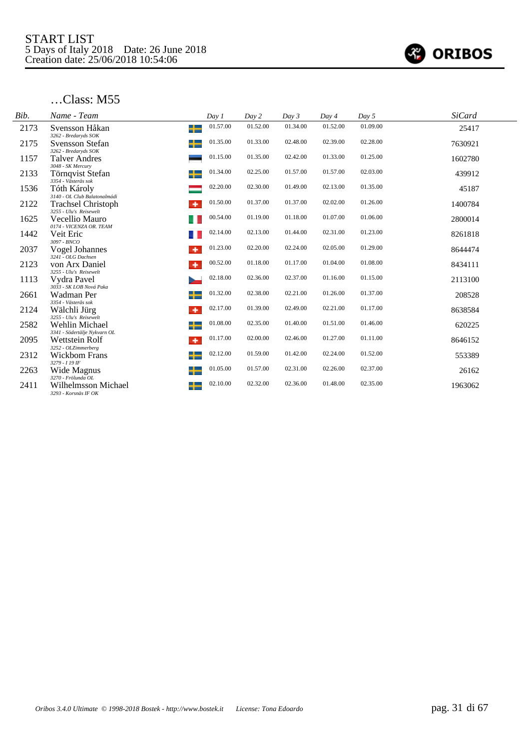

| Bib. | Name - Team                                                       | Day 1         | Day 2    | Day 3    | Day 4    | Day 5    | <b>SiCard</b> |
|------|-------------------------------------------------------------------|---------------|----------|----------|----------|----------|---------------|
| 2173 | Svensson Håkan<br>3262 - Bredaryds SOK                            | 01.57.00<br>╈ | 01.52.00 | 01.34.00 | 01.52.00 | 01.09.00 | 25417         |
| 2175 | Svensson Stefan                                                   | 01.35.00<br>╈ | 01.33.00 | 02.48.00 | 02.39.00 | 02.28.00 | 7630921       |
| 1157 | 3262 - Bredaryds SOK<br>Talver Andres                             | 01.15.00      | 01.35.00 | 02.42.00 | 01.33.00 | 01.25.00 | 1602780       |
| 2133 | 3048 - SK Mercury<br>Törnqvist Stefan                             | 01.34.00<br>┶ | 02.25.00 | 01.57.00 | 01.57.00 | 02.03.00 | 439912        |
| 1536 | 3354 - Västerås sok<br>Tóth Károly                                | 02.20.00      | 02.30.00 | 01.49.00 | 02.13.00 | 01.35.00 | 45187         |
| 2122 | 3140 - OL Club Balatonalmádi<br><b>Trachsel Christoph</b>         | 01.50.00<br>٠ | 01.37.00 | 01.37.00 | 02.02.00 | 01.26.00 | 1400784       |
| 1625 | 3255 - Ulu's Reisewelt<br>Vecellio Mauro                          | 00.54.00      | 01.19.00 | 01.18.00 | 01.07.00 | 01.06.00 | 2800014       |
| 1442 | 0174 - VICENZA OR. TEAM<br>Veit Eric                              | 02.14.00      | 02.13.00 | 01.44.00 | 02.31.00 | 01.23.00 | 8261818       |
| 2037 | 3097 - BNCO<br>Vogel Johannes<br>3241 - OLG Dachsen               | 01.23.00<br>٠ | 02.20.00 | 02.24.00 | 02.05.00 | 01.29.00 | 8644474       |
| 2123 | von Arx Daniel                                                    | 00.52.00<br>٠ | 01.18.00 | 01.17.00 | 01.04.00 | 01.08.00 | 8434111       |
| 1113 | 3255 - Ulu's Reisewelt<br>Vydra Pavel<br>Þ                        | 02.18.00      | 02.36.00 | 02.37.00 | 01.16.00 | 01.15.00 | 2113100       |
| 2661 | 3033 - SK LOB Nová Paka<br>Wadman Per                             | 01.32.00<br>╈ | 02.38.00 | 02.21.00 | 01.26.00 | 01.37.00 | 208528        |
| 2124 | 3354 - Västerås sok<br>Wälchli Jürg                               | 02.17.00<br>۰ | 01.39.00 | 02.49.00 | 02.21.00 | 01.17.00 | 8638584       |
| 2582 | 3255 - Ulu's Reisewelt<br>Wehlin Michael                          | 01.08.00<br>╈ | 02.35.00 | 01.40.00 | 01.51.00 | 01.46.00 | 620225        |
| 2095 | 3341 - Södertälje Nykvarn OL<br>Wettstein Rolf                    | 01.17.00<br>۰ | 02.00.00 | 02.46.00 | 01.27.00 | 01.11.00 | 8646152       |
| 2312 | 3252 - OLZimmerberg<br><b>Wickbom Frans</b>                       | 02.12.00<br>╈ | 01.59.00 | 01.42.00 | 02.24.00 | 01.52.00 | 553389        |
| 2263 | 3279 - 119 IF<br>Wide Magnus                                      | 01.05.00<br>╈ | 01.57.00 | 02.31.00 | 02.26.00 | 02.37.00 | 26162         |
| 2411 | 3270 - Frölunda OL<br>Wilhelmsson Michael<br>3293 - Korsnäs IF OK | 02.10.00<br>╈ | 02.32.00 | 02.36.00 | 01.48.00 | 02.35.00 | 1963062       |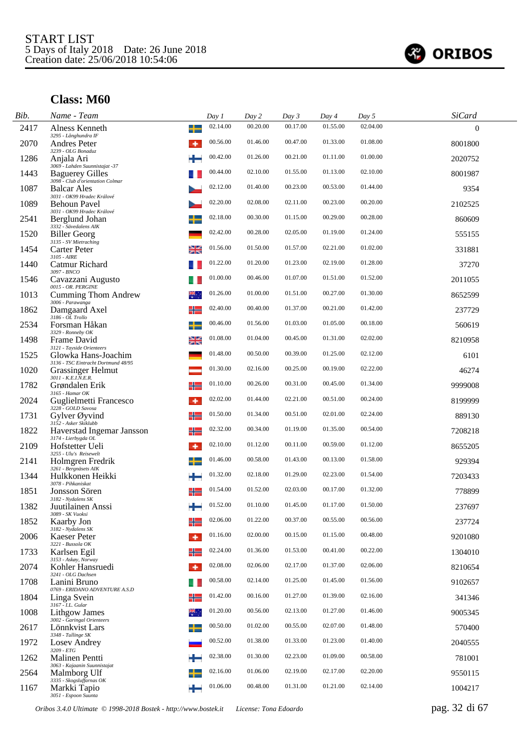

| Bib. | Name - Team                                                                                  |    | Day 1    | Day 2    | Day 3    | Day 4    | Day 5    | <b>SiCard</b> |  |
|------|----------------------------------------------------------------------------------------------|----|----------|----------|----------|----------|----------|---------------|--|
| 2417 | Alness Kenneth<br>3295 - Långhundra IF                                                       | ╈  | 02.14.00 | 00.20.00 | 00.17.00 | 01.55.00 | 02.04.00 | $\Omega$      |  |
| 2070 | Andres Peter                                                                                 | ۰  | 00.56.00 | 01.46.00 | 00.47.00 | 01.33.00 | 01.08.00 | 8001800       |  |
| 1286 | 3239 - OLG Bonaduz<br>Anjala Ari                                                             |    | 00.42.00 | 01.26.00 | 00.21.00 | 01.11.00 | 01.00.00 | 2020752       |  |
| 1443 | 3069 - Lahden Suunnistajat -37<br><b>Baguerey Gilles</b><br>3098 - Club d'orientation Colmar |    | 00.44.00 | 02.10.00 | 01.55.00 | 01.13.00 | 02.10.00 | 8001987       |  |
| 1087 | <b>Balcar Ales</b><br>3031 - OK99 Hradec Králové                                             |    | 02.12.00 | 01.40.00 | 00.23.00 | 00.53.00 | 01.44.00 | 9354          |  |
| 1089 | <b>Behoun Pavel</b><br>3031 - OK99 Hradec Králové                                            |    | 02.20.00 | 02.08.00 | 02.11.00 | 00.23.00 | 00.20.00 | 2102525       |  |
| 2541 | Berglund Johan<br>3332 - Sävedalens AIK                                                      |    | 02.18.00 | 00.30.00 | 01.15.00 | 00.29.00 | 00.28.00 | 860609        |  |
| 1520 | <b>Biller Georg</b>                                                                          |    | 02.42.00 | 00.28.00 | 02.05.00 | 01.19.00 | 01.24.00 | 555155        |  |
| 1454 | 3135 - SV Mietraching<br>Carter Peter<br>3105 - AIRE                                         | ≱≼ | 01.56.00 | 01.50.00 | 01.57.00 | 02.21.00 | 01.02.00 | 331881        |  |
| 1440 | Catmur Richard<br>3097 - BNCO                                                                |    | 01.22.00 | 01.20.00 | 01.23.00 | 02.19.00 | 01.28.00 | 37270         |  |
| 1546 | Cavazzani Augusto<br>0015 - OR. PERGINE                                                      |    | 01.00.00 | 00.46.00 | 01.07.00 | 01.51.00 | 01.52.00 | 2011055       |  |
| 1013 | <b>Cumming Thom Andrew</b><br>3006 - Parawanga                                               |    | 01.26.00 | 01.00.00 | 01.51.00 | 00.27.00 | 01.30.00 | 8652599       |  |
| 1862 | Damgaard Axel<br>3186 - OL Trollo                                                            | ╬  | 02.40.00 | 00.40.00 | 01.37.00 | 00.21.00 | 01.42.00 | 237729        |  |
| 2534 | Forsman Håkan<br>3329 - Ronneby OK                                                           | ┶  | 00.46.00 | 01.56.00 | 01.03.00 | 01.05.00 | 00.18.00 | 560619        |  |
| 1498 | Frame David<br>3121 - Tayside Orienteers                                                     | ≱≼ | 01.08.00 | 01.04.00 | 00.45.00 | 01.31.00 | 02.02.00 | 8210958       |  |
| 1525 | Glowka Hans-Joachim<br>3136 - TSC Eintracht Dortmund 48/95                                   |    | 01.48.00 | 00.50.00 | 00.39.00 | 01.25.00 | 02.12.00 | 6101          |  |
| 1020 | <b>Grassinger Helmut</b><br>3011 - K.E.I.N.E.R.                                              |    | 01.30.00 | 02.16.00 | 00.25.00 | 00.19.00 | 02.22.00 | 46274         |  |
| 1782 | Grøndalen Erik<br>3165 - Hamar OK                                                            |    | 01.10.00 | 00.26.00 | 00.31.00 | 00.45.00 | 01.34.00 | 9999008       |  |
| 2024 | Guglielmetti Francesco<br>3228 - GOLD Savosa                                                 | ۰  | 02.02.00 | 01.44.00 | 02.21.00 | 00.51.00 | 00.24.00 | 8199999       |  |
| 1731 | Gylver Øyvind<br>$3152$ - $\it{Asker}$ Skiklubb                                              | ╬  | 01.50.00 | 01.34.00 | 00.51.00 | 02.01.00 | 02.24.00 | 889130        |  |
| 1822 | Haverstad Ingemar Jansson<br>3174 - Lierbygda OL                                             | ╬  | 02.32.00 | 00.34.00 | 01.19.00 | 01.35.00 | 00.54.00 | 7208218       |  |
| 2109 | Hofstetter Ueli<br>3255 - Ulu's Reisewelt                                                    | ۰  | 02.10.00 | 01.12.00 | 00.11.00 | 00.59.00 | 01.12.00 | 8655205       |  |
| 2141 | Holmgren Fredrik<br>3261 - Bergnäsets AIK                                                    | ÷  | 01.46.00 | 00.58.00 | 01.43.00 | 00.13.00 | 01.58.00 | 929394        |  |
| 1344 | Hulkkonen Heikki<br>3078 - Pihkaniskat                                                       | 52 | 01.32.00 | 02.18.00 | 01.29.00 | 02.23.00 | 01.54.00 | 7203433       |  |
| 1851 | Jonsson Sören<br>3182 - Nydalens SK                                                          | ╬  | 01.54.00 | 01.52.00 | 02.03.00 | 00.17.00 | 01.32.00 | 778899        |  |
| 1382 | Juutilainen Anssi<br>3089 - SK Vuoksi                                                        |    | 01.52.00 | 01.10.00 | 01.45.00 | 01.17.00 | 01.50.00 | 237697        |  |
| 1852 | Kaarby Jon<br>3182 - Nydalens SK                                                             | ╬  | 02.06.00 | 01.22.00 | 00.37.00 | 00.55.00 | 00.56.00 | 237724        |  |
| 2006 | <b>Kaeser Peter</b><br>3221 - Bussola OK                                                     | ۰  | 01.16.00 | 02.00.00 | 00.15.00 | 01.15.00 | 00.48.00 | 9201080       |  |
| 1733 | Karlsen Egil<br>3153 - Askøy, Norway                                                         |    | 02.24.00 | 01.36.00 | 01.53.00 | 00.41.00 | 00.22.00 | 1304010       |  |
| 2074 | Kohler Hansruedi<br>3241 - OLG Dachsen                                                       |    | 02.08.00 | 02.06.00 | 02.17.00 | 01.37.00 | 02.06.00 | 8210654       |  |
| 1708 | Lanini Bruno<br>0769 - ERIDANO ADVENTURE A.S.D                                               |    | 00.58.00 | 02.14.00 | 01.25.00 | 01.45.00 | 01.56.00 | 9102657       |  |
| 1804 | Linga Svein<br>3167 - I.L. Gular                                                             | ╬  | 01.42.00 | 00.16.00 | 01.27.00 | 01.39.00 | 02.16.00 | 341346        |  |
| 1008 | Lithgow James<br>3002 - Garingal Orienteers                                                  | ₩. | 01.20.00 | 00.56.00 | 02.13.00 | 01.27.00 | 01.46.00 | 9005345       |  |
| 2617 | Lönnkvist Lars<br>3348 - Tullinge SK                                                         |    | 00.50.00 | 01.02.00 | 00.55.00 | 02.07.00 | 01.48.00 | 570400        |  |
| 1972 | Losey Andrey<br>$3209\cdot ETG$                                                              |    | 00.52.00 | 01.38.00 | 01.33.00 | 01.23.00 | 01.40.00 | 2040555       |  |
| 1262 | Malinen Pentti<br>3063 - Kajaanin Suunnistajat                                               |    | 02.38.00 | 01.30.00 | 02.23.00 | 01.09.00 | 00.58.00 | 781001        |  |
| 2564 | Malmborg Ulf<br>3335 - Skogsluffarnas OK                                                     |    | 02.16.00 | 01.06.00 | 02.19.00 | 02.17.00 | 02.20.00 | 9550115       |  |
| 1167 | Markki Tapio<br>3051 - Espoon Suunta                                                         |    | 01.06.00 | 00.48.00 | 01.31.00 | 01.21.00 | 02.14.00 | 1004217       |  |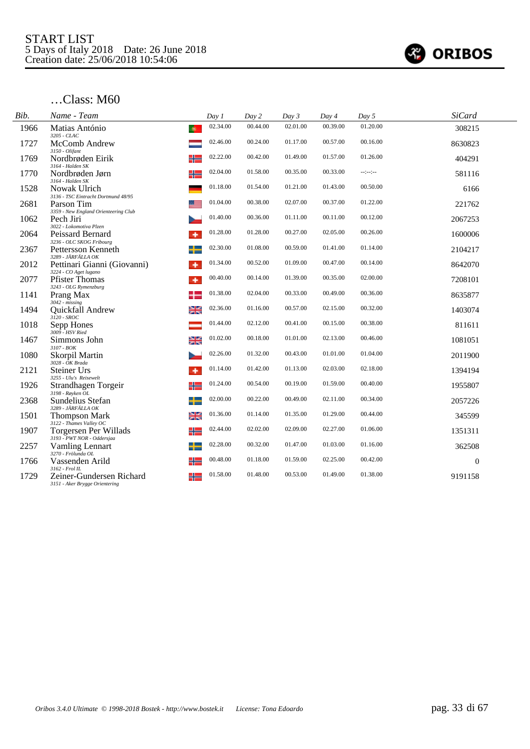

| Bib. | Name - Team                                                     | Day 1          | Day 2    | Day 3    | Day 4    | Day 5      | <b>SiCard</b> |  |
|------|-----------------------------------------------------------------|----------------|----------|----------|----------|------------|---------------|--|
| 1966 | Matias António<br>-61<br>3205 - CLAC                            | 02.34.00       | 00.44.00 | 02.01.00 | 00.39.00 | 01.20.00   | 308215        |  |
| 1727 | McComb Andrew<br>3150 - Olifant                                 | 02.46.00       | 00.24.00 | 01.17.00 | 00.57.00 | 00.16.00   | 8630823       |  |
| 1769 | Nordbrøden Eirik<br>╬<br>3164 - Halden SK                       | 02.22.00       | 00.42.00 | 01.49.00 | 01.57.00 | 01.26.00   | 404291        |  |
| 1770 | ╬<br>Nordbrøden Jørn<br>3164 - Halden SK                        | 02.04.00       | 01.58.00 | 00.35.00 | 00.33.00 | $-15 - 10$ | 581116        |  |
| 1528 | Nowak Ulrich<br>3136 - TSC Eintracht Dortmund 48/95             | 01.18.00       | 01.54.00 | 01.21.00 | 01.43.00 | 00.50.00   | 6166          |  |
| 2681 | Parson Tim<br>3359 - New England Orienteering Club              | 01.04.00       | 00.38.00 | 02.07.00 | 00.37.00 | 01.22.00   | 221762        |  |
| 1062 | Pech Jiri<br>3022 - Lokomotiva Plzen                            | 01.40.00       | 00.36.00 | 01.11.00 | 00.11.00 | 00.12.00   | 2067253       |  |
| 2064 | Peissard Bernard<br>3236 - OLC SKOG Fribourg                    | 01.28.00       | 01.28.00 | 00.27.00 | 02.05.00 | 00.26.00   | 1600006       |  |
| 2367 | Pettersson Kenneth<br>3289 - JÄRFÄLLA OK                        | 02.30.00       | 01.08.00 | 00.59.00 | 01.41.00 | 01.14.00   | 2104217       |  |
| 2012 | Pettinari Gianni (Giovanni)<br>3224 - CO Aget lugano            | 01.34.00<br>۰  | 00.52.00 | 01.09.00 | 00.47.00 | 00.14.00   | 8642070       |  |
| 2077 | <b>Pfister Thomas</b><br>3243 - OLG Rymenzburg                  | 00.40.00<br>٠  | 00.14.00 | 01.39.00 | 00.35.00 | 02.00.00   | 7208101       |  |
| 1141 | Prang Max<br>$3042 - missing$                                   | 01.38.00       | 02.04.00 | 00.33.00 | 00.49.00 | 00.36.00   | 8635877       |  |
| 1494 | Quickfall Andrew<br>3120 - SROC                                 | 02.36.00<br>≱≼ | 01.16.00 | 00.57.00 | 02.15.00 | 00.32.00   | 1403074       |  |
| 1018 | Sepp Hones<br>3009 - HSV Ried                                   | 01.44.00       | 02.12.00 | 00.41.00 | 00.15.00 | 00.38.00   | 811611        |  |
| 1467 | Simmons John<br>3107 - BOK                                      | 01.02.00<br>≱≼ | 00.18.00 | 01.01.00 | 02.13.00 | 00.46.00   | 1081051       |  |
| 1080 | Skorpil Martin<br>$3028 - OK$ Brada                             | 02.26.00       | 01.32.00 | 00.43.00 | 01.01.00 | 01.04.00   | 2011900       |  |
| 2121 | <b>Steiner Urs</b><br>3255 - Ulu's Reisewelt                    | 01.14.00<br>۰  | 01.42.00 | 01.13.00 | 02.03.00 | 02.18.00   | 1394194       |  |
| 1926 | ╬<br>Strandhagen Torgeir<br>$3198 - R$ øyken OL                 | 01.24.00       | 00.54.00 | 00.19.00 | 01.59.00 | 00.40.00   | 1955807       |  |
| 2368 | ╅<br>Sundelius Stefan<br>3289 - JÄRFÄLLA OK                     | 02.00.00       | 00.22.00 | 00.49.00 | 02.11.00 | 00.34.00   | 2057226       |  |
| 1501 | <b>Thompson Mark</b><br>3122 - Thames Valley OC                 | 01.36.00<br>স≍ | 01.14.00 | 01.35.00 | 01.29.00 | 00.44.00   | 345599        |  |
| 1907 | Torgersen Per Willads<br>3193 - PWT NOR - Oddersjaa             | 02.44.00<br>╬  | 02.02.00 | 02.09.00 | 02.27.00 | 01.06.00   | 1351311       |  |
| 2257 | ╉<br>Vamling Lennart<br>3270 - Frölunda OL                      | 02.28.00       | 00.32.00 | 01.47.00 | 01.03.00 | 01.16.00   | 362508        |  |
| 1766 | Vassenden Arild<br>╬<br>3162 - Frol IL                          | 00.48.00       | 01.18.00 | 01.59.00 | 02.25.00 | 00.42.00   | $\theta$      |  |
| 1729 | Zeiner-Gundersen Richard<br>╬<br>3151 - Aker Brygge Orientering | 01.58.00       | 01.48.00 | 00.53.00 | 01.49.00 | 01.38.00   | 9191158       |  |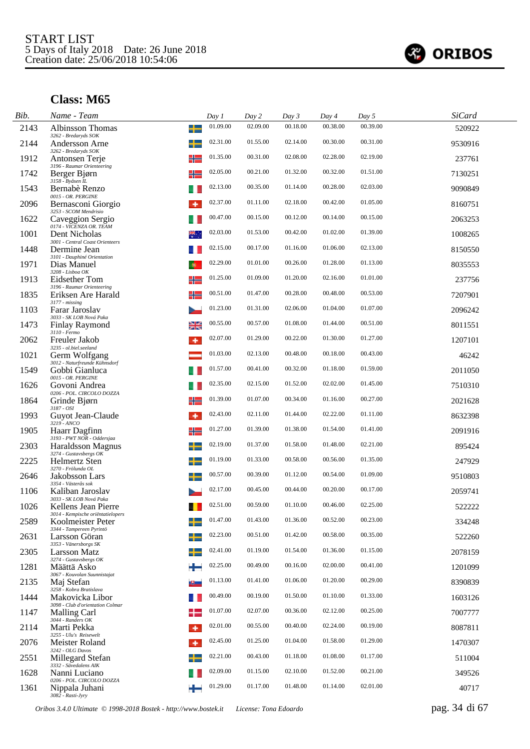

| Bib. | Name - Team                                                           | Day 1    | Day 2    | Day 3    | Day 4    | Day 5    | <b>SiCard</b> |
|------|-----------------------------------------------------------------------|----------|----------|----------|----------|----------|---------------|
| 2143 | ╈<br><b>Albinsson Thomas</b><br>3262 - Bredaryds SOK                  | 01.09.00 | 02.09.00 | 00.18.00 | 00.38.00 | 00.39.00 | 520922        |
| 2144 | Andersson Arne<br>3262 - Bredaryds SOK                                | 02.31.00 | 01.55.00 | 02.14.00 | 00.30.00 | 00.31.00 | 9530916       |
| 1912 | Antonsen Terje<br>╬<br>3196 - Raumar Orienteering                     | 01.35.00 | 00.31.00 | 02.08.00 | 02.28.00 | 02.19.00 | 237761        |
| 1742 | ╬<br>Berger Bjørn<br>3158 - Byåsen IL                                 | 02.05.00 | 00.21.00 | 01.32.00 | 00.32.00 | 01.51.00 | 7130251       |
| 1543 | Bernabè Renzo<br>0015 - OR. PERGINE                                   | 02.13.00 | 00.35.00 | 01.14.00 | 00.28.00 | 02.03.00 | 9090849       |
| 2096 | Bernasconi Giorgio<br>3253 - SCOM Mendrisio                           | 02.37.00 | 01.11.00 | 02.18.00 | 00.42.00 | 01.05.00 | 8160751       |
| 1622 | Caveggion Sergio<br>0174 - VICENZA OR. TEAM                           | 00.47.00 | 00.15.00 | 00.12.00 | 00.14.00 | 00.15.00 | 2063253       |
| 1001 | Dent Nicholas<br>3001 - Central Coast Orienteers                      | 02.03.00 | 01.53.00 | 00.42.00 | 01.02.00 | 01.39.00 | 1008265       |
| 1448 | Dermine Jean<br>3101 - Dauphiné Orientation                           | 02.15.00 | 00.17.00 | 01.16.00 | 01.06.00 | 02.13.00 | 8150550       |
| 1971 | Dias Manuel<br>-60<br>3208 - Lisboa OK                                | 02.29.00 | 01.01.00 | 00.26.00 | 01.28.00 | 01.13.00 | 8035553       |
| 1913 | Eidsether Tom<br>╬<br>3196 - Raumar Orienteering                      | 01.25.00 | 01.09.00 | 01.20.00 | 02.16.00 | 01.01.00 | 237756        |
| 1835 | Eriksen Are Harald<br>╬<br>$3177 - missing$                           | 00.51.00 | 01.47.00 | 00.28.00 | 00.48.00 | 00.53.00 | 7207901       |
| 1103 | Farar Jaroslav                                                        | 01.23.00 | 01.31.00 | 02.06.00 | 01.04.00 | 01.07.00 | 2096242       |
| 1473 | 3033 - SK LOB Nová Paka<br>≱≼<br><b>Finlay Raymond</b>                | 00.55.00 | 00.57.00 | 01.08.00 | 01.44.00 | 00.51.00 | 8011551       |
| 2062 | 3110 - Fermo<br>Freuler Jakob<br>۰                                    | 02.07.00 | 01.29.00 | 00.22.00 | 01.30.00 | 01.27.00 | 1207101       |
| 1021 | 3235 - ol.biel.seeland<br>Germ Wolfgang                               | 01.03.00 | 02.13.00 | 00.48.00 | 00.18.00 | 00.43.00 | 46242         |
| 1549 | 3012 - Naturfreunde Kühnsdorf<br>Gobbi Gianluca<br>0015 - OR. PERGINE | 01.57.00 | 00.41.00 | 00.32.00 | 01.18.00 | 01.59.00 | 2011050       |
| 1626 | Govoni Andrea<br>0206 - POL. CIRCOLO DOZZA                            | 02.35.00 | 02.15.00 | 01.52.00 | 02.02.00 | 01.45.00 | 7510310       |
| 1864 | ╬<br>Grinde Bjørn<br>3187 - OSI                                       | 01.39.00 | 01.07.00 | 00.34.00 | 01.16.00 | 00.27.00 | 2021628       |
| 1993 | Guyot Jean-Claude<br>۰<br>3219 - ANCO                                 | 02.43.00 | 02.11.00 | 01.44.00 | 02.22.00 | 01.11.00 | 8632398       |
| 1905 | ╬<br>Haarr Dagfinn<br>3193 - PWT NOR - Oddersjaa                      | 01.27.00 | 01.39.00 | 01.38.00 | 01.54.00 | 01.41.00 | 2091916       |
| 2303 | ┶<br>Haraldsson Magnus<br>3274 - Gustavsbergs OK                      | 02.19.00 | 01.37.00 | 01.58.00 | 01.48.00 | 02.21.00 | 895424        |
| 2225 | ┶<br><b>Helmertz Sten</b><br>3270 - Frölunda OL                       | 01.19.00 | 01.33.00 | 00.58.00 | 00.56.00 | 01.35.00 | 247929        |
| 2646 | Jakobsson Lars<br>3354 - Västerås sok                                 | 00.57.00 | 00.39.00 | 01.12.00 | 00.54.00 | 01.09.00 | 9510803       |
| 1106 | Kaliban Jaroslav<br>3033 - SK LOB Nová Paka                           | 02.17.00 | 00.45.00 | 00.44.00 | 00.20.00 | 00.17.00 | 2059741       |
| 1026 | Kellens Jean Pierre<br>3014 - Kempische oriëntatielopers              | 02.51.00 | 00.59.00 | 01.10.00 | 00.46.00 | 02.25.00 | 522222        |
| 2589 | Koolmeister Peter<br>3344 - Tampereen Pyrintö                         | 01.47.00 | 01.43.00 | 01.36.00 | 00.52.00 | 00.23.00 | 334248        |
| 2631 | Larsson Göran<br>–∟<br>3353 - Vänersborgs SK                          | 02.23.00 | 00.51.00 | 01.42.00 | 00.58.00 | 00.35.00 | 522260        |
| 2305 | Larsson Matz<br>3274 - Gustavsbergs OK                                | 02.41.00 | 01.19.00 | 01.54.00 | 01.36.00 | 01.15.00 | 2078159       |
| 1281 | Määttä Asko<br>÷<br>3067 - Kouvolan Suunnistajat                      | 02.25.00 | 00.49.00 | 00.16.00 | 02.00.00 | 00.41.00 | 1201099       |
| 2135 | Maj Stefan<br>3258 - Kobra Bratislava                                 | 01.13.00 | 01.41.00 | 01.06.00 | 01.20.00 | 00.29.00 | 8390839       |
| 1444 | Makovicka Libor<br>3098 - Club d'orientation Colmar                   | 00.49.00 | 00.19.00 | 01.50.00 | 01.10.00 | 01.33.00 | 1603126       |
| 1147 | <b>Malling Carl</b><br>3044 - Randers OK                              | 01.07.00 | 02.07.00 | 00.36.00 | 02.12.00 | 00.25.00 | 7007777       |
| 2114 | Marti Pekka<br>۰<br>3255 - Ulu's Reisewelt                            | 02.01.00 | 00.55.00 | 00.40.00 | 02.24.00 | 00.19.00 | 8087811       |
| 2076 | Meister Roland<br>٠<br>3242 - OLG Davos                               | 02.45.00 | 01.25.00 | 01.04.00 | 01.58.00 | 01.29.00 | 1470307       |
| 2551 | Millegard Stefan<br>3332 - Sävedalens AIK                             | 02.21.00 | 00.43.00 | 01.18.00 | 01.08.00 | 01.17.00 | 511004        |
| 1628 | Nanni Luciano<br>0206 - POL. CIRCOLO DOZZA                            | 02.09.00 | 01.15.00 | 02.10.00 | 01.52.00 | 00.21.00 | 349526        |
| 1361 | Nippala Juhani<br>3082 - Rasti-Jyry                                   | 01.29.00 | 01.17.00 | 01.48.00 | 01.14.00 | 02.01.00 | 40717         |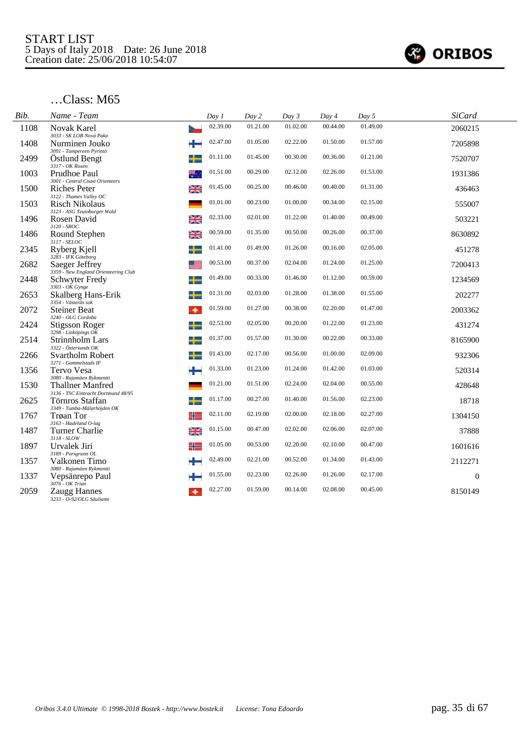

| Bib. | Name - Team                                                      | Day 1    | Day 2    | Day 3    | Day 4    | Day 5    | <b>SiCard</b> |
|------|------------------------------------------------------------------|----------|----------|----------|----------|----------|---------------|
| 1108 | <b>Novak Karel</b><br>3033 - SK LOB Nová Paka                    | 02.39.00 | 01.21.00 | 01.02.00 | 00.44.00 | 01.49.00 | 2060215       |
| 1408 | Nurminen Jouko                                                   | 02.47.00 | 01.05.00 | 02.22.00 | 01.50.00 | 01.57.00 | 7205898       |
| 2499 | 3091 - Tampereen Pyrintö<br><b>Ostlund Bengt</b>                 | 01.11.00 | 01.45.00 | 00.30.00 | 00.36.00 | 01.21.00 | 7520707       |
| 1003 | 3317 - OK Roxen<br>Prudhoe Paul<br>쩃.                            | 01.51.00 | 00.29.00 | 02.12.00 | 02.26.00 | 01.53.00 | 1931386       |
| 1500 | 3001 - Central Coast Orienteers<br>질<br>기도<br>Riches Peter       | 01.45.00 | 00.25.00 | 00.46.00 | 00.40.00 | 01.31.00 | 436463        |
| 1503 | 3122 - Thames Valley OC<br><b>Risch Nikolaus</b>                 | 01.01.00 | 00.23.00 | 01.00.00 | 00.34.00 | 02.15.00 | 555007        |
| 1496 | 3123 - ASG Teutoburger Wald<br>≱≼<br>Rosen David                 | 02.33.00 | 02.01.00 | 01.22.00 | 01.40.00 | 00.49.00 | 503221        |
| 1486 | 3120 - SROC<br>≱≼<br>Round Stephen                               | 00.59.00 | 01.35.00 | 00.50.00 | 00.26.00 | 00.37.00 | 8630892       |
| 2345 | 3117 - SELOC<br>Ryberg Kjell                                     | 01.41.00 | 01.49.00 | 01.26.00 | 00.16.00 | 02.05.00 | 451278        |
| 2682 | 3283 - IFK Göteborg<br>Saeger Jeffrey                            | 00.53.00 | 00.37.00 | 02.04.00 | 01.24.00 | 01.25.00 | 7200413       |
| 2448 | 3359 - New England Orienteering Club<br>Schwyter Fredy           | 01.49.00 | 00.33.00 | 01.46.00 | 01.12.00 | 00.59.00 | 1234569       |
| 2653 | $3303 - OK$ Gynge<br>┶<br>Skalberg Hans-Erik                     | 01.31.00 | 02.03.00 | 01.28.00 | 01.38.00 | 01.55.00 | 202277        |
| 2072 | 3354 - Västerås sok<br><b>Steiner Beat</b><br>۰                  | 01.59.00 | 01.27.00 | 00.38.00 | 02.20.00 | 01.47.00 | 2003362       |
| 2424 | 3240 - OLG Cordoba<br>Stigsson Roger                             | 02.53.00 | 02.05.00 | 00.20.00 | 01.22.00 | 01.23.00 | 431274        |
| 2514 | 3298 - Linköpings OK<br>Strinnholm Lars                          | 01.37.00 | 01.57.00 | 01.30.00 | 00.22.00 | 00.33.00 | 8165900       |
| 2266 | 3322 - Östersunds OK<br>Svartholm Robert<br>┵                    | 01.43.00 | 02.17.00 | 00.56.00 | 01.00.00 | 02.09.00 | 932306        |
| 1356 | 3271 - Gammelstads IF<br>Tervo Vesa                              | 01.33.00 | 01.23.00 | 01.24.00 | 01.42.00 | 01.03.00 | 520314        |
| 1530 | 3080 - Rajamäen Rykmentti<br><b>Thallner Manfred</b>             | 01.21.00 | 01.51.00 | 02.24.00 | 02.04.00 | 00.55.00 | 428648        |
| 2625 | 3136 - TSC Eintracht Dortmund 48/95<br>Törnros Staffan           | 01.17.00 | 00.27.00 | 01.40.00 | 01.56.00 | 02.23.00 | 18718         |
| 1767 | 3349 - Tumba-Mälarhöjden OK<br><b>Trøan Tor</b><br>╬             | 02.11.00 | 02.19.00 | 02.00.00 | 02.18.00 | 02.27.00 | 1304150       |
| 1487 | 3163 - Hadeland O-lag<br>≱≼<br>Turner Charlie                    | 01.15.00 | 00.47.00 | 02.02.00 | 02.06.00 | 02.07.00 | 37888         |
| 1897 | 3118 - SLOW<br>Urvalek Jiri<br>╬                                 | 01.05.00 | 00.53.00 | 02.20.00 | 02.10.00 | 00.47.00 | 1601616       |
| 1357 | 3189 - Porsgrunn OL<br>Valkonen Timo                             | 02.49.00 | 02.21.00 | 00.52.00 | 01.34.00 | 01.43.00 | 2112271       |
| 1337 | 3080 - Rajamäen Rykmentti<br>Vepsänrepo Paul                     | 01.55.00 | 02.23.00 | 02.26.00 | 01.26.00 | 02.17.00 | $\theta$      |
| 2059 | 3076 - OK Trian<br>Zaugg Hannes<br>3233 - O-92/OLG Säuliamt<br>۰ | 02.27.00 | 01.59.00 | 00.14.00 | 02.08.00 | 00.45.00 | 8150149       |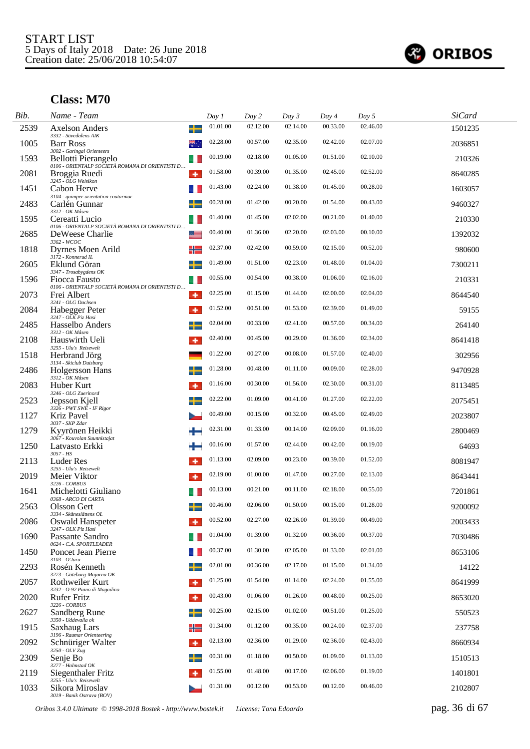

| Bib. | Name - Team                                                                                          |                | Day 1    | Day 2    | Day 3    | Day 4    | Day 5    | <b>SiCard</b> |
|------|------------------------------------------------------------------------------------------------------|----------------|----------|----------|----------|----------|----------|---------------|
| 2539 | <b>Axelson Anders</b><br>3332 - Sävedalens AIK                                                       | ╈              | 01.01.00 | 02.12.00 | 02.14.00 | 00.33.00 | 02.46.00 | 1501235       |
| 1005 | <b>Barr Ross</b>                                                                                     |                | 02.28.00 | 00.57.00 | 02.35.00 | 02.42.00 | 02.07.00 | 2036851       |
| 1593 | 3002 - Garingal Orienteers<br>Bellotti Pierangelo<br>0106 - ORIENTALP SOCIETÀ ROMANA DI ORIENTISTI D |                | 00.19.00 | 02.18.00 | 01.05.00 | 01.51.00 | 02.10.00 | 210326        |
| 2081 | Broggia Ruedi<br>3245 - OLG Welsikon                                                                 | ۰              | 01.58.00 | 00.39.00 | 01.35.00 | 02.45.00 | 02.52.00 | 8640285       |
| 1451 | Cabon Herve<br>3104 - quimper orientation coatarmor                                                  |                | 01.43.00 | 02.24.00 | 01.38.00 | 01.45.00 | 00.28.00 | 1603057       |
| 2483 | Carlén Gunnar<br>3312 - OK Måsen                                                                     |                | 00.28.00 | 01.42.00 | 00.20.00 | 01.54.00 | 00.43.00 | 9460327       |
| 1595 | Cereatti Lucio<br>0106 - ORIENTALP SOCIETÀ ROMANA DI ORIENTISTI D                                    |                | 01.40.00 | 01.45.00 | 02.02.00 | 00.21.00 | 01.40.00 | 210330        |
| 2685 | DeWeese Charlie<br>3362 - WCOC                                                                       | گە             | 00.40.00 | 01.36.00 | 02.20.00 | 02.03.00 | 00.10.00 | 1392032       |
| 1818 | Dyrnes Moen Arild<br>3172 - Konnerud IL                                                              | ╬              | 02.37.00 | 02.42.00 | 00.59.00 | 02.15.00 | 00.52.00 | 980600        |
| 2605 | Eklund Göran<br>3347 - Trosabygdens OK                                                               | ╈              | 01.49.00 | 01.51.00 | 02.23.00 | 01.48.00 | 01.04.00 | 7300211       |
| 1596 | Fiocca Fausto<br>0106 - ORIENTALP SOCIETÀ ROMANA DI ORIENTISTI D                                     |                | 00.55.00 | 00.54.00 | 00.38.00 | 01.06.00 | 02.16.00 | 210331        |
| 2073 | Frei Albert<br>3241 - OLG Dachsen                                                                    | ۰              | 02.25.00 | 01.15.00 | 01.44.00 | 02.00.00 | 02.04.00 | 8644540       |
| 2084 | Habegger Peter<br>3247 - OLK Piz Hasi                                                                | ۰              | 01.52.00 | 00.51.00 | 01.53.00 | 02.39.00 | 01.49.00 | 59155         |
| 2485 | Hasselbo Anders<br>3312 - OK Måsen                                                                   | ╈              | 02.04.00 | 00.33.00 | 02.41.00 | 00.57.00 | 00.34.00 | 264140        |
| 2108 | Hauswirth Ueli<br>3255 - Ulu's Reisewelt                                                             | ۰              | 02.40.00 | 00.45.00 | 00.29.00 | 01.36.00 | 02.34.00 | 8641418       |
| 1518 | Herbrand Jörg                                                                                        |                | 01.22.00 | 00.27.00 | 00.08.00 | 01.57.00 | 02.40.00 | 302956        |
| 2486 | 3134 - Skiclub Duisburg<br>Holgersson Hans<br>3312 - OK Måsen                                        | ┶              | 01.28.00 | 00.48.00 | 01.11.00 | 00.09.00 | 02.28.00 | 9470928       |
| 2083 | Huber Kurt                                                                                           |                | 01.16.00 | 00.30.00 | 01.56.00 | 02.30.00 | 00.31.00 | 8113485       |
| 2523 | 3246 - OLG Zuerinord<br>Jepsson Kjell                                                                |                | 02.22.00 | 01.09.00 | 00.41.00 | 01.27.00 | 02.22.00 | 2075451       |
| 1127 | 3326 - PWT SWE - IF Rigor<br>Kriz Pavel                                                              |                | 00.49.00 | 00.15.00 | 00.32.00 | 00.45.00 | 02.49.00 | 2023807       |
| 1279 | 3037 - SKP Zdar<br>Kyyrönen Heikki<br>3067 - Kouvolan Suunnistajat                                   |                | 02.31.00 | 01.33.00 | 00.14.00 | 02.09.00 | 01.16.00 | 2800469       |
| 1250 | Latvasto Erkki<br>3057 - HS                                                                          |                | 00.16.00 | 01.57.00 | 02.44.00 | 00.42.00 | 00.19.00 | 64693         |
| 2113 | <b>Luder Res</b><br>3255 - Ulu's Reisewelt                                                           | ۰              | 01.13.00 | 02.09.00 | 00.23.00 | 00.39.00 | 01.52.00 | 8081947       |
| 2019 | Meier Viktor<br>3226 - CORBUS                                                                        |                | 02.19.00 | 01.00.00 | 01.47.00 | 00.27.00 | 02.13.00 | 8643441       |
| 1641 | Michelotti Giuliano<br>0368 - ARCO DI CARTA                                                          |                | 00.13.00 | 00.21.00 | 00.11.00 | 02.18.00 | 00.55.00 | 7201861       |
| 2563 | Olsson Gert<br>3334 - Skåneslättens OL                                                               | and the second | 00.46.00 | 02.06.00 | 01.50.00 | 00.15.00 | 01.28.00 | 9200092       |
| 2086 | Oswald Hanspeter<br>3247 - OLK Piz Hasi                                                              |                | 00.52.00 | 02.27.00 | 02.26.00 | 01.39.00 | 00.49.00 | 2003433       |
| 1690 | Passante Sandro<br>0624 - C.A. SPORTLEADER                                                           |                | 01.04.00 | 01.39.00 | 01.32.00 | 00.36.00 | 00.37.00 | 7030486       |
| 1450 | Poncet Jean Pierre<br>3103 - O'Jura                                                                  |                | 00.37.00 | 01.30.00 | 02.05.00 | 01.33.00 | 02.01.00 | 8653106       |
| 2293 | Rosén Kenneth                                                                                        |                | 02.01.00 | 00.36.00 | 02.17.00 | 01.15.00 | 01.34.00 | 14122         |
| 2057 | 3273 - Göteborg-Majorna OK<br>Rothweiler Kurt<br>3232 - O-92 Piano di Magadino                       | ۰              | 01.25.00 | 01.54.00 | 01.14.00 | 02.24.00 | 01.55.00 | 8641999       |
| 2020 | Rufer Fritz<br>3226 - CORBUS                                                                         | ۰              | 00.43.00 | 01.06.00 | 01.26.00 | 00.48.00 | 00.25.00 | 8653020       |
| 2627 | Sandberg Rune<br>3350 - Uddevalla ok                                                                 |                | 00.25.00 | 02.15.00 | 01.02.00 | 00.51.00 | 01.25.00 | 550523        |
| 1915 | Saxhaug Lars                                                                                         | ╬              | 01.34.00 | 01.12.00 | 00.35.00 | 00.24.00 | 02.37.00 | 237758        |
| 2092 | 3196 - Raumar Orienteering<br>Schnüriger Walter                                                      | ۰              | 02.13.00 | 02.36.00 | 01.29.00 | 02.36.00 | 02.43.00 | 8660934       |
| 2309 | 3250 - OLV Zug<br>Senje Bo                                                                           |                | 00.31.00 | 01.18.00 | 00.50.00 | 01.09.00 | 01.13.00 | 1510513       |
| 2119 | 3277 - Halmstad OK<br>Siegenthaler Fritz                                                             | ۰              | 01.55.00 | 01.48.00 | 00.17.00 | 02.06.00 | 01.19.00 | 1401801       |
| 1033 | 3255 - Ulu's Reisewelt<br>Sikora Miroslav<br>3019 - Banik Ostrava (BOV)                              |                | 01.31.00 | 00.12.00 | 00.53.00 | 00.12.00 | 00.46.00 | 2102807       |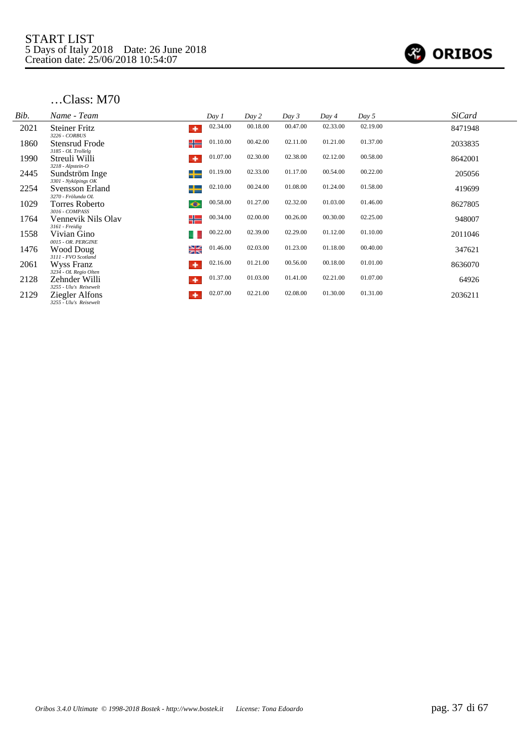

| Bib. | Name - Team                                                                    | Day 1    | Day 2    | Day 3    | Day 4    | Day 5    | <b>SiCard</b> |
|------|--------------------------------------------------------------------------------|----------|----------|----------|----------|----------|---------------|
| 2021 | <b>Steiner Fritz</b><br>٠<br>3226 - CORBUS                                     | 02.34.00 | 00.18.00 | 00.47.00 | 02.33.00 | 02.19.00 | 8471948       |
| 1860 | ╬<br>Stensrud Frode<br>3185 - OL Trollelg                                      | 01.10.00 | 00.42.00 | 02.11.00 | 01.21.00 | 01.37.00 | 2033835       |
| 1990 | Streuli Willi<br>٠<br>3218 - Alpstein-O                                        | 01.07.00 | 02.30.00 | 02.38.00 | 02.12.00 | 00.58.00 | 8642001       |
| 2445 | ╈<br>Sundström Inge<br>3301 - Nyköpings OK                                     | 01.19.00 | 02.33.00 | 01.17.00 | 00.54.00 | 00.22.00 | 205056        |
| 2254 | ┶<br>Svensson Erland<br>3270 - Frölunda OL                                     | 02.10.00 | 00.24.00 | 01.08.00 | 01.24.00 | 01.58.00 | 419699        |
| 1029 | Torres Roberto<br>$\bullet$                                                    | 00.58.00 | 01.27.00 | 02.32.00 | 01.03.00 | 01.46.00 | 8627805       |
| 1764 | 3016 - COMPASS<br>╬<br>Vennevik Nils Olav                                      | 00.34.00 | 02.00.00 | 00.26.00 | 00.30.00 | 02.25.00 | 948007        |
| 1558 | 3161 - Freidig<br>Vivian Gino                                                  | 00.22.00 | 02.39.00 | 02.29.00 | 01.12.00 | 01.10.00 | 2011046       |
| 1476 | 0015 - OR. PERGINE<br>≱≼<br>Wood Doug                                          | 01.46.00 | 02.03.00 | 01.23.00 | 01.18.00 | 00.40.00 | 347621        |
| 2061 | 3111 - FVO Scotland<br>Wyss Franz<br>۰                                         | 02.16.00 | 01.21.00 | 00.56.00 | 00.18.00 | 01.01.00 | 8636070       |
| 2128 | 3234 - OL Regio Olten<br>Zehnder Willi<br>۰                                    | 01.37.00 | 01.03.00 | 01.41.00 | 02.21.00 | 01.07.00 | 64926         |
| 2129 | 3255 - Ulu's Reisewelt<br><b>Ziegler Alfons</b><br>۰<br>3255 - Ulu's Reisewelt | 02.07.00 | 02.21.00 | 02.08.00 | 01.30.00 | 01.31.00 | 2036211       |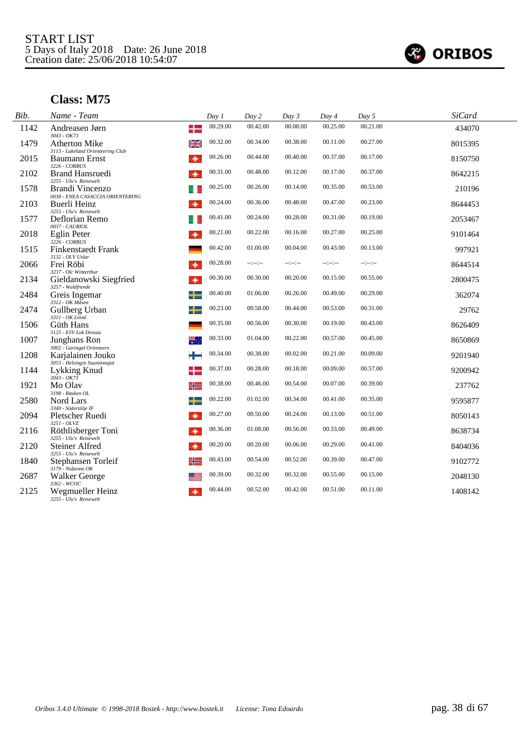

| Bib. | Name - Team                                                                     | Day 1    | Day 2            | Day 3    | Day 4    | Day 5    | <b>SiCard</b> |  |
|------|---------------------------------------------------------------------------------|----------|------------------|----------|----------|----------|---------------|--|
| 1142 | ╊<br>Andreasen Jørn<br>$3043 - OK73$                                            | 00.29.00 | 00.42.00         | 00.08.00 | 00.25.00 | 00.21.00 | 434070        |  |
| 1479 | ≱≼<br><b>Atherton Mike</b>                                                      | 00.32.00 | 00.34.00         | 00.38.00 | 00.11.00 | 00.27.00 | 8015395       |  |
| 2015 | 3113 - Lakeland Orienteering Club<br><b>Baumann</b> Ernst<br>٠<br>3226 - CORBUS | 00.26.00 | 00.44.00         | 00.40.00 | 00.37.00 | 00.17.00 | 8150750       |  |
| 2102 | <b>Brand Hansruedi</b><br>۰<br>3255 - Ulu's Reisewelt                           | 00.31.00 | 00.48.00         | 00.12.00 | 00.17.00 | 00.37.00 | 8642215       |  |
| 1578 | Brandi Vincenzo                                                                 | 00.25.00 | 00.26.00         | 00.14.00 | 00.35.00 | 00.53.00 | 210196        |  |
| 2103 | 0038 - ENEA CASACCIA ORIENTERING<br>Buerli Heinz<br>3255 - Ulu's Reisewelt      | 00.24.00 | 00.36.00         | 00.48.00 | 00.47.00 | 00.23.00 | 8644453       |  |
| 1577 | Deflorian Remo                                                                  | 00.41.00 | 00.24.00         | 00.28.00 | 00.31.00 | 00.19.00 | 2053467       |  |
| 2018 | $0037$ - $CAURIOL$<br>Eglin Peter<br>۰<br>$3226 - CORBUS$                       | 00.21.00 | 00.22.00         | 00.16.00 | 00.27.00 | 00.25.00 | 9101464       |  |
| 1515 | <b>Finkenstaedt Frank</b>                                                       | 00.42.00 | 01.00.00         | 00.04.00 | 00.43.00 | 00.13.00 | 997921        |  |
| 2066 | 3132 - OLV Uslar<br>Frei Röbi                                                   | 00.28.00 | $-1 - 1 - 1 - 1$ | --:--:-- | --:--:-  | --:--:-  | 8644514       |  |
| 2134 | 3237 - Olc Winterthur<br>Gieldanowski Siegfried<br>٠                            | 00.30.00 | 00.30.00         | 00.20.00 | 00.15.00 | 00.55.00 | 2800475       |  |
| 2484 | 3257 - Waldfrende<br>╈<br>Greis Ingemar<br>3312 - OK Måsen                      | 00.40.00 | 01.06.00         | 00.26.00 | 00.49.00 | 00.29.00 | 362074        |  |
| 2474 | Gullberg Urban                                                                  | 00.23.00 | 00.58.00         | 00.44.00 | 00.53.00 | 00.31.00 | 29762         |  |
| 1506 | 3311 - OK Linné<br>Güth Hans                                                    | 00.35.00 | 00.56.00         | 00.30.00 | 00.19.00 | 00.43.00 | 8626409       |  |
| 1007 | 3125 - ESV Lok Dessau<br>Junghans Ron<br>3002 - Garingal Orienteers             | 00.33.00 | 01.04.00         | 00.22.00 | 00.57.00 | 00.45.00 | 8650869       |  |
| 1208 | Karjalainen Jouko                                                               | 00.34.00 | 00.38.00         | 00.02.00 | 00.21.00 | 00.09.00 | 9201940       |  |
| 1144 | 3053 - Helsingin Suunnistajat<br>Lykking Knud<br>$3043 - OK73$                  | 00.37.00 | 00.28.00         | 00.18.00 | 00.09.00 | 00.57.00 | 9200942       |  |
| 1921 | Mo Olav<br>╬                                                                    | 00.38.00 | 00.46.00         | 00.54.00 | 00.07.00 | 00.39.00 | 237762        |  |
| 2580 | 3198 - Røyken OL<br>Nord Lars                                                   | 00.22.00 | 01.02.00         | 00.34.00 | 00.41.00 | 00.35.00 | 9595877       |  |
| 2094 | 3340 - Södertälje IF<br>Pletscher Ruedi<br>۰                                    | 00.27.00 | 00.50.00         | 00.24.00 | 00.13.00 | 00.51.00 | 8050143       |  |
| 2116 | 3251 - OLVZ<br>Röthlisberger Toni<br>٠                                          | 00.36.00 | 01.08.00         | 00.56.00 | 00.33.00 | 00.49.00 | 8638734       |  |
| 2120 | 3255 - Ulu's Reisewelt<br><b>Steiner Alfred</b><br>٠                            | 00.20.00 | 00.20.00         | 00.06.00 | 00.29.00 | 00.41.00 | 8404036       |  |
| 1840 | 3255 - Ulu's Reisewelt<br>╬═<br>Stephansen Torleif                              | 00.43.00 | 00.54.00         | 00.52.00 | 00.39.00 | 00.47.00 | 9102772       |  |
| 2687 | 3179 - Nidarøst OK<br>Walker George                                             | 00.39.00 | 00.32.00         | 00.32.00 | 00.55.00 | 00.15.00 | 2048130       |  |
| 2125 | $3362$ - $WCOC$<br>Wegmueller Heinz<br>3255 - Ulu's Reisewelt                   | 00.44.00 | 00.52.00         | 00.42.00 | 00.51.00 | 00.11.00 | 1408142       |  |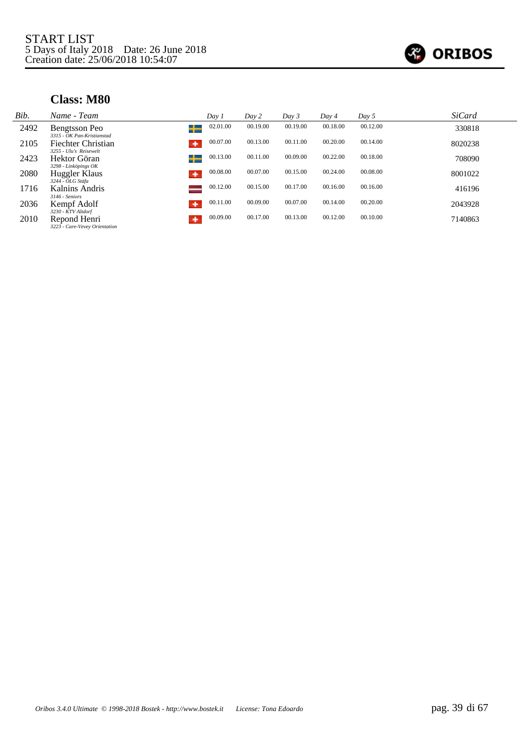

| Bib. | Name - Team                                      | Day 1         | Day 2    | Day 3    | Day 4    | Day 5    | <b>SiCard</b> |
|------|--------------------------------------------------|---------------|----------|----------|----------|----------|---------------|
| 2492 | Bengtsson Peo                                    | 02.01.00<br>┶ | 00.19.00 | 00.19.00 | 00.18.00 | 00.12.00 | 330818        |
| 2105 | 3315 - OK Pan-Kristianstad<br>Fiechter Christian | 00.07.00<br>۰ | 00.13.00 | 00.11.00 | 00.20.00 | 00.14.00 | 8020238       |
| 2423 | 3255 - Ulu's Reisewelt<br>Hektor Göran           | 00.13.00<br>╈ | 00.11.00 | 00.09.00 | 00.22.00 | 00.18.00 | 708090        |
| 2080 | 3298 - Linköpings OK<br>Huggler Klaus            | 00.08.00<br>۰ | 00.07.00 | 00.15.00 | 00.24.00 | 00.08.00 | 8001022       |
| 1716 | 3244 - OLG Stäfa<br>Kalnins Andris               | 00.12.00      | 00.15.00 | 00.17.00 | 00.16.00 | 00.16.00 | 416196        |
| 2036 | 3146 - Seniors<br>Kempf Adolf                    | 00.11.00<br>۰ | 00.09.00 | 00.07.00 | 00.14.00 | 00.20.00 | 2043928       |
|      | 3230 - KTV Altdorf                               | 00.09.00      | 00.17.00 | 00.13.00 | 00.12.00 | 00.10.00 |               |
| 2010 | Repond Henri<br>3223 - Care-Vevey Orientation    | ۰             |          |          |          |          | 7140863       |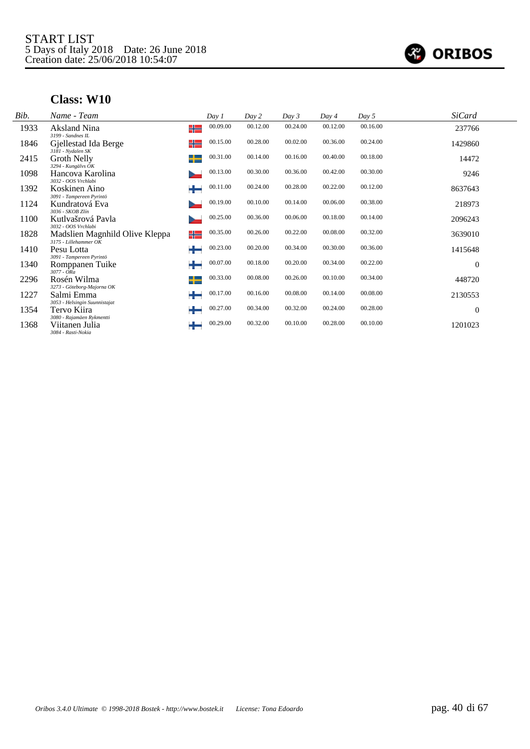

| Bib. | Name - Team                                               |    | Day 1    | Day 2    | Day 3    | Day 4    | Day 5    | <b>SiCard</b>  |  |
|------|-----------------------------------------------------------|----|----------|----------|----------|----------|----------|----------------|--|
| 1933 | Aksland Nina<br>3199 - Sandnes IL                         | ╬═ | 00.09.00 | 00.12.00 | 00.24.00 | 00.12.00 | 00.16.00 | 237766         |  |
| 1846 | Gjellestad Ida Berge<br>3181 - Nydalen SK                 | ╬  | 00.15.00 | 00.28.00 | 00.02.00 | 00.36.00 | 00.24.00 | 1429860        |  |
| 2415 | Groth Nelly<br>$3294$ - Kungälvs $OK$                     |    | 00.31.00 | 00.14.00 | 00.16.00 | 00.40.00 | 00.18.00 | 14472          |  |
| 1098 | Hancova Karolina<br>3032 - OOS Vrchlabi                   |    | 00.13.00 | 00.30.00 | 00.36.00 | 00.42.00 | 00.30.00 | 9246           |  |
| 1392 | Koskinen Aino<br>3091 - Tampereen Pyrintö                 | ┶  | 00.11.00 | 00.24.00 | 00.28.00 | 00.22.00 | 00.12.00 | 8637643        |  |
| 1124 | Kundratová Eva<br>3036 - SKOB Zlín                        |    | 00.19.00 | 00.10.00 | 00.14.00 | 00.06.00 | 00.38.00 | 218973         |  |
| 1100 | Kutlvašrová Pavla<br>3032 - OOS Vrchlabi                  |    | 00.25.00 | 00.36.00 | 00.06.00 | 00.18.00 | 00.14.00 | 2096243        |  |
| 1828 | Madslien Magnhild Olive Kleppa<br>$3175$ - Lillehammer OK | ╬  | 00.35.00 | 00.26.00 | 00.22.00 | 00.08.00 | 00.32.00 | 3639010        |  |
| 1410 | Pesu Lotta<br>3091 - Tampereen Pyrintö                    | ٠  | 00.23.00 | 00.20.00 | 00.34.00 | 00.30.00 | 00.36.00 | 1415648        |  |
| 1340 | Romppanen Tuike<br>$3077 - ORa$                           | ÷  | 00.07.00 | 00.18.00 | 00.20.00 | 00.34.00 | 00.22.00 | $\overline{0}$ |  |
| 2296 | Rosén Wilma<br>3273 - Göteborg-Majorna OK                 | ┶  | 00.33.00 | 00.08.00 | 00.26.00 | 00.10.00 | 00.34.00 | 448720         |  |
| 1227 | Salmi Emma<br>3053 - Helsingin Suunnistajat               | ╈  | 00.17.00 | 00.16.00 | 00.08.00 | 00.14.00 | 00.08.00 | 2130553        |  |
| 1354 | Tervo Kiira<br>3080 - Rajamäen Rykmentti                  | ٠  | 00.27.00 | 00.34.00 | 00.32.00 | 00.24.00 | 00.28.00 | $\overline{0}$ |  |
| 1368 | Viitanen Julia<br>3084 - Rasti-Nokia                      | ÷  | 00.29.00 | 00.32.00 | 00.10.00 | 00.28.00 | 00.10.00 | 1201023        |  |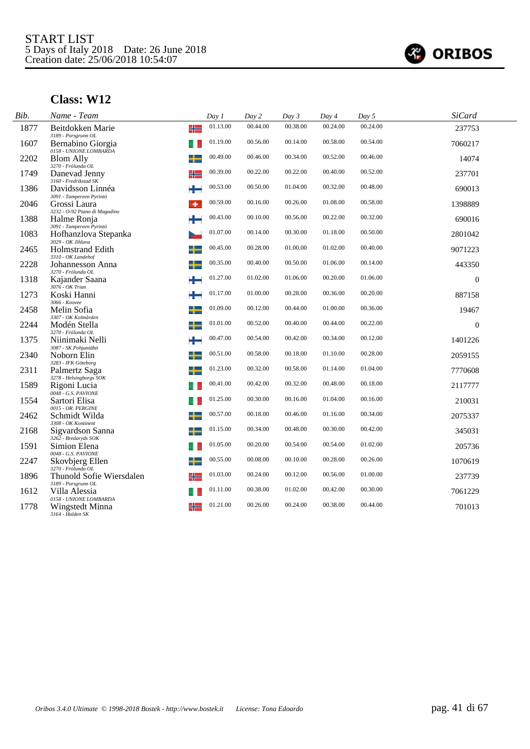

| Bib. | Name - Team                                                          | Day 1    | Day 2    | Day 3    | Day 4    | Day 5    | <b>SiCard</b> |  |
|------|----------------------------------------------------------------------|----------|----------|----------|----------|----------|---------------|--|
| 1877 | ╬<br>Beitdokken Marie<br>3189 - Porsgrunn OL                         | 01.13.00 | 00.44.00 | 00.38.00 | 00.24.00 | 00.24.00 | 237753        |  |
| 1607 | Bernabino Giorgia<br>0158 - UNIONE LOMBARDA                          | 01.19.00 | 00.56.00 | 00.14.00 | 00.58.00 | 00.54.00 | 7060217       |  |
| 2202 | ╈<br><b>Blom Ally</b><br>3270 - Frölunda OL                          | 00.49.00 | 00.46.00 | 00.34.00 | 00.52.00 | 00.46.00 | 14074         |  |
| 1749 | Danevad Jenny<br>╬                                                   | 00.39.00 | 00.22.00 | 00.22.00 | 00.40.00 | 00.52.00 | 237701        |  |
| 1386 | 3160 - Fredrikstad SK<br>Davidsson Linnéa                            | 00.53.00 | 00.50.00 | 01.04.00 | 00.32.00 | 00.48.00 | 690013        |  |
| 2046 | 3091 - Tampereen Pyrintö<br>Grossi Laura<br>٠                        | 00.59.00 | 00.16.00 | 00.26.00 | 01.08.00 | 00.58.00 | 1398889       |  |
| 1388 | 3232 - O-92 Piano di Magadino<br>Halme Ronja                         | 00.43.00 | 00.10.00 | 00.56.00 | 00.22.00 | 00.32.00 | 690016        |  |
| 1083 | 3091 - Tampereen Pyrintö<br>Hofhanzlova Stepanka                     | 01.07.00 | 00.14.00 | 00.30.00 | 01.18.00 | 00.50.00 | 2801042       |  |
| 2465 | 3029 - OK Jihlava<br><b>Holmstrand Edith</b>                         | 00.45.00 | 00.28.00 | 01.00.00 | 01.02.00 | 00.40.00 | 9071223       |  |
| 2228 | 3310 - OK Landehof<br>Johannesson Anna                               | 00.35.00 | 00.40.00 | 00.50.00 | 01.06.00 | 00.14.00 | 443350        |  |
| 1318 | 3270 - Frölunda OL<br>Kajander Saana                                 | 01.27.00 | 01.02.00 | 01.06.00 | 00.20.00 | 01.06.00 | $\theta$      |  |
| 1273 | 3076 - OK Trian<br>÷<br>Koski Hanni                                  | 01.17.00 | 01.00.00 | 00.28.00 | 00.36.00 | 00.20.00 | 887158        |  |
| 2458 | 3066 - Koovee<br>Melin Sofia                                         | 01.09.00 | 00.12.00 | 00.44.00 | 01.00.00 | 00.36.00 | 19467         |  |
| 2244 | 3307 - OK Kolmården<br>Modén Stella                                  | 01.01.00 | 00.52.00 | 00.40.00 | 00.44.00 | 00.22.00 | $\Omega$      |  |
| 1375 | 3270 - Frölunda OL<br>Niinimaki Nelli                                | 00.47.00 | 00.54.00 | 00.42.00 | 00.34.00 | 00.12.00 | 1401226       |  |
| 2340 | 3087 - SK Pohjantähti<br>Noborn Elin                                 | 00.51.00 | 00.58.00 | 00.18.00 | 01.10.00 | 00.28.00 | 2059155       |  |
| 2311 | 3283 - IFK Göteborg<br>Palmertz Saga                                 | 01.23.00 | 00.32.00 | 00.58.00 | 01.14.00 | 01.04.00 | 7770608       |  |
| 1589 | 3278 - Helsingborgs SOK<br>Rigoni Lucia                              | 00.41.00 | 00.42.00 | 00.32.00 | 00.48.00 | 00.18.00 | 2117777       |  |
| 1554 | 0048 - G.S. PAVIONE<br>Sartori Elisa                                 | 01.25.00 | 00.30.00 | 00.16.00 | 01.04.00 | 00.16.00 | 210031        |  |
| 2462 | 0015 - OR. PERGINE<br>Schmidt Wilda                                  | 00.57.00 | 00.18.00 | 00.46.00 | 01.16.00 | 00.34.00 | 2075337       |  |
| 2168 | 3308 - OK Kontinent<br>ي.<br>Sigvardson Sanna                        | 01.15.00 | 00.34.00 | 00.48.00 | 00.30.00 | 00.42.00 | 345031        |  |
| 1591 | 3262 - Bredaryds SOK<br>Simion Elena                                 | 01.05.00 | 00.20.00 | 00.54.00 | 00.54.00 | 01.02.00 | 205736        |  |
| 2247 | 0048 - G.S. PAVIONE<br>Skovbjerg Ellen                               | 00.55.00 | 00.08.00 | 00.10.00 | 00.28.00 | 00.26.00 | 1070619       |  |
| 1896 | 3270 - Frölunda OL<br>Thunold Sofie Wiersdalen<br>╬                  | 01.03.00 | 00.24.00 | 00.12.00 | 00.56.00 | 01.00.00 | 237739        |  |
| 1612 | 3189 - Porsgrunn OL<br>Villa Alessia                                 | 01.11.00 | 00.38.00 | 01.02.00 | 00.42.00 | 00.30.00 | 7061229       |  |
| 1778 | 0158 - UNIONE LOMBARDA<br>╬<br>Wingstedt Minna<br>$3164$ - Halden SK | 01.21.00 | 00.26.00 | 00.24.00 | 00.38.00 | 00.44.00 | 701013        |  |
|      |                                                                      |          |          |          |          |          |               |  |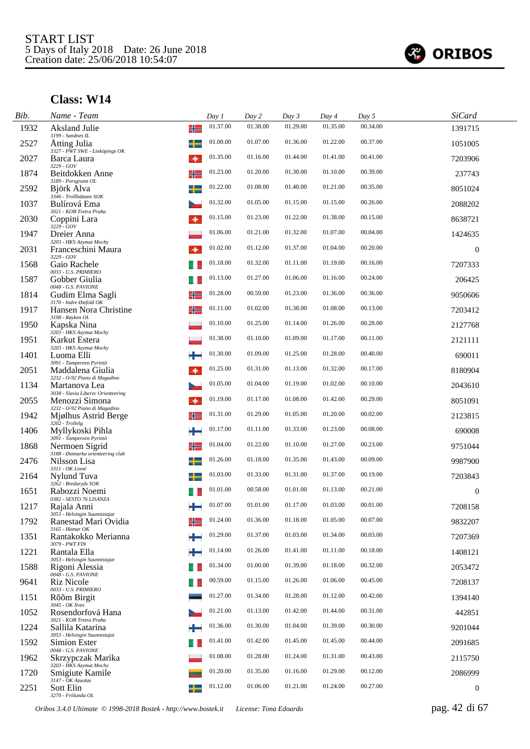

| Bib. | Name - Team                                              | Day 1    | Day 2    | Day 3    | Day 4    | Day 5    | <b>SiCard</b>    |
|------|----------------------------------------------------------|----------|----------|----------|----------|----------|------------------|
| 1932 | Aksland Julie<br>╬<br>3199 - Sandnes IL                  | 01.37.00 | 01.38.00 | 01.29.00 | 01.35.00 | 00.34.00 | 1391715          |
| 2527 | Atting Julia<br>3327 - PWT SWE - Linköpings OK           | 01.00.00 | 01.07.00 | 01.36.00 | 01.22.00 | 00.37.00 | 1051005          |
| 2027 | Barca Laura<br>۰<br>3229 - GOV                           | 01.35.00 | 01.16.00 | 01.44.00 | 01.41.00 | 00.41.00 | 7203906          |
| 1874 | ╬<br>Beitdokken Anne<br>3189 - Porsgrunn OL              | 01.23.00 | 01.20.00 | 01.30.00 | 01.10.00 | 00.39.00 | 237743           |
| 2592 | Björk Alva<br>3346 - Trollhättans SOK                    | 01.22.00 | 01.08.00 | 01.40.00 | 01.21.00 | 00.35.00 | 8051024          |
| 1037 | Bulírová Ema<br>3021 - KOB Tretra Praha                  | 01.32.00 | 01.05.00 | 01.15.00 | 01.15.00 | 00.26.00 | 2088202          |
| 2030 | Coppini Lara<br>$3229 - GOV$                             | 01.15.00 | 01.23.00 | 01.22.00 | 01.38.00 | 00.15.00 | 8638721          |
| 1947 | Dreier Anna<br>3203 - HKS Azymut Mochy                   | 01.06.00 | 01.21.00 | 01.32.00 | 01.07.00 | 00.04.00 | 1424635          |
| 2031 | Franceschini Maura<br>3229 - GOV                         | 01.02.00 | 01.12.00 | 01.37.00 | 01.04.00 | 00.20.00 | $\mathbf{0}$     |
| 1568 | Gaio Rachele<br>0033 - U.S. PRIMIERO                     | 01.18.00 | 01.32.00 | 01.11.00 | 01.19.00 | 00.16.00 | 7207333          |
| 1587 | Gobber Giulia<br>$0048$ - G.S. PAVIONE                   | 01.13.00 | 01.27.00 | 01.06.00 | 01.16.00 | 00.24.00 | 206425           |
| 1814 | ╬<br>Gudim Elma Sagli<br>3170 - Indre Østfold OK         | 01.28.00 | 00.59.00 | 01.23.00 | 01.36.00 | 00.36.00 | 9050606          |
| 1917 | ╬<br>Hansen Nora Christine<br>3198 - Røyken OL           | 01.11.00 | 01.02.00 | 01.38.00 | 01.08.00 | 00.13.00 | 7203412          |
| 1950 | Kapska Nina<br>3203 - HKS Azymut Mochy                   | 01.10.00 | 01.25.00 | 01.14.00 | 01.26.00 | 00.28.00 | 2127768          |
| 1951 | Karkut Estera<br>3203 - HKS Azymut Mochy                 | 01.38.00 | 01.10.00 | 01.09.00 | 01.17.00 | 00.11.00 | 2121111          |
| 1401 | Luoma Elli<br>3091 - Tampereen Pyrintö                   | 01.30.00 | 01.09.00 | 01.25.00 | 01.28.00 | 00.40.00 | 690011           |
| 2051 | Maddalena Giulia<br>۰<br>3232 - O-92 Piano di Magadino   | 01.25.00 | 01.31.00 | 01.13.00 | 01.32.00 | 00.17.00 | 8180904          |
| 1134 | Martanova Lea<br>3038 - Slavia Liberec Orienteering      | 01.05.00 | 01.04.00 | 01.19.00 | 01.02.00 | 00.10.00 | 2043610          |
| 2055 | Menozzi Simona<br>۰<br>3232 - O-92 Piano di Magadino     | 01.19.00 | 01.17.00 | 01.08.00 | 01.42.00 | 00.29.00 | 8051091          |
| 1942 | Mjølhus Astrid Berge<br>╬<br>$3202$ - Trollelg           | 01.31.00 | 01.29.00 | 01.05.00 | 01.20.00 | 00.02.00 | 2123815          |
| 1406 | ÷<br>Myllykoski Pihla<br>3091 - Tampereen Pyrintö        | 01.17.00 | 01.11.00 | 01.33.00 | 01.23.00 | 00.08.00 | 690008           |
| 1868 | ╬<br>Nermoen Sigrid<br>3188 - Østmarka orienteering club | 01.04.00 | 01.22.00 | 01.10.00 | 01.27.00 | 00.23.00 | 9751044          |
| 2476 | Nilsson Lisa<br>+<br>3311 - OK Linné                     | 01.26.00 | 01.18.00 | 01.35.00 | 01.43.00 | 00.09.00 | 9987900          |
| 2164 | Nylund Tuva<br>3262 - Bredaryds SOK                      | 01.03.00 | 01.33.00 | 01.31.00 | 01.37.00 | 00.19.00 | 7203843          |
| 1651 | Rabozzi Noemi<br>0382 - SESTO 76 LISANZA                 | 01.01.00 | 00.58.00 | 01.01.00 | 01.13.00 | 00.21.00 | $\boldsymbol{0}$ |
| 1217 | Rajala Anni<br>3053 - Helsingin Suunnistajat             | 01.07.00 | 01.01.00 | 01.17.00 | 01.03.00 | 00.01.00 | 7208158          |
| 1792 | Ranestad Mari Ovidia<br>$3165$ - Hamar OK                | 01.24.00 | 01.36.00 | 01.18.00 | 01.05.00 | 00.07.00 | 9832207          |
| 1351 | Rantakokko Merianna<br>3079 - PWT FIN                    | 01.29.00 | 01.37.00 | 01.03.00 | 01.34.00 | 00.03.00 | 7207369          |
| 1221 | Rantala Ella<br>3053 - Helsingin Suunnistajat            | 01.14.00 | 01.26.00 | 01.41.00 | 01.11.00 | 00.18.00 | 1408121          |
| 1588 | Rigoni Alessia<br>0048 - G.S. PAVIONE                    | 01.34.00 | 01.00.00 | 01.39.00 | 01.18.00 | 00.32.00 | 2053472          |
| 9641 | <b>Riz Nicole</b><br>0033 - U.S. PRIMIERO                | 00.59.00 | 01.15.00 | 01.26.00 | 01.06.00 | 00.45.00 | 7208137          |
| 1151 | Rõõm Birgit<br>3045 - OK Ilves                           | 01.27.00 | 01.34.00 | 01.28.00 | 01.12.00 | 00.42.00 | 1394140          |
| 1052 | Rosendorfová Hana<br>3021 - KOB Tretra Praha             | 01.21.00 | 01.13.00 | 01.42.00 | 01.44.00 | 00.31.00 | 442851           |
| 1224 | Sallila Katarina<br>3053 - Helsingin Suunnistajat        | 01.36.00 | 01.30.00 | 01.04.00 | 01.39.00 | 00.30.00 | 9201044          |
| 1592 | Simion Ester<br>0048 - G.S. PAVIONE                      | 01.41.00 | 01.42.00 | 01.45.00 | 01.45.00 | 00.44.00 | 2091685          |
| 1962 | Skrzypczak Marika<br>3203 - HKS Azymut Mochy             | 01.08.00 | 01.28.00 | 01.24.00 | 01.31.00 | 00.43.00 | 2115750          |
| 1720 | Smigiute Kamile<br>$3147 - OK$ Azuolas                   | 01.20.00 | 01.35.00 | 01.16.00 | 01.29.00 | 00.12.00 | 2086999          |
| 2251 | Sott Elin<br>3270 - Frölunda OL                          | 01.12.00 | 01.06.00 | 01.21.00 | 01.24.00 | 00.27.00 | $\boldsymbol{0}$ |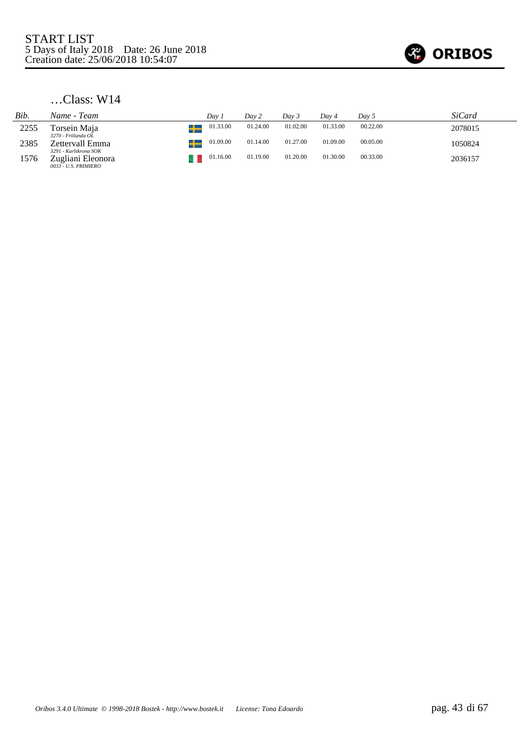

| Bib. | Name - Team                                                        | Dav 1    | Dav 2    | Day 3    | Dav 4    | Dav 5    | SiCard  |
|------|--------------------------------------------------------------------|----------|----------|----------|----------|----------|---------|
| 2255 | Torsein Maja                                                       | 01.33.00 | 01.24.00 | 01.02.00 | 01.33.00 | 00.22.00 | 2078015 |
| 2385 | 3270 - Frölunda OL<br>Zettervall Emma                              | 01.09.00 | 01.14.00 | 01.27.00 | 01.09.00 | 00.05.00 | 1050824 |
| 1576 | 3291 - Karlskrona SOK<br>Zugliani Eleonora<br>0033 - U.S. PRIMIERO | 01.16.00 | 01.19.00 | 01.20.00 | 01.30.00 | 00.33.00 | 2036157 |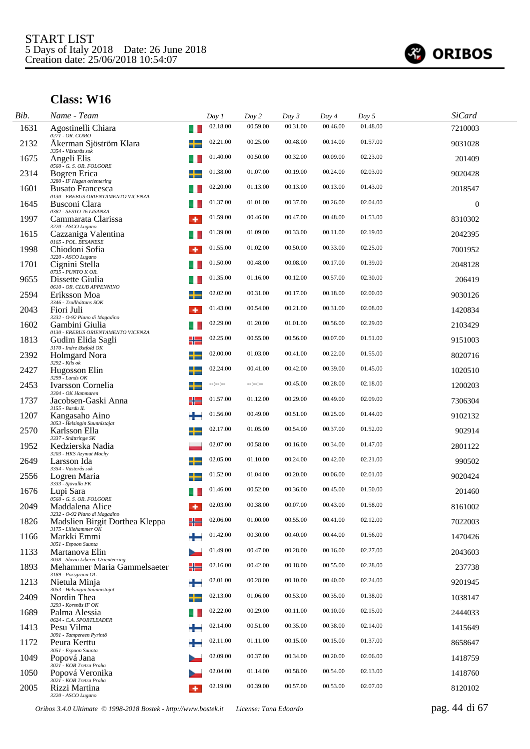

| Bib. | Name - Team                                                               |    | Day 1            | Day 2            | Day 3    | Day 4    | Day 5    | <b>SiCard</b> |  |
|------|---------------------------------------------------------------------------|----|------------------|------------------|----------|----------|----------|---------------|--|
| 1631 | Agostinelli Chiara<br>0271 - OR. COMO                                     | u  | 02.18.00         | 00.59.00         | 00.31.00 | 00.46.00 | 01.48.00 | 7210003       |  |
| 2132 | Åkerman Sjöström Klara                                                    |    | 02.21.00         | 00.25.00         | 00.48.00 | 00.14.00 | 01.57.00 | 9031028       |  |
| 1675 | 3354 - Västerås sok<br>Angeli Elis                                        |    | 01.40.00         | 00.50.00         | 00.32.00 | 00.09.00 | 02.23.00 | 201409        |  |
| 2314 | $0560 - G.$ S. OR. FOLGORE<br>Bogren Erica<br>3280 - IF Hagen orientering |    | 01.38.00         | 01.07.00         | 00.19.00 | 00.24.00 | 02.03.00 | 9020428       |  |
| 1601 | <b>Busato Francesca</b><br>0130 - EREBUS ORIENTAMENTO VICENZA             |    | 02.20.00         | 01.13.00         | 00.13.00 | 00.13.00 | 01.43.00 | 2018547       |  |
| 1645 | Busconi Clara<br>0382 - SESTO 76 LISANZA                                  |    | 01.37.00         | 01.01.00         | 00.37.00 | 00.26.00 | 02.04.00 | $\mathbf{0}$  |  |
| 1997 | Cammarata Clarissa<br>3220 - ASCO Lugano                                  | ۰  | 01.59.00         | 00.46.00         | 00.47.00 | 00.48.00 | 01.53.00 | 8310302       |  |
| 1615 | Cazzaniga Valentina<br>0165 - POL. BESANESE                               | u. | 01.39.00         | 01.09.00         | 00.33.00 | 00.11.00 | 02.19.00 | 2042395       |  |
| 1998 | Chiodoni Sofia<br>3220 - ASCO Lugano                                      | ۰  | 01.55.00         | 01.02.00         | 00.50.00 | 00.33.00 | 02.25.00 | 7001952       |  |
| 1701 | Cignini Stella<br>0735 - PUNTO K OR.                                      |    | 01.50.00         | 00.48.00         | 00.08.00 | 00.17.00 | 01.39.00 | 2048128       |  |
| 9655 | Dissette Giulia<br>0610 - OR. CLUB APPENNINO                              |    | 01.35.00         | 01.16.00         | 00.12.00 | 00.57.00 | 02.30.00 | 206419        |  |
| 2594 | Eriksson Moa<br>3346 - Trollhättans SOK                                   |    | 02.02.00         | 00.31.00         | 00.17.00 | 00.18.00 | 02.00.00 | 9030126       |  |
| 2043 | Fiori Juli<br>3232 - O-92 Piano di Magadino                               |    | 01.43.00         | 00.54.00         | 00.21.00 | 00.31.00 | 02.08.00 | 1420834       |  |
| 1602 | Gambini Giulia<br>0130 - EREBUS ORIENTAMENTO VICENZA                      |    | 02.29.00         | 01.20.00         | 01.01.00 | 00.56.00 | 02.29.00 | 2103429       |  |
| 1813 | Gudim Elida Sagli<br>3170 - Indre Østfold OK                              | ╬  | 02.25.00         | 00.55.00         | 00.56.00 | 00.07.00 | 01.51.00 | 9151003       |  |
| 2392 | Holmgard Nora<br>3292 - Kils ok                                           |    | 02.00.00         | 01.03.00         | 00.41.00 | 00.22.00 | 01.55.00 | 8020716       |  |
| 2427 | Hugosson Elin<br>3299 - Lunds OK                                          |    | 02.24.00         | 00.41.00         | 00.42.00 | 00.39.00 | 01.45.00 | 1020510       |  |
| 2453 | Ivarsson Cornelia<br>3304 - OK Hammaren                                   |    | $-1 - 1 - 1 - 1$ | $-1 - 1 - 1 - 1$ | 00.45.00 | 00.28.00 | 02.18.00 | 1200203       |  |
| 1737 | Jacobsen-Gaski Anna<br>3155 - Bardu IL                                    | ╬  | 01.57.00         | 01.12.00         | 00.29.00 | 00.49.00 | 02.09.00 | 7306304       |  |
| 1207 | Kangasaho Aino<br>3053 - Helsingin Suunnistajat                           |    | 01.56.00         | 00.49.00         | 00.51.00 | 00.25.00 | 01.44.00 | 9102132       |  |
| 2570 | Karlsson Ella<br>3337 - Snättringe SK                                     | ╈  | 02.17.00         | 01.05.00         | 00.54.00 | 00.37.00 | 01.52.00 | 902914        |  |
| 1952 | Kedzierska Nadia<br>3203 - HKS Azymut Mochy                               |    | 02.07.00         | 00.58.00         | 00.16.00 | 00.34.00 | 01.47.00 | 2801122       |  |
| 2649 | Larsson Ida<br>3354 - Västerås sok                                        |    | 02.05.00         | 01.10.00         | 00.24.00 | 00.42.00 | 02.21.00 | 990502        |  |
| 2556 | Logren Maria<br>3333 - Sjövalla FK                                        | ┶  | 01.52.00         | 01.04.00         | 00.20.00 | 00.06.00 | 02.01.00 | 9020424       |  |
| 1676 | Lupi Sara<br>0560 - G. S. OR. FOLGORE                                     |    | 01.46.00         | 00.52.00         | 00.36.00 | 00.45.00 | 01.50.00 | 201460        |  |
| 2049 | Maddalena Alice<br>3232 - O-92 Piano di Magadino                          | ۰  | 02.03.00         | 00.38.00         | 00.07.00 | 00.43.00 | 01.58.00 | 8161002       |  |
| 1826 | Madslien Birgit Dorthea Kleppa<br>3175 - Lillehammer OK                   |    | 02.06.00         | 01.00.00         | 00.55.00 | 00.41.00 | 02.12.00 | 7022003       |  |
| 1166 | Markki Emmi<br>3051 - Espoon Suunta                                       |    | 01.42.00         | 00.30.00         | 00.40.00 | 00.44.00 | 01.56.00 | 1470426       |  |
| 1133 | Martanova Elin<br>3038 - Slavia Liberec Orienteering                      |    | 01.49.00         | 00.47.00         | 00.28.00 | 00.16.00 | 02.27.00 | 2043603       |  |
| 1893 | Mehammer Maria Gammelsaeter<br>3189 - Porsgrunn OL                        | ╬  | 02.16.00         | 00.42.00         | 00.18.00 | 00.55.00 | 02.28.00 | 237738        |  |
| 1213 | Nietula Minja<br>3053 - Helsingin Suunnistajat                            | ٠  | 02.01.00         | 00.28.00         | 00.10.00 | 00.40.00 | 02.24.00 | 9201945       |  |
| 2409 | Nordin Thea<br>3293 - Korsnäs IF OK                                       |    | 02.13.00         | 01.06.00         | 00.53.00 | 00.35.00 | 01.38.00 | 1038147       |  |
| 1689 | Palma Alessia<br>0624 - C.A. SPORTLEADER                                  |    | 02.22.00         | 00.29.00         | 00.11.00 | 00.10.00 | 02.15.00 | 2444033       |  |
| 1413 | Pesu Vilma<br>3091 - Tampereen Pyrintö                                    |    | 02.14.00         | 00.51.00         | 00.35.00 | 00.38.00 | 02.14.00 | 1415649       |  |
| 1172 | Peura Kerttu<br>3051 - Espoon Suunta                                      |    | 02.11.00         | 01.11.00         | 00.15.00 | 00.15.00 | 01.37.00 | 8658647       |  |
| 1049 | Popová Jana<br>3021 - KOB Tretra Praha                                    |    | 02.09.00         | 00.37.00         | 00.34.00 | 00.20.00 | 02.06.00 | 1418759       |  |
| 1050 | Popová Veronika<br>3021 - KOB Tretra Praha                                |    | 02.04.00         | 01.14.00         | 00.58.00 | 00.54.00 | 02.13.00 | 1418760       |  |
| 2005 | Rizzi Martina<br>3220 - ASCO Lugano                                       | ۰  | 02.19.00         | 00.39.00         | 00.57.00 | 00.53.00 | 02.07.00 | 8120102       |  |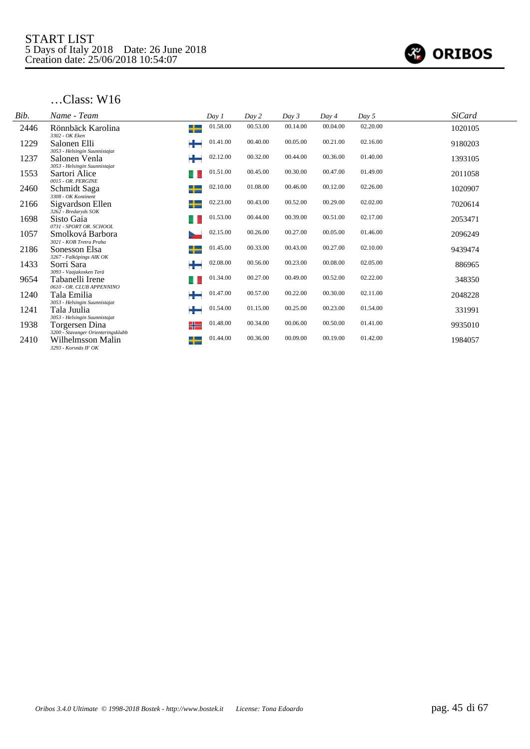

| Bib. | Name - Team                                          |   | Day 1    | Day 2    | Day 3    | Day 4    | Day 5    | <b>SiCard</b> |
|------|------------------------------------------------------|---|----------|----------|----------|----------|----------|---------------|
| 2446 | Rönnbäck Karolina<br>3302 - OK Eken                  | ┶ | 01.58.00 | 00.53.00 | 00.14.00 | 00.04.00 | 02.20.00 | 1020105       |
| 1229 | Salonen Elli<br>3053 - Helsingin Suunnistajat        | ╈ | 01.41.00 | 00.40.00 | 00.05.00 | 00.21.00 | 02.16.00 | 9180203       |
| 1237 | Salonen Venla<br>3053 - Helsingin Suunnistajat       |   | 02.12.00 | 00.32.00 | 00.44.00 | 00.36.00 | 01.40.00 | 1393105       |
| 1553 | Sartori Alice<br>0015 - OR. PERGINE                  |   | 01.51.00 | 00.45.00 | 00.30.00 | 00.47.00 | 01.49.00 | 2011058       |
| 2460 | Schmidt Saga<br>3308 - OK Kontinent                  | ╈ | 02.10.00 | 01.08.00 | 00.46.00 | 00.12.00 | 02.26.00 | 1020907       |
| 2166 | Sigvardson Ellen<br>3262 - Bredaryds SOK             | ┶ | 02.23.00 | 00.43.00 | 00.52.00 | 00.29.00 | 02.02.00 | 7020614       |
| 1698 | Sisto Gaia<br>0731 - SPORT OR, SCHOOL                |   | 01.53.00 | 00.44.00 | 00.39.00 | 00.51.00 | 02.17.00 | 2053471       |
| 1057 | Smolková Barbora<br>3021 - KOB Tretra Praha          |   | 02.15.00 | 00.26.00 | 00.27.00 | 00.05.00 | 01.46.00 | 2096249       |
| 2186 | Sonesson Elsa<br>3267 - Falköpings AIK OK            | ┶ | 01.45.00 | 00.33.00 | 00.43.00 | 00.27.00 | 02.10.00 | 9439474       |
| 1433 | Sorri Sara<br>3093 - Vaajakosken Terä                | ٠ | 02.08.00 | 00.56.00 | 00.23.00 | 00.08.00 | 02.05.00 | 886965        |
| 9654 | Tabanelli Irene<br>0610 - OR. CLUB APPENNINO         |   | 01.34.00 | 00.27.00 | 00.49.00 | 00.52.00 | 02.22.00 | 348350        |
| 1240 | Tala Emilia<br>3053 - Helsingin Suunnistajat         | ┶ | 01.47.00 | 00.57.00 | 00.22.00 | 00.30.00 | 02.11.00 | 2048228       |
| 1241 | Tala Juulia<br>3053 - Helsingin Suunnistajat         | ╈ | 01.54.00 | 01.15.00 | 00.25.00 | 00.23.00 | 01.54.00 | 331991        |
| 1938 | Torgersen Dina<br>3200 - Stavanger Orienteringsklubb | ╬ | 01.48.00 | 00.34.00 | 00.06.00 | 00.50.00 | 01.41.00 | 9935010       |
| 2410 | Wilhelmsson Malin<br>3293 - Korsnäs IF OK            | ┶ | 01.44.00 | 00.36.00 | 00.09.00 | 00.19.00 | 01.42.00 | 1984057       |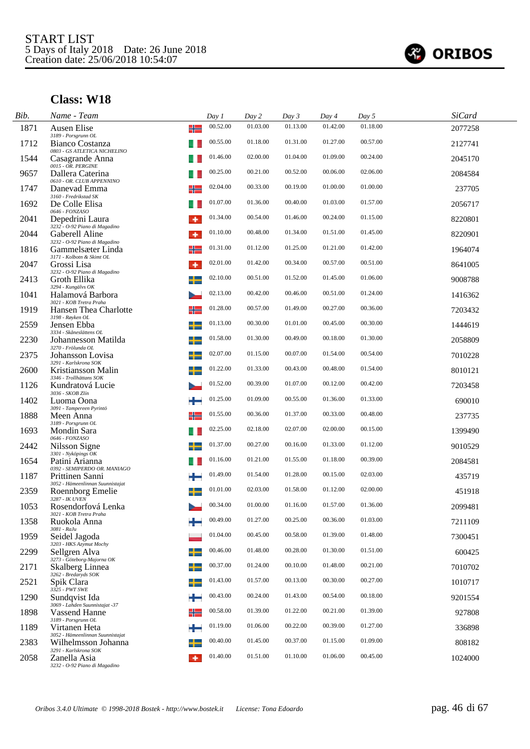

l.

| Bib. | Name - Team                                                           | Day 1          | Day 2    | Day 3    | Day 4    | Day 5    | <b>SiCard</b> |
|------|-----------------------------------------------------------------------|----------------|----------|----------|----------|----------|---------------|
| 1871 | Ausen Elise<br>3189 - Porsgrunn OL                                    | 00.52.00<br>╬  | 01.03.00 | 01.13.00 | 01.42.00 | 01.18.00 | 2077258       |
| 1712 | Bianco Costanza                                                       | 00.55.00       | 01.18.00 | 01.31.00 | 01.27.00 | 00.57.00 | 2127741       |
| 1544 | 0803 - GS ATLETICA NICHELINO<br>Casagrande Anna<br>0015 - OR. PERGINE | 01.46.00       | 02.00.00 | 01.04.00 | 01.09.00 | 00.24.00 | 2045170       |
| 9657 | Dallera Caterina<br>0610 - OR. CLUB APPENNINO                         | 00.25.00       | 00.21.00 | 00.52.00 | 00.06.00 | 02.06.00 | 2084584       |
| 1747 | Danevad Emma<br>3160 - Fredrikstad SK                                 | 02.04.00       | 00.33.00 | 00.19.00 | 01.00.00 | 01.00.00 | 237705        |
| 1692 | De Colle Elisa<br>0646 - FONZASO                                      | 01.07.00       | 01.36.00 | 00.40.00 | 01.03.00 | 01.57.00 | 2056717       |
| 2041 | Depedrini Laura<br>3232 - O-92 Piano di Magadino                      | 01.34.00<br>۰  | 00.54.00 | 01.46.00 | 00.24.00 | 01.15.00 | 8220801       |
| 2044 | Gaberell Aline<br>3232 - O-92 Piano di Magadino                       | 01.10.00<br>۰  | 00.48.00 | 01.34.00 | 01.51.00 | 01.45.00 | 8220901       |
| 1816 | Gammelsæter Linda<br>3171 - Kolbotn & Skimt OL                        | 01.31.00<br>╬  | 01.12.00 | 01.25.00 | 01.21.00 | 01.42.00 | 1964074       |
| 2047 | Grossi Lisa<br>3232 - O-92 Piano di Magadino                          | 02.01.00<br>۰  | 01.42.00 | 00.34.00 | 00.57.00 | 00.51.00 | 8641005       |
| 2413 | Groth Ellika<br>3294 - Kungälvs OK                                    | 02.10.00       | 00.51.00 | 01.52.00 | 01.45.00 | 01.06.00 | 9008788       |
| 1041 | Halamová Barbora<br>3021 - KOB Tretra Praha                           | 02.13.00       | 00.42.00 | 00.46.00 | 00.51.00 | 01.24.00 | 1416362       |
| 1919 | Hansen Thea Charlotte<br>3198 - Røyken OL                             | 01.28.00<br>╬  | 00.57.00 | 01.49.00 | 00.27.00 | 00.36.00 | 7203432       |
| 2559 | Jensen Ebba<br>3334 - Skåneslättens OL                                | 01.13.00       | 00.30.00 | 01.01.00 | 00.45.00 | 00.30.00 | 1444619       |
| 2230 | ┶<br>Johannesson Matilda<br>3270 - Frölunda OL                        | 01.58.00       | 01.30.00 | 00.49.00 | 00.18.00 | 01.30.00 | 2058809       |
| 2375 | Johansson Lovisa<br>3291 - Karlskrona SOK                             | 02.07.00<br>╈  | 01.15.00 | 00.07.00 | 01.54.00 | 00.54.00 | 7010228       |
| 2600 | Kristiansson Malin<br>3346 - Trollhättans SOK                         | 01.22.00       | 01.33.00 | 00.43.00 | 00.48.00 | 01.54.00 | 8010121       |
| 1126 | Kundratová Lucie<br>3036 - SKOB Zlín                                  | 01.52.00       | 00.39.00 | 01.07.00 | 00.12.00 | 00.42.00 | 7203458       |
| 1402 | Luoma Oona<br>3091 - Tampereen Pyrintö                                | 01.25.00       | 01.09.00 | 00.55.00 | 01.36.00 | 01.33.00 | 690010        |
| 1888 | Meen Anna<br>3189 - Porsgrunn OL                                      | 01.55.00<br>╬═ | 00.36.00 | 01.37.00 | 00.33.00 | 00.48.00 | 237735        |
| 1693 | Mondin Sara<br>0646 - FONZASO                                         | 02.25.00       | 02.18.00 | 02.07.00 | 02.00.00 | 00.15.00 | 1399490       |
| 2442 | Nilsson Signe<br>3301 - Nyköpings OK                                  | 01.37.00       | 00.27.00 | 00.16.00 | 01.33.00 | 01.12.00 | 9010529       |
| 1654 | Patini Arianna<br>0392 - SEMIPERDO OR. MANIAGO                        | 01.16.00       | 01.21.00 | 01.55.00 | 01.18.00 | 00.39.00 | 2084581       |
| 1187 | Prittinen Sanni<br>3052 - Hämeenlinnan Suunnistajat                   | 01.49.00       | 01.54.00 | 01.28.00 | 00.15.00 | 02.03.00 | 435719        |
| 2359 | Roennborg Emelie<br>3287 - IK UVEN                                    | 01.01.00       | 02.03.00 | 01.58.00 | 01.12.00 | 02.00.00 | 451918        |
| 1053 | Rosendorfová Lenka<br>3021 - KOB Tretra Praha                         | 00.34.00       | 01.00.00 | 01.16.00 | 01.57.00 | 01.36.00 | 2099481       |
| 1358 | Ruokola Anna<br>$3081$ - $RaJu$                                       | 00.49.00       | 01.27.00 | 00.25.00 | 00.36.00 | 01.03.00 | 7211109       |
| 1959 | Seidel Jagoda<br>3203 - HKS Azymut Mochy                              | 01.04.00       | 00.45.00 | 00.58.00 | 01.39.00 | 01.48.00 | 7300451       |
| 2299 | Sellgren Alva<br>3273 - Göteborg-Majorna OK                           | 00.46.00       | 01.48.00 | 00.28.00 | 01.30.00 | 01.51.00 | 600425        |
| 2171 | Skalberg Linnea<br>3262 - Bredaryds SOK                               | 00.37.00       | 01.24.00 | 00.10.00 | 01.48.00 | 00.21.00 | 7010702       |
| 2521 | Spik Clara<br>3325 - PWT SWE                                          | 01.43.00       | 01.57.00 | 00.13.00 | 00.30.00 | 00.27.00 | 1010717       |
| 1290 | Sundqvist Ida<br>3069 - Lahden Suunnistajat -37                       | 00.43.00       | 00.24.00 | 01.43.00 | 00.54.00 | 00.18.00 | 9201554       |
| 1898 | Vassend Hanne<br>3189 - Porsgrunn OL                                  | 00.58.00<br>╬  | 01.39.00 | 01.22.00 | 00.21.00 | 01.39.00 | 927808        |
| 1189 | Virtanen Heta<br>3052 - Hämeenlinnan Suunnistajat                     | 01.19.00       | 01.06.00 | 00.22.00 | 00.39.00 | 01.27.00 | 336898        |
| 2383 | Wilhelmsson Johanna<br>3291 - Karlskrona SOK                          | 00.40.00       | 01.45.00 | 00.37.00 | 01.15.00 | 01.09.00 | 808182        |
| 2058 | Zanella Asia<br>3232 - O-92 Piano di Magadino                         | 01.40.00<br>٠  | 01.51.00 | 01.10.00 | 01.06.00 | 00.45.00 | 1024000       |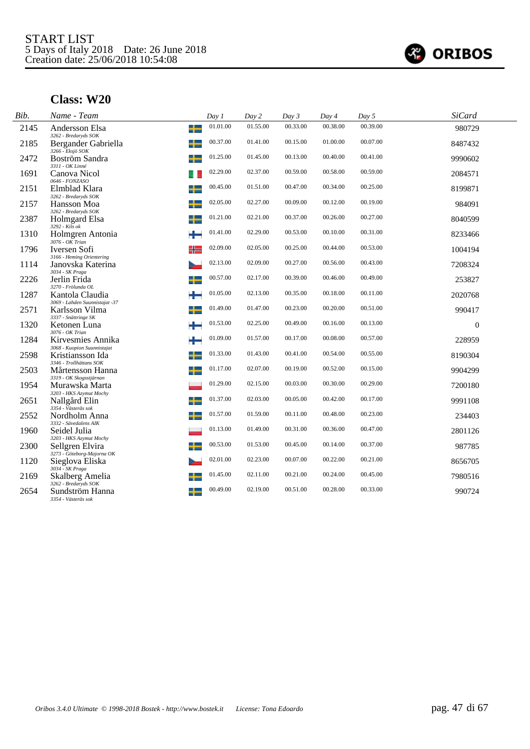

| Bib. | Name - Team                                                                  | Day 1    | Day 2    | Day 3    | Day 4    | Day 5    | <b>SiCard</b> |  |
|------|------------------------------------------------------------------------------|----------|----------|----------|----------|----------|---------------|--|
| 2145 | ╈<br>Andersson Elsa<br>3262 - Bredaryds SOK                                  | 01.01.00 | 01.55.00 | 00.33.00 | 00.38.00 | 00.39.00 | 980729        |  |
| 2185 | ╈<br>Bergander Gabriella                                                     | 00.37.00 | 01.41.00 | 00.15.00 | 01.00.00 | 00.07.00 | 8487432       |  |
| 2472 | 3266 - Eksjö SOK<br>Boström Sandra                                           | 01.25.00 | 01.45.00 | 00.13.00 | 00.40.00 | 00.41.00 | 9990602       |  |
| 1691 | 3311 - OK Linné<br>Canova Nicol                                              | 02.29.00 | 02.37.00 | 00.59.00 | 00.58.00 | 00.59.00 | 2084571       |  |
| 2151 | 0646 - FONZASO<br>+<br>Elmblad Klara                                         | 00.45.00 | 01.51.00 | 00.47.00 | 00.34.00 | 00.25.00 | 8199871       |  |
| 2157 | 3262 - Bredaryds SOK<br>ᅩ<br>Hansson Moa                                     | 02.05.00 | 02.27.00 | 00.09.00 | 00.12.00 | 00.19.00 | 984091        |  |
| 2387 | 3262 - Bredaryds SOK<br>Holmgard Elsa<br>÷<br>$3292 - Kils$ ok               | 01.21.00 | 02.21.00 | 00.37.00 | 00.26.00 | 00.27.00 | 8040599       |  |
| 1310 | Holmgren Antonia                                                             | 01.41.00 | 02.29.00 | 00.53.00 | 00.10.00 | 00.31.00 | 8233466       |  |
| 1796 | $3076 - OK$ Trian<br>Iversen Sofi<br>╬                                       | 02.09.00 | 02.05.00 | 00.25.00 | 00.44.00 | 00.53.00 | 1004194       |  |
| 1114 | 3166 - Heming Orientering<br>Janovska Katerina                               | 02.13.00 | 02.09.00 | 00.27.00 | 00.56.00 | 00.43.00 | 7208324       |  |
| 2226 | 3034 - SK Praga<br>Jerlin Frida                                              | 00.57.00 | 02.17.00 | 00.39.00 | 00.46.00 | 00.49.00 | 253827        |  |
| 1287 | 3270 - Frölunda OL<br>÷<br>Kantola Claudia<br>3069 - Lahden Suunnistajat -37 | 01.05.00 | 02.13.00 | 00.35.00 | 00.18.00 | 00.11.00 | 2020768       |  |
| 2571 | Karlsson Vilma<br>3337 - Snättringe SK                                       | 01.49.00 | 01.47.00 | 00.23.00 | 00.20.00 | 00.51.00 | 990417        |  |
| 1320 | Ketonen Luna<br>æ<br>3076 - OK Trian                                         | 01.53.00 | 02.25.00 | 00.49.00 | 00.16.00 | 00.13.00 | $\Omega$      |  |
| 1284 | ÷<br>Kirvesmies Annika                                                       | 01.09.00 | 01.57.00 | 00.17.00 | 00.08.00 | 00.57.00 | 228959        |  |
| 2598 | 3068 - Kuopion Suunnistajat<br>╅<br>Kristiansson Ida                         | 01.33.00 | 01.43.00 | 00.41.00 | 00.54.00 | 00.55.00 | 8190304       |  |
| 2503 | 3346 - Trollhättans SOK<br>Mårtensson Hanna<br>┶                             | 01.17.00 | 02.07.00 | 00.19.00 | 00.52.00 | 00.15.00 | 9904299       |  |
| 1954 | 3319 - OK Skogsstjärnan<br>Murawska Marta                                    | 01.29.00 | 02.15.00 | 00.03.00 | 00.30.00 | 00.29.00 | 7200180       |  |
| 2651 | 3203 - HKS Azymut Mochy<br>Nallgård Elin<br>3354 - Västerås sok              | 01.37.00 | 02.03.00 | 00.05.00 | 00.42.00 | 00.17.00 | 9991108       |  |
| 2552 | Nordholm Anna                                                                | 01.57.00 | 01.59.00 | 00.11.00 | 00.48.00 | 00.23.00 | 234403        |  |
| 1960 | 3332 - Sävedalens AIK<br>Seidel Julia                                        | 01.13.00 | 01.49.00 | 00.31.00 | 00.36.00 | 00.47.00 | 2801126       |  |
| 2300 | 3203 - HKS Azymut Mochy<br>Sellgren Elvira                                   | 00.53.00 | 01.53.00 | 00.45.00 | 00.14.00 | 00.37.00 | 987785        |  |
| 1120 | 3273 - Göteborg-Majorna OK<br>Sieglova Eliska                                | 02.01.00 | 02.23.00 | 00.07.00 | 00.22.00 | 00.21.00 | 8656705       |  |
| 2169 | 3034 - SK Praga<br>Skalberg Amelia                                           | 01.45.00 | 02.11.00 | 00.21.00 | 00.24.00 | 00.45.00 | 7980516       |  |
| 2654 | 3262 - Bredaryds SOK<br>Sundström Hanna<br>3354 - Västerås sok               | 00.49.00 | 02.19.00 | 00.51.00 | 00.28.00 | 00.33.00 | 990724        |  |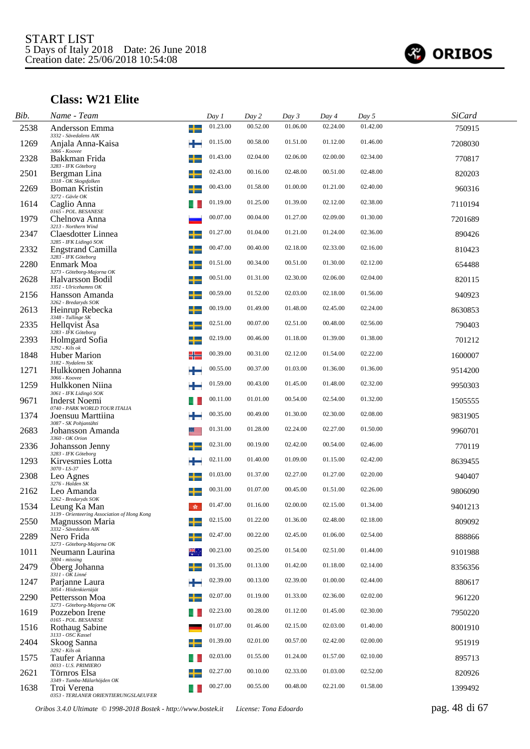

# **Class: W21 Elite**

| Bib. | Name - Team                                                  |   | Day 1    | Day 2    | Day 3    | Day 4    | Day 5    | <b>SiCard</b> |  |
|------|--------------------------------------------------------------|---|----------|----------|----------|----------|----------|---------------|--|
| 2538 | Andersson Emma<br>3332 - Sävedalens AIK                      | ╉ | 01.23.00 | 00.52.00 | 01.06.00 | 02.24.00 | 01.42.00 | 750915        |  |
| 1269 | Anjala Anna-Kaisa                                            | ÷ | 01.15.00 | 00.58.00 | 01.51.00 | 01.12.00 | 01.46.00 | 7208030       |  |
| 2328 | 3066 - Koovee<br>Bakkman Frida<br>3283 - IFK Göteborg        | ╈ | 01.43.00 | 02.04.00 | 02.06.00 | 02.00.00 | 02.34.00 | 770817        |  |
| 2501 | Bergman Lina<br>3318 - OK Skogsfalken                        | ┶ | 02.43.00 | 00.16.00 | 02.48.00 | 00.51.00 | 02.48.00 | 820203        |  |
| 2269 | Boman Kristin<br>3272 - Gävle OK                             |   | 00.43.00 | 01.58.00 | 01.00.00 | 01.21.00 | 02.40.00 | 960316        |  |
| 1614 | Caglio Anna<br>0165 - POL. BESANESE                          |   | 01.19.00 | 01.25.00 | 01.39.00 | 02.12.00 | 02.38.00 | 7110194       |  |
| 1979 | Chelnova Anna<br>3213 - Northern Wind                        |   | 00.07.00 | 00.04.00 | 01.27.00 | 02.09.00 | 01.30.00 | 7201689       |  |
| 2347 | Claesdotter Linnea<br>3285 - IFK Lidingö SOK                 |   | 01.27.00 | 01.04.00 | 01.21.00 | 01.24.00 | 02.36.00 | 890426        |  |
| 2332 | <b>Engstrand Camilla</b><br>3283 - IFK Göteborg              |   | 00.47.00 | 00.40.00 | 02.18.00 | 02.33.00 | 02.16.00 | 810423        |  |
| 2280 | Enmark Moa<br>3273 - Göteborg-Majorna OK                     | ╅ | 01.51.00 | 00.34.00 | 00.51.00 | 01.30.00 | 02.12.00 | 654488        |  |
| 2628 | Halvarsson Bodil<br>3351 - Ulricehamns OK                    |   | 00.51.00 | 01.31.00 | 02.30.00 | 02.06.00 | 02.04.00 | 820115        |  |
| 2156 | Hansson Amanda<br>3262 - Bredaryds SOK                       | ╅ | 00.59.00 | 01.52.00 | 02.03.00 | 02.18.00 | 01.56.00 | 940923        |  |
| 2613 | Heinrup Rebecka<br>3348 - Tullinge SK                        |   | 00.19.00 | 01.49.00 | 01.48.00 | 02.45.00 | 02.24.00 | 8630853       |  |
| 2335 | Hellqvist Asa<br>3283 - IFK Göteborg                         |   | 02.51.00 | 00.07.00 | 02.51.00 | 00.48.00 | 02.56.00 | 790403        |  |
| 2393 | Holmgard Sofia<br>$3292 - Ki\bar{ls}$ ok                     |   | 02.19.00 | 00.46.00 | 01.18.00 | 01.39.00 | 01.38.00 | 701212        |  |
| 1848 | Huber Marion<br>3182 - Nydalens SK                           | ╬ | 00.39.00 | 00.31.00 | 02.12.00 | 01.54.00 | 02.22.00 | 1600007       |  |
| 1271 | Hulkkonen Johanna<br>3066 - Koovee                           |   | 00.55.00 | 00.37.00 | 01.03.00 | 01.36.00 | 01.36.00 | 9514200       |  |
| 1259 | Hulkkonen Niina<br>3061 - IFK Lidingö SOK                    | ٠ | 01.59.00 | 00.43.00 | 01.45.00 | 01.48.00 | 02.32.00 | 9950303       |  |
| 9671 | <b>Inderst Noemi</b><br>0740 - PARK WORLD TOUR ITALIA        |   | 00.11.00 | 01.01.00 | 00.54.00 | 02.54.00 | 01.32.00 | 1505555       |  |
| 1374 | Joensuu Marttiina<br>3087 - SK Pohjantähti                   |   | 00.35.00 | 00.49.00 | 01.30.00 | 02.30.00 | 02.08.00 | 9831905       |  |
| 2683 | Johansson Amanda<br>3360 - OK Orion                          |   | 01.31.00 | 01.28.00 | 02.24.00 | 02.27.00 | 01.50.00 | 9960701       |  |
| 2336 | Johansson Jenny<br>3283 - IFK Göteborg                       |   | 02.31.00 | 00.19.00 | 02.42.00 | 00.54.00 | 02.46.00 | 770119        |  |
| 1293 | Kirvesmies Lotta<br>3070 - LS-37                             | ÷ | 02.11.00 | 01.40.00 | 01.09.00 | 01.15.00 | 02.42.00 | 8639455       |  |
| 2308 | Leo Agnes<br>3276 - Halden SK                                | ┶ | 01.03.00 | 01.37.00 | 02.27.00 | 01.27.00 | 02.20.00 | 940407        |  |
| 2162 | Leo Amanda<br>3262 - Bredaryds SOK                           |   | 00.31.00 | 01.07.00 | 00.45.00 | 01.51.00 | 02.26.00 | 9806090       |  |
| 1534 | Leung Ka Man<br>3139 - Orienteering Association of Hong Kong | 蠹 | 01.47.00 | 01.16.00 | 02.00.00 | 02.15.00 | 01.34.00 | 9401213       |  |
| 2550 | <b>Magnusson Maria</b><br>3332 - Sävedalens AIK              |   | 02.15.00 | 01.22.00 | 01.36.00 | 02.48.00 | 02.18.00 | 809092        |  |
| 2289 | Nero Frida<br>3273 - Göteborg-Majorna OK                     |   | 02.47.00 | 00.22.00 | 02.45.00 | 01.06.00 | 02.54.00 | 888866        |  |
| 1011 | Neumann Laurina<br>$3004 - missing$                          |   | 00.23.00 | 00.25.00 | 01.54.00 | 02.51.00 | 01.44.00 | 9101988       |  |
| 2479 | Öberg Johanna<br>3311 - OK Linné                             | ┶ | 01.35.00 | 01.13.00 | 01.42.00 | 01.18.00 | 02.14.00 | 8356356       |  |
| 1247 | Parjanne Laura<br>3054 - Hiidenkiertäjät                     |   | 02.39.00 | 00.13.00 | 02.39.00 | 01.00.00 | 02.44.00 | 880617        |  |
| 2290 | Pettersson Moa<br>3273 - Göteborg-Majorna OK                 |   | 02.07.00 | 01.19.00 | 01.33.00 | 02.36.00 | 02.02.00 | 961220        |  |
| 1619 | Pozzebon Irene<br>0165 - POL. BESANESE                       |   | 02.23.00 | 00.28.00 | 01.12.00 | 01.45.00 | 02.30.00 | 7950220       |  |
| 1516 | <b>Rothaug Sabine</b><br>3133 - OSC Kassel                   |   | 01.07.00 | 01.46.00 | 02.15.00 | 02.03.00 | 01.40.00 | 8001910       |  |
| 2404 | Skoog Sanna<br>3292 - Kils ok                                |   | 01.39.00 | 02.01.00 | 00.57.00 | 02.42.00 | 02.00.00 | 951919        |  |
| 1575 | Taufer Arianna<br>0033 - U.S. PRIMIERO                       |   | 02.03.00 | 01.55.00 | 01.24.00 | 01.57.00 | 02.10.00 | 895713        |  |
| 2621 | Törnros Elsa<br>3349 - Tumba-Mälarhöjden OK                  |   | 02.27.00 | 00.10.00 | 02.33.00 | 01.03.00 | 02.52.00 | 820926        |  |
| 1638 | Troi Verena<br>0353 - TERLANER ORIENTIERUNGSLAEUFER          |   | 00.27.00 | 00.55.00 | 00.48.00 | 02.21.00 | 01.58.00 | 1399492       |  |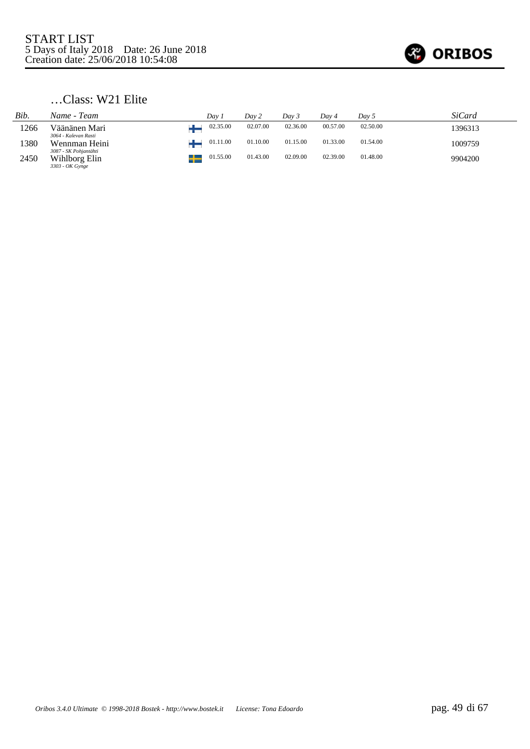

## …Class: W21 Elite

| Bib. | Name - Team                                               | Dav 1    | Dav 2    | Day 3    | Day 4    | Day 5    | SiCard  |
|------|-----------------------------------------------------------|----------|----------|----------|----------|----------|---------|
| 1266 | Väänänen Mari<br>3064 - Kalevan Rasti                     | 02.35.00 | 02.07.00 | 02.36.00 | 00.57.00 | 02.50.00 | 1396313 |
| 1380 | Wennman Heini                                             | 01.11.00 | 01.10.00 | 01.15.00 | 01.33.00 | 01.54.00 | 1009759 |
| 2450 | 3087 - SK Pohjantähti<br>Wihlborg Elin<br>3303 - OK Gynge | 01.55.00 | 01.43.00 | 02.09.00 | 02.39.00 | 01.48.00 | 9904200 |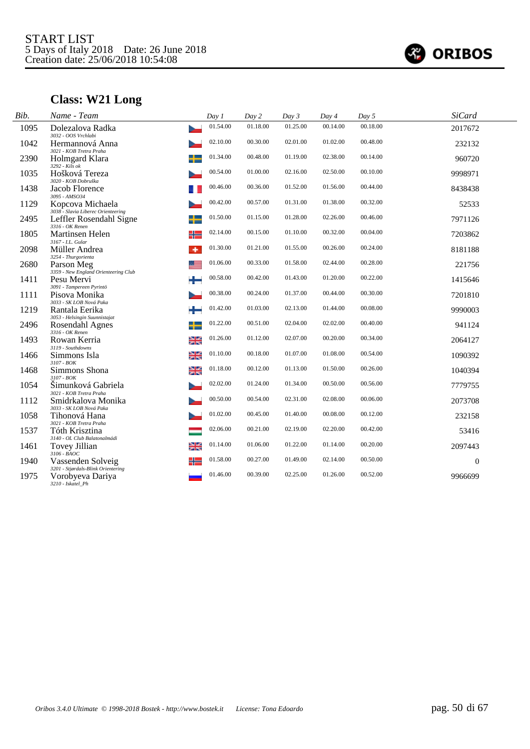

# **Class: W21 Long**

| Bib. | Name - Team                                             | Day 1          | Day 2    | Day 3    | Day 4    | Day 5    | <b>SiCard</b>    |  |
|------|---------------------------------------------------------|----------------|----------|----------|----------|----------|------------------|--|
| 1095 | Dolezalova Radka<br>3032 - OOS Vrchlabi                 | 01.54.00       | 01.18.00 | 01.25.00 | 00.14.00 | 00.18.00 | 2017672          |  |
| 1042 | Hermannová Anna<br>3021 - KOB Tretra Praha              | 02.10.00       | 00.30.00 | 02.01.00 | 01.02.00 | 00.48.00 | 232132           |  |
| 2390 | Holmgard Klara<br>3292 - Kils ok                        | 01.34.00       | 00.48.00 | 01.19.00 | 02.38.00 | 00.14.00 | 960720           |  |
| 1035 | Hošková Tereza<br>3020 - KOB Dobruška                   | 00.54.00       | 01.00.00 | 02.16.00 | 02.50.00 | 00.10.00 | 9998971          |  |
| 1438 | Jacob Florence<br>3095 - AMSO34                         | 00.46.00       | 00.36.00 | 01.52.00 | 01.56.00 | 00.44.00 | 8438438          |  |
| 1129 | Kopcova Michaela<br>3038 - Slavia Liberec Orienteering  | 00.42.00       | 00.57.00 | 01.31.00 | 01.38.00 | 00.32.00 | 52533            |  |
| 2495 | Leffler Rosendahl Signe<br>3316 - OK Renen              | 01.50.00<br>╈  | 01.15.00 | 01.28.00 | 02.26.00 | 00.46.00 | 7971126          |  |
| 1805 | Martinsen Helen<br>3167 - I.L. Gular                    | 02.14.00<br>╬═ | 00.15.00 | 01.10.00 | 00.32.00 | 00.04.00 | 7203862          |  |
| 2098 | Müller Andrea<br>3254 - Thurgorienta                    | 01.30.00<br>٠  | 01.21.00 | 01.55.00 | 00.26.00 | 00.24.00 | 8181188          |  |
| 2680 | Parson Meg<br>3359 - New England Orienteering Club      | 01.06.00<br>≋≡ | 00.33.00 | 01.58.00 | 02.44.00 | 00.28.00 | 221756           |  |
| 1411 | Pesu Mervi<br>3091 - Tampereen Pyrintö                  | 00.58.00<br>÷  | 00.42.00 | 01.43.00 | 01.20.00 | 00.22.00 | 1415646          |  |
| 1111 | Pisova Monika<br>3033 - SK LOB Nová Paka                | 00.38.00       | 00.24.00 | 01.37.00 | 00.44.00 | 00.30.00 | 7201810          |  |
| 1219 | Rantala Eerika<br>3053 - Helsingin Suunnistajat         | 01.42.00<br>÷  | 01.03.00 | 02.13.00 | 01.44.00 | 00.08.00 | 9990003          |  |
| 2496 | Rosendahl Agnes<br>3316 - OK Renen                      | 01.22.00<br>╈  | 00.51.00 | 02.04.00 | 02.02.00 | 00.40.00 | 941124           |  |
| 1493 | Rowan Kerria<br>3119 - Southdowns                       | 01.26.00<br>≱≼ | 01.12.00 | 02.07.00 | 00.20.00 | 00.34.00 | 2064127          |  |
| 1466 | Simmons Isla<br>$3107 - BOK$                            | 01.10.00<br>≱≼ | 00.18.00 | 01.07.00 | 01.08.00 | 00.54.00 | 1090392          |  |
| 1468 | Simmons Shona<br>3107 - BOK                             | 01.18.00<br>≱≼ | 00.12.00 | 01.13.00 | 01.50.00 | 00.26.00 | 1040394          |  |
| 1054 | Šimunková Gabriela<br>3021 - KOB Tretra Praha           | 02.02.00       | 01.24.00 | 01.34.00 | 00.50.00 | 00.56.00 | 7779755          |  |
| 1112 | Smidrkalova Monika<br>3033 - SK LOB Nová Paka           | 00.50.00       | 00.54.00 | 02.31.00 | 02.08.00 | 00.06.00 | 2073708          |  |
| 1058 | Tihonová Hana<br>3021 - KOB Tretra Praha                | 01.02.00       | 00.45.00 | 01.40.00 | 00.08.00 | 00.12.00 | 232158           |  |
| 1537 | Tóth Krisztina<br>3140 - OL Club Balatonalmádi          | 02.06.00       | 00.21.00 | 02.19.00 | 02.20.00 | 00.42.00 | 53416            |  |
| 1461 | Tovey Jillian<br>$3106 - B A O C$                       | 01.14.00<br>≱≼ | 01.06.00 | 01.22.00 | 01.14.00 | 00.20.00 | 2097443          |  |
| 1940 | Vassenden Solveig<br>3201 - Stjørdals-Blink Orientering | 01.58.00<br>╬  | 00.27.00 | 01.49.00 | 02.14.00 | 00.50.00 | $\boldsymbol{0}$ |  |
| 1975 | Vorobyeva Dariya<br>3210 - Iskatel_Ph                   | 01.46.00       | 00.39.00 | 02.25.00 | 01.26.00 | 00.52.00 | 9966699          |  |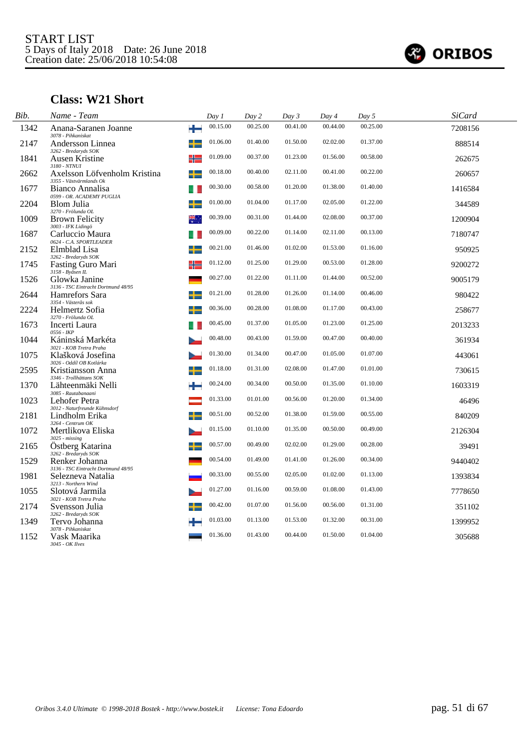

# **Class: W21 Short**

| Bib. | Name - Team                                                  | Day 1    | Day 2    | Day $3$  | Day 4    | Day 5    | <b>SiCard</b> |  |
|------|--------------------------------------------------------------|----------|----------|----------|----------|----------|---------------|--|
| 1342 | Anana-Saranen Joanne<br>÷<br>3078 - Pihkaniskat              | 00.15.00 | 00.25.00 | 00.41.00 | 00.44.00 | 00.25.00 | 7208156       |  |
| 2147 | Andersson Linnea<br>3262 - Bredaryds SOK                     | 01.06.00 | 01.40.00 | 01.50.00 | 02.02.00 | 01.37.00 | 888514        |  |
| 1841 | Ausen Kristine<br>╬<br>3180 - NTNUI                          | 01.09.00 | 00.37.00 | 01.23.00 | 01.56.00 | 00.58.00 | 262675        |  |
| 2662 | ╈<br>Axelsson Löfvenholm Kristina<br>3355 - Västvärmlands Ok | 00.18.00 | 00.40.00 | 02.11.00 | 00.41.00 | 00.22.00 | 260657        |  |
| 1677 | Bianco Annalisa<br>0599 - OR. ACADEMY PUGLIA                 | 00.30.00 | 00.58.00 | 01.20.00 | 01.38.00 | 01.40.00 | 1416584       |  |
| 2204 | Blom Julia<br>3270 - Frölunda OL                             | 01.00.00 | 01.04.00 | 01.17.00 | 02.05.00 | 01.22.00 | 344589        |  |
| 1009 | <b>Brown Felicity</b><br>3003 - IFK Lidingö                  | 00.39.00 | 00.31.00 | 01.44.00 | 02.08.00 | 00.37.00 | 1200904       |  |
| 1687 | Carluccio Maura<br>0624 - C.A. SPORTLEADER                   | 00.09.00 | 00.22.00 | 01.14.00 | 02.11.00 | 00.13.00 | 7180747       |  |
| 2152 | Elmblad Lisa<br>3262 - Bredaryds SOK                         | 00.21.00 | 01.46.00 | 01.02.00 | 01.53.00 | 01.16.00 | 950925        |  |
| 1745 | ╬<br>Fasting Guro Mari<br>3158 - Byåsen IL                   | 01.12.00 | 01.25.00 | 01.29.00 | 00.53.00 | 01.28.00 | 9200272       |  |
| 1526 | Glowka Janine<br>3136 - TSC Eintracht Dortmund 48/95         | 00.27.00 | 01.22.00 | 01.11.00 | 01.44.00 | 00.52.00 | 9005179       |  |
| 2644 | Hamrefors Sara<br>3354 - Västerås sok                        | 01.21.00 | 01.28.00 | 01.26.00 | 01.14.00 | 00.46.00 | 980422        |  |
| 2224 | Helmertz Sofia<br>3270 - Frölunda OL                         | 00.36.00 | 00.28.00 | 01.08.00 | 01.17.00 | 00.43.00 | 258677        |  |
| 1673 | Incerti Laura<br>0556 - IKP                                  | 00.45.00 | 01.37.00 | 01.05.00 | 01.23.00 | 01.25.00 | 2013233       |  |
| 1044 | Káninská Markéta<br>3021 - KOB Tretra Praha                  | 00.48.00 | 00.43.00 | 01.59.00 | 00.47.00 | 00.40.00 | 361934        |  |
| 1075 | Klašková Josefina<br>3026 - Oddíl OB Kotlárka                | 01.30.00 | 01.34.00 | 00.47.00 | 01.05.00 | 01.07.00 | 443061        |  |
| 2595 | Kristiansson Anna<br>3346 - Trollhättans SOK                 | 01.18.00 | 01.31.00 | 02.08.00 | 01.47.00 | 01.01.00 | 730615        |  |
| 1370 | Lähteenmäki Nelli<br>3085 - Rautabanaani                     | 00.24.00 | 00.34.00 | 00.50.00 | 01.35.00 | 01.10.00 | 1603319       |  |
| 1023 | Lehofer Petra<br>3012 - Naturfreunde Kühnsdorf               | 01.33.00 | 01.01.00 | 00.56.00 | 01.20.00 | 01.34.00 | 46496         |  |
| 2181 | Lindholm Erika<br>3264 - Centrum OK                          | 00.51.00 | 00.52.00 | 01.38.00 | 01.59.00 | 00.55.00 | 840209        |  |
| 1072 | Mertlikova Eliska<br>$3025$ - $missing$                      | 01.15.00 | 01.10.00 | 01.35.00 | 00.50.00 | 00.49.00 | 2126304       |  |
| 2165 | Östberg Katarina<br>3262 - Bredaryds SOK                     | 00.57.00 | 00.49.00 | 02.02.00 | 01.29.00 | 00.28.00 | 39491         |  |
| 1529 | Renker Johanna<br>3136 - TSC Eintracht Dortmund 48/95        | 00.54.00 | 01.49.00 | 01.41.00 | 01.26.00 | 00.34.00 | 9440402       |  |
| 1981 | Selezneva Natalia<br>3213 - Northern Wind                    | 00.33.00 | 00.55.00 | 02.05.00 | 01.02.00 | 01.13.00 | 1393834       |  |
| 1055 | Slotová Jarmila<br>3021 - KOB Tretra Praha                   | 01.27.00 | 01.16.00 | 00.59.00 | 01.08.00 | 01.43.00 | 7778650       |  |
| 2174 | Svensson Julia<br>3262 - Bredaryds SOK                       | 00.42.00 | 01.07.00 | 01.56.00 | 00.56.00 | 01.31.00 | 351102        |  |
| 1349 | Tervo Johanna<br>3078 - Pihkaniskat                          | 01.03.00 | 01.13.00 | 01.53.00 | 01.32.00 | 00.31.00 | 1399952       |  |
| 1152 | Vask Maarika<br>3045 - OK Ilves                              | 01.36.00 | 01.43.00 | 00.44.00 | 01.50.00 | 01.04.00 | 305688        |  |
|      |                                                              |          |          |          |          |          |               |  |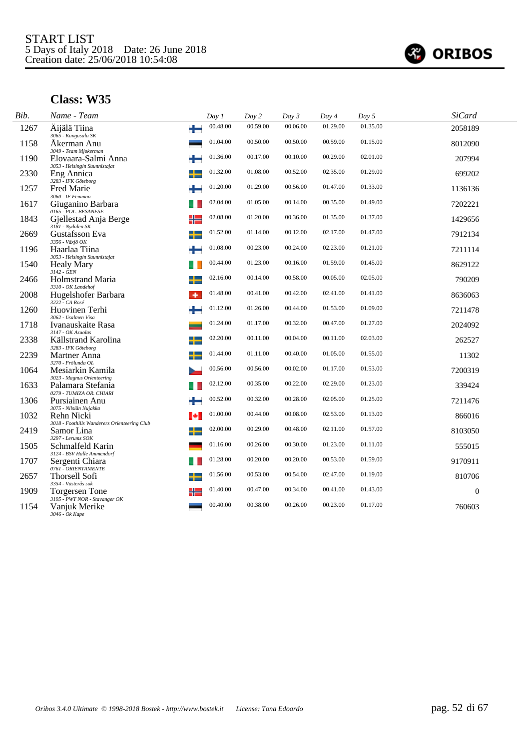

| Bib. | Name - Team                                                                     | Day 1    | Day 2    | Day 3    | Day 4    | Day 5    | <b>SiCard</b> |
|------|---------------------------------------------------------------------------------|----------|----------|----------|----------|----------|---------------|
| 1267 | ÷<br>Äijälä Tiina<br>3065 - Kangasala SK                                        | 00.48.00 | 00.59.00 | 00.06.00 | 01.29.00 | 01.35.00 | 2058189       |
| 1158 | Åkerman Anu                                                                     | 01.04.00 | 00.50.00 | 00.50.00 | 00.59.00 | 01.15.00 | 8012090       |
| 1190 | 3049 - Team Mjøkerman<br>Elovaara-Salmi Anna                                    | 01.36.00 | 00.17.00 | 00.10.00 | 00.29.00 | 02.01.00 | 207994        |
| 2330 | 3053 - Helsingin Suunnistajat<br>Eng Annica<br>3283 - IFK Göteborg              | 01.32.00 | 01.08.00 | 00.52.00 | 02.35.00 | 01.29.00 | 699202        |
| 1257 | <b>Fred Marie</b>                                                               | 01.20.00 | 01.29.00 | 00.56.00 | 01.47.00 | 01.33.00 | 1136136       |
| 1617 | 3060 - IF Femman<br>Giuganino Barbara                                           | 02.04.00 | 01.05.00 | 00.14.00 | 00.35.00 | 01.49.00 | 7202221       |
| 1843 | 0165 - POL. BESANESE<br>╬<br>Gjellestad Anja Berge                              | 02.08.00 | 01.20.00 | 00.36.00 | 01.35.00 | 01.37.00 | 1429656       |
| 2669 | 3181 - Nydalen SK<br>Gustafsson Eva<br>╈                                        | 01.52.00 | 01.14.00 | 00.12.00 | 02.17.00 | 01.47.00 | 7912134       |
| 1196 | 3356 - Växjö OK<br>Haarlaa Tiina                                                | 01.08.00 | 00.23.00 | 00.24.00 | 02.23.00 | 01.21.00 | 7211114       |
| 1540 | 3053 - Helsingin Suunnistajat<br><b>Healy Mary</b>                              | 00.44.00 | 01.23.00 | 00.16.00 | 01.59.00 | 01.45.00 | 8629122       |
| 2466 | $3142 - \check{G}EN$<br>Holmstrand Maria                                        | 02.16.00 | 00.14.00 | 00.58.00 | 00.05.00 | 02.05.00 | 790209        |
| 2008 | 3310 - OK Landehof<br>Hugelshofer Barbara<br>3222 - CA Rosé<br>۰                | 01.48.00 | 00.41.00 | 00.42.00 | 02.41.00 | 01.41.00 | 8636063       |
| 1260 | Huovinen Terhi                                                                  | 01.12.00 | 01.26.00 | 00.44.00 | 01.53.00 | 01.09.00 | 7211478       |
| 1718 | 3062 - Iisalmen Visa<br>Ivanauskaite Rasa                                       | 01.24.00 | 01.17.00 | 00.32.00 | 00.47.00 | 01.27.00 | 2024092       |
| 2338 | 3147 - OK Azuolas<br>Källstrand Karolina                                        | 02.20.00 | 00.11.00 | 00.04.00 | 00.11.00 | 02.03.00 | 262527        |
| 2239 | 3283 - IFK Göteborg<br>Martner Anna                                             | 01.44.00 | 01.11.00 | 00.40.00 | 01.05.00 | 01.55.00 | 11302         |
| 1064 | 3270 - Frölunda OL<br>Mesiarkin Kamila                                          | 00.56.00 | 00.56.00 | 00.02.00 | 01.17.00 | 01.53.00 | 7200319       |
| 1633 | 3023 - Magnus Orienteering<br>Palamara Stefania<br>0279 - TUMIZA OR. CHIARI     | 02.12.00 | 00.35.00 | 00.22.00 | 02.29.00 | 01.23.00 | 339424        |
| 1306 | Pursiainen Anu                                                                  | 00.52.00 | 00.32.00 | 00.28.00 | 02.05.00 | 01.25.00 | 7211476       |
| 1032 | 3075 - Nilsiän Nujakka<br>Rehn Nicki<br>ы                                       | 01.00.00 | 00.44.00 | 00.08.00 | 02.53.00 | 01.13.00 | 866016        |
| 2419 | 3018 - Foothills Wanderers Orienteering Club<br>Samor Lina<br>3297 - Lerums SOK | 02.00.00 | 00.29.00 | 00.48.00 | 02.11.00 | 01.57.00 | 8103050       |
| 1505 | Schmalfeld Karin                                                                | 01.16.00 | 00.26.00 | 00.30.00 | 01.23.00 | 01.11.00 | 555015        |
| 1707 | 3124 - BSV Halle Ammendorf<br>Sergenti Chiara                                   | 01.28.00 | 00.20.00 | 00.20.00 | 00.53.00 | 01.59.00 | 9170911       |
| 2657 | 0761 - ORIENTAMENTE<br>Thorsell Sofi                                            | 01.56.00 | 00.53.00 | 00.54.00 | 02.47.00 | 01.19.00 | 810706        |
| 1909 | 3354 - Västerås sok<br>Torgersen Tone                                           | 01.40.00 | 00.47.00 | 00.34.00 | 00.41.00 | 01.43.00 | $\theta$      |
| 1154 | 3195 - PWT NOR - Stavanger OK<br>Vanjuk Merike<br>3046 - Ok Kape                | 00.40.00 | 00.38.00 | 00.26.00 | 00.23.00 | 01.17.00 | 760603        |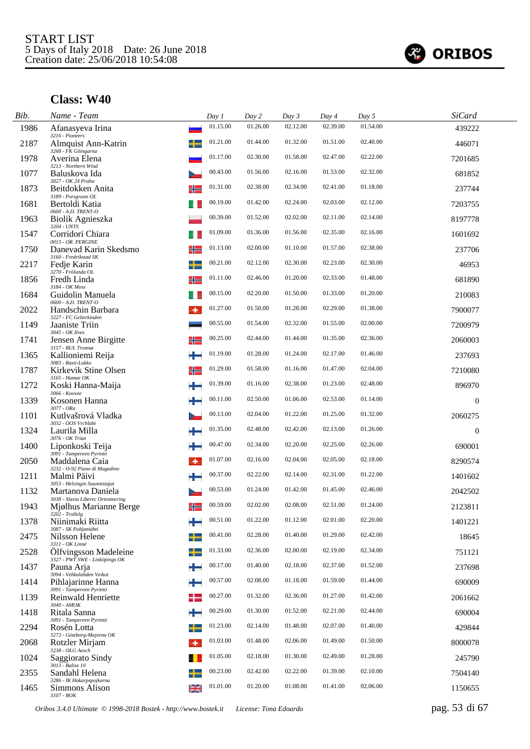

| Bib. | Name - Team                                             | Day 1                      | Day 2    | Day 3    | Day 4    | Day 5    | <b>SiCard</b> |
|------|---------------------------------------------------------|----------------------------|----------|----------|----------|----------|---------------|
| 1986 | Afanasyeva Irina<br>3216 - Pioneers                     | 01.15.00                   | 01.26.00 | 02.12.00 | 02.39.00 | 01.54.00 | 439222        |
| 2187 | Almquist Ann-Katrin<br>3268 - FK Göingarna              | 01.21.00                   | 01.44.00 | 01.32.00 | 01.51.00 | 02.40.00 | 446071        |
| 1978 | Averina Elena<br>3213 - Northern Wind                   | 01.17.00                   | 02.30.00 | 01.58.00 | 02.47.00 | 02.22.00 | 7201685       |
| 1077 | Baluskova Ida<br>3027 - OK 24 Praha                     | 00.43.00                   | 01.56.00 | 02.16.00 | 01.53.00 | 02.32.00 | 681852        |
| 1873 | Beitdokken Anita<br>3189 - Porsgrunn OL                 | 01.31.00<br>╬              | 02.38.00 | 02.34.00 | 02.41.00 | 01.18.00 | 237744        |
| 1681 | Bertoldi Katia<br>0600 - A.D. TRENT-O                   | 00.19.00                   | 01.42.00 | 02.24.00 | 02.03.00 | 02.12.00 | 7203755       |
| 1963 | <b>Biolik Agnieszka</b><br>3204 - UNTS                  | 00.39.00                   | 01.52.00 | 02.02.00 | 02.11.00 | 02.14.00 | 8197778       |
| 1547 | Corridori Chiara<br>0015 - OR. PERGINE                  | 01.09.00                   | 01.36.00 | 01.56.00 | 02.35.00 | 02.16.00 | 1601692       |
| 1750 | Danevad Karin Skedsmo<br>3160 - Fredrikstad SK          | 01.13.00<br>╬              | 02.00.00 | 01.10.00 | 01.57.00 | 02.38.00 | 237706        |
| 2217 | Fedje Karin<br>3270 - Frölunda OL                       | 00.21.00<br>╈              | 02.12.00 | 02.30.00 | 02.23.00 | 02.30.00 | 46953         |
| 1856 | Fredh Linda<br>3184 - OK Moss                           | 01.11.00<br>╬              | 02.46.00 | 01.20.00 | 02.33.00 | 01.48.00 | 681890        |
| 1684 | Guidolin Manuela<br>0600 - A.D. TRENT-O                 | 00.15.00                   | 02.20.00 | 01.50.00 | 01.33.00 | 01.20.00 | 210083        |
| 2022 | Handschin Barbara<br>3227 - FC Gelterkinden             | 01.27.00<br>۰              | 01.50.00 | 01.28.00 | 02.29.00 | 01.38.00 | 7900077       |
| 1149 | Jaaniste Triin<br>3045 - OK Ilves                       | 00.55.00                   | 01.54.00 | 02.32.00 | 01.55.00 | 02.00.00 | 7200979       |
| 1741 | Jensen Anne Birgitte<br>$3157$ - BUL Tromsø             | 00.25.00<br>╬              | 02.44.00 | 01.44.00 | 01.35.00 | 02.36.00 | 2060003       |
| 1365 | Kallioniemi Reija<br>3083 - Rasti-Lukko                 | 01.19.00<br>÷              | 01.28.00 | 01.24.00 | 02.17.00 | 01.46.00 | 237693        |
| 1787 | Kirkevik Stine Olsen<br>3165 - Hamar OK                 | 01.29.00<br>╬              | 01.58.00 | 01.16.00 | 01.47.00 | 02.04.00 | 7210080       |
| 1272 | Koski Hanna-Maija<br>3066 - Koovee                      | 01.39.00                   | 01.16.00 | 02.38.00 | 01.23.00 | 02.48.00 | 896970        |
| 1339 | Kosonen Hanna<br>$3077 - ORa$                           | 00.11.00                   | 02.50.00 | 01.06.00 | 02.53.00 | 01.14.00 | $\mathbf{0}$  |
| 1101 | Kutlvašrová Vladka<br>3032 - OOS Vrchlabi               | 00.13.00                   | 02.04.00 | 01.22.00 | 01.25.00 | 01.32.00 | 2060275       |
| 1324 | Laurila Milla<br>3076 - OK Trian                        | 01.35.00                   | 02.48.00 | 02.42.00 | 02.13.00 | 01.26.00 | $\mathbf{0}$  |
| 1400 | Liponkoski Teija<br>3091 - Tampereen Pyrintö            | 00.47.00                   | 02.34.00 | 02.20.00 | 02.25.00 | 02.26.00 | 690001        |
| 2050 | Maddalena Caia<br>3232 - O-92 Piano di Magadino         | 01.07.00<br>۰              | 02.16.00 | 02.04.00 | 02.05.00 | 02.18.00 | 8290574       |
| 1211 | Malmi Päivi<br>3053 - Helsingin Suunnistajat            | 00.37.00                   | 02.22.00 | 02.14.00 | 02.31.00 | 01.22.00 | 1401602       |
| 1132 | Martanova Daniela<br>3038 - Slavia Liberec Orienteering | 00.53.00                   | 01.24.00 | 01.42.00 | 01.45.00 | 02.46.00 | 2042502       |
| 1943 | Mjølhus Marianne Berge<br>$3202$ - Trollelg             | 00.59.00<br>╬              | 02.02.00 | 02.08.00 | 02.51.00 | 01.24.00 | 2123811       |
| 1378 | Niinimaki Riitta<br>3087 - SK Pohjantähti               | 00.51.00                   | 01.22.00 | 01.12.00 | 02.01.00 | 02.20.00 | 1401221       |
| 2475 | Nilsson Helene<br>3311 - OK Linné                       | 00.41.00<br>$\blacksquare$ | 02.28.00 | 01.40.00 | 01.29.00 | 02.42.00 | 18645         |
| 2528 | Ölfvingsson Madeleine<br>3327 - PWT SWE - Linköpings OK | 01.33.00<br>┶              | 02.36.00 | 02.00.00 | 02.19.00 | 02.34.00 | 751121        |
| 1437 | Pauna Arja<br>3094 - Vehkalahden Veikot                 | 00.17.00<br>÷              | 01.40.00 | 02.18.00 | 02.37.00 | 01.52.00 | 237698        |
| 1414 | Pihlajarinne Hanna<br>3091 - Tampereen Pyrintö          | 00.57.00                   | 02.08.00 | 01.18.00 | 01.59.00 | 01.44.00 | 690009        |
| 1139 | Reinwald Henriette<br>3040 - AMOK                       | 00.27.00                   | 01.32.00 | 02.36.00 | 01.27.00 | 01.42.00 | 2061662       |
| 1418 | Ritala Sanna<br>3091 - Tampereen Pyrintö                | 00.29.00<br>÷              | 01.30.00 | 01.52.00 | 02.21.00 | 02.44.00 | 690004        |
| 2294 | Rosén Lotta<br>3273 - Göteborg-Majorna OK               | 01.23.00<br>┶              | 02.14.00 | 01.48.00 | 02.07.00 | 01.40.00 | 429844        |
| 2068 | Rotzler Mirjam<br>3238 - OLG Aesch                      | 01.03.00<br>۰              | 01.48.00 | 02.06.00 | 01.49.00 | 01.50.00 | 8000078       |
| 1024 | Saggiorato Sindy<br>3013 - Balise 10                    | 01.05.00                   | 02.18.00 | 01.30.00 | 02.49.00 | 01.28.00 | 245790        |
| 2355 | Sandahl Helena<br>3286 - IK Hakarpspojkarna             | 00.23.00                   | 02.42.00 | 02.22.00 | 01.39.00 | 02.10.00 | 7504140       |
| 1465 | Simmons Alison<br>3107 - BOK                            | 01.01.00<br>≱≼             | 01.20.00 | 01.08.00 | 01.41.00 | 02.06.00 | 1150655       |

*Oribos 3.4.0 Ultimate © 1998-2018 Bostek - http://www.bostek.it License: Tona Edoardo* pag. 53 di 67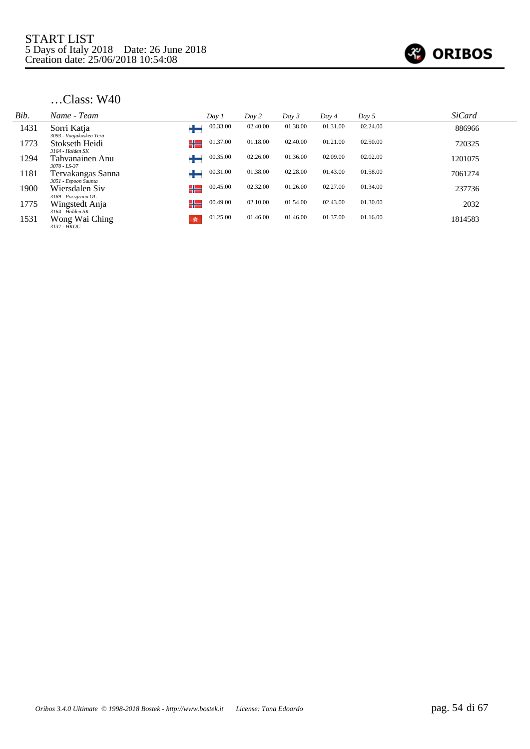

| Name - Team                   | Day 1                                                                                                                              | Day 2    | Day 3    | Day 4    | Day 5    | <b>SiCard</b> |  |
|-------------------------------|------------------------------------------------------------------------------------------------------------------------------------|----------|----------|----------|----------|---------------|--|
| Sorri Katja                   | 00.33.00                                                                                                                           | 02.40.00 | 01.38.00 | 01.31.00 | 02.24.00 | 886966        |  |
| Stokseth Heidi                | 01.37.00<br>╬═                                                                                                                     | 01.18.00 | 02.40.00 | 01.21.00 | 02.50.00 | 720325        |  |
| Tahvanainen Anu               | 00.35.00                                                                                                                           | 02.26.00 | 01.36.00 | 02.09.00 | 02.02.00 | 1201075       |  |
| Tervakangas Sanna             | 00.31.00                                                                                                                           | 01.38.00 | 02.28.00 | 01.43.00 | 01.58.00 | 7061274       |  |
| Wiersdalen Siv                | 00.45.00<br>╬═                                                                                                                     | 02.32.00 | 01.26.00 | 02.27.00 | 01.34.00 | 237736        |  |
| Wingstedt Anja                | 00.49.00<br>╬═                                                                                                                     | 02.10.00 | 01.54.00 | 02.43.00 | 01.30.00 | 2032          |  |
| Wong Wai Ching<br>3137 - HKOC | 01.25.00<br>蠹                                                                                                                      | 01.46.00 | 01.46.00 | 01.37.00 | 01.16.00 | 1814583       |  |
|                               | 3093 - Vaajakosken Terä<br>3164 - Halden SK<br>$3070 - LS - 37$<br>3051 - Espoon Suunta<br>3189 - Porsgrunn OL<br>3164 - Halden SK |          |          |          |          |               |  |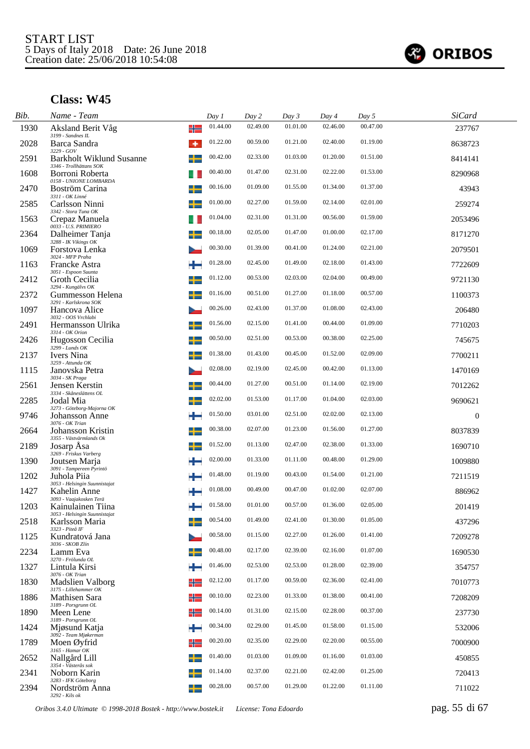

| Bib. | Name - Team                                                |   | Day 1    | Day 2    | Day 3    | Day 4    | Day 5    | <b>SiCard</b> |
|------|------------------------------------------------------------|---|----------|----------|----------|----------|----------|---------------|
| 1930 | Aksland Berit Våg<br>3199 - Sandnes IL                     | ╬ | 01.44.00 | 02.49.00 | 01.01.00 | 02.46.00 | 00.47.00 | 237767        |
| 2028 | Barca Sandra<br>3229 - GOV                                 | ۰ | 01.22.00 | 00.59.00 | 01.21.00 | 02.40.00 | 01.19.00 | 8638723       |
| 2591 | <b>Barkholt Wiklund Susanne</b><br>3346 - Trollhättans SOK |   | 00.42.00 | 02.33.00 | 01.03.00 | 01.20.00 | 01.51.00 | 8414141       |
| 1608 | Borroni Roberta<br>0158 - UNIONE LOMBARDA                  |   | 00.40.00 | 01.47.00 | 02.31.00 | 02.22.00 | 01.53.00 | 8290968       |
| 2470 | Boström Carina<br>3311 - OK Linné                          |   | 00.16.00 | 01.09.00 | 01.55.00 | 01.34.00 | 01.37.00 | 43943         |
| 2585 | Carlsson Ninni<br>3342 - Stora Tuna OK                     |   | 01.00.00 | 02.27.00 | 01.59.00 | 02.14.00 | 02.01.00 | 259274        |
| 1563 | Crepaz Manuela<br>0033 - U.S. PRIMIERO                     |   | 01.04.00 | 02.31.00 | 01.31.00 | 00.56.00 | 01.59.00 | 2053496       |
| 2364 | Dalheimer Tanja<br>3288 - IK Vikings OK                    |   | 00.18.00 | 02.05.00 | 01.47.00 | 01.00.00 | 02.17.00 | 8171270       |
| 1069 | Forstova Lenka<br>3024 - MFP Praha                         |   | 00.30.00 | 01.39.00 | 00.41.00 | 01.24.00 | 02.21.00 | 2079501       |
| 1163 | Francke Astra<br>3051 - Espoon Suunta                      |   | 01.28.00 | 02.45.00 | 01.49.00 | 02.18.00 | 01.43.00 | 7722609       |
| 2412 | Groth Cecilia<br>3294 - Kungälvs OK                        |   | 01.12.00 | 00.53.00 | 02.03.00 | 02.04.00 | 00.49.00 | 9721130       |
| 2372 | Gummesson Helena<br>3291 - Karlskrona SOK                  |   | 01.16.00 | 00.51.00 | 01.27.00 | 01.18.00 | 00.57.00 | 1100373       |
| 1097 | Hancova Alice<br>3032 - OOS Vrchlabi                       |   | 00.26.00 | 02.43.00 | 01.37.00 | 01.08.00 | 02.43.00 | 206480        |
| 2491 | Hermansson Ulrika<br>3314 - OK Orion                       |   | 01.56.00 | 02.15.00 | 01.41.00 | 00.44.00 | 01.09.00 | 7710203       |
| 2426 | Hugosson Cecilia<br>$3299$ - Lunds OK                      | ╅ | 00.50.00 | 02.51.00 | 00.53.00 | 00.38.00 | 02.25.00 | 745675        |
| 2137 | <b>Ivers</b> Nina<br>3259 - Attunda OK                     | ╈ | 01.38.00 | 01.43.00 | 00.45.00 | 01.52.00 | 02.09.00 | 7700211       |
| 1115 | Janovska Petra<br>3034 - SK Praga                          |   | 02.08.00 | 02.19.00 | 02.45.00 | 00.42.00 | 01.13.00 | 1470169       |
| 2561 | Jensen Kerstin<br>3334 - Skåneslättens OL                  |   | 00.44.00 | 01.27.00 | 00.51.00 | 01.14.00 | 02.19.00 | 7012262       |
| 2285 | Jodal Mia<br>3273 - Göteborg-Majorna OK                    |   | 02.02.00 | 01.53.00 | 01.17.00 | 01.04.00 | 02.03.00 | 9690621       |
| 9746 | <b>Johansson Anne</b><br>3076 - OK Trian                   | ÷ | 01.50.00 | 03.01.00 | 02.51.00 | 02.02.00 | 02.13.00 | $\mathbf{0}$  |
| 2664 | Johansson Kristin<br>3355 - Västvärmlands Ok               | ╈ | 00.38.00 | 02.07.00 | 01.23.00 | 01.56.00 | 01.27.00 | 8037839       |
| 2189 | Josarp Asa<br>3269 - Friskus Varberg                       | ┵ | 01.52.00 | 01.13.00 | 02.47.00 | 02.38.00 | 01.33.00 | 1690710       |
| 1390 | Joutsen Marja<br>3091 - Tampereen Pyrintö                  |   | 02.00.00 | 01.33.00 | 01.11.00 | 00.48.00 | 01.29.00 | 1009880       |
| 1202 | Juhola Piia<br>3053 - Helsingin Suunnistajat               |   | 01.48.00 | 01.19.00 | 00.43.00 | 01.54.00 | 01.21.00 | 7211519       |
| 1427 | Kahelin Anne<br>3093 - Vaajakosken Terä                    |   | 01.08.00 | 00.49.00 | 00.47.00 | 01.02.00 | 02.07.00 | 886962        |
| 1203 | Kainulainen Tiina<br>3053 - Helsingin Suunnistajat         |   | 01.58.00 | 01.01.00 | 00.57.00 | 01.36.00 | 02.05.00 | 201419        |
| 2518 | Karlsson Maria<br>3323 - Piteå IF                          |   | 00.54.00 | 01.49.00 | 02.41.00 | 01.30.00 | 01.05.00 | 437296        |
| 1125 | Kundratová Jana<br>3036 - SKOB Zlín                        |   | 00.58.00 | 01.15.00 | 02.27.00 | 01.26.00 | 01.41.00 | 7209278       |
| 2234 | Lamm Eva<br>3270 - Frölunda OL                             |   | 00.48.00 | 02.17.00 | 02.39.00 | 02.16.00 | 01.07.00 | 1690530       |
| 1327 | Lintula Kirsi<br>3076 - OK Trian                           |   | 01.46.00 | 02.53.00 | 02.53.00 | 01.28.00 | 02.39.00 | 354757        |
| 1830 | <b>Madslien Valborg</b><br>3175 - Lillehammer OK           | ╬ | 02.12.00 | 01.17.00 | 00.59.00 | 02.36.00 | 02.41.00 | 7010773       |
| 1886 | Mathisen Sara<br>3189 - Porsgrunn OL                       | ╬ | 00.10.00 | 02.23.00 | 01.33.00 | 01.38.00 | 00.41.00 | 7208209       |
| 1890 | Meen Lene<br>3189 - Porsgrunn OL                           | ╬ | 00.14.00 | 01.31.00 | 02.15.00 | 02.28.00 | 00.37.00 | 237730        |
| 1424 | Miøsund Katja<br>3092 - Team Mjøkerman                     | ┶ | 00.34.00 | 02.29.00 | 01.45.00 | 01.58.00 | 01.15.00 | 532006        |
| 1789 | Moen Øyfrid<br>$3165$ - Hamar $OK$                         | ╬ | 00.20.00 | 02.35.00 | 02.29.00 | 02.20.00 | 00.55.00 | 7000900       |
| 2652 | Nallgård Lill<br>3354 - Västerås sok                       |   | 01.40.00 | 01.03.00 | 01.09.00 | 01.16.00 | 01.03.00 | 450855        |
| 2341 | Noborn Karin<br>3283 - IFK Göteborg                        |   | 01.14.00 | 02.37.00 | 02.21.00 | 02.42.00 | 01.25.00 | 720413        |
| 2394 | Nordström Anna<br>3292 - Kils ok                           |   | 00.28.00 | 00.57.00 | 01.29.00 | 01.22.00 | 01.11.00 | 711022        |
|      |                                                            |   |          |          |          |          |          |               |

*Oribos 3.4.0 Ultimate © 1998-2018 Bostek - http://www.bostek.it License: Tona Edoardo* pag. 55 di 67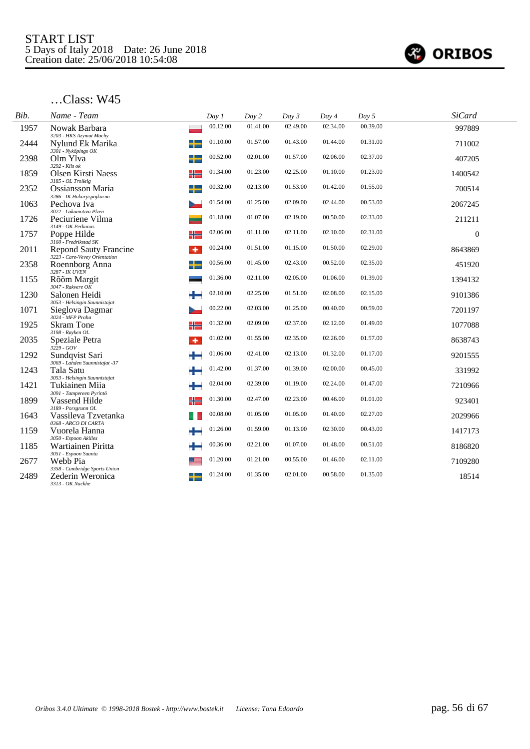

| Bib. | Name - Team                                                        | Day 1    | Day 2    | Day 3    | Day 4    | Day 5    | <b>SiCard</b> |  |
|------|--------------------------------------------------------------------|----------|----------|----------|----------|----------|---------------|--|
| 1957 | Nowak Barbara<br>3203 - HKS Azymut Mochy                           | 00.12.00 | 01.41.00 | 02.49.00 | 02.34.00 | 00.39.00 | 997889        |  |
| 2444 | Nylund Ek Marika<br>3301 - Nyköpings OK                            | 01.10.00 | 01.57.00 | 01.43.00 | 01.44.00 | 01.31.00 | 711002        |  |
| 2398 | Olm Ylva<br>3292 - Kils ok                                         | 00.52.00 | 02.01.00 | 01.57.00 | 02.06.00 | 02.37.00 | 407205        |  |
| 1859 | ╬<br><b>Olsen Kirsti Naess</b><br>3185 - OL Trollelg               | 01.34.00 | 01.23.00 | 02.25.00 | 01.10.00 | 01.23.00 | 1400542       |  |
| 2352 | <b>Ossiansson Maria</b><br>3286 - IK Hakarpspojkarna               | 00.32.00 | 02.13.00 | 01.53.00 | 01.42.00 | 01.55.00 | 700514        |  |
| 1063 | Pechova Iva<br>3022 - Lokomotiva Plzen                             | 01.54.00 | 01.25.00 | 02.09.00 | 02.44.00 | 00.53.00 | 2067245       |  |
| 1726 | Peciuriene Vilma<br>3149 - OK Perkunas                             | 01.18.00 | 01.07.00 | 02.19.00 | 00.50.00 | 02.33.00 | 211211        |  |
| 1757 | ╬<br>Poppe Hilde<br>3160 - Fredrikstad SK                          | 02.06.00 | 01.11.00 | 02.11.00 | 02.10.00 | 02.31.00 | $\mathbf{0}$  |  |
| 2011 | <b>Repond Sauty Francine</b><br>٠<br>3223 - Care-Vevey Orientation | 00.24.00 | 01.51.00 | 01.15.00 | 01.50.00 | 02.29.00 | 8643869       |  |
| 2358 | Roennborg Anna<br>3287 - IK UVEN                                   | 00.56.00 | 01.45.00 | 02.43.00 | 00.52.00 | 02.35.00 | 451920        |  |
| 1155 | Rõõm Margit<br>3047 - Rakvere OK                                   | 01.36.00 | 02.11.00 | 02.05.00 | 01.06.00 | 01.39.00 | 1394132       |  |
| 1230 | Salonen Heidi<br>٠.<br>3053 - Helsingin Suunnistajat               | 02.10.00 | 02.25.00 | 01.51.00 | 02.08.00 | 02.15.00 | 9101386       |  |
| 1071 | Sieglova Dagmar<br>$3024 - MFP$ Praha                              | 00.22.00 | 02.03.00 | 01.25.00 | 00.40.00 | 00.59.00 | 7201197       |  |
| 1925 | <b>Skram Tone</b><br>╬<br>3198 - Røyken OL                         | 01.32.00 | 02.09.00 | 02.37.00 | 02.12.00 | 01.49.00 | 1077088       |  |
| 2035 | Speziale Petra<br>۰<br>$3229 - GOV$                                | 01.02.00 | 01.55.00 | 02.35.00 | 02.26.00 | 01.57.00 | 8638743       |  |
| 1292 | Sundqvist Sari<br>3069 - Lahden Suunnistajat -37                   | 01.06.00 | 02.41.00 | 02.13.00 | 01.32.00 | 01.17.00 | 9201555       |  |
| 1243 | Tala Satu<br>3053 - Helsingin Suunnistajat                         | 01.42.00 | 01.37.00 | 01.39.00 | 02.00.00 | 00.45.00 | 331992        |  |
| 1421 | Tukiainen Miia<br>3091 - Tampereen Pyrintö                         | 02.04.00 | 02.39.00 | 01.19.00 | 02.24.00 | 01.47.00 | 7210966       |  |
| 1899 | Vassend Hilde<br>╬<br>3189 - Porsgrunn OL                          | 01.30.00 | 02.47.00 | 02.23.00 | 00.46.00 | 01.01.00 | 923401        |  |
| 1643 | Vassileva Tzvetanka<br>0368 - ARCO DI CARTA                        | 00.08.00 | 01.05.00 | 01.05.00 | 01.40.00 | 02.27.00 | 2029966       |  |
| 1159 | ÷<br>Vuorela Hanna<br>3050 - Espoon Akilles                        | 01.26.00 | 01.59.00 | 01.13.00 | 02.30.00 | 00.43.00 | 1417173       |  |
| 1185 | Wartiainen Piritta<br>3051 - Espoon Suunta                         | 00.36.00 | 02.21.00 | 01.07.00 | 01.48.00 | 00.51.00 | 8186820       |  |
| 2677 | Webb Pia<br>3358 - Cambridge Sports Union                          | 01.20.00 | 01.21.00 | 00.55.00 | 01.46.00 | 02.11.00 | 7109280       |  |
| 2489 | Zederin Weronica<br>3313 - OK Nackhe                               | 01.24.00 | 01.35.00 | 02.01.00 | 00.58.00 | 01.35.00 | 18514         |  |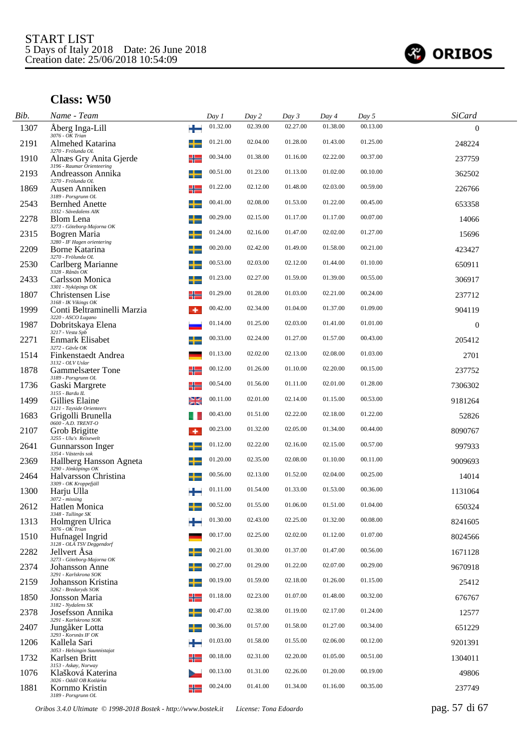

| Bib. | Name - Team                                          |                          | Day 1    | Day 2    | Day 3    | Day 4    | Day 5    | <b>SiCard</b>    |  |
|------|------------------------------------------------------|--------------------------|----------|----------|----------|----------|----------|------------------|--|
| 1307 | Aberg Inga-Lill<br>$3076 - OK$ Trian                 | ÷                        | 01.32.00 | 02.39.00 | 02.27.00 | 01.38.00 | 00.13.00 | $\theta$         |  |
| 2191 | Almehed Katarina<br>3270 - Frölunda OL               |                          | 01.21.00 | 02.04.00 | 01.28.00 | 01.43.00 | 01.25.00 | 248224           |  |
| 1910 | Alnæs Gry Anita Gjerde<br>3196 - Raumar Orienteering | ╬                        | 00.34.00 | 01.38.00 | 01.16.00 | 02.22.00 | 00.37.00 | 237759           |  |
| 2193 | Andreasson Annika<br>3270 - Frölunda OL              | ╈                        | 00.51.00 | 01.23.00 | 01.13.00 | 01.02.00 | 00.10.00 | 362502           |  |
| 1869 | Ausen Anniken<br>3189 - Porsgrunn OL                 | ╬                        | 01.22.00 | 02.12.00 | 01.48.00 | 02.03.00 | 00.59.00 | 226766           |  |
| 2543 | <b>Bernhed Anette</b><br>3332 - Sävedalens AIK       | ╈                        | 00.41.00 | 02.08.00 | 01.53.00 | 01.22.00 | 00.45.00 | 653358           |  |
| 2278 | Blom Lena<br>3273 - Göteborg-Majorna OK              |                          | 00.29.00 | 02.15.00 | 01.17.00 | 01.17.00 | 00.07.00 | 14066            |  |
| 2315 | Bogren Maria<br>3280 - IF Hagen orientering          |                          | 01.24.00 | 02.16.00 | 01.47.00 | 02.02.00 | 01.27.00 | 15696            |  |
| 2209 | Borne Katarina<br>3270 - Frölunda OL                 | $\overline{\phantom{a}}$ | 00.20.00 | 02.42.00 | 01.49.00 | 01.58.00 | 00.21.00 | 423427           |  |
| 2530 | Carlberg Marianne<br>$3328$ - Rånäs OK               | ┶                        | 00.53.00 | 02.03.00 | 02.12.00 | 01.44.00 | 01.10.00 | 650911           |  |
| 2433 | Carlsson Monica<br>3301 - Nyköpings OK               |                          | 01.23.00 | 02.27.00 | 01.59.00 | 01.39.00 | 00.55.00 | 306917           |  |
| 1807 | Christensen Lise<br>3168 - IK Vikings OK             | ╬                        | 01.29.00 | 01.28.00 | 01.03.00 | 02.21.00 | 00.24.00 | 237712           |  |
| 1999 | Conti Beltraminelli Marzia<br>3220 - ASCO Lugano     | ٠                        | 00.42.00 | 02.34.00 | 01.04.00 | 01.37.00 | 01.09.00 | 904119           |  |
| 1987 | Dobritskaya Elena<br>3217 - Vesta Spb                |                          | 01.14.00 | 01.25.00 | 02.03.00 | 01.41.00 | 01.01.00 | $\boldsymbol{0}$ |  |
| 2271 | Enmark Elisabet<br>3272 - Gävle OK                   |                          | 00.33.00 | 02.24.00 | 01.27.00 | 01.57.00 | 00.43.00 | 205412           |  |
| 1514 | Finkenstaedt Andrea<br>3132 - OLV Uslar              |                          | 01.13.00 | 02.02.00 | 02.13.00 | 02.08.00 | 01.03.00 | 2701             |  |
| 1878 | <b>Gammelsæter Tone</b><br>3189 - Porsgrunn OL       |                          | 00.12.00 | 01.26.00 | 01.10.00 | 02.20.00 | 00.15.00 | 237752           |  |
| 1736 | Gaski Margrete<br>3155 - Bardu IL                    | ╬                        | 00.54.00 | 01.56.00 | 01.11.00 | 02.01.00 | 01.28.00 | 7306302          |  |
| 1499 | Gillies Elaine<br>3121 - Tayside Orienteers          | ≱≼                       | 00.11.00 | 02.01.00 | 02.14.00 | 01.15.00 | 00.53.00 | 9181264          |  |
| 1683 | Grigolli Brunella<br>0600 - A.D. TRENT-O             |                          | 00.43.00 | 01.51.00 | 02.22.00 | 02.18.00 | 01.22.00 | 52826            |  |
| 2107 | Grob Brigitte<br>3255 - Ulu's Reisewelt              | ۰                        | 00.23.00 | 01.32.00 | 02.05.00 | 01.34.00 | 00.44.00 | 8090767          |  |
| 2641 | Gunnarsson Inger<br>3354 - Västerås sok              |                          | 01.12.00 | 02.22.00 | 02.16.00 | 02.15.00 | 00.57.00 | 997933           |  |
| 2369 | Hallberg Hansson Agneta<br>3290 - Jönköpings OK      |                          | 01.20.00 | 02.35.00 | 02.08.00 | 01.10.00 | 00.11.00 | 9009693          |  |
| 2464 | Halvarsson Christina<br>3309 - OK Kroppefjäll        |                          | 00.56.00 | 02.13.00 | 01.52.00 | 02.04.00 | 00.25.00 | 14014            |  |
| 1300 | Harju Ulla<br>$3072 - missing$                       |                          | 01.11.00 | 01.54.00 | 01.33.00 | 01.53.00 | 00.36.00 | 1131064          |  |
| 2612 | Hatlen Monica<br>3348 - Tullinge SK                  |                          | 00.52.00 | 01.55.00 | 01.06.00 | 01.51.00 | 01.04.00 | 650324           |  |
| 1313 | Holmgren Ulrica<br>$3076 - OK$ Trian                 |                          | 01.30.00 | 02.43.00 | 02.25.00 | 01.32.00 | 00.08.00 | 8241605          |  |
| 1510 | Hufnagel Ingrid<br>3128 - OLA TSV Deggendorf         |                          | 00.17.00 | 02.25.00 | 02.02.00 | 01.12.00 | 01.07.00 | 8024566          |  |
| 2282 | Jellvert Åsa<br>3273 - Göteborg-Majorna OK           |                          | 00.21.00 | 01.30.00 | 01.37.00 | 01.47.00 | 00.56.00 | 1671128          |  |
| 2374 | Johansson Anne<br>3291 - Karlskrona SOK              |                          | 00.27.00 | 01.29.00 | 01.22.00 | 02.07.00 | 00.29.00 | 9670918          |  |
| 2159 | Johansson Kristina<br>3262 - Bredaryds SOK           |                          | 00.19.00 | 01.59.00 | 02.18.00 | 01.26.00 | 01.15.00 | 25412            |  |
| 1850 | Jonsson Maria<br>3182 - Nydalens SK                  | ╬═                       | 01.18.00 | 02.23.00 | 01.07.00 | 01.48.00 | 00.32.00 | 676767           |  |
| 2378 | Josefsson Annika<br>3291 - Karlskrona SOK            | ╈                        | 00.47.00 | 02.38.00 | 01.19.00 | 02.17.00 | 01.24.00 | 12577            |  |
| 2407 | Jungåker Lotta<br>3293 - Korsnäs IF OK               |                          | 00.36.00 | 01.57.00 | 01.58.00 | 01.27.00 | 00.34.00 | 651229           |  |
| 1206 | Kallela Sari<br>3053 - Helsingin Suunnistajat        |                          | 01.03.00 | 01.58.00 | 01.55.00 | 02.06.00 | 00.12.00 | 9201391          |  |
| 1732 | Karlsen Britt<br>3153 - Askøy, Norway                | ╬                        | 00.18.00 | 02.31.00 | 02.20.00 | 01.05.00 | 00.51.00 | 1304011          |  |
| 1076 | Klašková Katerina<br>3026 - Oddíl OB Kotlárka        |                          | 00.13.00 | 01.31.00 | 02.26.00 | 01.20.00 | 00.19.00 | 49806            |  |
| 1881 | Kornmo Kristin<br>3189 - Porsgrunn OL                |                          | 00.24.00 | 01.41.00 | 01.34.00 | 01.16.00 | 00.35.00 | 237749           |  |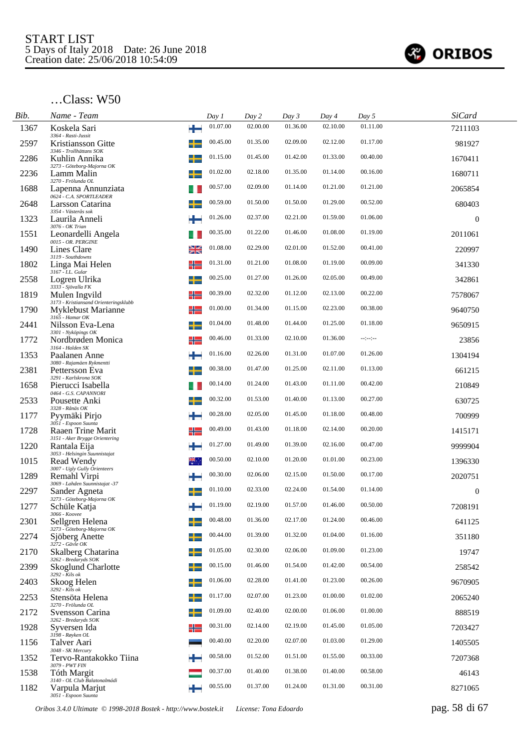

| Bib. | Name - Team                                                    |    | Day 1    | Day 2    | Day 3    | Day 4    | Day 5        | <b>SiCard</b>    |  |
|------|----------------------------------------------------------------|----|----------|----------|----------|----------|--------------|------------------|--|
| 1367 | Koskela Sari<br>3364 - Rasti-Jussit                            | ÷  | 01.07.00 | 02.00.00 | 01.36.00 | 02.10.00 | 01.11.00     | 7211103          |  |
| 2597 | Kristiansson Gitte                                             | ┻  | 00.45.00 | 01.35.00 | 02.09.00 | 02.12.00 | 01.17.00     | 981927           |  |
| 2286 | 3346 - Trollhättans SOK<br>Kuhlin Annika                       |    | 01.15.00 | 01.45.00 | 01.42.00 | 01.33.00 | 00.40.00     | 1670411          |  |
| 2236 | 3273 - Göteborg-Majorna OK<br>Lamm Malin<br>3270 - Frölunda OL |    | 01.02.00 | 02.18.00 | 01.35.00 | 01.14.00 | 00.16.00     | 1680711          |  |
| 1688 | Lapenna Annunziata<br>0624 - C.A. SPORTLEADER                  |    | 00.57.00 | 02.09.00 | 01.14.00 | 01.21.00 | 01.21.00     | 2065854          |  |
| 2648 | Larsson Catarina<br>3354 - Västerås sok                        |    | 00.59.00 | 01.50.00 | 01.50.00 | 01.29.00 | 00.52.00     | 680403           |  |
| 1323 | Laurila Anneli<br>3076 - OK Trian                              |    | 01.26.00 | 02.37.00 | 02.21.00 | 01.59.00 | 01.06.00     | $\mathbf{0}$     |  |
| 1551 | Leonardelli Angela<br>0015 - OR. PERGINE                       |    | 00.35.00 | 01.22.00 | 01.46.00 | 01.08.00 | 01.19.00     | 2011061          |  |
| 1490 | Lines Clare<br>3119 - Southdowns                               | ≱≼ | 01.08.00 | 02.29.00 | 02.01.00 | 01.52.00 | 00.41.00     | 220997           |  |
| 1802 | Linga Mai Helen<br>3167 - I.L. Gular                           | ╬  | 01.31.00 | 01.21.00 | 01.08.00 | 01.19.00 | 00.09.00     | 341330           |  |
| 2558 | Logren Ulrika<br>3333 - Sjövalla FK                            | ┶  | 00.25.00 | 01.27.00 | 01.26.00 | 02.05.00 | 00.49.00     | 342861           |  |
| 1819 | Mulen Ingvild<br>3173 - Kristiansand Orienteringsklubb         | ╬  | 00.39.00 | 02.32.00 | 01.12.00 | 02.13.00 | 00.22.00     | 7578067          |  |
| 1790 | <b>Myklebust Marianne</b><br>3165 - Hamar OK                   | ╬  | 01.00.00 | 01.34.00 | 01.15.00 | 02.23.00 | 00.38.00     | 9640750          |  |
| 2441 | Nilsson Eva-Lena<br>3301 - Nyköpings OK                        |    | 01.04.00 | 01.48.00 | 01.44.00 | 01.25.00 | 01.18.00     | 9650915          |  |
| 1772 | Nordbrøden Monica<br>3164 - Halden SK                          |    | 00.46.00 | 01.33.00 | 02.10.00 | 01.36.00 | $-12 - 12 -$ | 23856            |  |
| 1353 | Paalanen Anne<br>3080 - Rajamäen Rykmentti                     | ÷  | 01.16.00 | 02.26.00 | 01.31.00 | 01.07.00 | 01.26.00     | 1304194          |  |
| 2381 | Pettersson Eva<br>3291 - Karlskrona SOK                        |    | 00.38.00 | 01.47.00 | 01.25.00 | 02.11.00 | 01.13.00     | 661215           |  |
| 1658 | Pierucci Isabella<br>0464 - G.S. CAPANNORI                     |    | 00.14.00 | 01.24.00 | 01.43.00 | 01.11.00 | 00.42.00     | 210849           |  |
| 2533 | Pousette Anki<br>3328 - Rånäs OK                               |    | 00.32.00 | 01.53.00 | 01.40.00 | 01.13.00 | 00.27.00     | 630725           |  |
| 1177 | Pyymäki Pirjo<br>3051 - Espoon Suunta                          |    | 00.28.00 | 02.05.00 | 01.45.00 | 01.18.00 | 00.48.00     | 700999           |  |
| 1728 | Raaen Trine Marit<br>3151 - Aker Brygge Orientering            | ╬  | 00.49.00 | 01.43.00 | 01.18.00 | 02.14.00 | 00.20.00     | 1415171          |  |
| 1220 | Rantala Eija<br>3053 - Helsingin Suunnistajat                  |    | 01.27.00 | 01.49.00 | 01.39.00 | 02.16.00 | 00.47.00     | 9999904          |  |
| 1015 | Read Wendy<br>3007 - Ugly Gully Orienteers                     |    | 00.50.00 | 02.10.00 | 01.20.00 | 01.01.00 | 00.23.00     | 1396330          |  |
| 1289 | Remahl Virpi<br>3069 - Lahden Suunnistajat -37                 |    | 00.30.00 | 02.06.00 | 02.15.00 | 01.50.00 | 00.17.00     | 2020751          |  |
| 2297 | Sander Agneta<br>3273 - Göteborg-Majorna OK                    |    | 01.10.00 | 02.33.00 | 02.24.00 | 01.54.00 | 01.14.00     | $\boldsymbol{0}$ |  |
| 1277 | Schüle Katja<br>3066 - Koovee                                  |    | 01.19.00 | 02.19.00 | 01.57.00 | 01.46.00 | 00.50.00     | 7208191          |  |
| 2301 | Sellgren Helena<br>3273 - Göteborg-Majorna OK                  |    | 00.48.00 | 01.36.00 | 02.17.00 | 01.24.00 | 00.46.00     | 641125           |  |
| 2274 | Sjöberg Anette<br>$3272$ - Gävle OK                            |    | 00.44.00 | 01.39.00 | 01.32.00 | 01.04.00 | 01.16.00     | 351180           |  |
| 2170 | Skalberg Chatarina<br>3262 - Bredaryds SOK                     |    | 01.05.00 | 02.30.00 | 02.06.00 | 01.09.00 | 01.23.00     | 19747            |  |
| 2399 | <b>Skoglund Charlotte</b><br>$3292 -$ Kils ok                  |    | 00.15.00 | 01.46.00 | 01.54.00 | 01.42.00 | 00.54.00     | 258542           |  |
| 2403 | Skoog Helen<br>$3292 - Kils$ ok                                |    | 01.06.00 | 02.28.00 | 01.41.00 | 01.23.00 | 00.26.00     | 9670905          |  |
| 2253 | Stensöta Helena<br>3270 - Frölunda OL                          |    | 01.17.00 | 02.07.00 | 01.23.00 | 01.00.00 | 01.02.00     | 2065240          |  |
| 2172 | Svensson Carina<br>3262 - Bredaryds SOK                        |    | 01.09.00 | 02.40.00 | 02.00.00 | 01.06.00 | 01.00.00     | 888519           |  |
| 1928 | Syversen Ida<br>3198 - Røyken OL                               | ╬  | 00.31.00 | 02.14.00 | 02.19.00 | 01.45.00 | 01.05.00     | 7203427          |  |
| 1156 | Talver Aari<br>3048 - SK Mercury                               |    | 00.40.00 | 02.20.00 | 02.07.00 | 01.03.00 | 01.29.00     | 1405505          |  |
| 1352 | Tervo-Rantakokko Tiina<br>3079 - PWT FIN                       |    | 00.58.00 | 01.52.00 | 01.51.00 | 01.55.00 | 00.33.00     | 7207368          |  |
| 1538 | <b>Tóth Margit</b><br>3140 - OL Club Balatonalmádi             |    | 00.37.00 | 01.40.00 | 01.38.00 | 01.40.00 | 00.58.00     | 46143            |  |
| 1182 | Varpula Marjut<br>3051 - Espoon Suunta                         |    | 00.55.00 | 01.37.00 | 01.24.00 | 01.31.00 | 00.31.00     | 8271065          |  |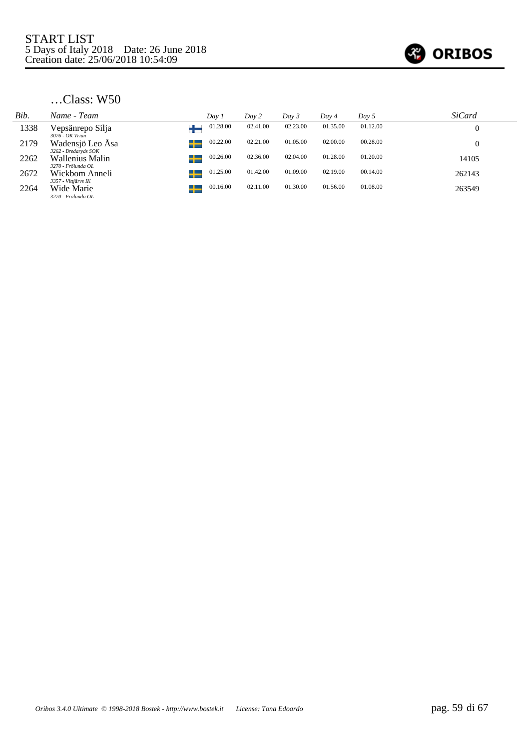

| Bib. | Name - Team                              | Day 1         | Day 2    | Day 3    | Day 4    | Day 5    | <b>SiCard</b> |
|------|------------------------------------------|---------------|----------|----------|----------|----------|---------------|
| 1338 | Vepsänrepo Silja<br>$3076$ - $OK$ Trian  | 01.28.00      | 02.41.00 | 02.23.00 | 01.35.00 | 01.12.00 |               |
| 2179 | Wadensjö Leo Åsa<br>3262 - Bredaryds SOK | 00.22.00<br>╈ | 02.21.00 | 01.05.00 | 02.00.00 | 00.28.00 |               |
| 2262 | Wallenius Malin<br>3270 - Frölunda OL    | 00.26.00<br>╈ | 02.36.00 | 02.04.00 | 01.28.00 | 01.20.00 | 14105         |
| 2672 | Wickbom Anneli<br>3357 - Vittjärvs IK    | 01.25.00<br>╅ | 01.42.00 | 01.09.00 | 02.19.00 | 00.14.00 | 262143        |
| 2264 | Wide Marie<br>3270 - Frölunda OL         | 00.16.00<br>╅ | 02.11.00 | 01.30.00 | 01.56.00 | 01.08.00 | 263549        |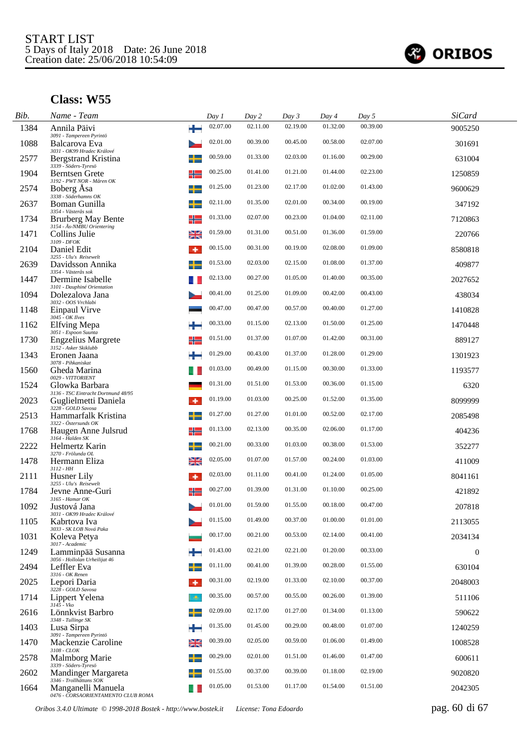

| Bib. | Name - Team                                              |    | Day 1    | Day 2    | Day 3    | Day 4    | Day 5    | <b>SiCard</b> |  |
|------|----------------------------------------------------------|----|----------|----------|----------|----------|----------|---------------|--|
| 1384 | Annila Päivi<br>3091 - Tampereen Pyrintö                 | ÷  | 02.07.00 | 02.11.00 | 02.19.00 | 01.32.00 | 00.39.00 | 9005250       |  |
| 1088 | Balcarova Eva<br>3031 - OK99 Hradec Králové              |    | 02.01.00 | 00.39.00 | 00.45.00 | 00.58.00 | 02.07.00 | 301691        |  |
| 2577 | Bergstrand Kristina<br>3339 - Söders-Tyresö              |    | 00.59.00 | 01.33.00 | 02.03.00 | 01.16.00 | 00.29.00 | 631004        |  |
| 1904 | Berntsen Grete<br>3192 - PWT NOR - Måren OK              | ╬  | 00.25.00 | 01.41.00 | 01.21.00 | 01.44.00 | 02.23.00 | 1250859       |  |
| 2574 | Boberg Asa<br>3338 - Söderhamns OK                       | +  | 01.25.00 | 01.23.00 | 02.17.00 | 01.02.00 | 01.43.00 | 9600629       |  |
| 2637 | Boman Gunilla<br>3354 - Västerås sok                     |    | 02.11.00 | 01.35.00 | 02.01.00 | 00.34.00 | 00.19.00 | 347192        |  |
| 1734 | <b>Brurberg May Bente</b><br>3154 - Ås-NMBU Orientering  | ╬  | 01.33.00 | 02.07.00 | 00.23.00 | 01.04.00 | 02.11.00 | 7120863       |  |
| 1471 | Collins Julie<br>3109 - DFOK                             | ≱≼ | 01.59.00 | 01.31.00 | 00.51.00 | 01.36.00 | 01.59.00 | 220766        |  |
| 2104 | Daniel Edit<br>3255 - Ulu's Reisewelt                    | ۰  | 00.15.00 | 00.31.00 | 00.19.00 | 02.08.00 | 01.09.00 | 8580818       |  |
| 2639 | Davidsson Annika<br>3354 - Västerås sok                  |    | 01.53.00 | 02.03.00 | 02.15.00 | 01.08.00 | 01.37.00 | 409877        |  |
| 1447 | Dermine Isabelle<br>3101 - Dauphiné Orientation          |    | 02.13.00 | 00.27.00 | 01.05.00 | 01.40.00 | 00.35.00 | 2027652       |  |
| 1094 | Dolezalova Jana<br>3032 - OOS Vrchlabi                   |    | 00.41.00 | 01.25.00 | 01.09.00 | 00.42.00 | 00.43.00 | 438034        |  |
| 1148 | Einpaul Virve<br>3045 - OK Ilves                         |    | 00.47.00 | 00.47.00 | 00.57.00 | 00.40.00 | 01.27.00 | 1410828       |  |
| 1162 | Elfving Mepa<br>3051 - Espoon Suunta                     |    | 00.33.00 | 01.15.00 | 02.13.00 | 01.50.00 | 01.25.00 | 1470448       |  |
| 1730 | <b>Engzelius Margrete</b><br>3152 - Asker Skiklubb       |    | 01.51.00 | 01.37.00 | 01.07.00 | 01.42.00 | 00.31.00 | 889127        |  |
| 1343 | Eronen Jaana<br>3078 - Pihkaniskat                       |    | 01.29.00 | 00.43.00 | 01.37.00 | 01.28.00 | 01.29.00 | 1301923       |  |
| 1560 | Gheda Marina<br>0029 - VITTORIENT                        |    | 01.03.00 | 00.49.00 | 01.15.00 | 00.30.00 | 01.33.00 | 1193577       |  |
| 1524 | Glowka Barbara<br>3136 - TSC Eintracht Dortmund 48/95    |    | 01.31.00 | 01.51.00 | 01.53.00 | 00.36.00 | 01.15.00 | 6320          |  |
| 2023 | Guglielmetti Daniela<br>3228 - GOLD Savosa               | ۰  | 01.19.00 | 01.03.00 | 00.25.00 | 01.52.00 | 01.35.00 | 8099999       |  |
| 2513 | Hammarfalk Kristina<br>3322 - Östersunds OK              |    | 01.27.00 | 01.27.00 | 01.01.00 | 00.52.00 | 02.17.00 | 2085498       |  |
| 1768 | Haugen Anne Julsrud<br>3164 - Halden SK                  | ╬  | 01.13.00 | 02.13.00 | 00.35.00 | 02.06.00 | 01.17.00 | 404236        |  |
| 2222 | Helmertz Karin<br>3270 - Frölunda OL                     |    | 00.21.00 | 00.33.00 | 01.03.00 | 00.38.00 | 01.53.00 | 352277        |  |
| 1478 | Hermann Eliza<br>$3112 - HH$                             | ≱≼ | 02.05.00 | 01.07.00 | 01.57.00 | 00.24.00 | 01.03.00 | 411009        |  |
| 2111 | Husner Lily<br>3255 - Ulu's Reisewelt                    | ۰  | 02.03.00 | 01.11.00 | 00.41.00 | 01.24.00 | 01.05.00 | 8041161       |  |
| 1784 | Jevne Anne-Guri<br>3165 - Hamar OK                       |    | 00.27.00 | 01.39.00 | 01.31.00 | 01.10.00 | 00.25.00 | 421892        |  |
| 1092 | Justová Jana<br>3031 - OK99 Hradec Králové               |    | 01.01.00 | 01.59.00 | 01.55.00 | 00.18.00 | 00.47.00 | 207818        |  |
| 1105 | Kabrtova Iva<br>3033 - SK LOB Nová Paka                  |    | 01.15.00 | 01.49.00 | 00.37.00 | 01.00.00 | 01.01.00 | 2113055       |  |
| 1031 | Koleva Petya<br>3017 - Academic                          |    | 00.17.00 | 00.21.00 | 00.53.00 | 02.14.00 | 00.41.00 | 2034134       |  |
| 1249 | Lamminpää Susanna<br>3056 - Hollolan Urheilijat 46       |    | 01.43.00 | 02.21.00 | 02.21.00 | 01.20.00 | 00.33.00 | $\mathbf{0}$  |  |
| 2494 | Leffler Eva<br>3316 - OK Renen                           |    | 01.11.00 | 00.41.00 | 01.39.00 | 00.28.00 | 01.55.00 | 630104        |  |
| 2025 | Lepori Daria<br>3228 - GOLD Savosa                       | ۰  | 00.31.00 | 02.19.00 | 01.33.00 | 02.10.00 | 00.37.00 | 2048003       |  |
| 1714 | Lippert Yelena<br>3145 - Vko                             | æ, | 00.35.00 | 00.57.00 | 00.55.00 | 00.26.00 | 01.39.00 | 511106        |  |
| 2616 | Lönnkvist Barbro<br>3348 - Tullinge SK                   |    | 02.09.00 | 02.17.00 | 01.27.00 | 01.34.00 | 01.13.00 | 590622        |  |
| 1403 | Lusa Sirpa<br>3091 - Tampereen Pyrintö                   |    | 01.35.00 | 01.45.00 | 00.29.00 | 00.48.00 | 01.07.00 | 1240259       |  |
| 1470 | Mackenzie Caroline<br>3108 - CLOK                        | ≱≼ | 00.39.00 | 02.05.00 | 00.59.00 | 01.06.00 | 01.49.00 | 1008528       |  |
| 2578 | Malmborg Marie<br>3339 - Söders-Tyresö                   |    | 00.29.00 | 02.01.00 | 01.51.00 | 01.46.00 | 01.47.00 | 600611        |  |
| 2602 | Mandinger Margareta<br>3346 - Trollhättans SOK           |    | 01.55.00 | 00.37.00 | 00.39.00 | 01.18.00 | 02.19.00 | 9020820       |  |
| 1664 | Manganelli Manuela<br>0476 - CORSAORIENTAMENTO CLUB ROMA |    | 01.05.00 | 01.53.00 | 01.17.00 | 01.54.00 | 01.51.00 | 2042305       |  |

*Oribos 3.4.0 Ultimate © 1998-2018 Bostek - http://www.bostek.it License: Tona Edoardo* pag. 60 di 67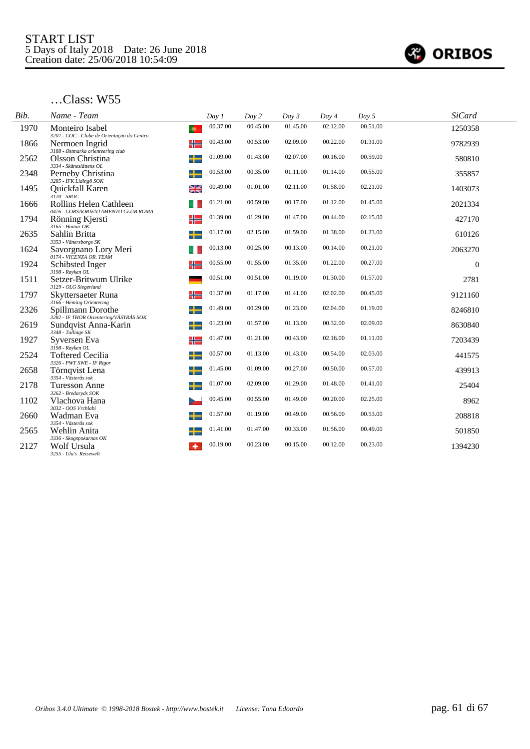

| Bib. | Name - Team                                                              | Day 1                 | Day 2    | Day 3    | Day 4    | Day 5    | <b>SiCard</b> |
|------|--------------------------------------------------------------------------|-----------------------|----------|----------|----------|----------|---------------|
| 1970 | Monteiro Isabel<br>3207 - COC - Clube de Orientação do Centro            | 00.37.00<br>$\bullet$ | 00.45.00 | 01.45.00 | 02.12.00 | 00.51.00 | 1250358       |
| 1866 | Nermoen Ingrid<br>3188 - Østmarka orienteering club                      | 00.43.00<br>╬         | 00.53.00 | 02.09.00 | 00.22.00 | 01.31.00 | 9782939       |
| 2562 | Olsson Christina<br>3334 - Skåneslättens OL                              | 01.09.00<br>╈         | 01.43.00 | 02.07.00 | 00.16.00 | 00.59.00 | 580810        |
| 2348 | Perneby Christina<br>3285 - IFK Lidingö SOK                              | 00.53.00              | 00.35.00 | 01.11.00 | 01.14.00 | 00.55.00 | 355857        |
| 1495 | Quickfall Karen<br>$3120 - SROC$                                         | 00.49.00<br>2K<br>기도  | 01.01.00 | 02.11.00 | 01.58.00 | 02.21.00 | 1403073       |
| 1666 | Rollins Helen Cathleen<br>0476 - CORSAORIENTAMENTO CLUB ROMA             | 01.21.00              | 00.59.00 | 00.17.00 | 01.12.00 | 01.45.00 | 2021334       |
| 1794 | Rönning Kjersti<br>$3165$ - Hamar OK                                     | 01.39.00<br>╬         | 01.29.00 | 01.47.00 | 00.44.00 | 02.15.00 | 427170        |
| 2635 | Sahlin Britta                                                            | 01.17.00<br>╅         | 02.15.00 | 01.59.00 | 01.38.00 | 01.23.00 | 610126        |
| 1624 | 3353 - Vänersborgs SK<br>Savorgnano Lory Meri<br>0174 - VICENZA OR. TEAM | 00.13.00              | 00.25.00 | 00.13.00 | 00.14.00 | 00.21.00 | 2063270       |
| 1924 | Schibsted Inger                                                          | 00.55.00              | 01.55.00 | 01.35.00 | 01.22.00 | 00.27.00 | $\Omega$      |
| 1511 | 3198 - Røyken $OL$<br>Setzer-Britwum Ulrike                              | 00.51.00              | 00.51.00 | 01.19.00 | 01.30.00 | 01.57.00 | 2781          |
| 1797 | 3129 - OLG Siegerland<br>Skyttersaeter Runa                              | 01.37.00<br>╬═        | 01.17.00 | 01.41.00 | 02.02.00 | 00.45.00 | 9121160       |
| 2326 | 3166 - Heming Orientering<br>Spillmann Dorothe                           | 01.49.00              | 00.29.00 | 01.23.00 | 02.04.00 | 01.19.00 | 8246810       |
| 2619 | 3282 - IF THOR Orientering/VÄSTRÅS SOK<br>Sundqvist Anna-Karin           | 01.23.00<br>╌         | 01.57.00 | 01.13.00 | 00.32.00 | 02.09.00 | 8630840       |
| 1927 | 3348 - Tullinge SK<br>Syversen Eva                                       | 01.47.00<br>╬         | 01.21.00 | 00.43.00 | 02.16.00 | 01.11.00 | 7203439       |
| 2524 | $3198$ - Røyken OL<br><b>Toftered Cecilia</b>                            | 00.57.00<br>╈         | 01.13.00 | 01.43.00 | 00.54.00 | 02.03.00 | 441575        |
| 2658 | 3326 - PWT SWE - IF Rigor<br>Törnqvist Lena                              | 01.45.00              | 01.09.00 | 00.27.00 | 00.50.00 | 00.57.00 | 439913        |
| 2178 | 3354 - Västerås sok<br>Turesson Anne                                     | 01.07.00              | 02.09.00 | 01.29.00 | 01.48.00 | 01.41.00 | 25404         |
| 1102 | 3262 - Bredaryds SOK<br>Vlachova Hana                                    | 00.45.00              | 00.55.00 | 01.49.00 | 00.20.00 | 02.25.00 | 8962          |
| 2660 | 3032 - OOS Vrchlabi<br>Wadman Eva                                        | 01.57.00              | 01.19.00 | 00.49.00 | 00.56.00 | 00.53.00 | 208818        |
| 2565 | 3354 - Västerås sok<br>Wehlin Anita                                      | 01.41.00              | 01.47.00 | 00.33.00 | 01.56.00 | 00.49.00 | 501850        |
| 2127 | 3336 - Skogspokarnas OK<br>Wolf Ursula<br>3255 - Ulu's Reisewelt         | 00.19.00              | 00.23.00 | 00.15.00 | 00.12.00 | 00.23.00 | 1394230       |
|      |                                                                          |                       |          |          |          |          |               |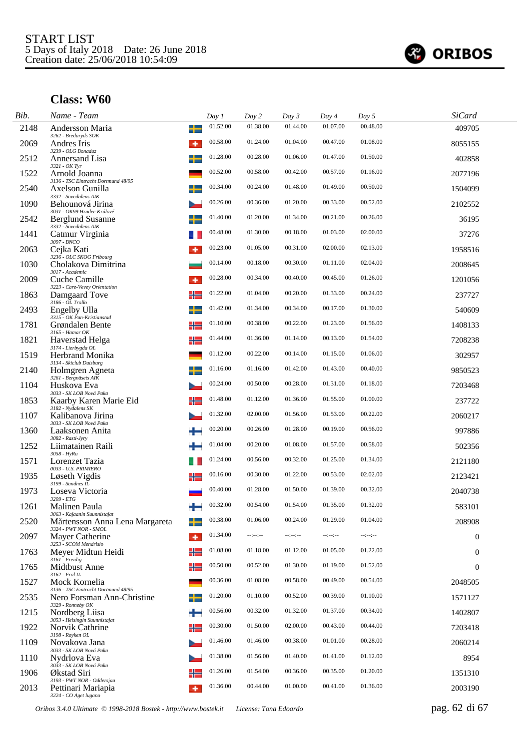

| Bib. | Name - Team                                                           |         | Day 1    | Day 2            | Day 3            | Day 4    | Day 5            | <b>SiCard</b>    |  |
|------|-----------------------------------------------------------------------|---------|----------|------------------|------------------|----------|------------------|------------------|--|
| 2148 | Andersson Maria<br>3262 - Bredaryds SOK                               | ╈       | 01.52.00 | 01.38.00         | 01.44.00         | 01.07.00 | 00.48.00         | 409705           |  |
| 2069 | Andres Iris<br>3239 - OLG Bonaduz                                     | ٠       | 00.58.00 | 01.24.00         | 01.04.00         | 00.47.00 | 01.08.00         | 8055155          |  |
| 2512 | Annersand Lisa                                                        | ╈       | 01.28.00 | 00.28.00         | 01.06.00         | 01.47.00 | 01.50.00         | 402858           |  |
| 1522 | 3321 - OK Tyr<br>Arnold Joanna<br>3136 - TSC Eintracht Dortmund 48/95 |         | 00.52.00 | 00.58.00         | 00.42.00         | 00.57.00 | 01.16.00         | 2077196          |  |
| 2540 | Axelson Gunilla<br>3332 - Sävedalens AIK                              |         | 00.34.00 | 00.24.00         | 01.48.00         | 01.49.00 | 00.50.00         | 1504099          |  |
| 1090 | Behounová Jirina<br>3031 - OK99 Hradec Králové                        |         | 00.26.00 | 00.36.00         | 01.20.00         | 00.33.00 | 00.52.00         | 2102552          |  |
| 2542 | <b>Berglund Susanne</b><br>3332 - Sävedalens AIK                      |         | 01.40.00 | 01.20.00         | 01.34.00         | 00.21.00 | 00.26.00         | 36195            |  |
| 1441 | Catmur Virginia<br>$3097$ - $BNCO$                                    |         | 00.48.00 | 01.30.00         | 00.18.00         | 01.03.00 | 02.00.00         | 37276            |  |
| 2063 | Cejka Kati<br>3236 - OLC SKOG Fribourg                                | ۰       | 00.23.00 | 01.05.00         | 00.31.00         | 02.00.00 | 02.13.00         | 1958516          |  |
| 1030 | Cholakova Dimitrina<br>3017 - Academic                                |         | 00.14.00 | 00.18.00         | 00.30.00         | 01.11.00 | 02.04.00         | 2008645          |  |
| 2009 | Cuche Camille<br>3223 - Care-Vevey Orientation                        |         | 00.28.00 | 00.34.00         | 00.40.00         | 00.45.00 | 01.26.00         | 1201056          |  |
| 1863 | Damgaard Tove<br>3186 - OL Trollo                                     | ╬       | 01.22.00 | 01.04.00         | 00.20.00         | 01.33.00 | 00.24.00         | 237727           |  |
| 2493 | Engelby Ulla<br>3315 - OK Pan-Kristianstad                            | ┶       | 01.42.00 | 01.34.00         | 00.34.00         | 00.17.00 | 01.30.00         | 540609           |  |
| 1781 | Grøndalen Bente<br>3165 - Hamar OK                                    | ╬═      | 01.10.00 | 00.38.00         | 00.22.00         | 01.23.00 | 01.56.00         | 1408133          |  |
| 1821 | Haverstad Helga<br>3174 - Lierbygda OL                                | ╬═      | 01.44.00 | 01.36.00         | 01.14.00         | 00.13.00 | 01.54.00         | 7208238          |  |
| 1519 | <b>Herbrand Monika</b><br>3134 - Skiclub Duisburg                     |         | 01.12.00 | 00.22.00         | 00.14.00         | 01.15.00 | 01.06.00         | 302957           |  |
| 2140 | Holmgren Agneta<br>3261 - Bergnäsets AIK                              |         | 01.16.00 | 01.16.00         | 01.42.00         | 01.43.00 | 00.40.00         | 9850523          |  |
| 1104 | Huskova Eva<br>3033 - SK LOB Nová Paka                                |         | 00.24.00 | 00.50.00         | 00.28.00         | 01.31.00 | 01.18.00         | 7203468          |  |
| 1853 | Kaarby Karen Marie Eid<br>3182 - Nydalens SK                          |         | 01.48.00 | 01.12.00         | 01.36.00         | 01.55.00 | 01.00.00         | 237722           |  |
| 1107 | Kalibanova Jirina<br>3033 - SK LOB Nová Paka                          |         | 01.32.00 | 02.00.00         | 01.56.00         | 01.53.00 | 00.22.00         | 2060217          |  |
| 1360 | Laaksonen Anita<br>3082 - Rasti-Jyry                                  |         | 00.20.00 | 00.26.00         | 01.28.00         | 00.19.00 | 00.56.00         | 997886           |  |
| 1252 | Liimatainen Raili<br>$3058 - HyRa$                                    |         | 01.04.00 | 00.20.00         | 01.08.00         | 01.57.00 | 00.58.00         | 502356           |  |
| 1571 | Lorenzet Tazia<br>0033 - U.S. PRIMIERO                                |         | 01.24.00 | 00.56.00         | 00.32.00         | 01.25.00 | 01.34.00         | 2121180          |  |
| 1935 | Løseth Vigdis<br>3199 - Sandnes IL                                    | ╬       | 00.16.00 | 00.30.00         | 01.22.00         | 00.53.00 | 02.02.00         | 2123421          |  |
| 1973 | Loseva Victoria<br>3209 - ETG                                         |         | 00.40.00 | 01.28.00         | 01.50.00         | 01.39.00 | 00.32.00         | 2040738          |  |
| 1261 | Malinen Paula<br>3063 - Kajaanin Suunnistajat                         |         | 00.32.00 | 00.54.00         | 01.54.00         | 01.35.00 | 01.32.00         | 583101           |  |
| 2520 | Mårtensson Anna Lena Margareta<br>$3324$ - $PWTNOR$ - $SMOL$          |         | 00.38.00 | 01.06.00         | 00.24.00         | 01.29.00 | 01.04.00         | 208908           |  |
| 2097 | Mayer Catherine<br>3253 - SCOM Mendrisio                              | $\cdot$ | 01.34.00 | $-1 - 1 - 1 - 1$ | $-1 - 1 - 1 - 1$ | --:-:-   | $-2 - 2 - 2 - 1$ | $\boldsymbol{0}$ |  |
| 1763 | Meyer Midtun Heidi<br>3161 - Freidig                                  | ╬═      | 01.08.00 | 01.18.00         | 01.12.00         | 01.05.00 | 01.22.00         | $\mathbf{0}$     |  |
| 1765 | Midthust Anne<br>$3162$ - $Frol$ IL                                   | ╬       | 00.50.00 | 00.52.00         | 01.30.00         | 01.19.00 | 01.52.00         | $\mathbf{0}$     |  |
| 1527 | Mock Kornelia<br>3136 - TSC Eintracht Dortmund 48/95                  |         | 00.36.00 | 01.08.00         | 00.58.00         | 00.49.00 | 00.54.00         | 2048505          |  |
| 2535 | Nero Forsman Ann-Christine<br>3329 - Ronneby OK                       |         | 01.20.00 | 01.10.00         | 00.52.00         | 00.39.00 | 01.10.00         | 1571127          |  |
| 1215 | Nordberg Liisa<br>3053 - Helsingin Suunnistajat                       |         | 00.56.00 | 00.32.00         | 01.32.00         | 01.37.00 | 00.34.00         | 1402807          |  |
| 1922 | Norvik Cathrine<br>3198 - Røyken OL                                   | ╬       | 00.30.00 | 01.50.00         | 02.00.00         | 00.43.00 | 00.44.00         | 7203418          |  |
| 1109 | Novakova Jana<br>3033 - SK LOB Nová Paka                              |         | 01.46.00 | 01.46.00         | 00.38.00         | 01.01.00 | 00.28.00         | 2060214          |  |
| 1110 | Nydrlova Eva<br>3033 - SK LOB Nová Paka                               |         | 01.38.00 | 01.56.00         | 01.40.00         | 01.41.00 | 01.12.00         | 8954             |  |
| 1906 | Økstad Siri<br>3193 - PWT NOR - Oddersjaa                             |         | 01.26.00 | 01.54.00         | 00.36.00         | 00.35.00 | 01.20.00         | 1351310          |  |
| 2013 | Pettinari Mariapia<br>3224 - CO Aget lugano                           | ۰       | 01.36.00 | 00.44.00         | 01.00.00         | 00.41.00 | 01.36.00         | 2003190          |  |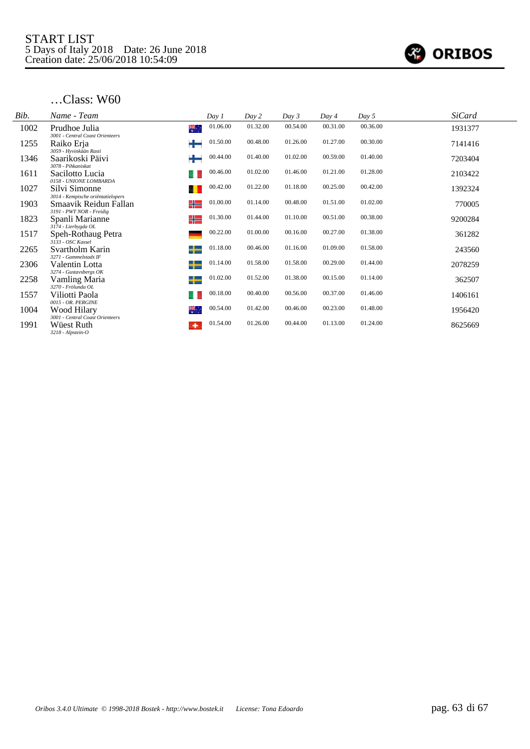

| Bib. | Name - Team                                        | Day 1           | Day 2    | Day 3    | Day 4    | Day 5    | <b>SiCard</b> |
|------|----------------------------------------------------|-----------------|----------|----------|----------|----------|---------------|
| 1002 | Prudhoe Julia<br>3001 - Central Coast Orienteers   | 01.06.00<br>₩., | 01.32.00 | 00.54.00 | 00.31.00 | 00.36.00 | 1931377       |
| 1255 | Raiko Erja<br>3059 - Hyvinkään Rasti               | 01.50.00        | 00.48.00 | 01.26.00 | 01.27.00 | 00.30.00 | 7141416       |
| 1346 | Saarikoski Päivi<br>3078 - Pihkaniskat             | 00.44.00        | 01.40.00 | 01.02.00 | 00.59.00 | 01.40.00 | 7203404       |
| 1611 | Sacilotto Lucia<br>0158 - UNIONE LOMBARDA          | 00.46.00        | 01.02.00 | 01.46.00 | 01.21.00 | 01.28.00 | 2103422       |
| 1027 | Silvi Simonne<br>3014 - Kempische oriëntatielopers | 00.42.00        | 01.22.00 | 01.18.00 | 00.25.00 | 00.42.00 | 1392324       |
| 1903 | Smaavik Reidun Fallan<br>3191 - PWT NOR - Freidig  | 01.00.00<br>╬═  | 01.14.00 | 00.48.00 | 01.51.00 | 01.02.00 | 770005        |
| 1823 | Spanli Marianne<br>3174 - Lierbygda OL             | 01.30.00<br>╬   | 01.44.00 | 01.10.00 | 00.51.00 | 00.38.00 | 9200284       |
| 1517 | Speh-Rothaug Petra<br>3133 - OSC Kassel            | 00.22.00        | 01.00.00 | 00.16.00 | 00.27.00 | 01.38.00 | 361282        |
| 2265 | Svartholm Karin<br>3271 - Gammelstads IF           | 01.18.00<br>┶   | 00.46.00 | 01.16.00 | 01.09.00 | 01.58.00 | 243560        |
| 2306 | Valentin Lotta<br>3274 - Gustavsbergs OK           | 01.14.00<br>┶   | 01.58.00 | 01.58.00 | 00.29.00 | 01.44.00 | 2078259       |
| 2258 | Vamling Maria<br>3270 - Frölunda OL                | 01.02.00<br>┶   | 01.52.00 | 01.38.00 | 00.15.00 | 01.14.00 | 362507        |
| 1557 | Viliotti Paola<br>0015 - OR. PERGINE               | 00.18.00        | 00.40.00 | 00.56.00 | 00.37.00 | 01.46.00 | 1406161       |
| 1004 | Wood Hilary<br>3001 - Central Coast Orienteers     | 00.54.00<br>₩.  | 01.42.00 | 00.46.00 | 00.23.00 | 01.48.00 | 1956420       |
| 1991 | Wüest Ruth<br>۰<br>3218 - Alpstein-O               | 01.54.00        | 01.26.00 | 00.44.00 | 01.13.00 | 01.24.00 | 8625669       |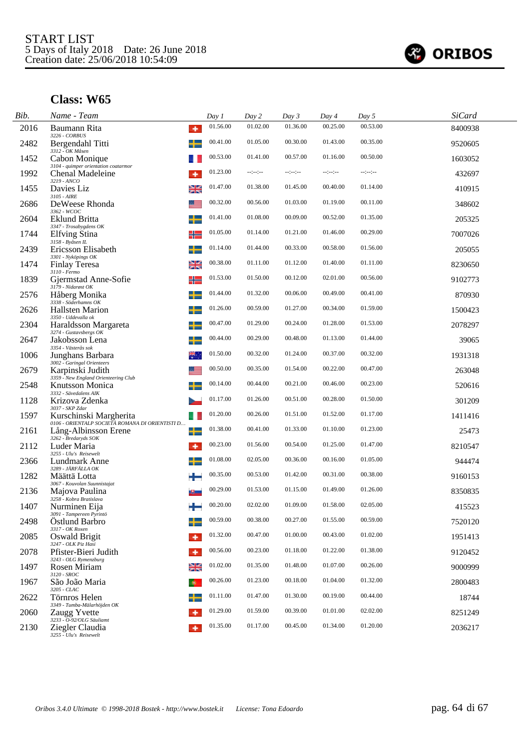

| Bib. | Name - Team                                                                                     |           | Day 1    | Day 2            | Day 3    | Day 4    | Day 5    | <b>SiCard</b> |
|------|-------------------------------------------------------------------------------------------------|-----------|----------|------------------|----------|----------|----------|---------------|
| 2016 | Baumann Rita<br>3226 - CORBUS                                                                   | ٠         | 01.56.00 | 01.02.00         | 01.36.00 | 00.25.00 | 00.53.00 | 8400938       |
| 2482 | Bergendahl Titti                                                                                |           | 00.41.00 | 01.05.00         | 00.30.00 | 01.43.00 | 00.35.00 | 9520605       |
| 1452 | 3312 - OK Måsen<br>Cabon Monique<br>3104 - quimper orientation coatarmor                        |           | 00.53.00 | 01.41.00         | 00.57.00 | 01.16.00 | 00.50.00 | 1603052       |
| 1992 | Chenal Madeleine<br>3219 - ANCO                                                                 | ۰         | 01.23.00 | $-1 - 1 - 1 - 1$ | --:--:-- | --:-:-   | --:--:-- | 432697        |
| 1455 | Davies Liz<br>3105 - AIRE                                                                       | ≱≼        | 01.47.00 | 01.38.00         | 01.45.00 | 00.40.00 | 01.14.00 | 410915        |
| 2686 | DeWeese Rhonda                                                                                  |           | 00.32.00 | 00.56.00         | 01.03.00 | 01.19.00 | 00.11.00 | 348602        |
| 2604 | 3362 - WCOC<br>Eklund Britta                                                                    |           | 01.41.00 | 01.08.00         | 00.09.00 | 00.52.00 | 01.35.00 | 205325        |
| 1744 | 3347 - Trosabygdens OK<br>Elfving Stina                                                         | ╬         | 01.05.00 | 01.14.00         | 01.21.00 | 01.46.00 | 00.29.00 | 7007026       |
| 2439 | 3158 - Byåsen IL<br>Ericsson Elisabeth                                                          | ╅         | 01.14.00 | 01.44.00         | 00.33.00 | 00.58.00 | 01.56.00 | 205055        |
| 1474 | 3301 - Nyköpings OK<br><b>Finlay Teresa</b>                                                     | ≱≼        | 00.38.00 | 01.11.00         | 01.12.00 | 01.40.00 | 01.11.00 | 8230650       |
| 1839 | $3110 - Fermo$<br>Gjermstad Anne-Sofie                                                          | ╬         | 01.53.00 | 01.50.00         | 00.12.00 | 02.01.00 | 00.56.00 | 9102773       |
| 2576 | 3179 - Nidarøst OK<br>Håberg Monika                                                             |           | 01.44.00 | 01.32.00         | 00.06.00 | 00.49.00 | 00.41.00 | 870930        |
| 2626 | 3338 - Söderhamns OK<br><b>Hallsten Marion</b>                                                  |           | 01.26.00 | 00.59.00         | 01.27.00 | 00.34.00 | 01.59.00 | 1500423       |
| 2304 | 3350 - Uddevalla ok<br>Haraldsson Margareta                                                     |           | 00.47.00 | 01.29.00         | 00.24.00 | 01.28.00 | 01.53.00 | 2078297       |
| 2647 | 3274 - Gustavsbergs $\mathit{OK}$<br>Jakobsson Lena                                             | ╅         | 00.44.00 | 00.29.00         | 00.48.00 | 01.13.00 | 01.44.00 | 39065         |
| 1006 | 3354 - Västerås sok<br>Junghans Barbara                                                         | ₩.        | 01.50.00 | 00.32.00         | 01.24.00 | 00.37.00 | 00.32.00 | 1931318       |
| 2679 | 3002 - Garingal Orienteers<br>Karpinski Judith                                                  |           | 00.50.00 | 00.35.00         | 01.54.00 | 00.22.00 | 00.47.00 | 263048        |
| 2548 | 3359 - New England Orienteering Club<br><b>Knutsson Monica</b>                                  |           | 00.14.00 | 00.44.00         | 00.21.00 | 00.46.00 | 00.23.00 | 520616        |
| 1128 | 3332 - Sävedalens AIK<br>Krizova Zdenka                                                         |           | 01.17.00 | 01.26.00         | 00.51.00 | 00.28.00 | 01.50.00 | 301209        |
| 1597 | 3037 - SKP Zdar<br>Kurschinski Margherita                                                       | a l       | 01.20.00 | 00.26.00         | 01.51.00 | 01.52.00 | 01.17.00 | 1411416       |
| 2161 | 0106 - ORIENTALP SOCIETÀ ROMANA DI ORIENTISTI D<br>Lång-Albinsson Erene<br>3262 - Bredaryds SOK | ╈         | 01.38.00 | 00.41.00         | 01.33.00 | 01.10.00 | 01.23.00 | 25473         |
| 2112 | Luder Maria<br>3255 - Ulu's Reisewelt                                                           | ۰         | 00.23.00 | 01.56.00         | 00.54.00 | 01.25.00 | 01.47.00 | 8210547       |
| 2366 | Lundmark Anne<br>3289 - JÄRFÄLLA OK                                                             | ┶         | 01.08.00 | 02.05.00         | 00.36.00 | 00.16.00 | 01.05.00 | 944474        |
| 1282 | Määttä Lotta                                                                                    |           | 00.35.00 | 00.53.00         | 01.42.00 | 00.31.00 | 00.38.00 | 9160153       |
| 2136 | 3067 - Kouvolan Suunnistajat<br>Majova Paulina<br>3258 - Kobra Bratislava                       |           | 00.29.00 | 01.53.00         | 01.15.00 | 01.49.00 | 01.26.00 | 8350835       |
| 1407 | Nurminen Eija<br>3091 - Tampereen Pyrintö                                                       |           | 00.20.00 | 02.02.00         | 01.09.00 | 01.58.00 | 02.05.00 | 415523        |
| 2498 | Ostlund Barbro<br>3317 - OK Roxen                                                               |           | 00.59.00 | 00.38.00         | 00.27.00 | 01.55.00 | 00.59.00 | 7520120       |
| 2085 | Oswald Brigit<br>3247 - OLK Piz Hasi                                                            | ۰         | 01.32.00 | 00.47.00         | 01.00.00 | 00.43.00 | 01.02.00 | 1951413       |
| 2078 | Pfister-Bieri Judith<br>3243 - OLG Rymenzburg                                                   | ۰         | 00.56.00 | 00.23.00         | 01.18.00 | 01.22.00 | 01.38.00 | 9120452       |
| 1497 | Rosen Miriam<br>$3120$ - $SROC$                                                                 | ≱≼        | 01.02.00 | 01.35.00         | 01.48.00 | 01.07.00 | 00.26.00 | 9000999       |
| 1967 | São João Maria<br>3205 - CLAC                                                                   | $\bullet$ | 00.26.00 | 01.23.00         | 00.18.00 | 01.04.00 | 01.32.00 | 2800483       |
| 2622 | Törnros Helen<br>3349 - Tumba-Mälarhöjden OK                                                    |           | 01.11.00 | 01.47.00         | 01.30.00 | 00.19.00 | 00.44.00 | 18744         |
| 2060 | Zaugg Yvette<br>3233 - O-92/OLG Säuliamt                                                        |           | 01.29.00 | 01.59.00         | 00.39.00 | 01.01.00 | 02.02.00 | 8251249       |
| 2130 | Ziegler Claudia<br>3255 - Ulu's Reisewelt                                                       |           | 01.35.00 | 01.17.00         | 00.45.00 | 01.34.00 | 01.20.00 | 2036217       |
|      |                                                                                                 |           |          |                  |          |          |          |               |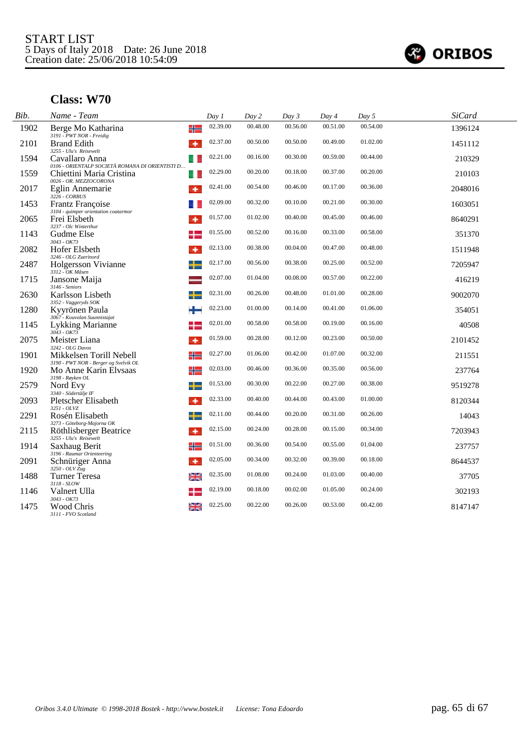

| Bib. | Name - Team                                                                                                | Day 1    | Day 2    | Day 3    | Day 4    | Day 5    | <b>SiCard</b> |
|------|------------------------------------------------------------------------------------------------------------|----------|----------|----------|----------|----------|---------------|
| 1902 | ╬<br>Berge Mo Katharina<br>3191 - PWT NOR - Freidig                                                        | 02.39.00 | 00.48.00 | 00.56.00 | 00.51.00 | 00.54.00 | 1396124       |
| 2101 | <b>Brand Edith</b><br>٠                                                                                    | 02.37.00 | 00.50.00 | 00.50.00 | 00.49.00 | 01.02.00 | 1451112       |
| 1594 | 3255 - Ulu's Reisewelt<br>Cavallaro Anna                                                                   | 02.21.00 | 00.16.00 | 00.30.00 | 00.59.00 | 00.44.00 | 210329        |
| 1559 | 0106 - ORIENTALP SOCIETÀ ROMANA DI ORIENTISTI D<br>Chiettini Maria Cristina<br>ш<br>0026 - OR. MEZZOCORONA | 02.29.00 | 00.20.00 | 00.18.00 | 00.37.00 | 00.20.00 | 210103        |
| 2017 | Eglin Annemarie<br>÷<br>$3226 - CORBUS$                                                                    | 02.41.00 | 00.54.00 | 00.46.00 | 00.17.00 | 00.36.00 | 2048016       |
| 1453 | Frantz Françoise<br>3104 - quimper orientation coatarmor                                                   | 02.09.00 | 00.32.00 | 00.10.00 | 00.21.00 | 00.30.00 | 1603051       |
| 2065 | Frei Elsbeth<br>۰<br>3237 - Olc Winterthur                                                                 | 01.57.00 | 01.02.00 | 00.40.00 | 00.45.00 | 00.46.00 | 8640291       |
| 1143 | Gudme Else<br>$3043 - OK73$                                                                                | 01.55.00 | 00.52.00 | 00.16.00 | 00.33.00 | 00.58.00 | 351370        |
| 2082 | Hofer Elsbeth<br>٠<br>3246 - OLG Zuerinord                                                                 | 02.13.00 | 00.38.00 | 00.04.00 | 00.47.00 | 00.48.00 | 1511948       |
| 2487 | Holgersson Vivianne<br>3312 - OK Måsen                                                                     | 02.17.00 | 00.56.00 | 00.38.00 | 00.25.00 | 00.52.00 | 7205947       |
| 1715 | Jansone Maija<br>3146 - Seniors                                                                            | 02.07.00 | 01.04.00 | 00.08.00 | 00.57.00 | 00.22.00 | 416219        |
| 2630 | Karlsson Lisbeth<br>3352 - Vaggeryds SOK                                                                   | 02.31.00 | 00.26.00 | 00.48.00 | 01.01.00 | 00.28.00 | 9002070       |
| 1280 | Kyyrönen Paula<br>3067 - Kouvolan Suunnistajat                                                             | 02.23.00 | 01.00.00 | 00.14.00 | 00.41.00 | 01.06.00 | 354051        |
| 1145 | Lykking Marianne<br>$3043 - OK73$                                                                          | 02.01.00 | 00.58.00 | 00.58.00 | 00.19.00 | 00.16.00 | 40508         |
| 2075 | Meister Liana<br>۰<br>3242 - OLG Davos                                                                     | 01.59.00 | 00.28.00 | 00.12.00 | 00.23.00 | 00.50.00 | 2101452       |
| 1901 | Mikkelsen Torill Nebell<br>╬<br>3190 - PWT NOR - Berger og Svelvik OL                                      | 02.27.00 | 01.06.00 | 00.42.00 | 01.07.00 | 00.32.00 | 211551        |
| 1920 | ╬<br>Mo Anne Karin Elvsaas<br>3198 - Røyken OL                                                             | 02.03.00 | 00.46.00 | 00.36.00 | 00.35.00 | 00.56.00 | 237764        |
| 2579 | ╅<br>Nord Evy<br>3340 - Södertälje IF                                                                      | 01.53.00 | 00.30.00 | 00.22.00 | 00.27.00 | 00.38.00 | 9519278       |
| 2093 | Pletscher Elisabeth<br>3251 - OLVZ                                                                         | 02.33.00 | 00.40.00 | 00.44.00 | 00.43.00 | 01.00.00 | 8120344       |
| 2291 | Rosén Elisabeth                                                                                            | 02.11.00 | 00.44.00 | 00.20.00 | 00.31.00 | 00.26.00 | 14043         |
| 2115 | 3273 - Göteborg-Majorna OK<br>Röthlisberger Beatrice<br>٠<br>3255 - Ulu's Reisewelt                        | 02.15.00 | 00.24.00 | 00.28.00 | 00.15.00 | 00.34.00 | 7203943       |
| 1914 | ╬<br>Saxhaug Berit                                                                                         | 01.51.00 | 00.36.00 | 00.54.00 | 00.55.00 | 01.04.00 | 237757        |
| 2091 | 3196 - Raumar Orienteering<br>Schnüriger Anna<br>٠<br>3250 - OLV Zug                                       | 02.05.00 | 00.34.00 | 00.32.00 | 00.39.00 | 00.18.00 | 8644537       |
| 1488 | ≱≼<br><b>Turner Teresa</b>                                                                                 | 02.35.00 | 01.08.00 | 00.24.00 | 01.03.00 | 00.40.00 | 37705         |
| 1146 | 3118 - SLOW<br>Valnert Ulla                                                                                | 02.19.00 | 00.18.00 | 00.02.00 | 01.05.00 | 00.24.00 | 302193        |
| 1475 | 3043 - OK73<br>≱≼<br>Wood Chris<br>3111 - FVO Scotland                                                     | 02.25.00 | 00.22.00 | 00.26.00 | 00.53.00 | 00.42.00 | 8147147       |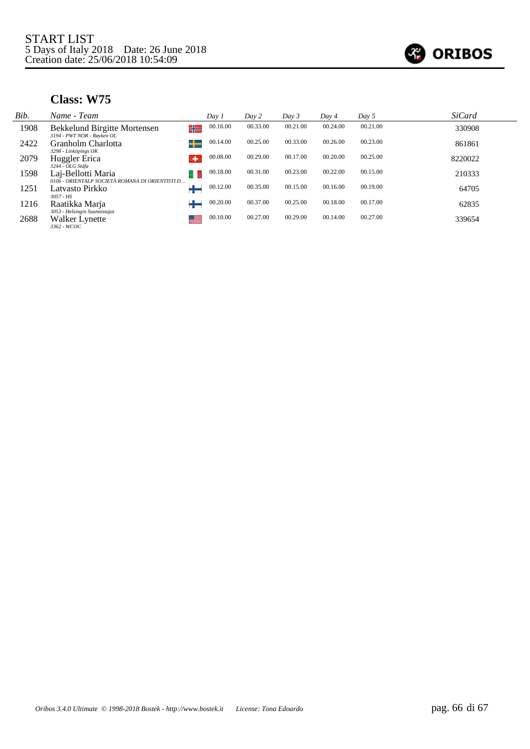

| Bib. | Name - Team                                                           |   | Day 1    | Day 2    | Day 3    | Day 4    | Day 5    | <b>SiCard</b> |  |
|------|-----------------------------------------------------------------------|---|----------|----------|----------|----------|----------|---------------|--|
| 1908 | Bekkelund Birgitte Mortensen<br>3194 - PWT NOR - Røyken OL            | ╬ | 00.16.00 | 00.33.00 | 00.21.00 | 00.24.00 | 00.21.00 | 330908        |  |
| 2422 | Granholm Charlotta<br>3298 - Linköpings OK                            |   | 00.14.00 | 00.25.00 | 00.33.00 | 00.26.00 | 00.23.00 | 861861        |  |
| 2079 | Huggler Erica<br>3244 - OLG Stäfa                                     |   | 00.08.00 | 00.29.00 | 00.17.00 | 00.20.00 | 00.25.00 | 8220022       |  |
| 1598 | Laj-Bellotti Maria<br>0106 - ORIENTALP SOCIETÀ ROMANA DI ORIENTISTI D |   | 00.18.00 | 00.31.00 | 00.23.00 | 00.22.00 | 00.15.00 | 210333        |  |
| 1251 | Latvasto Pirkko<br>$3057 - HS$                                        |   | 00.12.00 | 00.35.00 | 00.15.00 | 00.16.00 | 00.19.00 | 64705         |  |
| 1216 | Raatikka Marja<br>3053 - Helsingin Suunnistajat                       |   | 00.20.00 | 00.37.00 | 00.25.00 | 00.18.00 | 00.17.00 | 62835         |  |
| 2688 | Walker Lynette<br>3362 - WCOC                                         |   | 00.10.00 | 00.27.00 | 00.29.00 | 00.14.00 | 00.27.00 | 339654        |  |
|      |                                                                       |   |          |          |          |          |          |               |  |